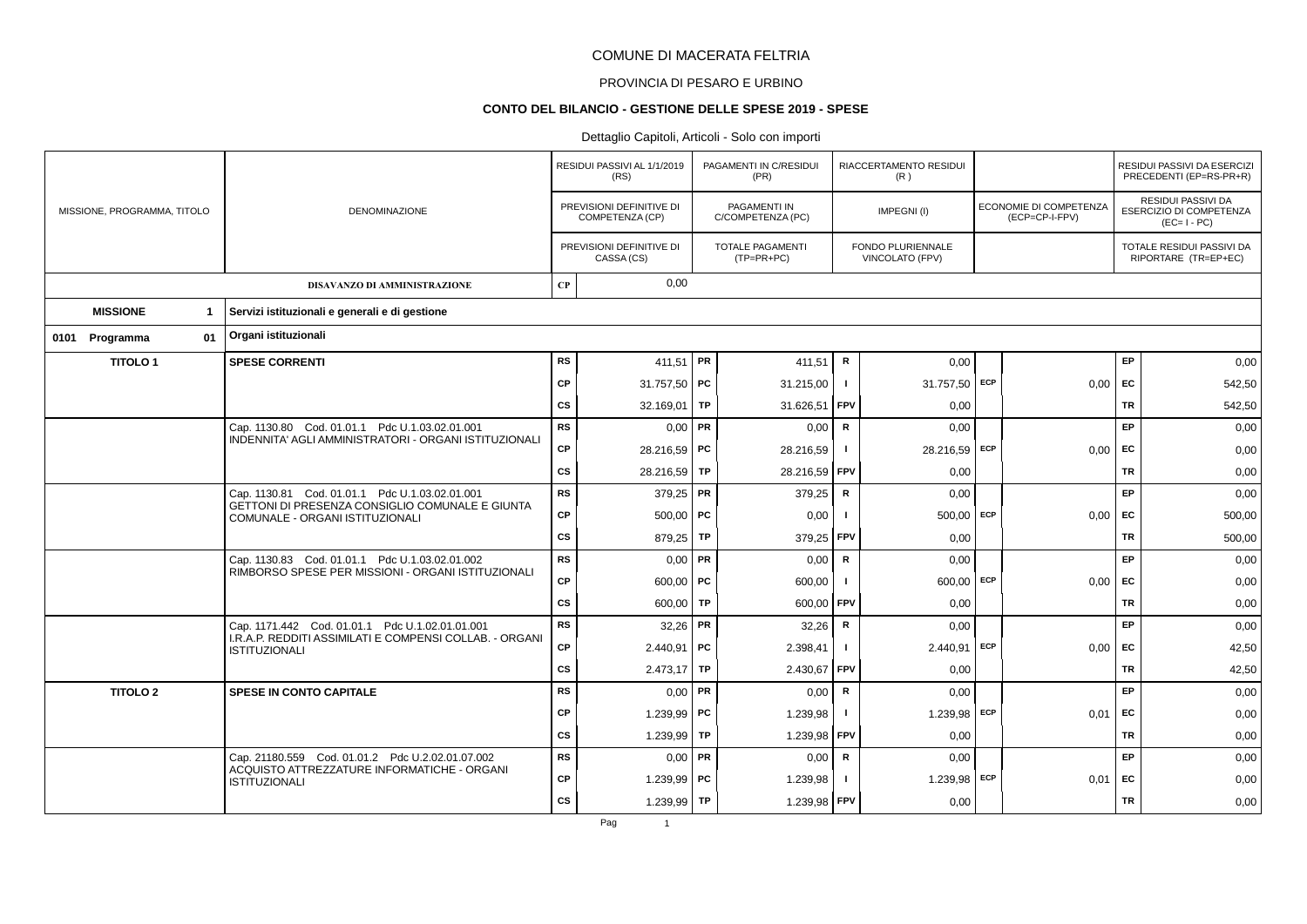# PROVINCIA DI PESARO E URBINO

#### **CONTO DEL BILANCIO - GESTIONE DELLE SPESE 2019 - SPESE**

|                             |                      |                                                                                                            |             | RESIDUI PASSIVI AL 1/1/2019<br>(RS)         |           | PAGAMENTI IN C/RESIDUI<br>(PR)          |                | RIACCERTAMENTO RESIDUI<br>(R)        |            |                                          |           | RESIDUI PASSIVI DA ESERCIZI<br>PRECEDENTI (EP=RS-PR+R)              |
|-----------------------------|----------------------|------------------------------------------------------------------------------------------------------------|-------------|---------------------------------------------|-----------|-----------------------------------------|----------------|--------------------------------------|------------|------------------------------------------|-----------|---------------------------------------------------------------------|
| MISSIONE, PROGRAMMA, TITOLO |                      | <b>DENOMINAZIONE</b>                                                                                       |             | PREVISIONI DEFINITIVE DI<br>COMPETENZA (CP) |           | PAGAMENTI IN<br>C/COMPETENZA (PC)       |                | IMPEGNI(I)                           |            | ECONOMIE DI COMPETENZA<br>(ECP=CP-I-FPV) |           | RESIDUI PASSIVI DA<br><b>ESERCIZIO DI COMPETENZA</b><br>$(EC=I-PC)$ |
|                             |                      |                                                                                                            |             | PREVISIONI DEFINITIVE DI<br>CASSA (CS)      |           | <b>TOTALE PAGAMENTI</b><br>$(TP=PR+PC)$ |                | FONDO PLURIENNALE<br>VINCOLATO (FPV) |            |                                          |           | TOTALE RESIDUI PASSIVI DA<br>RIPORTARE (TR=EP+EC)                   |
|                             |                      | DISAVANZO DI AMMINISTRAZIONE                                                                               | $\bf CP$    | 0,00                                        |           |                                         |                |                                      |            |                                          |           |                                                                     |
| <b>MISSIONE</b>             | $\mathbf{1}$         | Servizi istituzionali e generali e di gestione                                                             |             |                                             |           |                                         |                |                                      |            |                                          |           |                                                                     |
| 0101 Programma              | 01                   | Organi istituzionali                                                                                       |             |                                             |           |                                         |                |                                      |            |                                          |           |                                                                     |
| <b>TITOLO1</b>              |                      | <b>SPESE CORRENTI</b>                                                                                      | <b>RS</b>   | 411,51 PR                                   |           | 411,51                                  | R              | 0,00                                 |            |                                          | <b>EP</b> | 0,00                                                                |
|                             |                      |                                                                                                            | <b>CP</b>   | 31.757,50   PC                              |           | 31.215,00                               |                | 31.757,50 ECP                        |            | 0,00                                     | <b>FC</b> | 542,50                                                              |
|                             |                      |                                                                                                            | <b>CS</b>   | 32.169.01                                   | <b>TP</b> | 31.626,51                               | <b>FPV</b>     | 0,00                                 |            |                                          | <b>TR</b> | 542,50                                                              |
|                             |                      | Cap. 1130.80 Cod. 01.01.1 Pdc U.1.03.02.01.001                                                             | <b>RS</b>   | 0,00                                        | <b>PR</b> | 0,00                                    | $\mathbf R$    | 0,00                                 |            |                                          | <b>EP</b> | 0,00                                                                |
|                             |                      | INDENNITA' AGLI AMMINISTRATORI - ORGANI ISTITUZIONALI                                                      | CP          | 28.216,59 PC                                |           | 28.216,59                               | -1             | 28.216,59 ECP                        |            | 0,00                                     | <b>FC</b> | 0,00                                                                |
|                             |                      |                                                                                                            | CS          | 28.216,59                                   | TP        | 28.216,59                               | FPV            | 0,00                                 |            |                                          | <b>TR</b> | 0,00                                                                |
|                             |                      | Cap. 1130.81 Cod. 01.01.1 Pdc U.1.03.02.01.001                                                             | RS          | 379,25 PR                                   |           | 379,25                                  | $\mathbf R$    | 0,00                                 |            |                                          | <b>EP</b> | 0,00                                                                |
|                             |                      | GETTONI DI PRESENZA CONSIGLIO COMUNALE E GIUNTA<br>COMUNALE - ORGANI ISTITUZIONALI                         | <b>CP</b>   | $500,00$ PC                                 |           | 0,00                                    |                | 500.00                               | ECP        | 0.00                                     | EC        | 500,00                                                              |
|                             |                      |                                                                                                            | <b>CS</b>   | 879,25                                      | TP        | 379,25                                  | FPV            | 0,00                                 |            |                                          | <b>TR</b> | 500,00                                                              |
|                             |                      | Cap. 1130.83 Cod. 01.01.1 Pdc U.1.03.02.01.002                                                             | <b>RS</b>   | 0.00                                        | PR        | 0,00                                    | ${\sf R}$      | 0,00                                 |            |                                          | EP        | 0,00                                                                |
|                             |                      | RIMBORSO SPESE PER MISSIONI - ORGANI ISTITUZIONALI                                                         | <b>CP</b>   | $600,00$ PC                                 |           | 600,00                                  |                | $600,00$ ECP                         |            | 0,00                                     | <b>FC</b> | 0,00                                                                |
|                             |                      |                                                                                                            | CS          | 600,00                                      | TP        | 600,00                                  | FPV            | 0,00                                 |            |                                          | <b>TR</b> | 0,00                                                                |
|                             |                      | Cap. 1171.442 Cod. 01.01.1 Pdc U.1.02.01.01.001<br>I.R.A.P. REDDITI ASSIMILATI E COMPENSI COLLAB. - ORGANI | <b>RS</b>   | $32,26$ PR                                  |           | 32,26                                   | ${\sf R}$      | 0,00                                 |            |                                          | EP        | 0,00                                                                |
|                             |                      | <b>ISTITUZIONALI</b>                                                                                       | CP          | $2.440,91$ PC                               |           | 2.398,41                                |                | 2.440,91                             | <b>ECP</b> | 0,00                                     | EC        | 42,50                                                               |
|                             |                      |                                                                                                            | <b>CS</b>   | $2.473,17$ TP                               |           | 2.430,67                                | <b>FPV</b>     | 0,00                                 |            |                                          | <b>TR</b> | 42,50                                                               |
| <b>TITOLO 2</b>             |                      | <b>SPESE IN CONTO CAPITALE</b>                                                                             | RS          | 0,00                                        | FR.       | 0,00                                    | $\mathsf{R}$   | 0,00                                 |            |                                          | EP        | 0,00                                                                |
|                             |                      |                                                                                                            | <b>CP</b>   | 1.239,99   PC                               |           | 1.239,98                                | -1             | 1.239,98 ECP                         |            | 0,01                                     | <b>FC</b> | 0,00                                                                |
|                             |                      |                                                                                                            | <b>CS</b>   | 1.239,99                                    | TP        | 1.239,98                                | <b>FPV</b>     | 0,00                                 |            |                                          | <b>TR</b> | 0,00                                                                |
|                             |                      | Cap. 21180.559 Cod. 01.01.2 Pdc U.2.02.01.07.002<br>ACQUISTO ATTREZZATURE INFORMATICHE - ORGANI            | <b>RS</b>   | $0,00$ PR                                   |           | 0,00                                    | R              | 0,00                                 |            |                                          | EP        | 0,00                                                                |
|                             | <b>ISTITUZIONALI</b> | <b>CP</b>                                                                                                  | 1.239,99 PC |                                             | 1.239,98  |                                         | $1.239,98$ ECP |                                      | 0,01       | <b>FC</b>                                | 0,00      |                                                                     |
|                             |                      |                                                                                                            | <b>CS</b>   | 1.239,99 TP                                 |           | 1.239,98                                | <b>FPV</b>     | 0,00                                 |            |                                          | <b>TR</b> | 0,00                                                                |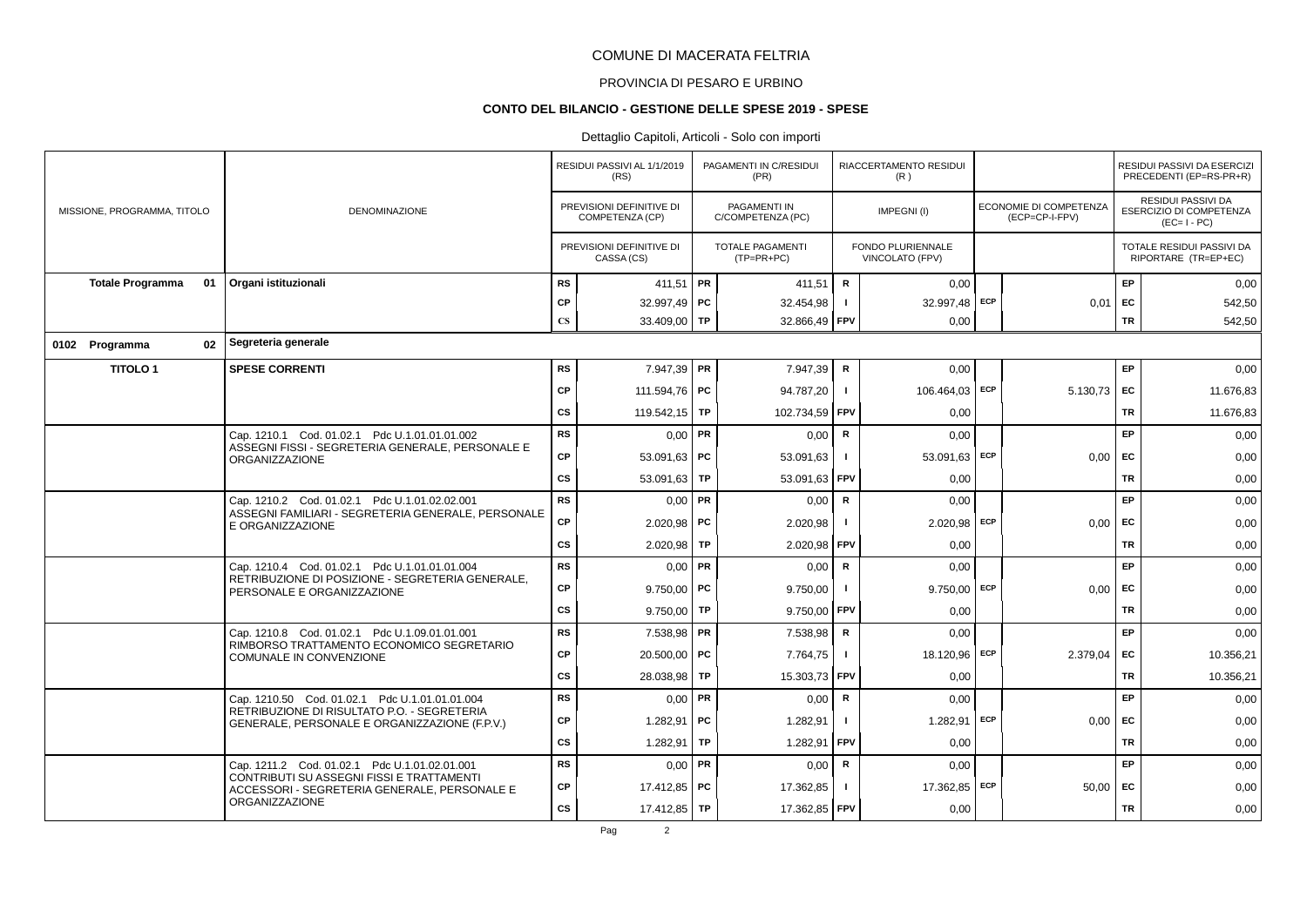# PROVINCIA DI PESARO E URBINO

#### **CONTO DEL BILANCIO - GESTIONE DELLE SPESE 2019 - SPESE**

|                               |                                                                                              |                        | RESIDUI PASSIVI AL 1/1/2019<br>(RS)         |    | PAGAMENTI IN C/RESIDUI<br>(PR)          |                | RIACCERTAMENTO RESIDUI<br>(R)        |     |                                          |           | RESIDUI PASSIVI DA ESERCIZI<br>PRECEDENTI (EP=RS-PR+R)              |
|-------------------------------|----------------------------------------------------------------------------------------------|------------------------|---------------------------------------------|----|-----------------------------------------|----------------|--------------------------------------|-----|------------------------------------------|-----------|---------------------------------------------------------------------|
| MISSIONE, PROGRAMMA, TITOLO   | DENOMINAZIONE                                                                                |                        | PREVISIONI DEFINITIVE DI<br>COMPETENZA (CP) |    | PAGAMENTI IN<br>C/COMPETENZA (PC)       |                | IMPEGNI(I)                           |     | ECONOMIE DI COMPETENZA<br>(ECP=CP-I-FPV) |           | <b>RESIDUI PASSIVI DA</b><br>ESERCIZIO DI COMPETENZA<br>$(EC=I-PC)$ |
|                               |                                                                                              |                        | PREVISIONI DEFINITIVE DI<br>CASSA (CS)      |    | <b>TOTALE PAGAMENTI</b><br>$(TP=PR+PC)$ |                | FONDO PLURIENNALE<br>VINCOLATO (FPV) |     |                                          |           | TOTALE RESIDUI PASSIVI DA<br>RIPORTARE (TR=EP+EC)                   |
| <b>Totale Programma</b><br>01 | Organi istituzionali                                                                         | <b>RS</b>              | 411,51   PR                                 |    | 411.51                                  | $\mathbf R$    | 0.00                                 |     |                                          | EP        | 0,00                                                                |
|                               |                                                                                              | CP                     | 32.997,49 PC                                |    | 32.454,98                               | $\blacksquare$ | 32.997,48 ECP                        |     | 0,01                                     | EC        | 542,50                                                              |
|                               |                                                                                              | $\mathbf{C}\mathbf{S}$ | 33.409,00 TP                                |    | 32.866,49 FPV                           |                | 0,00                                 |     |                                          | <b>TR</b> | 542,50                                                              |
| 02<br>0102 Programma          | Segreteria generale                                                                          |                        |                                             |    |                                         |                |                                      |     |                                          |           |                                                                     |
| <b>TITOLO1</b>                | <b>SPESE CORRENTI</b>                                                                        | <b>RS</b>              | 7.947,39 PR                                 |    | 7.947,39                                | R              | 0,00                                 |     |                                          | EP.       | 0,00                                                                |
|                               |                                                                                              | CP                     | 111.594,76 <b>PC</b>                        |    | 94.787,20                               | $\mathbf{I}$   | 106.464,03 ECP                       |     | 5.130,73 EC                              |           | 11.676,83                                                           |
|                               |                                                                                              | cs                     | 119.542,15   TP                             |    | 102.734,59 FPV                          |                | 0.00                                 |     |                                          | TR        | 11.676,83                                                           |
|                               | Cap. 1210.1 Cod. 01.02.1 Pdc U.1.01.01.01.002                                                | <b>RS</b>              | $0,00$ PR                                   |    | 0,00                                    | $\mathbf R$    | 0,00                                 |     |                                          | EP        | 0,00                                                                |
|                               | ASSEGNI FISSI - SEGRETERIA GENERALE, PERSONALE E<br><b>ORGANIZZAZIONE</b>                    | CP                     | 53.091,63 PC                                |    | 53.091,63                               |                | 53.091,63                            | ECP | 0,00                                     | EC        | 0,00                                                                |
|                               |                                                                                              | cs                     | 53.091,63 TP                                |    | 53.091,63                               | <b>FPV</b>     | 0,00                                 |     |                                          | <b>TR</b> | 0,00                                                                |
|                               | Cap. 1210.2 Cod. 01.02.1 Pdc U.1.01.02.02.001                                                | <b>RS</b>              | $0,00$ PR                                   |    | 0,00                                    | R              | 0,00                                 |     |                                          | EP        | 0,00                                                                |
|                               | ASSEGNI FAMILIARI - SEGRETERIA GENERALE, PERSONALE<br>E ORGANIZZAZIONE                       | <b>CP</b>              | $2.020,98$ PC                               |    | 2.020,98                                | $\mathbf{I}$   | $2.020,98$ ECP                       |     | $0,00$ EC                                |           | 0,00                                                                |
|                               |                                                                                              | cs                     | $2.020,98$ TP                               |    | 2.020,98 FPV                            |                | 0,00                                 |     |                                          | TR        | 0,00                                                                |
|                               | Cap. 1210.4 Cod. 01.02.1 Pdc U.1.01.01.01.004                                                | <b>RS</b>              | $0,00$ PR                                   |    | 0,00                                    | R              | 0,00                                 |     |                                          | <b>EP</b> | 0,00                                                                |
|                               | RETRIBUZIONE DI POSIZIONE - SEGRETERIA GENERALE,<br>PERSONALE E ORGANIZZAZIONE               | CP                     | $9.750,00$ PC                               |    | 9.750,00                                |                | $9.750,00$ ECP                       |     | 0,00                                     | EC        | 0,00                                                                |
|                               |                                                                                              | CS                     | $9.750,00$ TP                               |    | 9.750,00                                | <b>FPV</b>     | 0,00                                 |     |                                          | <b>TR</b> | 0,00                                                                |
|                               | Cap. 1210.8 Cod. 01.02.1 Pdc U.1.09.01.01.001                                                | <b>RS</b>              | 7.538,98 PR                                 |    | 7.538,98                                | $\mathsf{R}$   | 0,00                                 |     |                                          | EP        | 0,00                                                                |
|                               | RIMBORSO TRATTAMENTO ECONOMICO SEGRETARIO<br>COMUNALE IN CONVENZIONE                         | <b>CP</b>              | $20.500.00$ PC                              |    | 7.764,75                                |                | 18.120,96 ECP                        |     | 2.379,04                                 | EC        | 10.356,21                                                           |
|                               |                                                                                              | CS                     | 28.038,98 TP                                |    | 15.303,73 FPV                           |                | 0,00                                 |     |                                          | <b>TR</b> | 10.356,21                                                           |
|                               | Cap. 1210.50 Cod. 01.02.1 Pdc U.1.01.01.01.004                                               | <b>RS</b>              | $0,00$ PR                                   |    | 0,00                                    | $\mathbf R$    | 0,00                                 |     |                                          | EP        | 0,00                                                                |
|                               | RETRIBUZIONE DI RISULTATO P.O. - SEGRETERIA<br>GENERALE, PERSONALE E ORGANIZZAZIONE (F.P.V.) | CP                     | 1.282,91                                    | PC | 1.282,91                                | $\mathbf{I}$   | 1.282,91                             | ECP | $0,00$ EC                                |           | 0,00                                                                |
|                               |                                                                                              | <b>CS</b>              | 1.282,91                                    | TP | 1.282,91                                | FPV            | 0,00                                 |     |                                          | <b>TR</b> | 0,00                                                                |
|                               | Cap. 1211.2 Cod. 01.02.1 Pdc U.1.01.02.01.001                                                | <b>RS</b>              | $0,00$ PR                                   |    | 0,00                                    | R              | 0,00                                 |     |                                          | EP        | 0,00                                                                |
|                               | CONTRIBUTI SU ASSEGNI FISSI E TRATTAMENTI<br>ACCESSORI - SEGRETERIA GENERALE, PERSONALE E    | CP                     | 17.412,85 PC                                |    | 17.362,85                               |                | 17.362,85 ECP                        |     | $50,00$ EC                               |           | 0,00                                                                |
|                               | <b>ORGANIZZAZIONE</b>                                                                        | CS                     | 17.412,85 TP                                |    | 17.362,85 FPV                           |                | 0,00                                 |     |                                          | TR        | 0,00                                                                |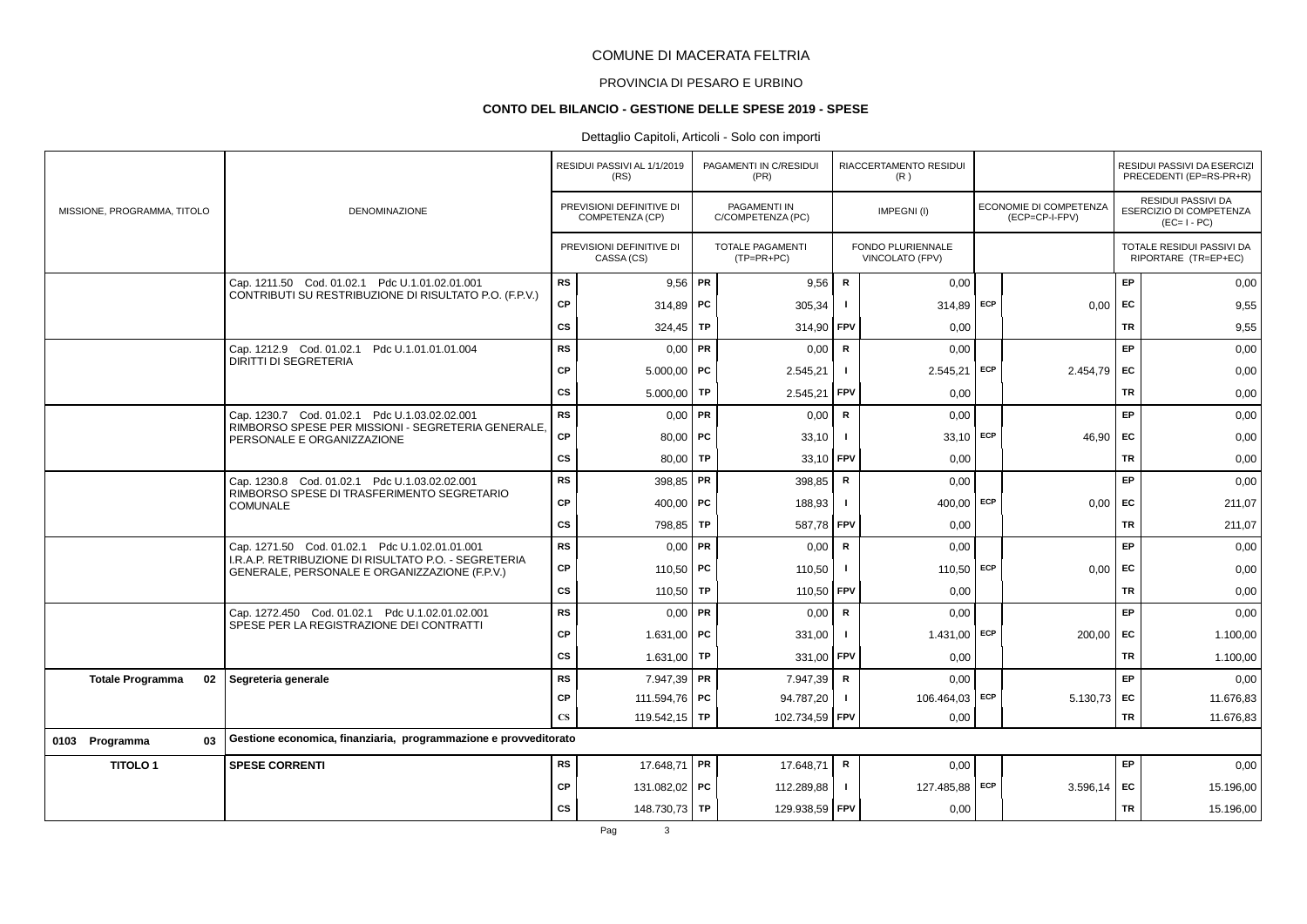# PROVINCIA DI PESARO E URBINO

#### **CONTO DEL BILANCIO - GESTIONE DELLE SPESE 2019 - SPESE**

|                               |                                                                                                       |                        | RESIDUI PASSIVI AL 1/1/2019<br>(RS)         |           | PAGAMENTI IN C/RESIDUI<br>(PR)           |                | RIACCERTAMENTO RESIDUI<br>(R)        |     |                                          |           | RESIDUI PASSIVI DA ESERCIZI<br>PRECEDENTI (EP=RS-PR+R)       |
|-------------------------------|-------------------------------------------------------------------------------------------------------|------------------------|---------------------------------------------|-----------|------------------------------------------|----------------|--------------------------------------|-----|------------------------------------------|-----------|--------------------------------------------------------------|
| MISSIONE, PROGRAMMA, TITOLO   | DENOMINAZIONE                                                                                         |                        | PREVISIONI DEFINITIVE DI<br>COMPETENZA (CP) |           | <b>PAGAMENTI IN</b><br>C/COMPETENZA (PC) |                | IMPEGNI(I)                           |     | ECONOMIE DI COMPETENZA<br>(ECP=CP-I-FPV) |           | RESIDUI PASSIVI DA<br>ESERCIZIO DI COMPETENZA<br>$(EC=I-PC)$ |
|                               |                                                                                                       |                        | PREVISIONI DEFINITIVE DI<br>CASSA (CS)      |           | <b>TOTALE PAGAMENTI</b><br>$(TP=PR+PC)$  |                | FONDO PLURIENNALE<br>VINCOLATO (FPV) |     |                                          |           | TOTALE RESIDUI PASSIVI DA<br>RIPORTARE (TR=EP+EC)            |
|                               | Cap. 1211.50 Cod. 01.02.1 Pdc U.1.01.02.01.001                                                        | RS                     | $9,56$ PR                                   |           | 9,56                                     | $\mathsf{R}$   | 0,00                                 |     |                                          | EP        | 0,00                                                         |
|                               | CONTRIBUTI SU RESTRIBUZIONE DI RISULTATO P.O. (F.P.V.)                                                | <b>CP</b>              | 314,89   PC                                 |           | 305,34                                   |                | $314,89$ ECP                         |     | 0.00                                     | EC        | 9,55                                                         |
|                               |                                                                                                       | <b>CS</b>              | 324,45                                      | TP        | 314,90                                   | FPV            | 0,00                                 |     |                                          | <b>TR</b> | 9,55                                                         |
|                               | Cap. 1212.9 Cod. 01.02.1 Pdc U.1.01.01.01.004                                                         | <b>RS</b>              | 0,00                                        | <b>PR</b> | 0,00                                     | $\mathsf{R}$   | 0,00                                 |     |                                          | EP        | 0,00                                                         |
|                               | <b>DIRITTI DI SEGRETERIA</b>                                                                          | <b>CP</b>              | $5.000,00$ PC                               |           | 2.545,21                                 | $\mathbf{I}$   | $2.545,21$ ECP                       |     | 2.454,79                                 | <b>FC</b> | 0,00                                                         |
|                               |                                                                                                       | <b>CS</b>              | 5.000,00                                    | TP        | 2.545,21                                 | <b>FPV</b>     | 0.00                                 |     |                                          | <b>TR</b> | 0,00                                                         |
|                               | Cap. 1230.7 Cod. 01.02.1 Pdc U.1.03.02.02.001                                                         | RS                     | $0,00$ PR                                   |           | 0,00                                     | R              | 0,00                                 |     |                                          | EP        | 0,00                                                         |
|                               | RIMBORSO SPESE PER MISSIONI - SEGRETERIA GENERALE,<br>PERSONALE E ORGANIZZAZIONE                      | CP                     | $80,00$ PC                                  |           | 33,10                                    | $\blacksquare$ | 33,10 ECP                            |     | 46,90                                    | EC        | 0,00                                                         |
|                               |                                                                                                       | <b>CS</b>              | 80,00                                       | TP        | 33,10                                    | FPV            | 0,00                                 |     |                                          | <b>TR</b> | 0,00                                                         |
|                               | Cap. 1230.8 Cod. 01.02.1 Pdc U.1.03.02.02.001                                                         | <b>RS</b>              | 398,85   PR                                 |           | 398,85                                   | $\mathsf{R}$   | 0,00                                 |     |                                          | EP        | 0,00                                                         |
|                               | RIMBORSO SPESE DI TRASFERIMENTO SEGRETARIO<br>COMUNALE                                                | <b>CP</b>              | 400,00   PC                                 |           | 188,93                                   |                | $400,00$ ECP                         |     | 0,00                                     | EC        | 211,07                                                       |
|                               |                                                                                                       | <b>CS</b>              | 798,85                                      | TP        | 587,78                                   | <b>FPV</b>     | 0.00                                 |     |                                          | <b>TR</b> | 211,07                                                       |
|                               | Cap. 1271.50 Cod. 01.02.1 Pdc U.1.02.01.01.001                                                        | <b>RS</b>              | 0,00                                        | <b>PR</b> | 0,00                                     | $\mathbf R$    | 0,00                                 |     |                                          | <b>EP</b> | 0,00                                                         |
|                               | I.R.A.P. RETRIBUZIONE DI RISULTATO P.O. - SEGRETERIA<br>GENERALE, PERSONALE E ORGANIZZAZIONE (F.P.V.) | <b>CP</b>              | 110,50   PC                                 |           | 110,50                                   | -1             | $110,50$ ECP                         |     | 0,00                                     | EC        | 0,00                                                         |
|                               |                                                                                                       | CS                     | 110,50                                      | <b>TP</b> | 110,50                                   | <b>FPV</b>     | 0,00                                 |     |                                          | <b>TR</b> | 0,00                                                         |
|                               | Cap. 1272.450 Cod. 01.02.1 Pdc U.1.02.01.02.001                                                       | <b>RS</b>              | $0,00$ PR                                   |           | 0,00                                     | $\mathsf{R}$   | 0,00                                 |     |                                          | EP        | 0,00                                                         |
|                               | SPESE PER LA REGISTRAZIONE DEI CONTRATTI                                                              | <b>CP</b>              | 1.631,00   PC                               |           | 331,00                                   | - 1            | 1.431,00                             | ECP | 200,00                                   | EC        | 1.100,00                                                     |
|                               |                                                                                                       | <b>CS</b>              | 1.631,00   TP                               |           | 331,00                                   | l FPV          | 0.00                                 |     |                                          | <b>TR</b> | 1.100,00                                                     |
| <b>Totale Programma</b><br>02 | Segreteria generale                                                                                   | <b>RS</b>              | 7.947,39 PR                                 |           | 7.947,39                                 | R              | 0,00                                 |     |                                          | EP        | 0,00                                                         |
|                               |                                                                                                       | <b>CP</b>              | 111.594,76 <b>PC</b>                        |           | 94.787,20                                | $\mathbf{I}$   | 106.464,03                           | ECP | 5.130,73 EC                              |           | 11.676,83                                                    |
|                               |                                                                                                       | $\mathbf{C}\mathbf{S}$ | 119.542,15 TP                               |           | 102.734,59                               | FPV            | 0,00                                 |     |                                          | TR        | 11.676,83                                                    |
| 0103 Programma<br>03          | Gestione economica, finanziaria, programmazione e provveditorato                                      |                        |                                             |           |                                          |                |                                      |     |                                          |           |                                                              |
| <b>TITOLO1</b>                | <b>SPESE CORRENTI</b>                                                                                 | RS                     | 17.648,71 PR                                |           | 17.648,71                                | R              | 0,00                                 |     |                                          | EP        | 0,00                                                         |
|                               |                                                                                                       | <b>CP</b>              | 131.082,02 PC                               |           | 112.289,88                               | $\mathbf{I}$   | 127.485,88 ECP                       |     | 3.596.14                                 | EC        | 15.196,00                                                    |
|                               |                                                                                                       | <b>CS</b>              | 148.730,73 TP                               |           | 129.938,59                               | <b>FPV</b>     | 0,00                                 |     |                                          | TR        | 15.196,00                                                    |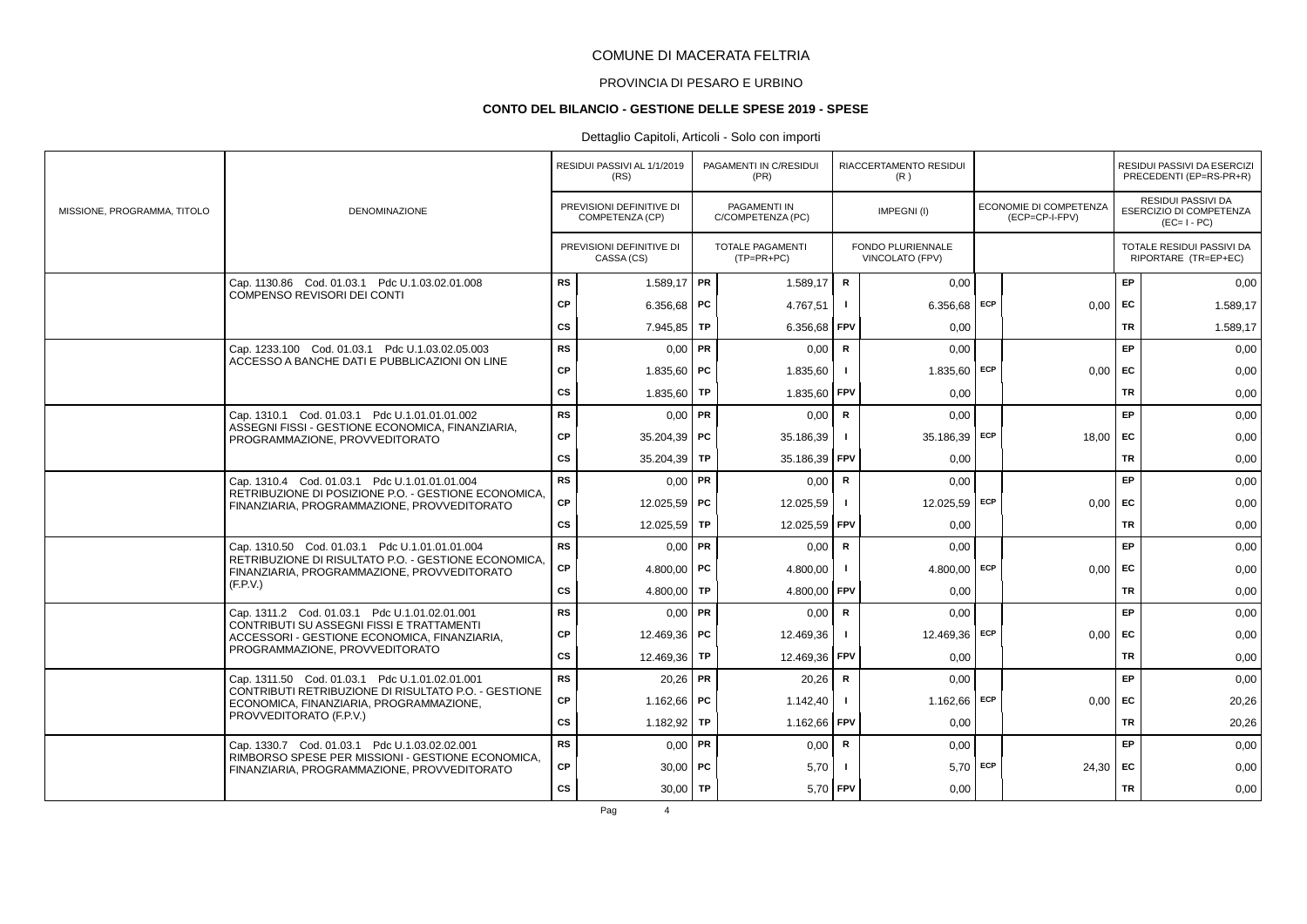# PROVINCIA DI PESARO E URBINO

#### **CONTO DEL BILANCIO - GESTIONE DELLE SPESE 2019 - SPESE**

### Dettaglio Capitoli, Articoli - Solo con importi

|                             |                                                                                                                                                                                                                                                                                 |           | RESIDUI PASSIVI AL 1/1/2019<br>(RS)         |           | PAGAMENTI IN C/RESIDUI<br>(PR)          |                | RIACCERTAMENTO RESIDUI<br>(R)        |     |                                          |           | RESIDUI PASSIVI DA ESERCIZI<br>PRECEDENTI (EP=RS-PR+R)       |
|-----------------------------|---------------------------------------------------------------------------------------------------------------------------------------------------------------------------------------------------------------------------------------------------------------------------------|-----------|---------------------------------------------|-----------|-----------------------------------------|----------------|--------------------------------------|-----|------------------------------------------|-----------|--------------------------------------------------------------|
| MISSIONE, PROGRAMMA, TITOLO | <b>DENOMINAZIONE</b>                                                                                                                                                                                                                                                            |           | PREVISIONI DEFINITIVE DI<br>COMPETENZA (CP) |           | PAGAMENTI IN<br>C/COMPETENZA (PC)       |                | IMPEGNI(I)                           |     | ECONOMIE DI COMPETENZA<br>(ECP=CP-I-FPV) |           | RESIDUI PASSIVI DA<br>ESERCIZIO DI COMPETENZA<br>$(EC=I-PC)$ |
|                             |                                                                                                                                                                                                                                                                                 |           | PREVISIONI DEFINITIVE DI<br>CASSA (CS)      |           | <b>TOTALE PAGAMENTI</b><br>$(TP=PR+PC)$ |                | FONDO PLURIENNALE<br>VINCOLATO (FPV) |     |                                          |           | TOTALE RESIDUI PASSIVI DA<br>RIPORTARE (TR=EP+EC)            |
|                             | Cap. 1130.86 Cod. 01.03.1 Pdc U.1.03.02.01.008                                                                                                                                                                                                                                  | <b>RS</b> | $1.589,17$ PR                               |           | 1.589.17                                | $\mathbf R$    | 0.00                                 |     |                                          | EP        | 0,00                                                         |
|                             | COMPENSO REVISORI DEI CONTI                                                                                                                                                                                                                                                     | CP        | 6.356,68   PC                               |           | 4.767,51                                | $\mathbf{I}$   | 6.356,68                             | ECP | $0,00$ EC                                |           | 1.589,17                                                     |
|                             |                                                                                                                                                                                                                                                                                 | cs        | 7.945.85                                    | <b>TP</b> | 6.356,68                                | FPV            | 0.00                                 |     |                                          | TR        | 1.589,17                                                     |
|                             | Cap. 1233.100 Cod. 01.03.1 Pdc U.1.03.02.05.003                                                                                                                                                                                                                                 | <b>RS</b> | $0,00$ PR                                   |           | 0.00                                    | $\mathsf{R}$   | 0.00                                 |     |                                          | EP        | 0.00                                                         |
|                             | ACCESSO A BANCHE DATI E PUBBLICAZIONI ON LINE                                                                                                                                                                                                                                   | CP        | 1.835,60   PC                               |           | 1.835,60                                |                | $1.835,60$ ECP                       |     | $0,00$ EC                                |           | 0,00                                                         |
|                             |                                                                                                                                                                                                                                                                                 | <b>CS</b> | 1.835,60                                    | <b>TP</b> | 1.835,60                                | <b>FPV</b>     | 0,00                                 |     |                                          | <b>TR</b> | 0,00                                                         |
|                             | Cap. 1310.1 Cod. 01.03.1 Pdc U.1.01.01.01.002                                                                                                                                                                                                                                   | <b>RS</b> | $0.00$ PR                                   |           | 0,00                                    | $\mathbf R$    | 0.00                                 |     |                                          | <b>EP</b> | 0,00                                                         |
|                             | ASSEGNI FISSI - GESTIONE ECONOMICA, FINANZIARIA,<br>PROGRAMMAZIONE, PROVVEDITORATO                                                                                                                                                                                              | CP        | $35.204.39$ PC                              |           | 35.186,39                               |                | 35.186,39 ECP                        |     | $18.00$ EC                               |           | 0,00                                                         |
|                             |                                                                                                                                                                                                                                                                                 | <b>CS</b> | 35.204,39 TP                                |           | 35.186,39                               | FPV            | 0,00                                 |     |                                          | <b>TR</b> | 0,00                                                         |
|                             | Cap. 1310.4 Cod. 01.03.1 Pdc U.1.01.01.01.004                                                                                                                                                                                                                                   | <b>RS</b> | $0.00$ PR                                   |           | 0,00                                    | R              | 0,00                                 |     |                                          | EP        | 0,00                                                         |
|                             | RETRIBUZIONE DI POSIZIONE P.O. - GESTIONE ECONOMICA,<br>FINANZIARIA, PROGRAMMAZIONE, PROVVEDITORATO                                                                                                                                                                             | СP        | 12.025.59   PC                              |           | 12.025.59                               | $\blacksquare$ | 12.025,59 ECP                        |     | 0.00                                     | EC        | 0,00                                                         |
|                             |                                                                                                                                                                                                                                                                                 | CS        | $12.025,59$ TP                              |           | 12.025,59 FPV                           |                | 0.00                                 |     |                                          | <b>TR</b> | 0,00                                                         |
|                             | Cap. 1310.50 Cod. 01.03.1 Pdc U.1.01.01.01.004                                                                                                                                                                                                                                  | <b>RS</b> | $0,00$ PR                                   |           | 0,00                                    | R              | 0,00                                 |     |                                          | EP.       | 0,00                                                         |
|                             | RETRIBUZIONE DI RISULTATO P.O. - GESTIONE ECONOMICA.<br>FINANZIARIA, PROGRAMMAZIONE, PROVVEDITORATO                                                                                                                                                                             | <b>CP</b> | 4.800,00   PC                               |           | 4.800,00                                |                | $4.800.00$ ECP                       |     | 0.00                                     | EC        | 0,00                                                         |
|                             | (F.P.V.)                                                                                                                                                                                                                                                                        | <b>CS</b> | 4.800,00 TP                                 |           | 4.800,00                                | <b>FPV</b>     | 0,00                                 |     |                                          | <b>TR</b> | 0,00                                                         |
|                             | Cap. 1311.2 Cod. 01.03.1 Pdc U.1.01.02.01.001                                                                                                                                                                                                                                   | <b>RS</b> | $0.00$ PR                                   |           | 0,00                                    | R              | 0,00                                 |     |                                          | EP        | 0,00                                                         |
|                             | <b>CONTRIBUTI SU ASSEGNI FISSI E TRATTAMENTI</b><br>ACCESSORI - GESTIONE ECONOMICA, FINANZIARIA,                                                                                                                                                                                | CP        | 12.469,36 PC                                |           | 12.469,36                               | $\blacksquare$ | 12.469,36                            | ECP | $0,00$ EC                                |           | 0,00                                                         |
|                             | PROGRAMMAZIONE, PROVVEDITORATO                                                                                                                                                                                                                                                  | <b>CS</b> | 12.469,36 TP                                |           | 12.469,36                               | <b>FPV</b>     | 0,00                                 |     |                                          | TR        | 0,00                                                         |
|                             | Cap. 1311.50 Cod. 01.03.1 Pdc U.1.01.02.01.001                                                                                                                                                                                                                                  | <b>RS</b> | $20,26$ PR                                  |           | 20,26                                   | $\mathbf R$    | 0,00                                 |     |                                          | EP        | 0,00                                                         |
|                             | CONTRIBUTI RETRIBUZIONE DI RISULTATO P.O. - GESTIONE<br>ECONOMICA, FINANZIARIA, PROGRAMMAZIONE,<br>PROVVEDITORATO (F.P.V.)<br>Cap. 1330.7 Cod. 01.03.1 Pdc U.1.03.02.02.001<br>RIMBORSO SPESE PER MISSIONI - GESTIONE ECONOMICA.<br>FINANZIARIA, PROGRAMMAZIONE, PROVVEDITORATO | CP        | 1.162.66   PC                               |           | 1.142,40                                |                | $1.162,66$ ECP                       |     | $0,00$ EC                                |           | 20,26                                                        |
|                             |                                                                                                                                                                                                                                                                                 | <b>CS</b> | 1.182,92                                    | TP        | 1.162,66                                | <b>FPV</b>     | 0.00                                 |     |                                          | TR        | 20,26                                                        |
|                             |                                                                                                                                                                                                                                                                                 | <b>RS</b> | $0.00$ PR                                   |           | 0,00                                    | R              | 0,00                                 |     |                                          | EP        | 0,00                                                         |
|                             |                                                                                                                                                                                                                                                                                 | <b>CP</b> | $30,00$ PC                                  |           | 5,70                                    |                | $5,70$ ECP                           |     | 24,30 EC                                 |           | 0,00                                                         |
|                             |                                                                                                                                                                                                                                                                                 | cs        | $30,00$ TP                                  |           | 5,70                                    | <b>FPV</b>     | 0,00                                 |     |                                          | <b>TR</b> | 0,00                                                         |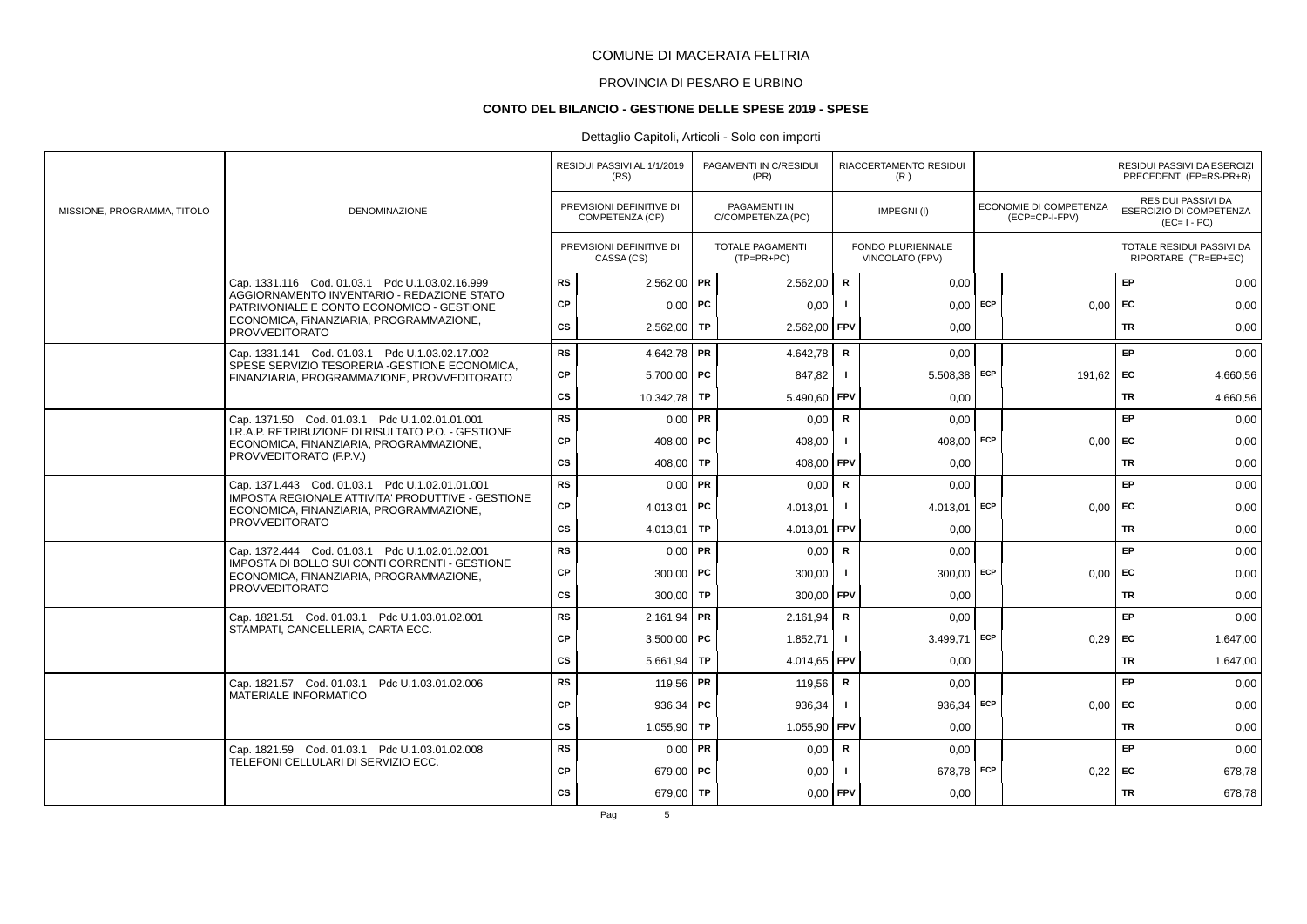# PROVINCIA DI PESARO E URBINO

#### **CONTO DEL BILANCIO - GESTIONE DELLE SPESE 2019 - SPESE**

|                             |                                                                                               |           | RESIDUI PASSIVI AL 1/1/2019<br>(RS)         |           | PAGAMENTI IN C/RESIDUI<br>(PR)          |                | RIACCERTAMENTO RESIDUI<br>(R)        |     |                                          |           | RESIDUI PASSIVI DA ESERCIZI<br>PRECEDENTI (EP=RS-PR+R)              |
|-----------------------------|-----------------------------------------------------------------------------------------------|-----------|---------------------------------------------|-----------|-----------------------------------------|----------------|--------------------------------------|-----|------------------------------------------|-----------|---------------------------------------------------------------------|
| MISSIONE, PROGRAMMA, TITOLO | <b>DENOMINAZIONE</b>                                                                          |           | PREVISIONI DEFINITIVE DI<br>COMPETENZA (CP) |           | PAGAMENTI IN<br>C/COMPETENZA (PC)       |                | IMPEGNI(I)                           |     | ECONOMIE DI COMPETENZA<br>(ECP=CP-I-FPV) |           | RESIDUI PASSIVI DA<br><b>ESERCIZIO DI COMPETENZA</b><br>$(EC=I-PC)$ |
|                             |                                                                                               |           | PREVISIONI DEFINITIVE DI<br>CASSA (CS)      |           | <b>TOTALE PAGAMENTI</b><br>$(TP=PR+PC)$ |                | FONDO PLURIENNALE<br>VINCOLATO (FPV) |     |                                          |           | TOTALE RESIDUI PASSIVI DA<br>RIPORTARE (TR=EP+EC)                   |
|                             | Cap. 1331.116 Cod. 01.03.1 Pdc U.1.03.02.16.999                                               | <b>RS</b> | $2.562,00$ PR                               |           | 2.562,00                                | $\mathbf R$    | 0,00                                 |     |                                          | EP        | 0,00                                                                |
|                             | AGGIORNAMENTO INVENTARIO - REDAZIONE STATO<br>PATRIMONIALE E CONTO ECONOMICO - GESTIONE       | CP        | $0,00$   PC                                 |           | 0,00                                    |                | $0,00$ ECP                           |     | $0.00$ EC                                |           | 0,00                                                                |
|                             | ECONOMICA, FINANZIARIA, PROGRAMMAZIONE,<br><b>PROVVEDITORATO</b>                              | cs        | $2.562,00$ TP                               |           | 2.562,00                                | <b>FPV</b>     | 0,00                                 |     |                                          | <b>TR</b> | 0,00                                                                |
|                             | Cap. 1331.141 Cod. 01.03.1 Pdc U.1.03.02.17.002                                               | <b>RS</b> | 4.642,78   PR                               |           | 4.642,78                                | $\mathsf{R}$   | 0,00                                 |     |                                          | <b>EP</b> | 0,00                                                                |
|                             | SPESE SERVIZIO TESORERIA - GESTIONE ECONOMICA,<br>FINANZIARIA, PROGRAMMAZIONE, PROVVEDITORATO | CP        | $5.700,00$ PC                               |           | 847,82                                  | $\blacksquare$ | $5.508,38$ ECP                       |     | 191,62 EC                                |           | 4.660,56                                                            |
|                             |                                                                                               | cs        | 10.342,78 TP                                |           | 5.490,60                                | <b>FPV</b>     | 0,00                                 |     |                                          | <b>TR</b> | 4.660,56                                                            |
|                             | Cap. 1371.50 Cod. 01.03.1 Pdc U.1.02.01.01.001                                                | <b>RS</b> | $0,00$ PR                                   |           | 0.00                                    | $\mathsf{R}$   | 0.00                                 |     |                                          | EP        | 0.00                                                                |
|                             | I.R.A.P. RETRIBUZIONE DI RISULTATO P.O. - GESTIONE<br>ECONOMICA, FINANZIARIA, PROGRAMMAZIONE, | CP        | 408.00   PC                                 |           | 408,00                                  |                | 408.00                               | ECP | $0,00$ EC                                |           | 0,00                                                                |
|                             | PROVVEDITORATO (F.P.V.)                                                                       | cs        | 408.00 TP                                   |           | 408,00                                  | <b>FPV</b>     | 0.00                                 |     |                                          | <b>TR</b> | 0,00                                                                |
|                             | Cap. 1371.443 Cod. 01.03.1 Pdc U.1.02.01.01.001                                               | <b>RS</b> | $0.00$ PR                                   |           | 0,00                                    | $\mathsf{R}$   | 0,00                                 |     |                                          | <b>EP</b> | 0,00                                                                |
|                             | IMPOSTA REGIONALE ATTIVITA' PRODUTTIVE - GESTIONE<br>ECONOMICA, FINANZIARIA, PROGRAMMAZIONE,  | CP        | 4.013,01   PC                               |           | 4.013,01                                |                | $4.013.01$ ECP                       |     | $0,00$ EC                                |           | 0,00                                                                |
|                             | <b>PROVVEDITORATO</b>                                                                         | <b>CS</b> | 4.013,01                                    | <b>TP</b> | 4.013,01                                | <b>FPV</b>     | 0,00                                 |     |                                          | <b>TR</b> | 0,00                                                                |
|                             | Cap. 1372.444 Cod. 01.03.1 Pdc U.1.02.01.02.001                                               | <b>RS</b> | $0.00$ PR                                   |           | 0,00                                    | $\mathbf R$    | 0,00                                 |     |                                          | EP        | 0,00                                                                |
|                             | IMPOSTA DI BOLLO SUI CONTI CORRENTI - GESTIONE<br>ECONOMICA, FINANZIARIA, PROGRAMMAZIONE,     | СP        | $300,00$ PC                                 |           | 300,00                                  |                | $300,00$ ECP                         |     | 0,00                                     | <b>FC</b> | 0,00                                                                |
|                             | <b>PROVVEDITORATO</b>                                                                         | cs        | $300,00$ TP                                 |           | 300,00 FPV                              |                | 0,00                                 |     |                                          | <b>TR</b> | 0,00                                                                |
|                             | Cap. 1821.51 Cod. 01.03.1 Pdc U.1.03.01.02.001<br>STAMPATI, CANCELLERIA, CARTA ECC.           | <b>RS</b> | $2.161,94$ PR                               |           | 2.161,94                                | $\mathbf R$    | 0.00                                 |     |                                          | <b>EP</b> | 0,00                                                                |
|                             |                                                                                               | CP        | $3.500,00$ PC                               |           | 1.852,71                                |                | 3.499,71 ECP                         |     | 0,29                                     | EC        | 1.647,00                                                            |
|                             |                                                                                               | cs        | $5.661,94$ TP                               |           | 4.014,65                                | l FPV          | 0.00                                 |     |                                          | <b>TR</b> | 1.647,00                                                            |
|                             | Cap. 1821.57 Cod. 01.03.1 Pdc U.1.03.01.02.006<br><b>MATERIALE INFORMATICO</b>                | <b>RS</b> | 119,56   PR                                 |           | 119,56                                  | $\mathsf{R}$   | 0,00                                 |     |                                          | EP.       | 0,00                                                                |
|                             |                                                                                               | CP        | 936.34   PC                                 |           | 936,34                                  |                | 936,34 ECP                           |     | $0,00$ EC                                |           | 0,00                                                                |
|                             |                                                                                               | <b>CS</b> | $1.055,90$ TP                               |           | 1.055,90 FPV                            |                | 0,00                                 |     |                                          | TR        | 0,00                                                                |
|                             | Cap. 1821.59 Cod. 01.03.1 Pdc U.1.03.01.02.008<br>TELEFONI CELLULARI DI SERVIZIO ECC.         | <b>RS</b> | $0.00$ PR                                   |           | 0,00                                    | R              | 0,00                                 |     |                                          | EP        | 0,00                                                                |
|                             |                                                                                               | СP        | 679,00 PC                                   |           | 0,00                                    |                | 678,78 ECP                           |     | $0.22$ EC                                |           | 678,78                                                              |
|                             |                                                                                               | <b>CS</b> | 679,00 TP                                   |           | $0,00$ FPV                              |                | 0,00                                 |     |                                          | <b>TR</b> | 678,78                                                              |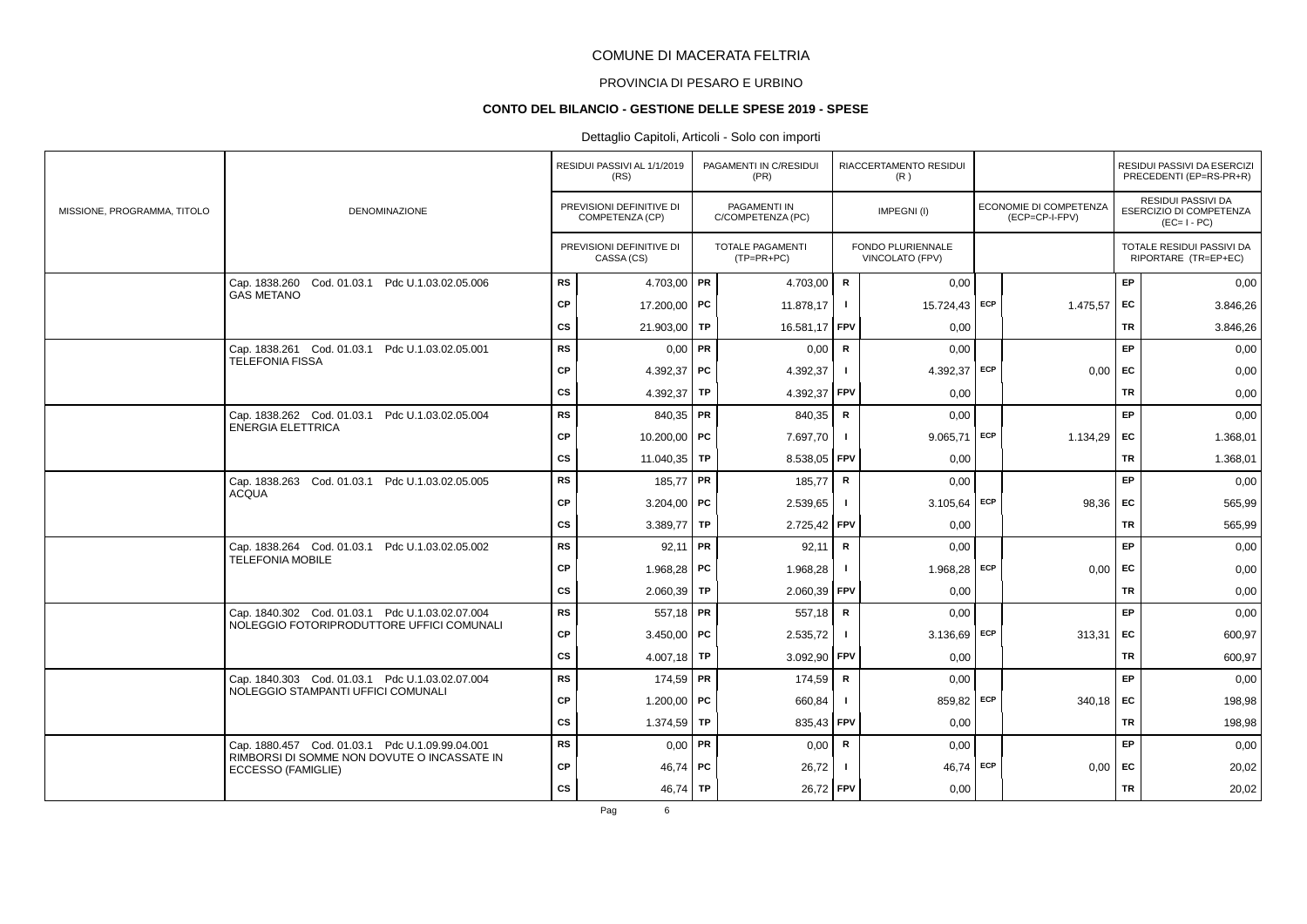# PROVINCIA DI PESARO E URBINO

#### **CONTO DEL BILANCIO - GESTIONE DELLE SPESE 2019 - SPESE**

### Dettaglio Capitoli, Articoli - Solo con importi

|                             |                                                                                                |           | RESIDUI PASSIVI AL 1/1/2019                 | PAGAMENTI IN C/RESIDUI                   |              | RIACCERTAMENTO RESIDUI               |                                          |           | RESIDUI PASSIVI DA ESERCIZI                                  |
|-----------------------------|------------------------------------------------------------------------------------------------|-----------|---------------------------------------------|------------------------------------------|--------------|--------------------------------------|------------------------------------------|-----------|--------------------------------------------------------------|
|                             |                                                                                                |           | (RS)                                        | (PR)                                     |              | (R)                                  |                                          |           | PRECEDENTI (EP=RS-PR+R)                                      |
| MISSIONE, PROGRAMMA, TITOLO | <b>DENOMINAZIONE</b>                                                                           |           | PREVISIONI DEFINITIVE DI<br>COMPETENZA (CP) | <b>PAGAMENTI IN</b><br>C/COMPETENZA (PC) |              | IMPEGNI(I)                           | ECONOMIE DI COMPETENZA<br>(ECP=CP-I-FPV) |           | RESIDUI PASSIVI DA<br>ESERCIZIO DI COMPETENZA<br>$(EC=I-PC)$ |
|                             |                                                                                                |           | PREVISIONI DEFINITIVE DI<br>CASSA (CS)      | TOTALE PAGAMENTI<br>$(TP=PR+PC)$         |              | FONDO PLURIENNALE<br>VINCOLATO (FPV) |                                          |           | TOTALE RESIDUI PASSIVI DA<br>RIPORTARE (TR=EP+EC)            |
|                             | Cap. 1838.260 Cod. 01.03.1 Pdc U.1.03.02.05.006                                                | <b>RS</b> | 4.703,00 PR                                 | 4.703,00                                 | ${\sf R}$    | 0,00                                 |                                          | EP        | 0,00                                                         |
|                             | <b>GAS METANO</b>                                                                              | CP        | 17.200,00   PC                              | 11.878,17                                | $\mathbf{I}$ | 15.724,43 ECP                        | 1.475,57                                 | <b>FC</b> | 3.846,26                                                     |
|                             |                                                                                                | CS        | 21.903,00 TP                                | 16.581,17                                | FPV          | 0,00                                 |                                          | <b>TR</b> | 3.846,26                                                     |
|                             | Cap. 1838.261 Cod. 01.03.1 Pdc U.1.03.02.05.001<br><b>TELEFONIA FISSA</b>                      | <b>RS</b> | $0,00$ PR                                   | 0,00                                     | ${\sf R}$    | 0,00                                 |                                          | EP        | 0,00                                                         |
|                             |                                                                                                | <b>CP</b> | 4.392.37   PC                               | 4.392,37                                 |              | 4.392,37 ECP                         | 0,00                                     | EC        | 0,00                                                         |
|                             |                                                                                                | CS        | 4.392,37   TP                               | 4.392,37                                 | <b>FPV</b>   | 0,00                                 |                                          | TR        | 0,00                                                         |
|                             | Cap. 1838.262 Cod. 01.03.1 Pdc U.1.03.02.05.004<br><b>ENERGIA ELETTRICA</b>                    | <b>RS</b> | 840,35   PR                                 | 840,35                                   | $\mathsf{R}$ | 0,00                                 |                                          | EP        | 0,00                                                         |
|                             |                                                                                                | <b>CP</b> | 10.200,00 PC                                | 7.697,70                                 | - 1          | $9.065,71$ ECP                       | 1.134,29                                 | EC        | 1.368,01                                                     |
|                             |                                                                                                | CS        | 11.040,35 TP                                | 8.538,05                                 | FPV          | 0,00                                 |                                          | <b>TR</b> | 1.368,01                                                     |
|                             | Cap. 1838.263 Cod. 01.03.1 Pdc U.1.03.02.05.005<br><b>ACQUA</b>                                | <b>RS</b> | 185,77   PR                                 | 185,77                                   | R            | 0,00                                 |                                          | EP        | 0,00                                                         |
|                             |                                                                                                | <b>CP</b> | $3.204,00$ PC                               | 2.539,65                                 | $\mathbf{I}$ | $3.105,64$ ECP                       | 98,36                                    | EC        | 565,99                                                       |
|                             |                                                                                                | CS        | 3.389,77   TP                               | 2.725,42 FPV                             |              | 0,00                                 |                                          | <b>TR</b> | 565,99                                                       |
|                             | Cap. 1838.264 Cod. 01.03.1 Pdc U.1.03.02.05.002<br><b>TELEFONIA MOBILE</b>                     | <b>RS</b> | $92,11$ PR                                  | 92,11                                    | $\mathsf{R}$ | 0,00                                 |                                          | EP        | 0,00                                                         |
|                             |                                                                                                | <b>CP</b> | 1.968,28   PC                               | 1.968,28                                 | $\mathbf{I}$ | $1.968,28$ ECP                       | 0,00                                     | EC        | 0,00                                                         |
|                             |                                                                                                | CS        | $2.060,39$ TP                               | 2.060,39                                 | FPV          | 0,00                                 |                                          | <b>TR</b> | 0,00                                                         |
|                             | Cap. 1840.302 Cod. 01.03.1 Pdc U.1.03.02.07.004<br>NOLEGGIO FOTORIPRODUTTORE UFFICI COMUNALI   | <b>RS</b> | 557,18   PR                                 | 557,18                                   | $\mathsf{R}$ | 0,00                                 |                                          | EP        | 0,00                                                         |
|                             |                                                                                                | <b>CP</b> | 3.450,00   PC                               | 2.535,72                                 | $\mathbf{I}$ | 3.136,69 ECP                         | 313,31                                   | EC        | 600,97                                                       |
|                             |                                                                                                | cs        | 4.007,18   TP                               | 3.092,90                                 | FPV          | 0,00                                 |                                          | TR        | 600,97                                                       |
|                             | Cap. 1840.303 Cod. 01.03.1 Pdc U.1.03.02.07.004<br>NOLEGGIO STAMPANTI UFFICI COMUNALI          | <b>RS</b> | $174,59$ PR                                 | 174,59                                   | $\mathsf{R}$ | 0,00                                 |                                          | EP        | 0,00                                                         |
|                             |                                                                                                | <b>CP</b> | 1.200,00   PC                               | 660,84                                   |              | 859,82 ECP                           | 340,18                                   | EC        | 198,98                                                       |
|                             |                                                                                                | CS        | 1.374,59 TP                                 | 835,43 FPV                               |              | 0,00                                 |                                          | TR        | 198,98                                                       |
|                             | Cap. 1880.457 Cod. 01.03.1 Pdc U.1.09.99.04.001<br>RIMBORSI DI SOMME NON DOVUTE O INCASSATE IN | <b>RS</b> | $0,00$ PR                                   | 0,00                                     | R            | 0,00                                 |                                          | EP        | 0,00                                                         |
|                             | ECCESSO (FAMIGLIE)                                                                             | <b>CP</b> | 46,74   PC                                  | 26,72                                    | $\mathbf{I}$ | 46,74 ECP                            | 0,00                                     | <b>FC</b> | 20,02                                                        |
|                             |                                                                                                | cs        | 46,74   TP                                  | 26,72 FPV                                |              | 0,00                                 |                                          | <b>TR</b> | 20,02                                                        |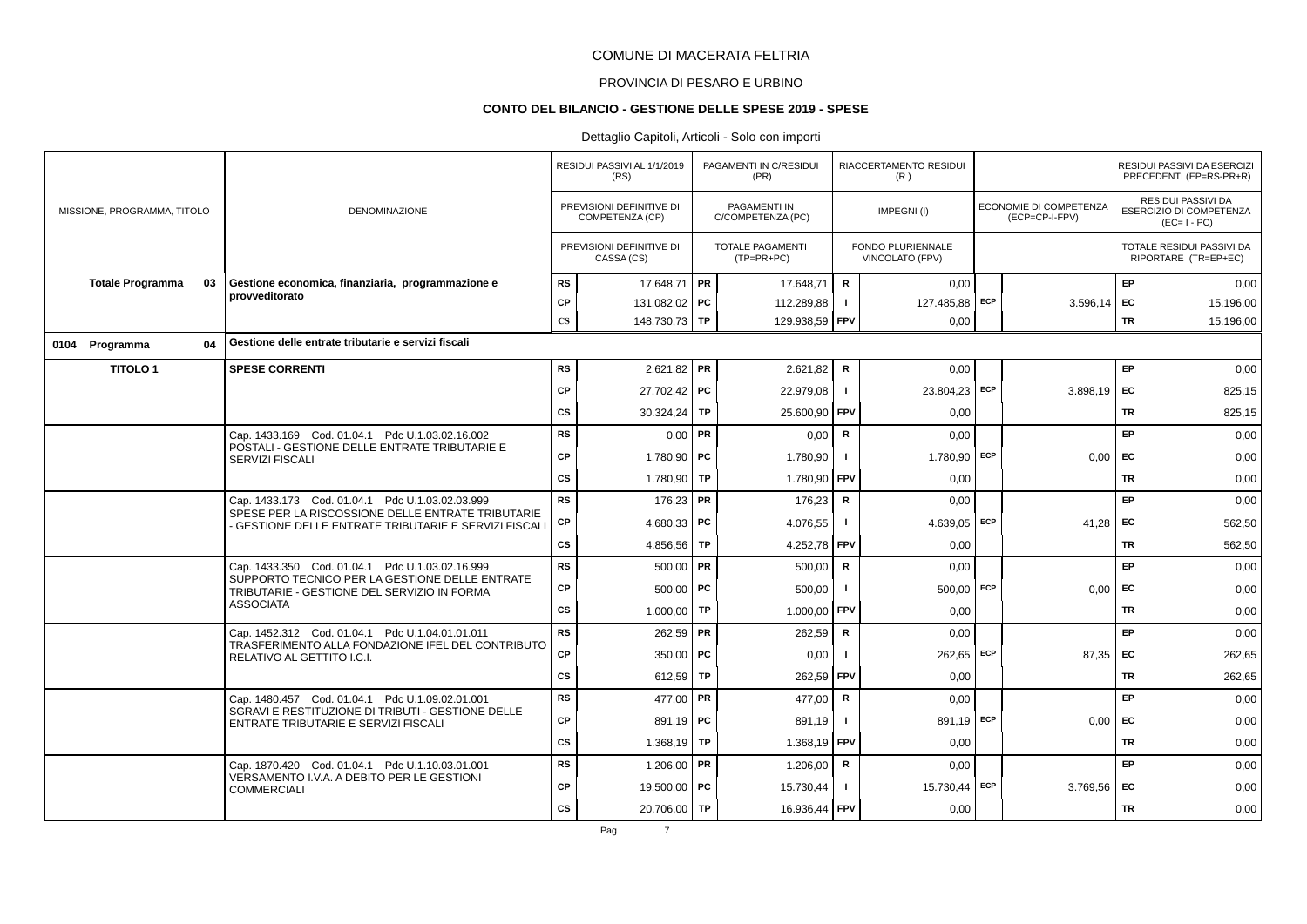# PROVINCIA DI PESARO E URBINO

### **CONTO DEL BILANCIO - GESTIONE DELLE SPESE 2019 - SPESE**

|                                                                  |                                                 |                                                                                                            | RESIDUI PASSIVI AL 1/1/2019<br>(RS) |                                             | PAGAMENTI IN C/RESIDUI<br>(PR) |                                          | RIACCERTAMENTO RESIDUI<br>(R) |                                      |     |                                                 | RESIDUI PASSIVI DA ESERCIZI<br>PRECEDENTI (EP=RS-PR+R) |                                                              |
|------------------------------------------------------------------|-------------------------------------------------|------------------------------------------------------------------------------------------------------------|-------------------------------------|---------------------------------------------|--------------------------------|------------------------------------------|-------------------------------|--------------------------------------|-----|-------------------------------------------------|--------------------------------------------------------|--------------------------------------------------------------|
| MISSIONE, PROGRAMMA, TITOLO                                      |                                                 | <b>DENOMINAZIONE</b>                                                                                       |                                     | PREVISIONI DEFINITIVE DI<br>COMPETENZA (CP) |                                | <b>PAGAMENTI IN</b><br>C/COMPETENZA (PC) |                               | IMPEGNI(I)                           |     | <b>ECONOMIE DI COMPETENZA</b><br>(ECP=CP-I-FPV) |                                                        | RESIDUI PASSIVI DA<br>ESERCIZIO DI COMPETENZA<br>$(EC=I-PC)$ |
|                                                                  |                                                 |                                                                                                            |                                     | PREVISIONI DEFINITIVE DI<br>CASSA (CS)      |                                | <b>TOTALE PAGAMENTI</b><br>$(TP=PR+PC)$  |                               | FONDO PLURIENNALE<br>VINCOLATO (FPV) |     |                                                 |                                                        | TOTALE RESIDUI PASSIVI DA<br>RIPORTARE (TR=EP+EC)            |
| <b>Totale Programma</b>                                          | 03                                              | Gestione economica, finanziaria, programmazione e                                                          | <b>RS</b>                           | 17.648,71                                   | PR                             | 17.648,71                                | R                             | 0,00                                 |     |                                                 | EP                                                     | 0,00                                                         |
|                                                                  |                                                 | provveditorato                                                                                             | CP                                  | 131.082,02 PC                               |                                | 112.289,88                               | $\mathbf{I}$                  | 127.485,88                           | ECP | 3.596,14                                        | EC                                                     | 15.196,00                                                    |
|                                                                  |                                                 |                                                                                                            | $\mathbf{C}\mathbf{S}$              | 148.730,73 TP                               |                                | 129.938,59 FPV                           |                               | 0,00                                 |     |                                                 | <b>TR</b>                                              | 15.196,00                                                    |
| 0104 Programma                                                   | 04                                              | Gestione delle entrate tributarie e servizi fiscali                                                        |                                     |                                             |                                |                                          |                               |                                      |     |                                                 |                                                        |                                                              |
| <b>TITOLO1</b>                                                   |                                                 | <b>SPESE CORRENTI</b>                                                                                      | <b>RS</b>                           | $2.621,82$ PR                               |                                | 2.621,82                                 | R                             | 0,00                                 |     |                                                 | EP                                                     | 0,00                                                         |
|                                                                  |                                                 |                                                                                                            | CP                                  | 27.702,42 PC                                |                                | 22.979,08                                | $\mathbf{I}$                  | 23.804,23 ECP                        |     | 3.898,19                                        | EC                                                     | 825,15                                                       |
|                                                                  |                                                 |                                                                                                            | <b>CS</b>                           | 30.324,24   TP                              |                                | 25.600,90                                | <b>FPV</b>                    | 0,00                                 |     |                                                 | <b>TR</b>                                              | 825,15                                                       |
|                                                                  |                                                 | Cap. 1433.169 Cod. 01.04.1 Pdc U.1.03.02.16.002                                                            | <b>RS</b>                           | $0,00$ PR                                   |                                | 0,00                                     | ${\sf R}$                     | 0.00                                 |     |                                                 | EP                                                     | 0,00                                                         |
|                                                                  |                                                 | POSTALI - GESTIONE DELLE ENTRATE TRIBUTARIE E<br>SERVIZI FISCALI                                           | <b>CP</b>                           | 1.780,90                                    | PC                             | 1.780,90                                 |                               | 1.780,90                             | ECP | 0.00                                            | EC                                                     | 0,00                                                         |
|                                                                  |                                                 |                                                                                                            | <b>CS</b>                           | 1.780,90 TP                                 |                                | 1.780,90                                 | FPV                           | 0,00                                 |     |                                                 | <b>TR</b>                                              | 0,00                                                         |
|                                                                  |                                                 | Cap. 1433.173 Cod. 01.04.1 Pdc U.1.03.02.03.999                                                            | <b>RS</b>                           | $176,23$ PR                                 |                                | 176,23                                   | R                             | 0,00                                 |     |                                                 | EP                                                     | 0,00                                                         |
|                                                                  |                                                 | SPESE PER LA RISCOSSIONE DELLE ENTRATE TRIBUTARIE<br>- GESTIONE DELLE ENTRATE TRIBUTARIE E SERVIZI FISCALI | СP                                  | 4.680.33   PC                               |                                | 4.076,55                                 | л.                            | 4.639,05 ECP                         |     | 41.28                                           | <b>FC</b>                                              | 562,50                                                       |
|                                                                  |                                                 |                                                                                                            | <b>CS</b>                           | 4.856,56   TP                               |                                | 4.252,78                                 | <b>FPV</b>                    | 0,00                                 |     |                                                 | <b>TR</b>                                              | 562,50                                                       |
|                                                                  |                                                 | Cap. 1433.350 Cod. 01.04.1 Pdc U.1.03.02.16.999                                                            | <b>RS</b>                           | $500,00$ PR                                 |                                | 500,00                                   | R                             | 0.00                                 |     |                                                 | EP.                                                    | 0,00                                                         |
|                                                                  |                                                 | SUPPORTO TECNICO PER LA GESTIONE DELLE ENTRATE<br>TRIBUTARIE - GESTIONE DEL SERVIZIO IN FORMA              | <b>CP</b>                           | 500,00                                      | PC                             | 500,00                                   | - 1                           | 500.00                               | ECP | 0.00                                            | <b>FC</b>                                              | 0,00                                                         |
|                                                                  |                                                 | <b>ASSOCIATA</b>                                                                                           | <b>CS</b>                           | 1.000,00 TP                                 |                                | 1.000,00                                 | <b>FPV</b>                    | 0,00                                 |     |                                                 | <b>TR</b>                                              | 0,00                                                         |
|                                                                  |                                                 | Cap. 1452.312 Cod. 01.04.1 Pdc U.1.04.01.01.011                                                            | <b>RS</b>                           | $262,59$ PR                                 |                                | 262,59                                   | R                             | 0,00                                 |     |                                                 | EP                                                     | 0,00                                                         |
|                                                                  |                                                 | TRASFERIMENTO ALLA FONDAZIONE IFEL DEL CONTRIBUTO<br>RELATIVO AL GETTITO I.C.I.                            | CP                                  | $350,00$ PC                                 |                                | 0.00                                     |                               | 262.65                               | ECP | 87.35                                           | <b>FC</b>                                              | 262,65                                                       |
|                                                                  |                                                 |                                                                                                            | <b>CS</b>                           | 612,59 TP                                   |                                | 262,59                                   | <b>FPV</b>                    | 0.00                                 |     |                                                 | <b>TR</b>                                              | 262,65                                                       |
|                                                                  |                                                 | Cap. 1480.457 Cod. 01.04.1 Pdc U.1.09.02.01.001                                                            | <b>RS</b>                           | 477,00 PR                                   |                                | 477,00                                   | $\mathsf{R}$                  | 0.00                                 |     |                                                 | EP                                                     | 0,00                                                         |
|                                                                  |                                                 | SGRAVI E RESTITUZIONE DI TRIBUTI - GESTIONE DELLE<br>ENTRATE TRIBUTARIE E SERVIZI FISCALI                  | <b>CP</b>                           | 891,19   PC                                 |                                | 891,19                                   | $\mathbf{I}$                  | 891,19 ECP                           |     | 0,00                                            | <b>FC</b>                                              | 0,00                                                         |
|                                                                  |                                                 |                                                                                                            | <b>CS</b>                           | 1.368,19                                    | <b>TP</b>                      | 1.368,19 FPV                             |                               | 0,00                                 |     |                                                 | <b>TR</b>                                              | 0,00                                                         |
|                                                                  | Cap. 1870.420 Cod. 01.04.1 Pdc U.1.10.03.01.001 |                                                                                                            | <b>RS</b>                           | 1.206,00   PR                               |                                | 1.206,00                                 | R                             | 0,00                                 |     |                                                 | EP                                                     | 0,00                                                         |
| VERSAMENTO I.V.A. A DEBITO PER LE GESTIONI<br><b>COMMERCIALI</b> | <b>CP</b>                                       | 19.500.00 PC                                                                                               |                                     | 15.730,44                                   | $\mathbf{I}$                   | 15.730,44 ECP                            |                               | 3.769.56                             | EC  | 0,00                                            |                                                        |                                                              |
|                                                                  |                                                 |                                                                                                            | <b>CS</b>                           | 20.706,00 TP                                |                                | 16.936,44                                | <b>FPV</b>                    | 0,00                                 |     |                                                 | TR                                                     | 0,00                                                         |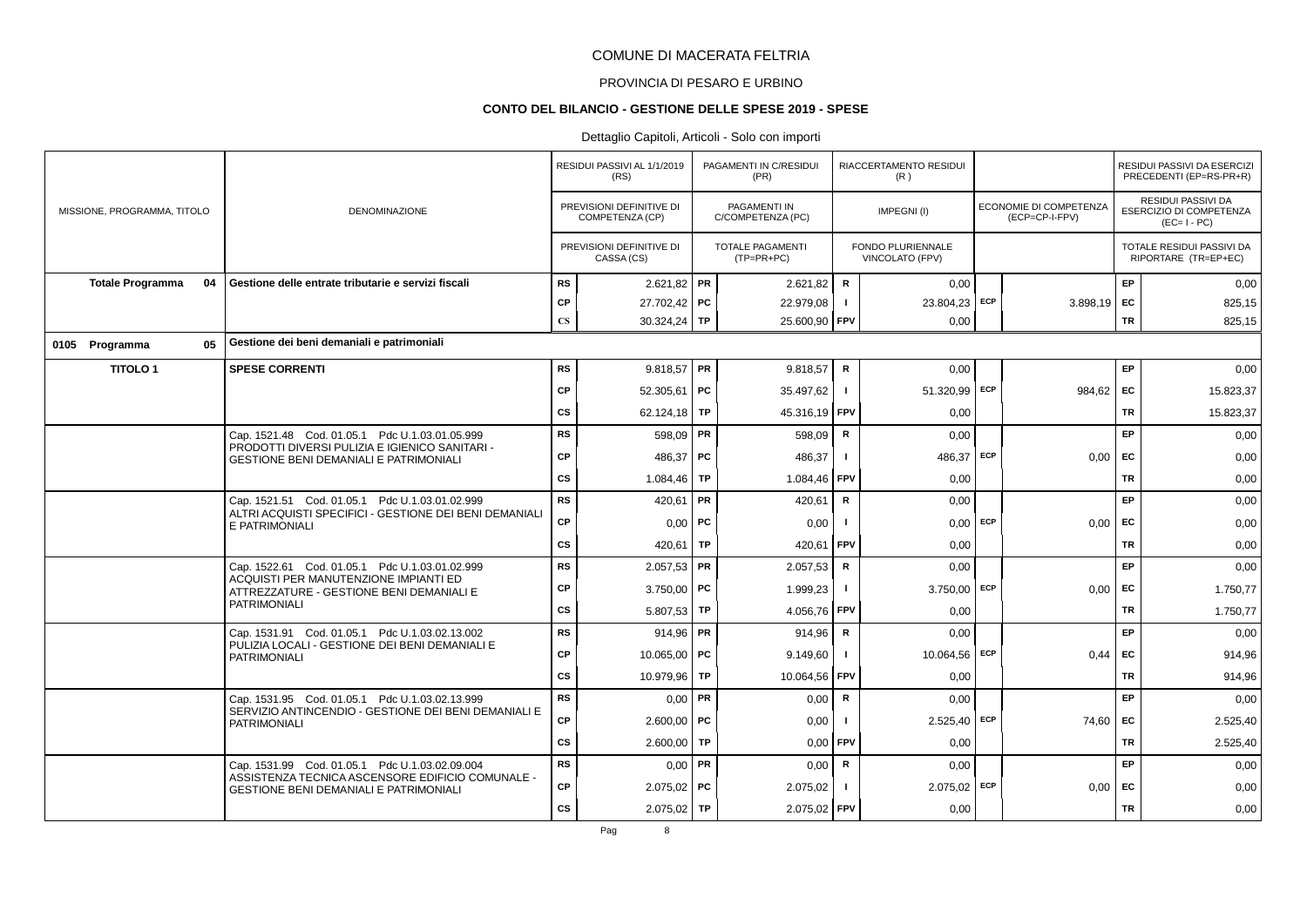# PROVINCIA DI PESARO E URBINO

#### **CONTO DEL BILANCIO - GESTIONE DELLE SPESE 2019 - SPESE**

|                             |    |                                                                                                   |                        | RESIDUI PASSIVI AL 1/1/2019<br>(RS)         |           | PAGAMENTI IN C/RESIDUI<br>(PR)          |                | RIACCERTAMENTO RESIDUI<br>(R)        |     |                                          |           | RESIDUI PASSIVI DA ESERCIZI<br>PRECEDENTI (EP=RS-PR+R)              |
|-----------------------------|----|---------------------------------------------------------------------------------------------------|------------------------|---------------------------------------------|-----------|-----------------------------------------|----------------|--------------------------------------|-----|------------------------------------------|-----------|---------------------------------------------------------------------|
| MISSIONE, PROGRAMMA, TITOLO |    | DENOMINAZIONE                                                                                     |                        | PREVISIONI DEFINITIVE DI<br>COMPETENZA (CP) |           | PAGAMENTI IN<br>C/COMPETENZA (PC)       |                | IMPEGNI(I)                           |     | ECONOMIE DI COMPETENZA<br>(ECP=CP-I-FPV) |           | <b>RESIDUI PASSIVI DA</b><br>ESERCIZIO DI COMPETENZA<br>$(EC=I-PC)$ |
|                             |    |                                                                                                   |                        | PREVISIONI DEFINITIVE DI<br>CASSA (CS)      |           | <b>TOTALE PAGAMENTI</b><br>$(TP=PR+PC)$ |                | FONDO PLURIENNALE<br>VINCOLATO (FPV) |     |                                          |           | TOTALE RESIDUI PASSIVI DA<br>RIPORTARE (TR=EP+EC)                   |
| <b>Totale Programma</b>     | 04 | Gestione delle entrate tributarie e servizi fiscali                                               | <b>RS</b>              | $2.621,82$ PR                               |           | 2.621.82                                | $\mathsf{R}$   | 0.00                                 |     |                                          | EP        | 0,00                                                                |
|                             |    |                                                                                                   | CP                     | 27.702,42 PC                                |           | 22.979,08                               | $\blacksquare$ | 23.804,23 ECP                        |     | $3.898,19$ EC                            |           | 825,15                                                              |
|                             |    |                                                                                                   | $\mathbf{C}\mathbf{S}$ | $30.324,24$ TP                              |           | 25.600,90 FPV                           |                | 0,00                                 |     |                                          | <b>TR</b> | 825,15                                                              |
| 0105 Programma              | 05 | Gestione dei beni demaniali e patrimoniali                                                        |                        |                                             |           |                                         |                |                                      |     |                                          |           |                                                                     |
| <b>TITOLO1</b>              |    | <b>SPESE CORRENTI</b>                                                                             | <b>RS</b>              | $9.818,57$ PR                               |           | 9.818.57                                | R              | 0,00                                 |     |                                          | EP.       | 0,00                                                                |
|                             |    |                                                                                                   | CP                     | 52.305,61   PC                              |           | 35.497,62                               | $\blacksquare$ | 51.320,99 ECP                        |     | $984,62$ EC                              |           | 15.823,37                                                           |
|                             |    |                                                                                                   | cs                     | 62.124,18   TP                              |           | 45.316,19 FPV                           |                | 0,00                                 |     |                                          | <b>TR</b> | 15.823,37                                                           |
|                             |    | Cap. 1521.48 Cod. 01.05.1 Pdc U.1.03.01.05.999                                                    | <b>RS</b>              | 598,09   PR                                 |           | 598,09                                  | $\mathbf R$    | 0,00                                 |     |                                          | EP        | 0,00                                                                |
|                             |    | PRODOTTI DIVERSI PULIZIA E IGIENICO SANITARI -<br><b>GESTIONE BENI DEMANIALI E PATRIMONIALI</b>   | CP                     | 486.37                                      | <b>PC</b> | 486,37                                  |                | 486,37                               | ECP | 0,00                                     | EC        | 0,00                                                                |
|                             |    |                                                                                                   | cs                     | 1.084,46 TP                                 |           | 1.084,46                                | <b>FPV</b>     | 0,00                                 |     |                                          | <b>TR</b> | 0,00                                                                |
|                             |    | Cap. 1521.51 Cod. 01.05.1 Pdc U.1.03.01.02.999                                                    | <b>RS</b>              | 420,61   PR                                 |           | 420,61                                  | R              | 0,00                                 |     |                                          | EP        | 0,00                                                                |
|                             |    | ALTRI ACQUISTI SPECIFICI - GESTIONE DEI BENI DEMANIALI<br>E PATRIMONIALI                          | <b>CP</b>              | $0,00$   PC                                 |           | 0,00                                    | $\blacksquare$ | $0,00$ ECP                           |     | $0,00$ EC                                |           | 0,00                                                                |
|                             |    |                                                                                                   | cs                     | 420,61                                      | TP        | 420,61                                  | <b>FPV</b>     | 0,00                                 |     |                                          | TR        | 0,00                                                                |
|                             |    | Cap. 1522.61 Cod. 01.05.1 Pdc U.1.03.01.02.999                                                    | <b>RS</b>              | $2.057,53$ PR                               |           | 2.057,53                                | R              | 0.00                                 |     |                                          | <b>EP</b> | 0,00                                                                |
|                             |    | ACQUISTI PER MANUTENZIONE IMPIANTI ED<br>ATTREZZATURE - GESTIONE BENI DEMANIALI E                 | CP                     | $3.750,00$ PC                               |           | 1.999,23                                |                | $3.750,00$ ECP                       |     | 0,00                                     | EC        | 1.750,77                                                            |
|                             |    | <b>PATRIMONIALI</b>                                                                               | CS                     | $5.807,53$ TP                               |           | 4.056,76                                | <b>FPV</b>     | 0,00                                 |     |                                          | <b>TR</b> | 1.750,77                                                            |
|                             |    | Cap. 1531.91 Cod. 01.05.1 Pdc U.1.03.02.13.002                                                    | <b>RS</b>              | 914.96   PR                                 |           | 914,96                                  | R              | 0.00                                 |     |                                          | EP        | 0,00                                                                |
|                             |    | PULIZIA LOCALI - GESTIONE DEI BENI DEMANIALI E<br><b>PATRIMONIALI</b>                             | <b>CP</b>              | 10.065.00 PC                                |           | 9.149,60                                |                | 10.064,56 ECP                        |     | 0.44                                     | EC        | 914,96                                                              |
|                             |    |                                                                                                   | cs                     | 10.979,96 TP                                |           | 10.064,56 FPV                           |                | 0,00                                 |     |                                          | <b>TR</b> | 914,96                                                              |
|                             |    | Cap. 1531.95 Cod. 01.05.1 Pdc U.1.03.02.13.999                                                    | RS                     | $0,00$ PR                                   |           | 0,00                                    | $\mathbf R$    | 0,00                                 |     |                                          | EP        | 0,00                                                                |
|                             |    | SERVIZIO ANTINCENDIO - GESTIONE DEI BENI DEMANIALI E<br><b>PATRIMONIALI</b>                       | CP                     | $2.600,00$ PC                               |           | 0,00                                    | $\mathbf{I}$   | $2.525,40$ ECP                       |     | 74,60                                    | <b>FC</b> | 2.525,40                                                            |
|                             |    |                                                                                                   | cs                     | 2.600,00                                    | TP        | 0,00                                    | FPV            | 0,00                                 |     |                                          | <b>TR</b> | 2.525,40                                                            |
|                             |    | Cap. 1531.99 Cod. 01.05.1 Pdc U.1.03.02.09.004                                                    | <b>RS</b>              | $0,00$ PR                                   |           | 0,00                                    | R              | 0,00                                 |     |                                          | EP        | 0,00                                                                |
|                             |    | ASSISTENZA TECNICA ASCENSORE EDIFICIO COMUNALE -<br><b>GESTIONE BENI DEMANIALI E PATRIMONIALI</b> | CP                     | $2.075.02$ PC                               |           | 2.075,02                                |                | $2.075,02$ ECP                       |     | $0.00$ EC                                |           | 0,00                                                                |
|                             |    |                                                                                                   | <b>CS</b>              | $2.075,02$ TP                               |           | 2.075,02 FPV                            |                | 0,00                                 |     |                                          | TR        | 0,00                                                                |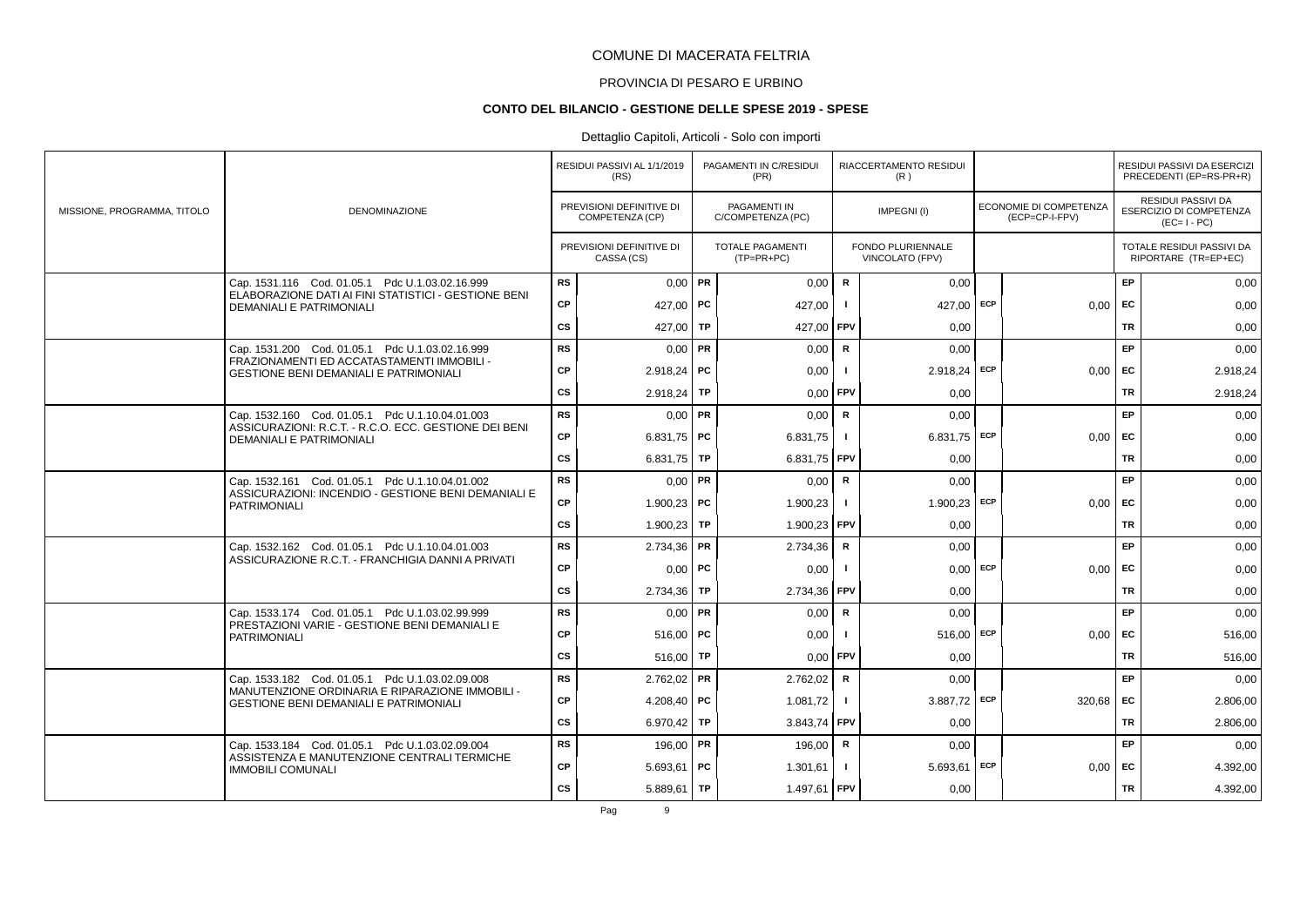# PROVINCIA DI PESARO E URBINO

#### **CONTO DEL BILANCIO - GESTIONE DELLE SPESE 2019 - SPESE**

### Dettaglio Capitoli, Articoli - Solo con importi

|                             |                                                                                                                            |           | RESIDUI PASSIVI AL 1/1/2019<br>(RS)         |           | PAGAMENTI IN C/RESIDUI<br>(PR)          |                | RIACCERTAMENTO RESIDUI<br>(R)               |            |                                          |           | RESIDUI PASSIVI DA ESERCIZI<br>PRECEDENTI (EP=RS-PR+R)              |
|-----------------------------|----------------------------------------------------------------------------------------------------------------------------|-----------|---------------------------------------------|-----------|-----------------------------------------|----------------|---------------------------------------------|------------|------------------------------------------|-----------|---------------------------------------------------------------------|
| MISSIONE, PROGRAMMA, TITOLO | <b>DENOMINAZIONE</b>                                                                                                       |           | PREVISIONI DEFINITIVE DI<br>COMPETENZA (CP) |           | PAGAMENTI IN<br>C/COMPETENZA (PC)       |                | IMPEGNI(I)                                  |            | ECONOMIE DI COMPETENZA<br>(ECP=CP-I-FPV) |           | <b>RESIDUI PASSIVI DA</b><br>ESERCIZIO DI COMPETENZA<br>$(EC=I-PC)$ |
|                             |                                                                                                                            |           | PREVISIONI DEFINITIVE DI<br>CASSA (CS)      |           | <b>TOTALE PAGAMENTI</b><br>$(TP=PR+PC)$ |                | <b>FONDO PLURIENNALE</b><br>VINCOLATO (FPV) |            |                                          |           | TOTALE RESIDUI PASSIVI DA<br>RIPORTARE (TR=EP+EC)                   |
|                             | Cap. 1531.116 Cod. 01.05.1 Pdc U.1.03.02.16.999                                                                            | <b>RS</b> | $0,00$ PR                                   |           | 0,00                                    | $\mathbf R$    | 0.00                                        |            |                                          | EP        | 0,00                                                                |
|                             | ELABORAZIONE DATI AI FINI STATISTICI - GESTIONE BENI<br><b>DEMANIALI E PATRIMONIALI</b>                                    | CP        | 427,00   PC                                 |           | 427,00                                  |                | 427.00                                      | ECP        | $0.00$ EC                                |           | 0,00                                                                |
|                             |                                                                                                                            | cs        | 427,00 TP                                   |           | 427,00                                  | <b>FPV</b>     | 0,00                                        |            |                                          | TR        | 0,00                                                                |
|                             | Cap. 1531.200 Cod. 01.05.1 Pdc U.1.03.02.16.999                                                                            | <b>RS</b> | $0.00$ PR                                   |           | 0.00                                    | $\mathsf{R}$   | 0.00                                        |            |                                          | EP        | 0,00                                                                |
|                             | FRAZIONAMENTI ED ACCATASTAMENTI IMMOBILI -<br><b>GESTIONE BENI DEMANIALI E PATRIMONIALI</b>                                | СP        | $2.918,24$ PC                               |           | 0,00                                    |                | $2.918,24$ ECP                              |            | $0.00$ EC                                |           | 2.918,24                                                            |
|                             |                                                                                                                            | cs        | 2.918,24                                    | TP        | 0,00                                    | FPV            | 0,00                                        |            |                                          | TR        | 2.918,24                                                            |
|                             | Cap. 1532.160 Cod. 01.05.1 Pdc U.1.10.04.01.003                                                                            | <b>RS</b> | $0,00$ PR                                   |           | 0,00                                    | $\mathbf R$    | 0,00                                        |            |                                          | <b>EP</b> | 0,00                                                                |
|                             | ASSICURAZIONI: R.C.T. - R.C.O. ECC. GESTIONE DEI BENI<br><b>DEMANIALI E PATRIMONIALI</b>                                   | CP        | 6.831,75   PC                               |           | 6.831,75                                | $\blacksquare$ | $6.831,75$ ECP                              |            | 0.00                                     | EC        | 0,00                                                                |
|                             |                                                                                                                            | cs        | 6.831,75   TP                               |           | 6.831,75                                | <b>FPV</b>     | 0,00                                        |            |                                          | <b>TR</b> | 0,00                                                                |
|                             | Cap. 1532.161 Cod. 01.05.1 Pdc U.1.10.04.01.002                                                                            | <b>RS</b> | $0.00$ PR                                   |           | 0,00                                    | $\mathsf{R}$   | 0.00                                        |            |                                          | <b>EP</b> | 0,00                                                                |
|                             | ASSICURAZIONI: INCENDIO - GESTIONE BENI DEMANIALI E<br><b>PATRIMONIALI</b>                                                 | <b>CP</b> | 1.900.23   PC                               |           | 1.900,23                                |                | $1.900.23$ ECP                              |            | $0,00$ EC                                |           | 0,00                                                                |
|                             |                                                                                                                            | cs        | $1.900,23$ TP                               |           | 1.900,23 FPV                            |                | 0,00                                        |            |                                          | <b>TR</b> | 0,00                                                                |
|                             | Cap. 1532.162 Cod. 01.05.1 Pdc U.1.10.04.01.003                                                                            | <b>RS</b> | $2.734,36$ PR                               |           | 2.734,36                                | $\mathsf{R}$   | 0,00                                        |            |                                          | EP        | 0,00                                                                |
|                             | ASSICURAZIONE R.C.T. - FRANCHIGIA DANNI A PRIVATI                                                                          | <b>CP</b> |                                             | $0,00$ PC | 0,00                                    |                |                                             | $0,00$ ECP | $0.00$ EC                                |           | 0,00                                                                |
|                             |                                                                                                                            | cs        | $2.734,36$ TP                               |           | 2.734,36                                | <b>FPV</b>     | 0,00                                        |            |                                          | TR        | 0,00                                                                |
|                             | Cap. 1533.174 Cod. 01.05.1 Pdc U.1.03.02.99.999                                                                            | <b>RS</b> | $0,00$ PR                                   |           | 0,00                                    | $\mathbf R$    | 0,00                                        |            |                                          | EP        | 0,00                                                                |
|                             | PRESTAZIONI VARIE - GESTIONE BENI DEMANIALI E<br><b>PATRIMONIALI</b>                                                       | CP        | $516,00$ PC                                 |           | 0,00                                    | -1             | 516,00                                      | ECP        | $0,00$ EC                                |           | 516,00                                                              |
|                             |                                                                                                                            | <b>CS</b> | 516.00                                      | TP        | 0,00                                    | FPV            | 0.00                                        |            |                                          | TR        | 516.00                                                              |
|                             | Cap. 1533.182 Cod. 01.05.1 Pdc U.1.03.02.09.008                                                                            | <b>RS</b> | $2.762,02$ PR                               |           | 2.762,02                                | $\mathbf R$    | 0.00                                        |            |                                          | EP        | 0,00                                                                |
|                             | MANUTENZIONE ORDINARIA E RIPARAZIONE IMMOBILI -<br><b>GESTIONE BENI DEMANIALI E PATRIMONIALI</b>                           | CP        | 4.208,40   PC                               |           | 1.081,72                                |                | 3.887,72 ECP                                |            | $320,68$ EC                              |           | 2.806,00                                                            |
|                             |                                                                                                                            | <b>CS</b> | 6.970,42                                    | <b>TP</b> | 3.843,74                                | l FPV          | 0,00                                        |            |                                          | <b>TR</b> | 2.806,00                                                            |
|                             | Cap. 1533.184 Cod. 01.05.1 Pdc U.1.03.02.09.004<br>ASSISTENZA E MANUTENZIONE CENTRALI TERMICHE<br><b>IMMOBILI COMUNALI</b> | <b>RS</b> | 196,00 PR                                   |           | 196,00                                  | R              | 0,00                                        |            |                                          | EP        | 0,00                                                                |
|                             |                                                                                                                            | CP        | $5.693,61$ PC                               |           | 1.301,61                                |                | $5.693,61$ ECP                              |            | $0,00$ EC                                |           | 4.392,00                                                            |
|                             |                                                                                                                            | cs        | $5.889.61$ TP                               |           | 1.497,61 FPV                            |                | 0,00                                        |            |                                          | <b>TR</b> | 4.392,00                                                            |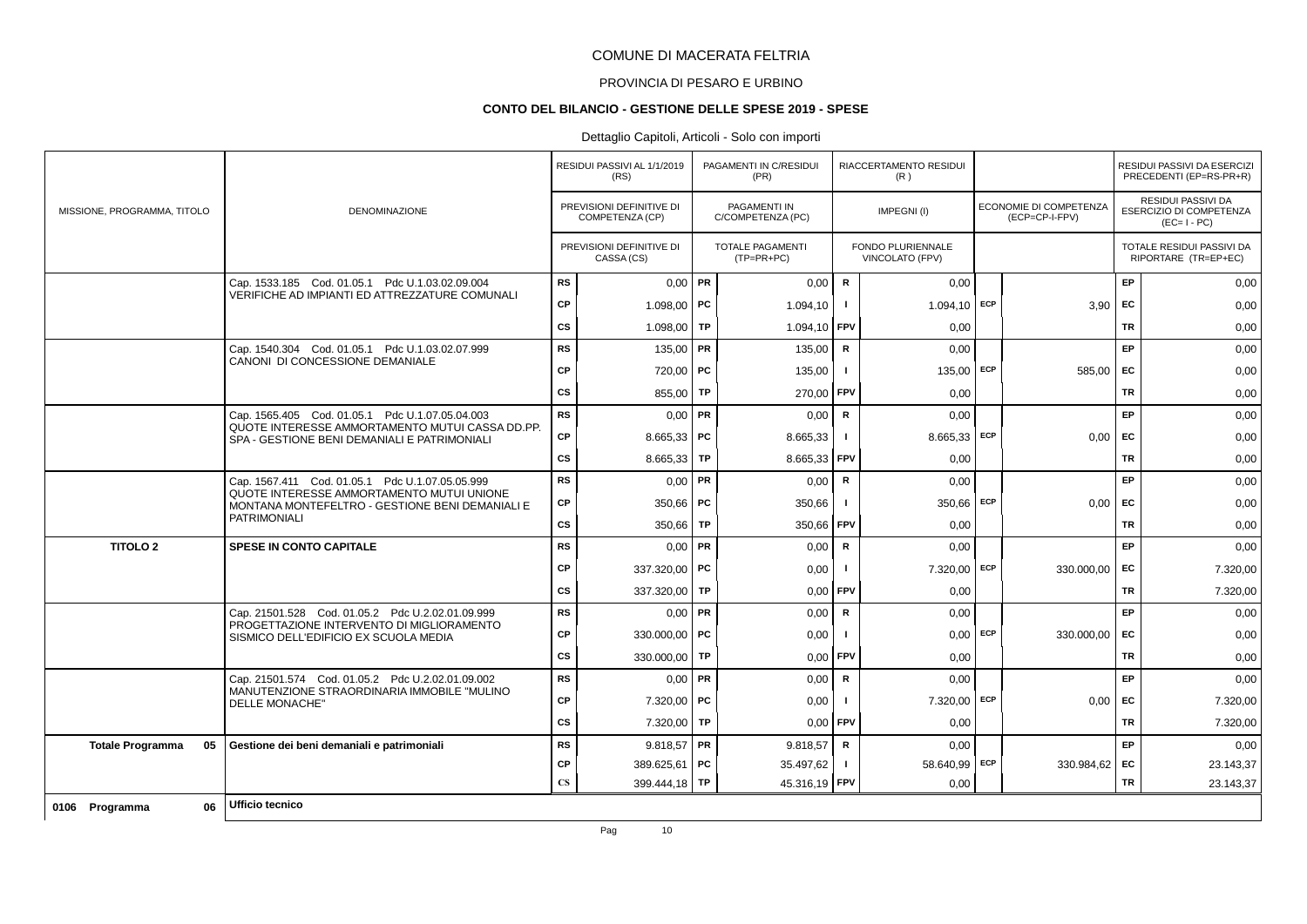# PROVINCIA DI PESARO E URBINO

### **CONTO DEL BILANCIO - GESTIONE DELLE SPESE 2019 - SPESE**

|                               |                                                                                                 |                        | RESIDUI PASSIVI AL 1/1/2019<br>(RS)         |           | PAGAMENTI IN C/RESIDUI<br>(PR)          |                | <b>RIACCERTAMENTO RESIDUI</b><br>(R)               |     |                                          |           | RESIDUI PASSIVI DA ESERCIZI<br>PRECEDENTI (EP=RS-PR+R)       |
|-------------------------------|-------------------------------------------------------------------------------------------------|------------------------|---------------------------------------------|-----------|-----------------------------------------|----------------|----------------------------------------------------|-----|------------------------------------------|-----------|--------------------------------------------------------------|
| MISSIONE, PROGRAMMA, TITOLO   | <b>DENOMINAZIONE</b>                                                                            |                        | PREVISIONI DEFINITIVE DI<br>COMPETENZA (CP) |           | PAGAMENTI IN<br>C/COMPETENZA (PC)       |                | IMPEGNI(I)                                         |     | ECONOMIE DI COMPETENZA<br>(ECP=CP-I-FPV) |           | RESIDUI PASSIVI DA<br>ESERCIZIO DI COMPETENZA<br>$(EC=I-PC)$ |
|                               |                                                                                                 |                        | PREVISIONI DEFINITIVE DI<br>CASSA (CS)      |           | <b>TOTALE PAGAMENTI</b><br>$(TP=PR+PC)$ |                | <b>FONDO PLURIENNALE</b><br><b>VINCOLATO (FPV)</b> |     |                                          |           | TOTALE RESIDUI PASSIVI DA<br>RIPORTARE (TR=EP+EC)            |
|                               | Cap. 1533.185 Cod. 01.05.1 Pdc U.1.03.02.09.004                                                 | <b>RS</b>              | $0,00$ PR                                   |           | 0,00                                    | $\mathbf R$    | 0,00                                               |     |                                          | EP        | 0,00                                                         |
|                               | VERIFICHE AD IMPIANTI ED ATTREZZATURE COMUNALI                                                  | <b>CP</b>              | 1.098,00   PC                               |           | 1.094,10                                |                | 1.094,10 ECP                                       |     | 3,90                                     | EC        | 0,00                                                         |
|                               |                                                                                                 | <b>CS</b>              | 1.098,00                                    | TP        | 1.094,10 FPV                            |                | 0,00                                               |     |                                          | <b>TR</b> | 0,00                                                         |
|                               | Cap. 1540.304 Cod. 01.05.1 Pdc U.1.03.02.07.999                                                 | <b>RS</b>              | 135,00                                      | <b>PR</b> | 135,00                                  | R              | 0,00                                               |     |                                          | EP        | 0,00                                                         |
|                               | CANONI DI CONCESSIONE DEMANIALE                                                                 | <b>CP</b>              | 720,00                                      | PC        | 135,00                                  | -1             | 135,00 ECP                                         |     | 585,00                                   | <b>FC</b> | 0,00                                                         |
|                               |                                                                                                 | <b>CS</b>              | 855,00                                      | <b>TP</b> | 270,00 FPV                              |                | 0,00                                               |     |                                          | <b>TR</b> | 0,00                                                         |
|                               | Cap. 1565.405 Cod. 01.05.1 Pdc U.1.07.05.04.003                                                 | <b>RS</b>              | 0,00                                        | PR        | 0,00                                    | $\mathsf{R}$   | 0,00                                               |     |                                          | EP        | 0,00                                                         |
|                               | QUOTE INTERESSE AMMORTAMENTO MUTUI CASSA DD.PP.<br>SPA - GESTIONE BENI DEMANIALI E PATRIMONIALI | CP                     | $8.665,33$ PC                               |           | 8.665,33                                | $\blacksquare$ | $8.665,33$ ECP                                     |     | 0,00                                     | EC        | 0,00                                                         |
|                               |                                                                                                 | <b>CS</b>              | 8.665,33                                    | <b>TP</b> | 8.665,33 FPV                            |                | 0,00                                               |     |                                          | <b>TR</b> | 0,00                                                         |
|                               | Cap. 1567.411 Cod. 01.05.1 Pdc U.1.07.05.05.999                                                 | <b>RS</b>              | $0,00$ PR                                   |           | 0,00                                    | $\mathsf{R}$   | 0,00                                               |     |                                          | <b>EP</b> | 0,00                                                         |
|                               | QUOTE INTERESSE AMMORTAMENTO MUTUI UNIONE<br>MONTANA MONTEFELTRO - GESTIONE BENI DEMANIALI E    | CP                     | 350,66 PC                                   |           | 350,66                                  |                | 350,66 ECP                                         |     | 0,00                                     | <b>FC</b> | 0,00                                                         |
|                               | <b>PATRIMONIALI</b>                                                                             | <b>CS</b>              | 350,66                                      | TP        | 350,66 FPV                              |                | 0,00                                               |     |                                          | <b>TR</b> | 0,00                                                         |
| <b>TITOLO 2</b>               | <b>SPESE IN CONTO CAPITALE</b>                                                                  | <b>RS</b>              | 0,00                                        | PR        | 0,00                                    | R              | 0,00                                               |     |                                          | <b>EP</b> | 0,00                                                         |
|                               |                                                                                                 | СP                     | 337.320,00                                  | PC        | 0,00                                    | - 1            | 7.320,00 ECP                                       |     | 330.000,00                               | EC        | 7.320,00                                                     |
|                               |                                                                                                 | <b>CS</b>              | 337.320,00                                  | <b>TP</b> | 0,00                                    | <b>FPV</b>     | 0,00                                               |     |                                          | <b>TR</b> | 7.320,00                                                     |
|                               | Cap. 21501.528 Cod. 01.05.2 Pdc U.2.02.01.09.999                                                | <b>RS</b>              | 0,00                                        | PR        | 0,00                                    | $\mathsf{R}$   | 0,00                                               |     |                                          | EP        | 0,00                                                         |
|                               | PROGETTAZIONE INTERVENTO DI MIGLIORAMENTO<br>SISMICO DELL'EDIFICIO EX SCUOLA MEDIA              | CP                     | 330.000,00 PC                               |           | 0,00                                    | $\blacksquare$ | $0,00$ ECP                                         |     | 330.000,00                               | EC        | 0,00                                                         |
|                               |                                                                                                 | <b>CS</b>              | 330.000,00                                  | <b>TP</b> | $0,00$ FPV                              |                | 0,00                                               |     |                                          | <b>TR</b> | 0,00                                                         |
|                               | Cap. 21501.574 Cod. 01.05.2 Pdc U.2.02.01.09.002                                                | <b>RS</b>              | $0,00$ PR                                   |           | 0,00                                    | $\mathbf R$    | 0,00                                               |     |                                          | <b>EP</b> | 0,00                                                         |
|                               | MANUTENZIONE STRAORDINARIA IMMOBILE "MULINO<br><b>DELLE MONACHE"</b>                            | <b>CP</b>              | 7.320,00                                    | PC        | 0,00                                    | -1             | 7.320,00 ECP                                       |     | 0,00                                     | EC        | 7.320,00                                                     |
|                               |                                                                                                 | <b>CS</b>              | 7.320,00                                    | TP        | 0.00                                    | <b>FPV</b>     | 0,00                                               |     |                                          | <b>TR</b> | 7.320,00                                                     |
| <b>Totale Programma</b><br>05 | Gestione dei beni demaniali e patrimoniali                                                      | <b>RS</b>              | $9.818,57$ PR                               |           | 9.818,57                                | $\mathsf R$    | 0,00                                               |     |                                          | EP        | 0,00                                                         |
|                               |                                                                                                 | СP                     | 389.625,61 PC                               |           | 35.497,62                               | -1             | 58.640,99                                          | ECP | 330.984,62 EC                            |           | 23.143,37                                                    |
|                               |                                                                                                 | $\mathbf{C}\mathbf{S}$ | 399.444,18 TP                               |           | 45.316,19 FPV                           |                | 0,00                                               |     |                                          | TR        | 23.143,37                                                    |
| 06<br>0106 Programma          | Ufficio tecnico                                                                                 |                        |                                             |           |                                         |                |                                                    |     |                                          |           |                                                              |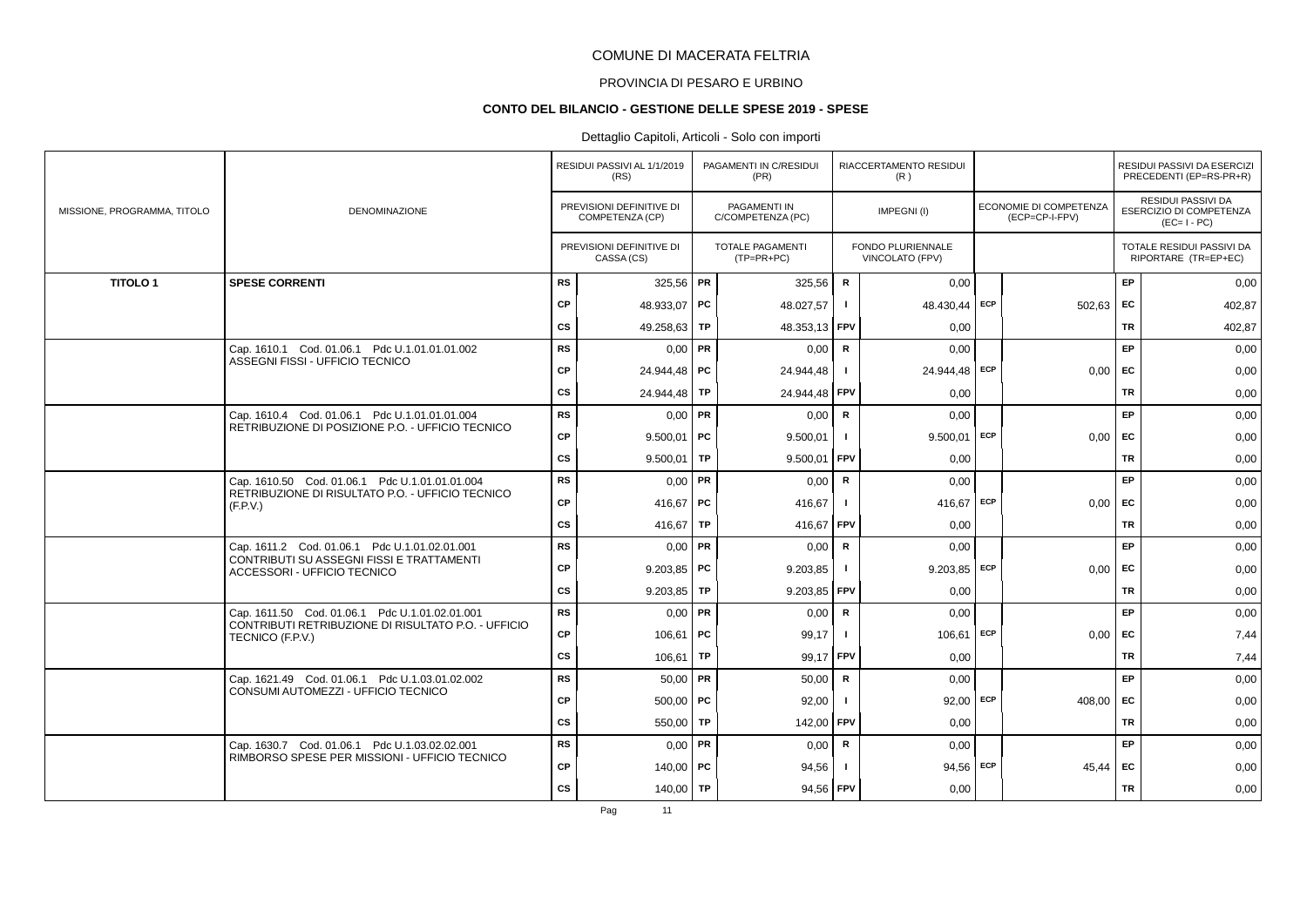# PROVINCIA DI PESARO E URBINO

#### **CONTO DEL BILANCIO - GESTIONE DELLE SPESE 2019 - SPESE**

### Dettaglio Capitoli, Articoli - Solo con importi

|                             |                                                                          |           | RESIDUI PASSIVI AL 1/1/2019<br>(RS)         |           | PAGAMENTI IN C/RESIDUI<br>(PR)          |              | RIACCERTAMENTO RESIDUI<br>(R)               |     |                                          |           | RESIDUI PASSIVI DA ESERCIZI<br>PRECEDENTI (EP=RS-PR+R)       |
|-----------------------------|--------------------------------------------------------------------------|-----------|---------------------------------------------|-----------|-----------------------------------------|--------------|---------------------------------------------|-----|------------------------------------------|-----------|--------------------------------------------------------------|
| MISSIONE, PROGRAMMA, TITOLO | <b>DENOMINAZIONE</b>                                                     |           | PREVISIONI DEFINITIVE DI<br>COMPETENZA (CP) |           | PAGAMENTI IN<br>C/COMPETENZA (PC)       |              | IMPEGNI(I)                                  |     | ECONOMIE DI COMPETENZA<br>(ECP=CP-I-FPV) |           | RESIDUI PASSIVI DA<br>ESERCIZIO DI COMPETENZA<br>$(EC=I-PC)$ |
|                             |                                                                          |           | PREVISIONI DEFINITIVE DI<br>CASSA (CS)      |           | <b>TOTALE PAGAMENTI</b><br>$(TP=PR+PC)$ |              | <b>FONDO PLURIENNALE</b><br>VINCOLATO (FPV) |     |                                          |           | TOTALE RESIDUI PASSIVI DA<br>RIPORTARE (TR=EP+EC)            |
| <b>TITOLO1</b>              | <b>SPESE CORRENTI</b>                                                    | <b>RS</b> | 325,56 PR                                   |           | 325,56                                  | $\mathbf R$  | 0,00                                        |     |                                          | EP.       | 0,00                                                         |
|                             |                                                                          | CP        | 48.933.07 PC                                |           | 48.027,57                               | $\mathbf{I}$ | 48.430,44 ECP                               |     | $502,63$ EC                              |           | 402,87                                                       |
|                             |                                                                          | <b>CS</b> | 49.258,63   TP                              |           | 48.353,13                               | <b>FPV</b>   | 0,00                                        |     |                                          | <b>TR</b> | 402,87                                                       |
|                             | Cap. 1610.1 Cod. 01.06.1 Pdc U.1.01.01.01.002                            | <b>RS</b> | $0.00$ PR                                   |           | 0.00                                    | $\mathsf{R}$ | 0.00                                        |     |                                          | EP        | 0,00                                                         |
|                             | ASSEGNI FISSI - UFFICIO TECNICO                                          | CP        | 24.944,48   PC                              |           | 24.944,48                               |              | 24.944,48 ECP                               |     | $0.00$ EC                                |           | 0,00                                                         |
|                             |                                                                          | <b>CS</b> | 24.944,48                                   | TP        | 24.944,48 FPV                           |              | 0,00                                        |     |                                          | TR        | 0,00                                                         |
|                             | Cap. 1610.4 Cod. 01.06.1 Pdc U.1.01.01.01.004                            | <b>RS</b> | $0,00$ PR                                   |           | 0,00                                    | $\mathsf{R}$ | 0,00                                        |     |                                          | <b>EP</b> | 0,00                                                         |
|                             | RETRIBUZIONE DI POSIZIONE P.O. - UFFICIO TECNICO                         | CP        | $9.500,01$ PC                               |           | 9.500,01                                |              | $9.500,01$ ECP                              |     | 0,00                                     | EC        | 0,00                                                         |
|                             |                                                                          | <b>CS</b> | 9.500,01                                    | <b>TP</b> | 9.500,01                                | FPV          | 0.00                                        |     |                                          | <b>TR</b> | 0,00                                                         |
|                             | Cap. 1610.50 Cod. 01.06.1 Pdc U.1.01.01.01.004                           | <b>RS</b> | $0.00$ PR                                   |           | 0,00                                    | R            | 0,00                                        |     |                                          | EP        | 0,00                                                         |
|                             | RETRIBUZIONE DI RISULTATO P.O. - UFFICIO TECNICO<br>(F.P.V.)             | СP        | 416,67   PC                                 |           | 416,67                                  | -1           | 416,67 ECP                                  |     | $0.00$ EC                                |           | 0,00                                                         |
|                             |                                                                          | cs        | 416,67   TP                                 |           | 416,67 FPV                              |              | 0,00                                        |     |                                          | <b>TR</b> | 0,00                                                         |
|                             | Cap. 1611.2 Cod. 01.06.1 Pdc U.1.01.02.01.001                            | <b>RS</b> | $0,00$ PR                                   |           | 0,00                                    | $\mathbf R$  | 0,00                                        |     |                                          | EP        | 0,00                                                         |
|                             | CONTRIBUTI SU ASSEGNI FISSI E TRATTAMENTI<br>ACCESSORI - UFFICIO TECNICO | <b>CP</b> | $9.203,85$ PC                               |           | 9.203,85                                |              | 9.203,85                                    | ECP | 0,00                                     | EC        | 0,00                                                         |
|                             |                                                                          | <b>CS</b> | $9.203.85$ TP                               |           | 9.203,85                                | <b>FPV</b>   | 0.00                                        |     |                                          | TR        | 0,00                                                         |
|                             | Cap. 1611.50 Cod. 01.06.1 Pdc U.1.01.02.01.001                           | <b>RS</b> | $0,00$ PR                                   |           | 0,00                                    | $\mathsf{R}$ | 0,00                                        |     |                                          | EP        | 0,00                                                         |
|                             | CONTRIBUTI RETRIBUZIONE DI RISULTATO P.O. - UFFICIO<br>TECNICO (F.P.V.)  | CP        | $106,61$ PC                                 |           | 99,17                                   | -1           | 106,61                                      | ECP | $0.00$ EC                                |           | 7,44                                                         |
|                             |                                                                          | <b>CS</b> | 106,61                                      | <b>TP</b> | 99,17                                   | <b>FPV</b>   | 0,00                                        |     |                                          | <b>TR</b> | 7,44                                                         |
|                             | Cap. 1621.49 Cod. 01.06.1 Pdc U.1.03.01.02.002                           | <b>RS</b> | $50,00$ PR                                  |           | 50,00                                   | $\mathbf R$  | 0,00                                        |     |                                          | EP        | 0,00                                                         |
|                             | CONSUMI AUTOMEZZI - UFFICIO TECNICO                                      | <b>CP</b> | $500,00$ PC                                 |           | 92,00                                   |              | $92,00$ ECP                                 |     | 408.00                                   | EC        | 0,00                                                         |
|                             |                                                                          | <b>CS</b> | 550,00   TP                                 |           | 142,00 FPV                              |              | 0.00                                        |     |                                          | <b>TR</b> | 0,00                                                         |
|                             | Cap. 1630.7 Cod. 01.06.1 Pdc U.1.03.02.02.001                            | <b>RS</b> | $0.00$ PR                                   |           | 0,00                                    | R            | 0,00                                        |     |                                          | EP.       | 0,00                                                         |
|                             | RIMBORSO SPESE PER MISSIONI - UFFICIO TECNICO                            | CP        | 140.00   PC                                 |           | 94,56                                   |              | 94,56 ECP                                   |     | 45,44                                    | EC        | 0,00                                                         |
|                             |                                                                          | <b>CS</b> | 140,00   TP                                 |           | 94,56 FPV                               |              | 0,00                                        |     |                                          | <b>TR</b> | 0,00                                                         |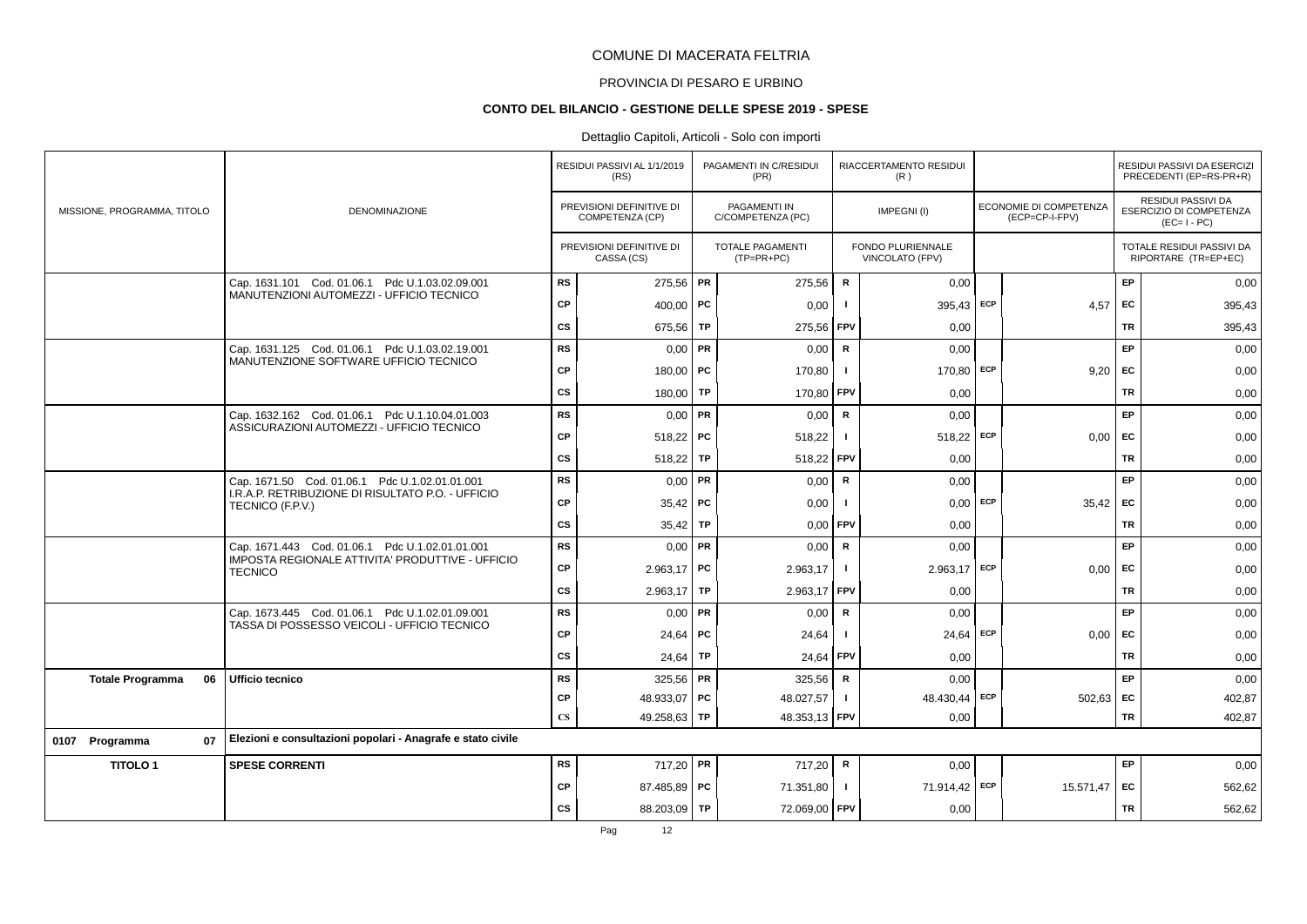# PROVINCIA DI PESARO E URBINO

#### **CONTO DEL BILANCIO - GESTIONE DELLE SPESE 2019 - SPESE**

|                               |                                                                       |                        | RESIDUI PASSIVI AL 1/1/2019<br>(RS)         |           | PAGAMENTI IN C/RESIDUI<br>(PR)          |                | RIACCERTAMENTO RESIDUI<br>(R)        |     |                                          |           | RESIDUI PASSIVI DA ESERCIZI<br>PRECEDENTI (EP=RS-PR+R)       |
|-------------------------------|-----------------------------------------------------------------------|------------------------|---------------------------------------------|-----------|-----------------------------------------|----------------|--------------------------------------|-----|------------------------------------------|-----------|--------------------------------------------------------------|
| MISSIONE, PROGRAMMA, TITOLO   | DENOMINAZIONE                                                         |                        | PREVISIONI DEFINITIVE DI<br>COMPETENZA (CP) |           | PAGAMENTI IN<br>C/COMPETENZA (PC)       |                | IMPEGNI(I)                           |     | ECONOMIE DI COMPETENZA<br>(ECP=CP-I-FPV) |           | RESIDUI PASSIVI DA<br>ESERCIZIO DI COMPETENZA<br>$(EC=I-PC)$ |
|                               |                                                                       |                        | PREVISIONI DEFINITIVE DI<br>CASSA (CS)      |           | <b>TOTALE PAGAMENTI</b><br>$(TP=PR+PC)$ |                | FONDO PLURIENNALE<br>VINCOLATO (FPV) |     |                                          |           | TOTALE RESIDUI PASSIVI DA<br>RIPORTARE (TR=EP+EC)            |
|                               | Cap. 1631.101 Cod. 01.06.1 Pdc U.1.03.02.09.001                       | <b>RS</b>              | 275,56 PR                                   |           | 275,56                                  | $\mathbf R$    | 0,00                                 |     |                                          | EP        | 0,00                                                         |
|                               | MANUTENZIONI AUTOMEZZI - UFFICIO TECNICO                              | <b>CP</b>              | 400,00   PC                                 |           | 0,00                                    |                | 395,43                               | ECP | 4,57                                     | EC        | 395,43                                                       |
|                               |                                                                       | <b>CS</b>              | 675,56                                      | <b>TP</b> | 275,56                                  | FPV            | 0,00                                 |     |                                          | TR        | 395,43                                                       |
|                               | Cap. 1631.125 Cod. 01.06.1 Pdc U.1.03.02.19.001                       | <b>RS</b>              | $0,00$ PR                                   |           | 0,00                                    | R              | 0,00                                 |     |                                          | EP        | 0,00                                                         |
|                               | MANUTENZIONE SOFTWARE UFFICIO TECNICO                                 | <b>CP</b>              | 180,00   PC                                 |           | 170,80                                  | -1             | 170,80 ECP                           |     | 9,20                                     | EC        | 0,00                                                         |
|                               |                                                                       | <b>CS</b>              | 180,00 TP                                   |           | 170,80                                  | FPV            | 0,00                                 |     |                                          | <b>TR</b> | 0,00                                                         |
|                               | Cap. 1632.162 Cod. 01.06.1 Pdc U.1.10.04.01.003                       | <b>RS</b>              | $0,00$ PR                                   |           | 0,00                                    | ${\sf R}$      | 0.00                                 |     |                                          | EP        | 0,00                                                         |
|                               | ASSICURAZIONI AUTOMEZZI - UFFICIO TECNICO                             | <b>CP</b>              | $518,22$ PC                                 |           | 518,22                                  | $\blacksquare$ | $518,22$ ECP                         |     | 0,00                                     | <b>FC</b> | 0,00                                                         |
|                               |                                                                       | <b>CS</b>              | 518,22                                      | TP        | 518,22                                  | FPV            | 0,00                                 |     |                                          | <b>TR</b> | 0,00                                                         |
|                               | Cap. 1671.50 Cod. 01.06.1 Pdc U.1.02.01.01.001                        | <b>RS</b>              | $0.00$ PR                                   |           | 0,00                                    | $\mathsf{R}$   | 0,00                                 |     |                                          | EP        | 0,00                                                         |
|                               | I.R.A.P. RETRIBUZIONE DI RISULTATO P.O. - UFFICIO<br>TECNICO (F.P.V.) | <b>CP</b>              | $35,42$ PC                                  |           | 0,00                                    |                | $0,00$ ECP                           |     | $35,42$ EC                               |           | 0,00                                                         |
|                               |                                                                       | <b>CS</b>              | 35,42                                       | TP        | 0,00                                    | FPV            | 0,00                                 |     |                                          | TR        | 0,00                                                         |
|                               | Cap. 1671.443 Cod. 01.06.1 Pdc U.1.02.01.01.001                       | <b>RS</b>              | $0,00$ PR                                   |           | 0,00                                    | $\mathsf{R}$   | 0,00                                 |     |                                          | EP        | 0,00                                                         |
|                               | IMPOSTA REGIONALE ATTIVITA' PRODUTTIVE - UFFICIO<br><b>TECNICO</b>    | <b>CP</b>              | $2.963,17$ PC                               |           | 2.963,17                                | $\mathbf{I}$   | $2.963,17$ ECP                       |     | 0,00                                     | EC        | 0,00                                                         |
|                               |                                                                       | <b>CS</b>              | $2.963,17$ TP                               |           | 2.963,17                                | l FPV          | 0,00                                 |     |                                          | <b>TR</b> | 0,00                                                         |
|                               | Cap. 1673.445 Cod. 01.06.1 Pdc U.1.02.01.09.001                       | <b>RS</b>              | $0,00$ PR                                   |           | 0,00                                    | $\mathsf{R}$   | 0,00                                 |     |                                          | EP        | 0,00                                                         |
|                               | TASSA DI POSSESSO VEICOLI - UFFICIO TECNICO                           | <b>CP</b>              | $24,64$ PC                                  |           | 24,64                                   | - 1            | 24,64 ECP                            |     | 0,00                                     | EC        | 0,00                                                         |
|                               |                                                                       | <b>CS</b>              | $24,64$ TP                                  |           | 24,64                                   | FPV            | 0,00                                 |     |                                          | TR        | 0,00                                                         |
| 06<br><b>Totale Programma</b> | Ufficio tecnico                                                       | <b>RS</b>              | $325,56$ PR                                 |           | 325,56                                  | R              | 0,00                                 |     |                                          | EP        | 0,00                                                         |
|                               |                                                                       | <b>CP</b>              | 48.933,07   PC                              |           | 48.027,57                               | $\mathbf{I}$   | 48.430,44                            | ECP | $502,63$ EC                              |           | 402,87                                                       |
|                               |                                                                       | $\mathbf{C}\mathbf{S}$ | 49.258,63 TP                                |           | 48.353,13 FPV                           |                | 0,00                                 |     |                                          | TR        | 402.87                                                       |
| 07<br>0107 Programma          | Elezioni e consultazioni popolari - Anagrafe e stato civile           |                        |                                             |           |                                         |                |                                      |     |                                          |           |                                                              |
| <b>TITOLO1</b>                | <b>SPESE CORRENTI</b>                                                 | RS                     | 717,20 PR                                   |           | 717,20                                  | R              | 0,00                                 |     |                                          | EP        | 0,00                                                         |
|                               |                                                                       | <b>CP</b>              | 87.485.89 PC                                |           | 71.351,80                               | $\mathbf{I}$   | 71.914,42 ECP                        |     | 15.571.47                                | EC        | 562,62                                                       |
|                               |                                                                       | CS                     | 88.203,09 TP                                |           | 72.069,00 FPV                           |                | 0,00                                 |     |                                          | TR        | 562,62                                                       |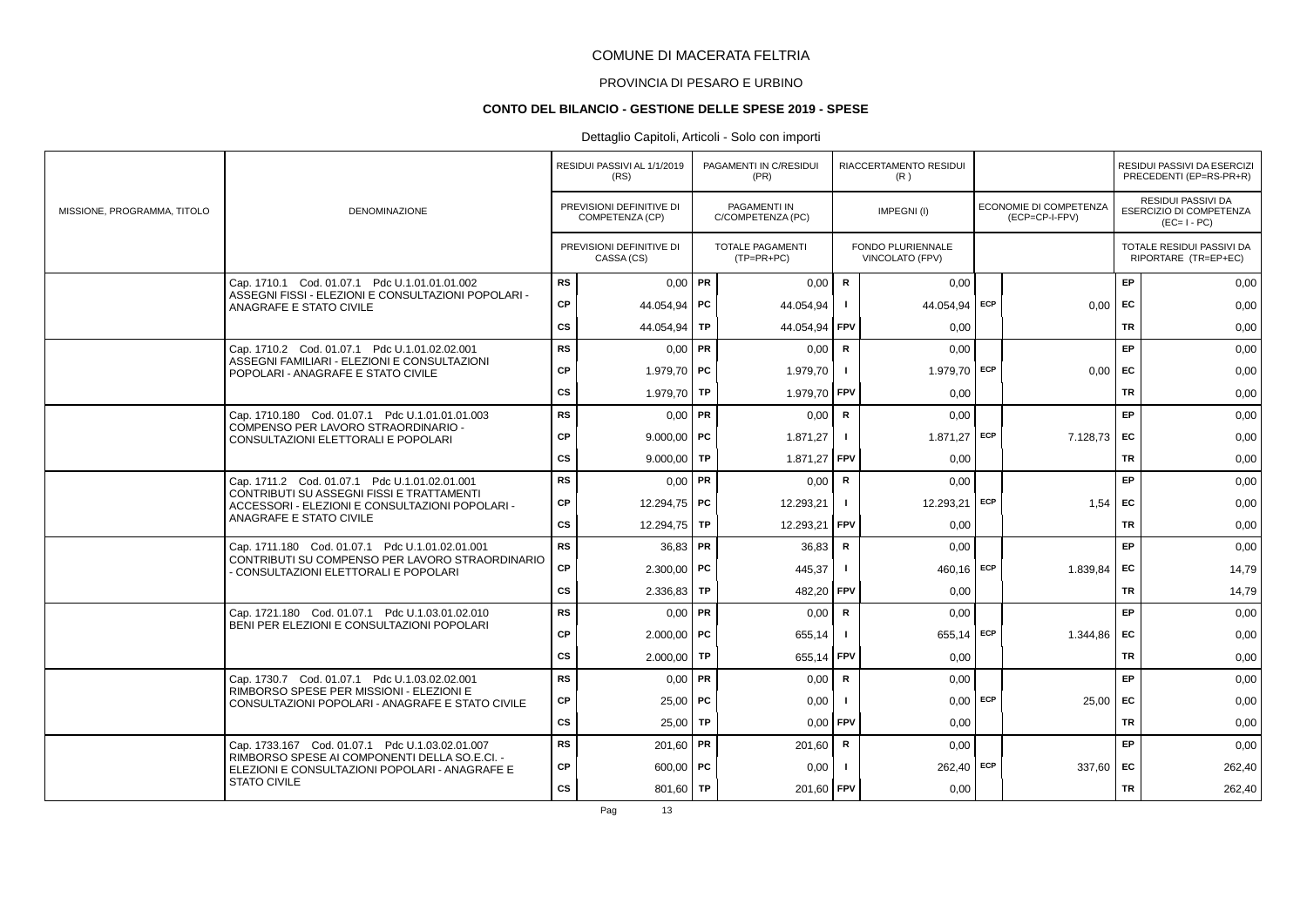# PROVINCIA DI PESARO E URBINO

#### **CONTO DEL BILANCIO - GESTIONE DELLE SPESE 2019 - SPESE**

|                             |                                                                                                 |           | RESIDUI PASSIVI AL 1/1/2019<br>(RS)         |           | PAGAMENTI IN C/RESIDUI<br>(PR)          |                | RIACCERTAMENTO RESIDUI<br>(R)               |            |                                          |           | RESIDUI PASSIVI DA ESERCIZI<br>PRECEDENTI (EP=RS-PR+R)       |
|-----------------------------|-------------------------------------------------------------------------------------------------|-----------|---------------------------------------------|-----------|-----------------------------------------|----------------|---------------------------------------------|------------|------------------------------------------|-----------|--------------------------------------------------------------|
| MISSIONE, PROGRAMMA, TITOLO | <b>DENOMINAZIONE</b>                                                                            |           | PREVISIONI DEFINITIVE DI<br>COMPETENZA (CP) |           | PAGAMENTI IN<br>C/COMPETENZA (PC)       |                | IMPEGNI(I)                                  |            | ECONOMIE DI COMPETENZA<br>(ECP=CP-I-FPV) |           | RESIDUI PASSIVI DA<br>ESERCIZIO DI COMPETENZA<br>$(EC=I-PC)$ |
|                             |                                                                                                 |           | PREVISIONI DEFINITIVE DI<br>CASSA (CS)      |           | <b>TOTALE PAGAMENTI</b><br>$(TP=PR+PC)$ |                | <b>FONDO PLURIENNALE</b><br>VINCOLATO (FPV) |            |                                          |           | <b>TOTALE RESIDUI PASSIVI DA</b><br>RIPORTARE (TR=EP+EC)     |
|                             | Cap. 1710.1 Cod. 01.07.1 Pdc U.1.01.01.01.002                                                   | <b>RS</b> | $0,00$ PR                                   |           | 0,00                                    | $\mathbf R$    | 0,00                                        |            |                                          | EP        | 0,00                                                         |
|                             | ASSEGNI FISSI - ELEZIONI E CONSULTAZIONI POPOLARI -<br>ANAGRAFE E STATO CIVILE                  | CP        | 44.054.94 PC                                |           | 44.054,94                               |                | 44.054,94 ECP                               |            | $0.00$ EC                                |           | 0,00                                                         |
|                             |                                                                                                 | <b>CS</b> | 44.054,94                                   | <b>TP</b> | 44.054,94                               | <b>FPV</b>     | 0.00                                        |            |                                          | <b>TR</b> | 0,00                                                         |
|                             | Cap. 1710.2 Cod. 01.07.1 Pdc U.1.01.02.02.001                                                   | <b>RS</b> | $0.00$ PR                                   |           | 0.00                                    | $\mathsf{R}$   | 0.00                                        |            |                                          | EP        | 0,00                                                         |
|                             | ASSEGNI FAMILIARI - ELEZIONI E CONSULTAZIONI<br>POPOLARI - ANAGRAFE E STATO CIVILE              | CP        | 1.979.70   PC                               |           | 1.979.70                                |                | 1.979,70 ECP                                |            | $0.00$ EC                                |           | 0,00                                                         |
|                             |                                                                                                 | <b>CS</b> | 1.979,70                                    | TP        | 1.979,70 FPV                            |                | 0,00                                        |            |                                          | TR        | 0,00                                                         |
|                             | Cap. 1710.180 Cod. 01.07.1 Pdc U.1.01.01.01.003                                                 | <b>RS</b> | $0,00$ PR                                   |           | 0,00                                    | $\mathsf{R}$   | 0,00                                        |            |                                          | <b>EP</b> | 0,00                                                         |
|                             | COMPENSO PER LAVORO STRAORDINARIO -<br>CONSULTAZIONI ELETTORALI E POPOLARI                      | CP        | $9.000,00$ PC                               |           | 1.871,27                                | $\blacksquare$ | $1.871,27$ ECP                              |            | $7.128,73$ EC                            |           | 0,00                                                         |
|                             |                                                                                                 | <b>CS</b> | 9.000,00 TP                                 |           | 1.871,27                                | <b>FPV</b>     | 0.00                                        |            |                                          | <b>TR</b> | 0,00                                                         |
|                             | Cap. 1711.2 Cod. 01.07.1 Pdc U.1.01.02.01.001                                                   | <b>RS</b> | $0.00$ PR                                   |           | 0,00                                    | R              | 0.00                                        |            |                                          | EP        | 0,00                                                         |
|                             | CONTRIBUTI SU ASSEGNI FISSI E TRATTAMENTI<br>ACCESSORI - ELEZIONI E CONSULTAZIONI POPOLARI -    | СP        | 12.294,75 PC                                |           | 12.293,21                               | $\mathbf{I}$   | 12.293,21 ECP                               |            | 1,54                                     | EC        | 0,00                                                         |
|                             | ANAGRAFE E STATO CIVILE                                                                         | CS        | 12.294,75 TP                                |           | 12.293,21                               | FPV            | 0,00                                        |            |                                          | <b>TR</b> | 0,00                                                         |
|                             | Cap. 1711.180 Cod. 01.07.1 Pdc U.1.01.02.01.001                                                 | <b>RS</b> | $36,83$ PR                                  |           | 36,83                                   | $\mathbf R$    | 0,00                                        |            |                                          | EP        | 0,00                                                         |
|                             | CONTRIBUTI SU COMPENSO PER LAVORO STRAORDINARIO<br>- CONSULTAZIONI ELETTORALI E POPOLARI        | CP        | $2.300,00$ PC                               |           | 445,37                                  |                | 460.16                                      | ECP        | 1.839,84                                 | EC        | 14,79                                                        |
|                             |                                                                                                 | <b>CS</b> | $2.336,83$ TP                               |           | 482.20                                  | <b>FPV</b>     | 0.00                                        |            |                                          | <b>TR</b> | 14,79                                                        |
|                             | Cap. 1721.180 Cod. 01.07.1 Pdc U.1.03.01.02.010                                                 | <b>RS</b> | $0.00$ PR                                   |           | 0,00                                    | $\mathsf{R}$   | 0,00                                        |            |                                          | EP        | 0,00                                                         |
|                             | BENI PER ELEZIONI E CONSULTAZIONI POPOLARI                                                      | CP        | $2.000,00$ PC                               |           | 655,14                                  | - 1            | $655,14$ ECP                                |            | 1.344,86                                 | EC        | 0,00                                                         |
|                             |                                                                                                 | <b>CS</b> | $2.000,00$ TP                               |           | 655,14                                  | <b>FPV</b>     | 0,00                                        |            |                                          | <b>TR</b> | 0,00                                                         |
|                             | Cap. 1730.7 Cod. 01.07.1 Pdc U.1.03.02.02.001                                                   | <b>RS</b> | $0,00$ PR                                   |           | 0,00                                    | $\mathbf R$    | 0.00                                        |            |                                          | EP        | 0,00                                                         |
|                             | RIMBORSO SPESE PER MISSIONI - ELEZIONI E<br>CONSULTAZIONI POPOLARI - ANAGRAFE E STATO CIVILE    | CP        | $25.00$ PC                                  |           | 0,00                                    |                |                                             | $0,00$ ECP | 25,00                                    | EC        | 0,00                                                         |
|                             |                                                                                                 | CS        | $25,00$ TP                                  |           | 0.00                                    | <b>FPV</b>     | 0.00                                        |            |                                          | <b>TR</b> | 0,00                                                         |
|                             | Cap. 1733.167 Cod. 01.07.1 Pdc U.1.03.02.01.007                                                 | <b>RS</b> | 201,60   PR                                 |           | 201,60                                  | $\mathsf{R}$   | 0,00                                        |            |                                          | EP.       | 0,00                                                         |
|                             | RIMBORSO SPESE AI COMPONENTI DELLA SO.E.CI. -<br>ELEZIONI E CONSULTAZIONI POPOLARI - ANAGRAFE E | СP        | $600,00$ PC                                 |           | 0,00                                    |                | $262,40$ ECP                                |            | 337,60 EC                                |           | 262,40                                                       |
|                             | <b>STATO CIVILE</b>                                                                             | <b>CS</b> | 801,60   TP                                 |           | 201,60 FPV                              |                | 0,00                                        |            |                                          | <b>TR</b> | 262,40                                                       |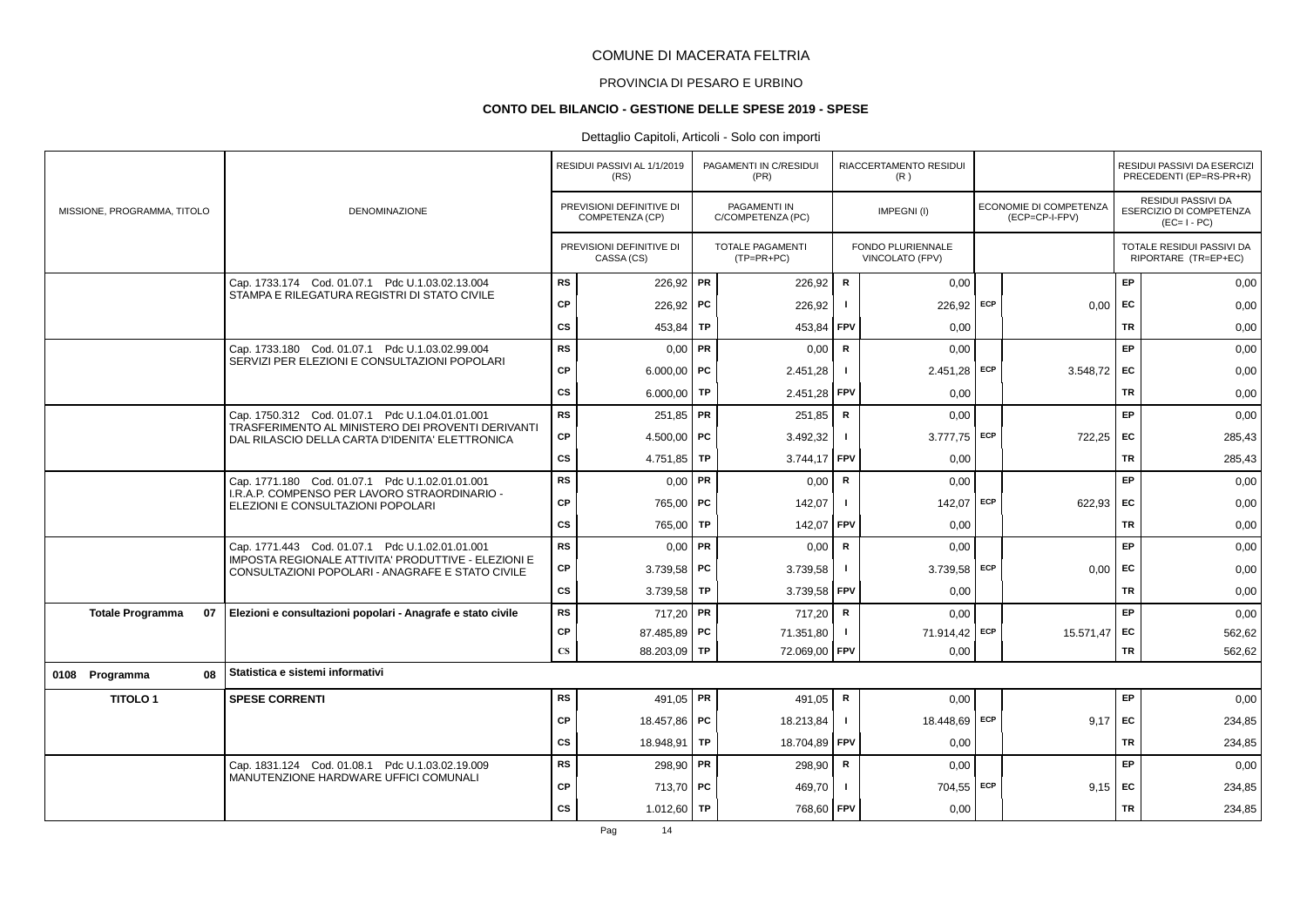# PROVINCIA DI PESARO E URBINO

#### **CONTO DEL BILANCIO - GESTIONE DELLE SPESE 2019 - SPESE**

|                               |                                                                                                         |                        | RESIDUI PASSIVI AL 1/1/2019<br>(RS)         |           | PAGAMENTI IN C/RESIDUI<br>(PR)    |              | RIACCERTAMENTO RESIDUI<br>(R)        |            |                                          |           | RESIDUI PASSIVI DA ESERCIZI<br>PRECEDENTI (EP=RS-PR+R)       |
|-------------------------------|---------------------------------------------------------------------------------------------------------|------------------------|---------------------------------------------|-----------|-----------------------------------|--------------|--------------------------------------|------------|------------------------------------------|-----------|--------------------------------------------------------------|
| MISSIONE, PROGRAMMA, TITOLO   | <b>DENOMINAZIONE</b>                                                                                    |                        | PREVISIONI DEFINITIVE DI<br>COMPETENZA (CP) |           | PAGAMENTI IN<br>C/COMPETENZA (PC) |              | IMPEGNI(I)                           |            | ECONOMIE DI COMPETENZA<br>(ECP=CP-I-FPV) |           | RESIDUI PASSIVI DA<br>ESERCIZIO DI COMPETENZA<br>$(EC=I-PC)$ |
|                               |                                                                                                         |                        | PREVISIONI DEFINITIVE DI<br>CASSA (CS)      |           | TOTALE PAGAMENTI<br>$(TP=PR+PC)$  |              | FONDO PLURIENNALE<br>VINCOLATO (FPV) |            |                                          |           | TOTALE RESIDUI PASSIVI DA<br>RIPORTARE (TR=EP+EC)            |
|                               | Cap. 1733.174 Cod. 01.07.1 Pdc U.1.03.02.13.004                                                         | <b>RS</b>              | 226,92   PR                                 |           | 226.92                            | $\mathsf{R}$ | 0.00                                 |            |                                          | EP        | 0,00                                                         |
|                               | STAMPA E RILEGATURA REGISTRI DI STATO CIVILE                                                            | <b>CP</b>              | 226,92                                      | <b>PC</b> | 226,92                            |              | 226,92                               | <b>ECP</b> | 0,00                                     | EC        | 0,00                                                         |
|                               |                                                                                                         | $\mathsf{cs}$          | 453,84                                      | TP        | 453,84                            | FPV          | 0,00                                 |            |                                          | TR        | 0,00                                                         |
|                               | Cap. 1733.180 Cod. 01.07.1 Pdc U.1.03.02.99.004                                                         | <b>RS</b>              | 0,00                                        | PR        | 0,00                              | $\mathsf{R}$ | 0,00                                 |            |                                          | EP        | 0,00                                                         |
|                               | SERVIZI PER ELEZIONI E CONSULTAZIONI POPOLARI                                                           | <b>CP</b>              | $6.000,00$ PC                               |           | 2.451,28                          |              | 2.451,28 ECP                         |            | 3.548,72                                 | EC        | 0,00                                                         |
|                               |                                                                                                         | <b>CS</b>              | 6.000,00                                    | <b>TP</b> | 2.451,28                          | <b>FPV</b>   | 0,00                                 |            |                                          | <b>TR</b> | 0,00                                                         |
|                               | Cap. 1750.312 Cod. 01.07.1 Pdc U.1.04.01.01.001                                                         | <b>RS</b>              | $251,85$ PR                                 |           | 251,85                            | ${\sf R}$    | 0,00                                 |            |                                          | EP        | 0,00                                                         |
|                               | TRASFERIMENTO AL MINISTERO DEI PROVENTI DERIVANTI<br>DAL RILASCIO DELLA CARTA D'IDENITA' ELETTRONICA    | CP                     | 4.500,00   PC                               |           | 3.492,32                          |              | $3.777,75$ ECP                       |            | 722,25                                   | EC        | 285,43                                                       |
|                               |                                                                                                         | CS                     | 4.751,85                                    | TP        | 3.744,17                          | FPV          | 0,00                                 |            |                                          | TR        | 285,43                                                       |
|                               | Cap. 1771.180 Cod. 01.07.1 Pdc U.1.02.01.01.001                                                         | <b>RS</b>              | $0.00$ PR                                   |           | 0,00                              | $\mathsf{R}$ | 0.00                                 |            |                                          | EP        | 0,00                                                         |
|                               | I.R.A.P. COMPENSO PER LAVORO STRAORDINARIO -<br>ELEZIONI E CONSULTAZIONI POPOLARI                       | <b>CP</b>              | 765,00   PC                                 |           | 142,07                            |              | 142,07                               | ECP        | 622,93                                   | <b>FC</b> | 0,00                                                         |
|                               |                                                                                                         | CS                     | 765.00                                      | TP        | 142,07                            | FPV          | 0,00                                 |            |                                          | TR        | 0,00                                                         |
|                               | Cap. 1771.443 Cod. 01.07.1 Pdc U.1.02.01.01.001                                                         | RS                     | 0,00                                        | PR        | 0,00                              | $\mathsf{R}$ | 0,00                                 |            |                                          | EP        | 0,00                                                         |
|                               | IMPOSTA REGIONALE ATTIVITA' PRODUTTIVE - ELEZIONI E<br>CONSULTAZIONI POPOLARI - ANAGRAFE E STATO CIVILE | CP                     | 3.739,58 PC                                 |           | 3.739,58                          | -1           | $3.739,58$ ECP                       |            | 0,00                                     | EC        | 0,00                                                         |
|                               |                                                                                                         | <b>CS</b>              | 3.739,58                                    | <b>TP</b> | 3.739,58 FPV                      |              | 0.00                                 |            |                                          | <b>TR</b> | 0,00                                                         |
| <b>Totale Programma</b><br>07 | Elezioni e consultazioni popolari - Anagrafe e stato civile                                             | <b>RS</b>              | 717,20 PR                                   |           | 717,20                            | $\mathbf R$  | 0,00                                 |            |                                          | EP        | 0,00                                                         |
|                               |                                                                                                         | CP                     | 87.485,89 PC                                |           | 71.351,80                         | $\mathbf{I}$ | 71.914,42 ECP                        |            | 15.571,47                                | <b>FC</b> | 562,62                                                       |
|                               |                                                                                                         | $\mathbf{C}\mathbf{S}$ | 88.203,09                                   | <b>TP</b> | 72.069,00                         | <b>FPV</b>   | 0,00                                 |            |                                          | TR        | 562,62                                                       |
| 0108 Programma<br>08          | Statistica e sistemi informativi                                                                        |                        |                                             |           |                                   |              |                                      |            |                                          |           |                                                              |
| <b>TITOLO1</b>                | <b>SPESE CORRENTI</b>                                                                                   | <b>RS</b>              | 491,05   PR                                 |           | 491,05                            | R            | 0,00                                 |            |                                          | EP        | 0,00                                                         |
|                               |                                                                                                         | <b>CP</b>              | 18.457,86 PC                                |           | 18.213,84                         | $\mathbf{I}$ | 18.448,69 ECP                        |            | 9,17                                     | EC        | 234,85                                                       |
|                               |                                                                                                         | CS                     | 18.948,91   TP                              |           | 18.704,89                         | FPV          | 0,00                                 |            |                                          | <b>TR</b> | 234,85                                                       |
|                               | Cap. 1831.124 Cod. 01.08.1 Pdc U.1.03.02.19.009<br>MANUTENZIONE HARDWARE UFFICI COMUNALI                | RS                     | 298,90 PR                                   |           | 298,90                            | ${\sf R}$    | 0,00                                 |            |                                          | EP        | 0,00                                                         |
|                               |                                                                                                         | <b>CP</b>              | 713,70 PC                                   |           | 469,70                            |              | 704,55 ECP                           |            | 9.15                                     | EC        | 234,85                                                       |
|                               |                                                                                                         | <b>CS</b>              | 1.012,60                                    | <b>TP</b> | 768,60 FPV                        |              | 0,00                                 |            |                                          | <b>TR</b> | 234,85                                                       |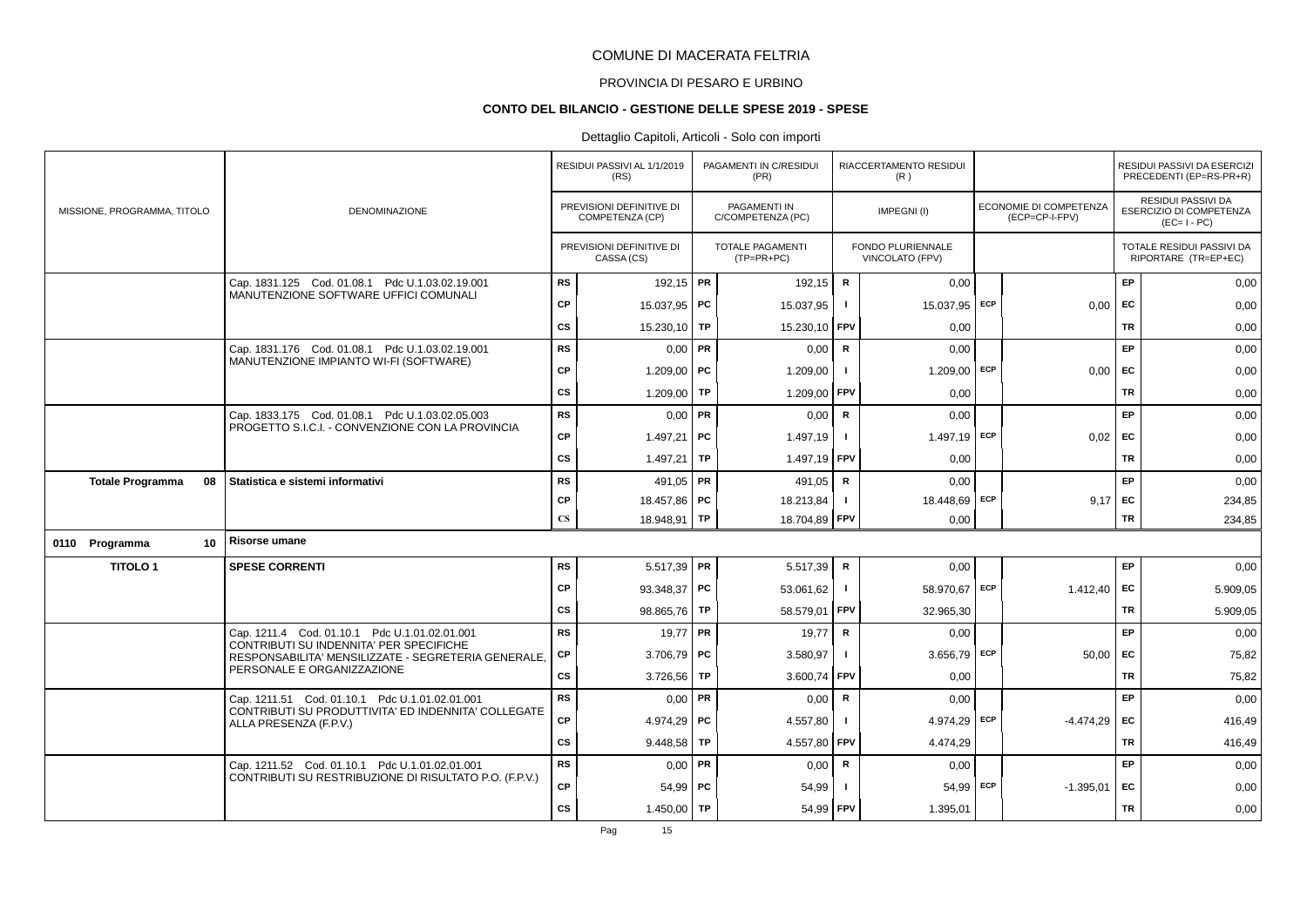#### PROVINCIA DI PESARO E URBINO

#### **CONTO DEL BILANCIO - GESTIONE DELLE SPESE 2019 - SPESE**

|                               |                                                                                                |               | RESIDUI PASSIVI AL 1/1/2019<br>(RS)         |           | PAGAMENTI IN C/RESIDUI<br>(PR)          |                | RIACCERTAMENTO RESIDUI<br>(R)        |     |                                          |           | RESIDUI PASSIVI DA ESERCIZI<br>PRECEDENTI (EP=RS-PR+R)       |
|-------------------------------|------------------------------------------------------------------------------------------------|---------------|---------------------------------------------|-----------|-----------------------------------------|----------------|--------------------------------------|-----|------------------------------------------|-----------|--------------------------------------------------------------|
| MISSIONE, PROGRAMMA, TITOLO   | <b>DENOMINAZIONE</b>                                                                           |               | PREVISIONI DEFINITIVE DI<br>COMPETENZA (CP) |           | PAGAMENTI IN<br>C/COMPETENZA (PC)       |                | IMPEGNI(I)                           |     | ECONOMIE DI COMPETENZA<br>(ECP=CP-I-FPV) |           | RESIDUI PASSIVI DA<br>ESERCIZIO DI COMPETENZA<br>$(EC=I-PC)$ |
|                               |                                                                                                |               | PREVISIONI DEFINITIVE DI<br>CASSA (CS)      |           | <b>TOTALE PAGAMENTI</b><br>$(TP=PR+PC)$ |                | FONDO PLURIENNALE<br>VINCOLATO (FPV) |     |                                          |           | TOTALE RESIDUI PASSIVI DA<br>RIPORTARE (TR=EP+EC)            |
|                               | Cap. 1831.125 Cod. 01.08.1 Pdc U.1.03.02.19.001                                                | <b>RS</b>     | 192,15 PR                                   |           | 192,15                                  | ${\sf R}$      | 0,00                                 |     |                                          | EP        | 0,00                                                         |
|                               | MANUTENZIONE SOFTWARE UFFICI COMUNALI                                                          | <b>CP</b>     | 15.037,95 PC                                |           | 15.037,95                               |                | 15.037,95                            | ECP | 0,00                                     | EC        | 0,00                                                         |
|                               |                                                                                                | <b>CS</b>     | 15.230,10                                   | TP        | 15.230,10                               | FPV            | 0,00                                 |     |                                          | TR        | 0,00                                                         |
|                               | Cap. 1831.176 Cod. 01.08.1 Pdc U.1.03.02.19.001                                                | <b>RS</b>     | 0,00                                        | PR        | 0,00                                    | R              | 0,00                                 |     |                                          | EP        | 0,00                                                         |
|                               | MANUTENZIONE IMPIANTO WI-FI (SOFTWARE)                                                         | <b>CP</b>     | 1.209,00   PC                               |           | 1.209,00                                | -1             | 1.209,00 ECP                         |     | 0,00                                     | <b>FC</b> | 0,00                                                         |
|                               |                                                                                                | <b>CS</b>     | 1.209,00                                    | <b>TP</b> | 1.209,00                                | <b>FPV</b>     | 0,00                                 |     |                                          | <b>TR</b> | 0,00                                                         |
|                               | Cap. 1833.175 Cod. 01.08.1 Pdc U.1.03.02.05.003                                                | <b>RS</b>     | $0,00$ PR                                   |           | 0,00                                    | ${\sf R}$      | 0,00                                 |     |                                          | EP        | 0,00                                                         |
|                               | PROGETTO S.I.C.I. - CONVENZIONE CON LA PROVINCIA                                               | <b>CP</b>     | 1.497,21   PC                               |           | 1.497,19                                | -1             | 1.497,19 ECP                         |     | $0.02$ EC                                |           | 0,00                                                         |
|                               |                                                                                                | CS            | 1.497,21                                    | TP        | 1.497,19                                | <b>FPV</b>     | 0,00                                 |     |                                          | TR        | 0,00                                                         |
| <b>Totale Programma</b><br>08 | Statistica e sistemi informativi                                                               | <b>RS</b>     | 491.05   PR                                 |           | 491.05                                  | $\mathsf{R}$   | 0.00                                 |     |                                          | EP        | 0,00                                                         |
|                               |                                                                                                | <b>CP</b>     | 18.457,86 PC                                |           | 18.213,84                               |                | 18.448,69 ECP                        |     | 9.17                                     | EC        | 234,85                                                       |
|                               |                                                                                                | $\mathbf{CS}$ | 18.948,91 TP                                |           | 18.704,89 FPV                           |                | 0,00                                 |     |                                          | TR        | 234,85                                                       |
| 0110 Programma<br>10          | Risorse umane                                                                                  |               |                                             |           |                                         |                |                                      |     |                                          |           |                                                              |
| <b>TITOLO1</b>                | <b>SPESE CORRENTI</b>                                                                          | <b>RS</b>     | $5.517,39$ PR                               |           | 5.517,39                                | ${\sf R}$      | 0,00                                 |     |                                          | EP        | 0,00                                                         |
|                               |                                                                                                | <b>CP</b>     | 93.348,37   PC                              |           | 53.061.62                               | $\mathbf{I}$   | 58.970,67 ECP                        |     | 1.412.40                                 | <b>FC</b> | 5.909,05                                                     |
|                               |                                                                                                | <b>CS</b>     | 98.865,76                                   | TP        | 58.579,01                               | <b>FPV</b>     | 32.965,30                            |     |                                          | TR        | 5.909,05                                                     |
|                               | Cap. 1211.4 Cod. 01.10.1 Pdc U.1.01.02.01.001                                                  | RS            | $19,77$ PR                                  |           | 19,77                                   | ${\sf R}$      | 0,00                                 |     |                                          | EP        | 0,00                                                         |
|                               | CONTRIBUTI SU INDENNITA' PER SPECIFICHE<br>RESPONSABILITA' MENSILIZZATE - SEGRETERIA GENERALE, | СP            | $3.706,79$ PC                               |           | 3.580,97                                |                | 3.656,79 ECP                         |     | 50,00                                    | EC        | 75,82                                                        |
|                               | PERSONALE E ORGANIZZAZIONE                                                                     | CS            | 3.726,56                                    | TP        | 3.600,74                                | <b>FPV</b>     | 0,00                                 |     |                                          | TR        | 75,82                                                        |
|                               | Cap. 1211.51 Cod. 01.10.1 Pdc U.1.01.02.01.001                                                 | <b>RS</b>     | $0,00$ PR                                   |           | 0,00                                    | R              | 0,00                                 |     |                                          | EP        | 0,00                                                         |
|                               | CONTRIBUTI SU PRODUTTIVITA' ED INDENNITA' COLLEGATE<br>ALLA PRESENZA (F.P.V.)                  | CP            | 4.974,29 PC                                 |           | 4.557,80                                | $\blacksquare$ | 4.974,29 ECP                         |     | $-4.474,29$                              | EC        | 416,49                                                       |
|                               |                                                                                                | <b>CS</b>     | 9.448.58                                    | TP        | 4.557,80                                | FPV            | 4.474,29                             |     |                                          | <b>TR</b> | 416,49                                                       |
|                               | Cap. 1211.52 Cod. 01.10.1 Pdc U.1.01.02.01.001                                                 | <b>RS</b>     | 0,00                                        | PR        | 0,00                                    | ${\sf R}$      | 0,00                                 |     |                                          | EP        | 0,00                                                         |
|                               | CONTRIBUTI SU RESTRIBUZIONE DI RISULTATO P.O. (F.P.V.)                                         | <b>CP</b>     | $54,99$ PC                                  |           | 54,99                                   |                | 54,99 ECP                            |     | $-1.395,01$                              | <b>FC</b> | 0,00                                                         |
|                               |                                                                                                | <b>CS</b>     | 1.450,00                                    | TP        | 54,99                                   | <b>FPV</b>     | 1.395,01                             |     |                                          | <b>TR</b> | 0,00                                                         |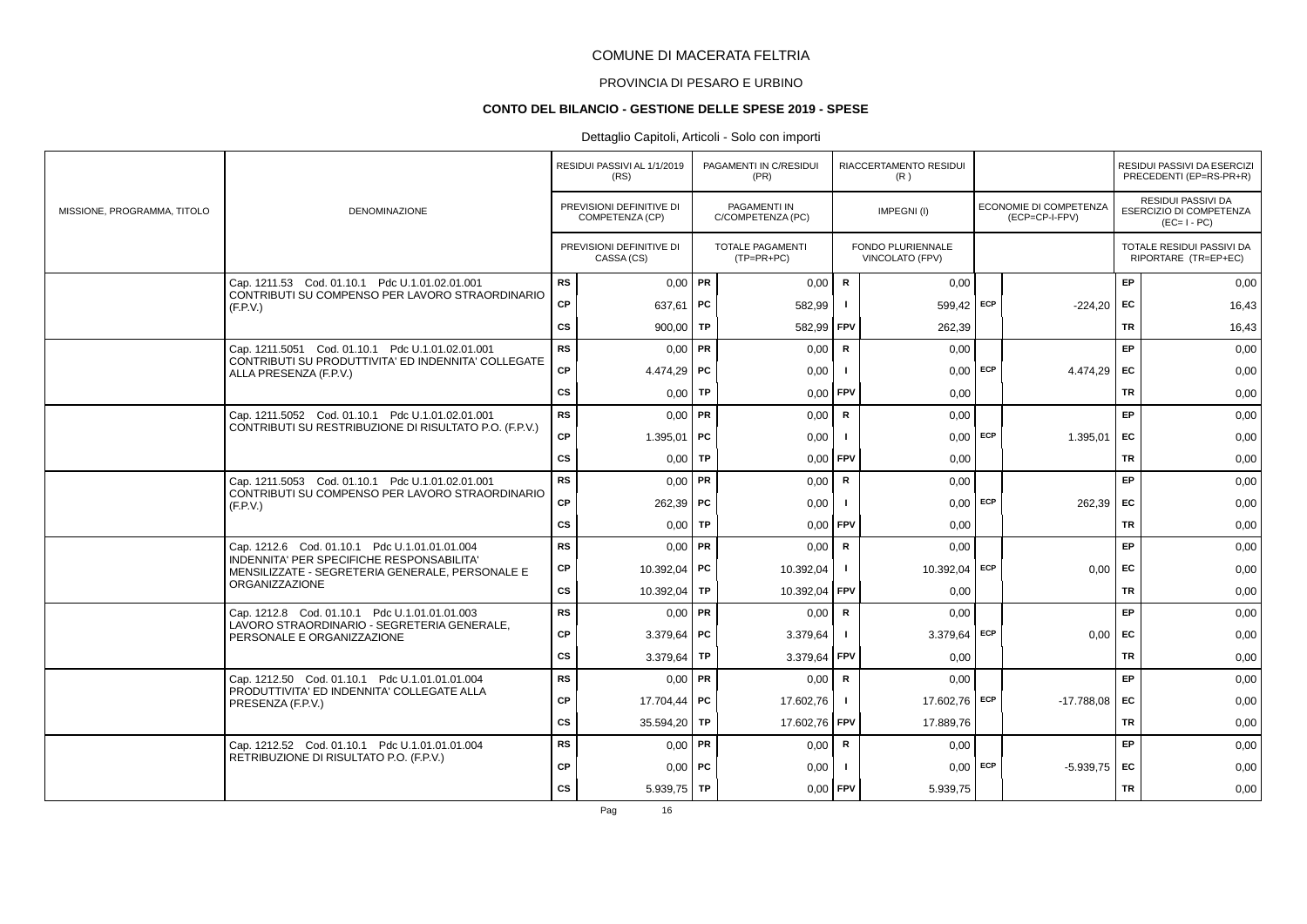# PROVINCIA DI PESARO E URBINO

#### **CONTO DEL BILANCIO - GESTIONE DELLE SPESE 2019 - SPESE**

### Dettaglio Capitoli, Articoli - Solo con importi

|                             |                                                                                                         |               | RESIDUI PASSIVI AL 1/1/2019<br>(RS)         |           | PAGAMENTI IN C/RESIDUI<br>(PR)           |              | RIACCERTAMENTO RESIDUI<br>(R)        |     |                                          |           | RESIDUI PASSIVI DA ESERCIZI<br>PRECEDENTI (EP=RS-PR+R)                     |
|-----------------------------|---------------------------------------------------------------------------------------------------------|---------------|---------------------------------------------|-----------|------------------------------------------|--------------|--------------------------------------|-----|------------------------------------------|-----------|----------------------------------------------------------------------------|
| MISSIONE, PROGRAMMA, TITOLO | <b>DENOMINAZIONE</b>                                                                                    |               | PREVISIONI DEFINITIVE DI<br>COMPETENZA (CP) |           | <b>PAGAMENTI IN</b><br>C/COMPETENZA (PC) |              | IMPEGNI (I)                          |     | ECONOMIE DI COMPETENZA<br>(ECP=CP-I-FPV) |           | <b>RESIDUI PASSIVI DA</b><br><b>ESERCIZIO DI COMPETENZA</b><br>$(EC=I-PC)$ |
|                             |                                                                                                         |               | PREVISIONI DEFINITIVE DI<br>CASSA (CS)      |           | TOTALE PAGAMENTI<br>$(TP=PR+PC)$         |              | FONDO PLURIENNALE<br>VINCOLATO (FPV) |     |                                          |           | TOTALE RESIDUI PASSIVI DA<br>RIPORTARE (TR=EP+EC)                          |
|                             | Cap. 1211.53 Cod. 01.10.1 Pdc U.1.01.02.01.001                                                          | <b>RS</b>     | $0.00$ PR                                   |           | 0,00                                     | $\mathsf{R}$ | 0,00                                 |     |                                          | EP        | 0,00                                                                       |
|                             | CONTRIBUTI SU COMPENSO PER LAVORO STRAORDINARIO<br>(F P V)                                              | <b>CP</b>     | 637,61   PC                                 |           | 582,99                                   | $\mathbf{I}$ | 599,42 ECP                           |     | $-224,20$                                | EC        | 16,43                                                                      |
|                             |                                                                                                         | $\mathsf{cs}$ | 900,00   TP                                 |           | 582,99                                   | <b>FPV</b>   | 262.39                               |     |                                          | TR        | 16,43                                                                      |
|                             | Cap. 1211.5051 Cod. 01.10.1 Pdc U.1.01.02.01.001<br>CONTRIBUTI SU PRODUTTIVITA' ED INDENNITA' COLLEGATE | <b>RS</b>     | $0,00$ PR                                   |           | 0,00                                     | ${\sf R}$    | 0,00                                 |     |                                          | EP        | 0,00                                                                       |
|                             | ALLA PRESENZA (F.P.V.)                                                                                  | CP            | $4.474.29$ PC                               |           | 0,00                                     |              | $0,00$ ECP                           |     | 4.474.29                                 | EC        | 0,00                                                                       |
|                             |                                                                                                         | $\mathsf{cs}$ | 0.00 <sub>1</sub>                           | TP        | 0,00                                     | <b>FPV</b>   | 0,00                                 |     |                                          | TR        | 0,00                                                                       |
|                             | Cap. 1211.5052 Cod. 01.10.1 Pdc U.1.01.02.01.001                                                        | <b>RS</b>     | $0.00$ PR                                   |           | 0,00                                     | R            | 0,00                                 |     |                                          | <b>EP</b> | 0,00                                                                       |
|                             | CONTRIBUTI SU RESTRIBUZIONE DI RISULTATO P.O. (F.P.V.)                                                  | <b>CP</b>     | 1.395,01                                    | PC        | 0,00                                     | - 1          | $0,00$ ECP                           |     | 1.395,01                                 | EC        | 0,00                                                                       |
|                             |                                                                                                         | $\mathsf{cs}$ | 0,00                                        | <b>TP</b> | 0,00                                     | <b>FPV</b>   | 0,00                                 |     |                                          | <b>TR</b> | 0,00                                                                       |
|                             | Cap. 1211.5053 Cod. 01.10.1 Pdc U.1.01.02.01.001                                                        | <b>RS</b>     | $0,00$ PR                                   |           | 0,00                                     | R            | 0,00                                 |     |                                          | EP        | 0,00                                                                       |
|                             | CONTRIBUTI SU COMPENSO PER LAVORO STRAORDINARIO<br>(F.P.V.)                                             | CP            | $262,39$ PC                                 |           | 0,00                                     | $\mathbf{I}$ | $0.00$ ECP                           |     | 262,39                                   | EC        | 0,00                                                                       |
|                             |                                                                                                         | <b>CS</b>     | $0,00$ TP                                   |           | 0,00                                     | <b>FPV</b>   | 0,00                                 |     |                                          | TR        | 0,00                                                                       |
|                             | Cap. 1212.6 Cod. 01.10.1 Pdc U.1.01.01.01.004                                                           | <b>RS</b>     | $0.00$ PR                                   |           | 0,00                                     | R            | 0,00                                 |     |                                          | <b>EP</b> | 0,00                                                                       |
|                             | INDENNITA' PER SPECIFICHE RESPONSABILITA'<br>MENSILIZZATE - SEGRETERIA GENERALE, PERSONALE E            | СP            | 10.392,04                                   | PC        | 10.392,04                                | $\mathbf{I}$ | 10.392,04 ECP                        |     | 0,00                                     | EC        | 0,00                                                                       |
|                             | <b>ORGANIZZAZIONE</b>                                                                                   | <b>CS</b>     | 10.392,04                                   | TP        | 10.392,04                                | FPV          | 0,00                                 |     |                                          | <b>TR</b> | 0,00                                                                       |
|                             | Cap. 1212.8 Cod. 01.10.1 Pdc U.1.01.01.01.003                                                           | <b>RS</b>     | $0,00$ PR                                   |           | 0,00                                     | R            | 0,00                                 |     |                                          | EP        | 0,00                                                                       |
|                             | LAVORO STRAORDINARIO - SEGRETERIA GENERALE,<br>PERSONALE E ORGANIZZAZIONE                               | CP            | 3.379,64   PC                               |           | 3.379,64                                 | $\mathbf{I}$ | 3.379,64 ECP                         |     | 0,00                                     | <b>FC</b> | 0,00                                                                       |
|                             |                                                                                                         | cs            | 3.379,64                                    | TP        | 3.379,64                                 | FPV          | 0,00                                 |     |                                          | TR        | 0,00                                                                       |
|                             | Cap. 1212.50 Cod. 01.10.1 Pdc U.1.01.01.01.004<br>PRODUTTIVITA' ED INDENNITA' COLLEGATE ALLA            | <b>RS</b>     | $0,00$ PR                                   |           | 0,00                                     | ${\sf R}$    | 0.00                                 |     |                                          | EP        | 0,00                                                                       |
|                             | PRESENZA (F.P.V.)                                                                                       | <b>CP</b>     | 17.704.44                                   | PC        | 17.602.76                                | $\mathbf{I}$ | 17.602,76 ECP                        |     | $-17.788.08$                             | EC        | 0,00                                                                       |
|                             |                                                                                                         | <b>CS</b>     | 35.594,20                                   | TP        | 17.602,76 FPV                            |              | 17.889,76                            |     |                                          | TR        | 0,00                                                                       |
|                             | Cap. 1212.52 Cod. 01.10.1 Pdc U.1.01.01.01.004                                                          | <b>RS</b>     | $0,00$ PR                                   |           | 0,00                                     | R            | 0,00                                 |     |                                          | <b>EP</b> | 0,00                                                                       |
|                             | RETRIBUZIONE DI RISULTATO P.O. (F.P.V.)                                                                 | <b>CP</b>     | $0,00$   PC                                 |           | 0,00                                     |              | 0,00                                 | ECP | $-5.939.75$                              | EC        | 0,00                                                                       |
|                             |                                                                                                         | $\mathsf{cs}$ | $5.939.75$ TP                               |           | 0,00                                     | <b>FPV</b>   | 5.939,75                             |     |                                          | <b>TR</b> | 0,00                                                                       |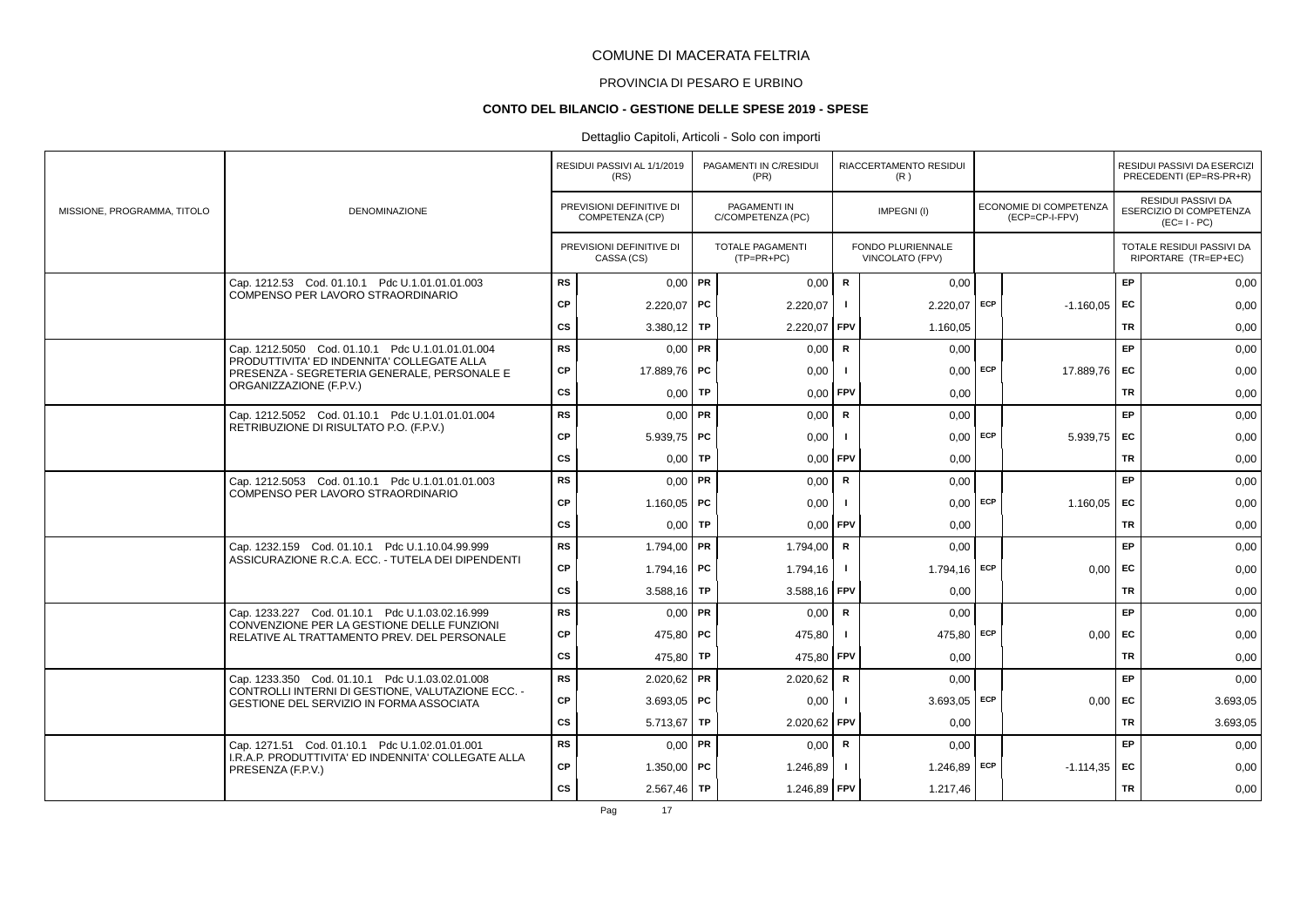# PROVINCIA DI PESARO E URBINO

#### **CONTO DEL BILANCIO - GESTIONE DELLE SPESE 2019 - SPESE**

### Dettaglio Capitoli, Articoli - Solo con importi

|                             |                                                                                                                            |           | RESIDUI PASSIVI AL 1/1/2019<br>(RS)         | PAGAMENTI IN C/RESIDUI<br>(PR)           |              | RIACCERTAMENTO RESIDUI<br>(R)        |                                                 |           | RESIDUI PASSIVI DA ESERCIZI<br>PRECEDENTI (EP=RS-PR+R)              |
|-----------------------------|----------------------------------------------------------------------------------------------------------------------------|-----------|---------------------------------------------|------------------------------------------|--------------|--------------------------------------|-------------------------------------------------|-----------|---------------------------------------------------------------------|
| MISSIONE, PROGRAMMA, TITOLO | <b>DENOMINAZIONE</b>                                                                                                       |           | PREVISIONI DEFINITIVE DI<br>COMPETENZA (CP) | <b>PAGAMENTI IN</b><br>C/COMPETENZA (PC) |              | IMPEGNI(I)                           | <b>ECONOMIE DI COMPETENZA</b><br>(ECP=CP-I-FPV) |           | RESIDUI PASSIVI DA<br><b>ESERCIZIO DI COMPETENZA</b><br>$(EC=I-PC)$ |
|                             |                                                                                                                            |           | PREVISIONI DEFINITIVE DI<br>CASSA (CS)      | TOTALE PAGAMENTI<br>$(TP=PR+PC)$         |              | FONDO PLURIENNALE<br>VINCOLATO (FPV) |                                                 |           | TOTALE RESIDUI PASSIVI DA<br>RIPORTARE (TR=EP+EC)                   |
|                             | Cap. 1212.53 Cod. 01.10.1 Pdc U.1.01.01.01.003                                                                             | <b>RS</b> | $0,00$ PR                                   | 0,00                                     | ${\sf R}$    | 0,00                                 |                                                 | EP        | 0,00                                                                |
|                             | COMPENSO PER LAVORO STRAORDINARIO                                                                                          | <b>CP</b> | 2.220,07   PC                               | 2.220,07                                 | $\mathbf{I}$ | 2.220,07 ECP                         | $-1.160,05$                                     | EC        | 0,00                                                                |
|                             |                                                                                                                            | CS        | 3.380,12   TP                               | 2.220,07                                 | FPV          | 1.160.05                             |                                                 | <b>TR</b> | 0,00                                                                |
|                             | Cap. 1212.5050 Cod. 01.10.1 Pdc U.1.01.01.01.004<br>PRODUTTIVITA' ED INDENNITA' COLLEGATE ALLA                             | <b>RS</b> | $0,00$ PR                                   | 0,00                                     | $\mathbf R$  | 0,00                                 |                                                 | EP        | 0,00                                                                |
|                             | PRESENZA - SEGRETERIA GENERALE, PERSONALE E                                                                                | CP        | 17.889,76 PC                                | 0,00                                     |              | $0,00$ ECP                           | 17.889.76                                       | EC        | 0,00                                                                |
|                             | ORGANIZZAZIONE (F.P.V.)                                                                                                    | CS        | $0,00$ TP                                   | 0,00                                     | FPV          | 0,00                                 |                                                 | <b>TR</b> | 0,00                                                                |
|                             | Cap. 1212.5052 Cod. 01.10.1 Pdc U.1.01.01.01.004<br>RETRIBUZIONE DI RISULTATO P.O. (F.P.V.)                                | <b>RS</b> | $0.00$ PR                                   | 0,00                                     | R            | 0,00                                 |                                                 | EP        | 0,00                                                                |
|                             |                                                                                                                            | <b>CP</b> | $5.939.75$ PC                               | 0,00                                     | -1           | $0,00$ ECP                           | 5.939,75                                        | EC        | 0,00                                                                |
|                             |                                                                                                                            | <b>CS</b> | $0,00$ TP                                   | 0,00                                     | <b>FPV</b>   | 0,00                                 |                                                 | <b>TR</b> | 0,00                                                                |
|                             | Cap. 1212.5053 Cod. 01.10.1 Pdc U.1.01.01.01.003<br>COMPENSO PER LAVORO STRAORDINARIO                                      | <b>RS</b> | $0,00$ PR                                   | 0,00                                     | R            | 0,00                                 |                                                 | EP        | 0,00                                                                |
|                             |                                                                                                                            | <b>CP</b> | 1.160,05   PC                               | 0,00                                     | -1           | $0,00$ ECP                           | 1.160,05                                        | EC        | 0,00                                                                |
|                             |                                                                                                                            | CS        | $0,00$ TP                                   | 0,00                                     | FPV          | 0.00                                 |                                                 | <b>TR</b> | 0,00                                                                |
|                             | Cap. 1232.159 Cod. 01.10.1 Pdc U.1.10.04.99.999                                                                            | <b>RS</b> | 1.794,00   PR                               | 1.794,00                                 | R            | 0,00                                 |                                                 | EP        | 0,00                                                                |
|                             | ASSICURAZIONE R.C.A. ECC. - TUTELA DEI DIPENDENTI                                                                          | CP        | 1.794,16   PC                               | 1.794,16                                 | $\mathbf{I}$ | 1.794,16 ECP                         | 0.00                                            | EC        | 0,00                                                                |
|                             |                                                                                                                            | <b>CS</b> | 3.588,16   TP                               | 3.588,16                                 | FPV          | 0.00                                 |                                                 | <b>TR</b> | 0,00                                                                |
|                             | Cap. 1233.227 Cod. 01.10.1 Pdc U.1.03.02.16.999<br>CONVENZIONE PER LA GESTIONE DELLE FUNZIONI                              | <b>RS</b> | $0.00$ PR                                   | 0,00                                     | R            | 0,00                                 |                                                 | EP        | 0,00                                                                |
|                             | RELATIVE AL TRATTAMENTO PREV. DEL PERSONALE                                                                                | <b>CP</b> | 475,80 PC                                   | 475,80                                   | $\mathbf{I}$ | 475,80 ECP                           | 0,00                                            | EC        | 0,00                                                                |
|                             |                                                                                                                            | <b>CS</b> | 475,80 TP                                   | 475,80                                   | l FPV        | 0,00                                 |                                                 | <b>TR</b> | 0,00                                                                |
|                             | Cap. 1233.350 Cod. 01.10.1 Pdc U.1.03.02.01.008<br>CONTROLLI INTERNI DI GESTIONE. VALUTAZIONE ECC. -                       | <b>RS</b> | $2.020,62$ PR                               | 2.020,62                                 | R            | 0,00                                 |                                                 | EP        | 0,00                                                                |
|                             | GESTIONE DEL SERVIZIO IN FORMA ASSOCIATA                                                                                   | CP        | 3.693,05   PC                               | 0,00                                     | $\mathbf{I}$ | 3.693,05 ECP                         | 0,00                                            | EC        | 3.693,05                                                            |
|                             |                                                                                                                            | <b>CS</b> | 5.713,67   TP                               | 2.020,62                                 | FPV          | 0.00                                 |                                                 | <b>TR</b> | 3.693,05                                                            |
|                             | Cap. 1271.51 Cod. 01.10.1 Pdc U.1.02.01.01.001<br>I.R.A.P. PRODUTTIVITA' ED INDENNITA' COLLEGATE ALLA<br>PRESENZA (F.P.V.) | <b>RS</b> | $0,00$ PR                                   | 0,00                                     | R            | 0,00                                 |                                                 | EP        | 0,00                                                                |
|                             |                                                                                                                            | CP        | $1.350,00$ PC                               | 1.246,89                                 | -1           | $1.246,89$ ECP                       | $-1.114,35$                                     | EC        | 0,00                                                                |
|                             |                                                                                                                            | <b>CS</b> | $2.567,46$ TP                               | 1.246,89 FPV                             |              | 1.217,46                             |                                                 | <b>TR</b> | 0,00                                                                |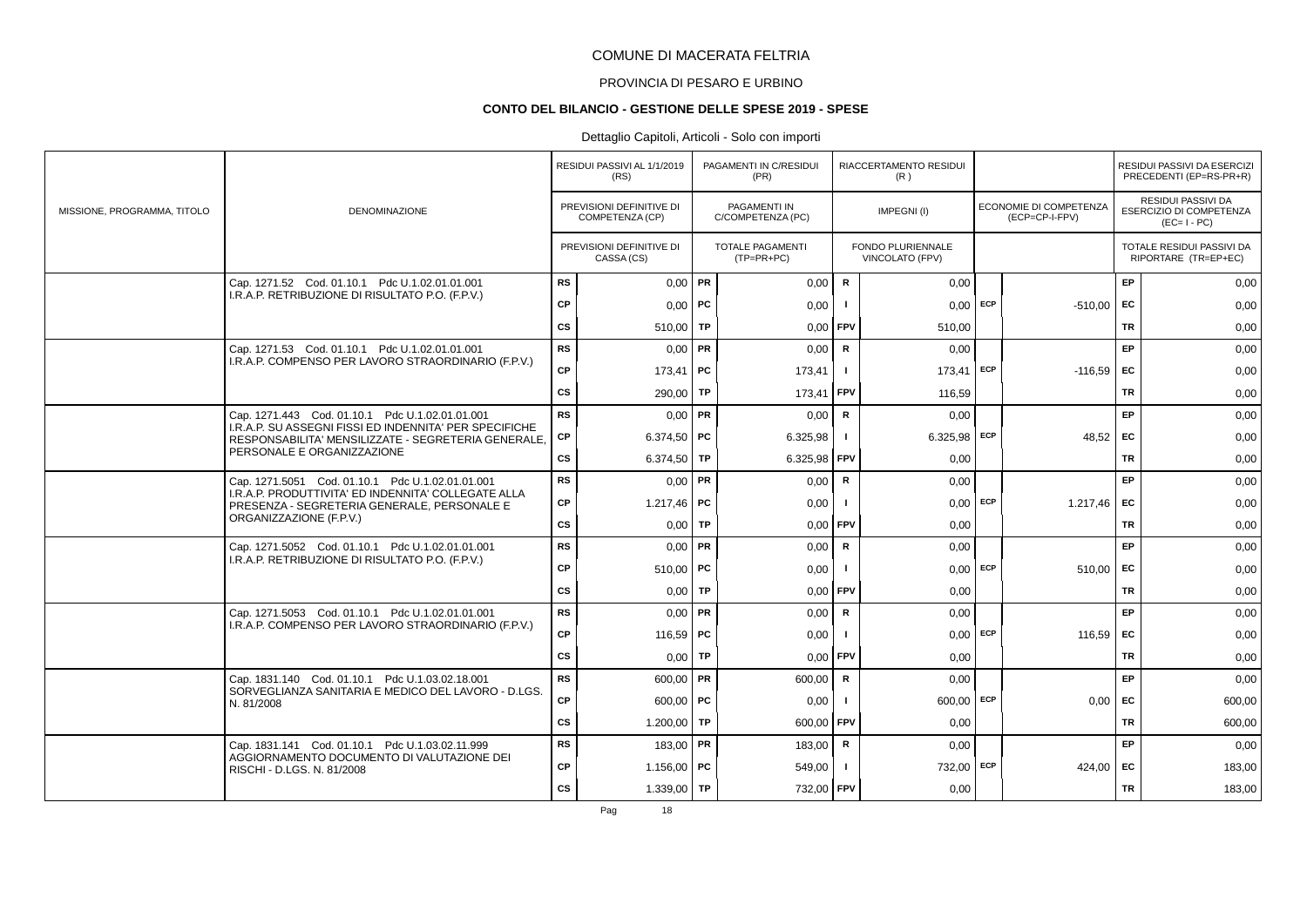# PROVINCIA DI PESARO E URBINO

#### **CONTO DEL BILANCIO - GESTIONE DELLE SPESE 2019 - SPESE**

### Dettaglio Capitoli, Articoli - Solo con importi

|                             |                                                                                                                             |           | RESIDUI PASSIVI AL 1/1/2019<br>(RS)         |    | PAGAMENTI IN C/RESIDUI<br>(PR)           |              | RIACCERTAMENTO RESIDUI<br>(R)        |     |                                                 |           | RESIDUI PASSIVI DA ESERCIZI<br>PRECEDENTI (EP=RS-PR+R)       |
|-----------------------------|-----------------------------------------------------------------------------------------------------------------------------|-----------|---------------------------------------------|----|------------------------------------------|--------------|--------------------------------------|-----|-------------------------------------------------|-----------|--------------------------------------------------------------|
| MISSIONE, PROGRAMMA, TITOLO | <b>DENOMINAZIONE</b>                                                                                                        |           | PREVISIONI DEFINITIVE DI<br>COMPETENZA (CP) |    | <b>PAGAMENTI IN</b><br>C/COMPETENZA (PC) |              | IMPEGNI(I)                           |     | <b>ECONOMIE DI COMPETENZA</b><br>(ECP=CP-I-FPV) |           | RESIDUI PASSIVI DA<br>ESERCIZIO DI COMPETENZA<br>$(EC=I-PC)$ |
|                             |                                                                                                                             |           | PREVISIONI DEFINITIVE DI<br>CASSA (CS)      |    | TOTALE PAGAMENTI<br>$(TP=PR+PC)$         |              | FONDO PLURIENNALE<br>VINCOLATO (FPV) |     |                                                 |           | TOTALE RESIDUI PASSIVI DA<br>RIPORTARE (TR=EP+EC)            |
|                             | Cap. 1271.52 Cod. 01.10.1 Pdc U.1.02.01.01.001                                                                              | <b>RS</b> | $0,00$ PR                                   |    | 0,00                                     | $\mathsf R$  | 0,00                                 |     |                                                 | EP        | 0,00                                                         |
|                             | I.R.A.P. RETRIBUZIONE DI RISULTATO P.O. (F.P.V.)                                                                            | <b>CP</b> | $0,00$   PC                                 |    | 0,00                                     | $\mathbf{I}$ | $0,00$ ECP                           |     | -510,00                                         | EC        | 0,00                                                         |
|                             |                                                                                                                             | cs        | 510,00   TP                                 |    | 0,00                                     | FPV          | 510.00                               |     |                                                 | <b>TR</b> | 0,00                                                         |
|                             | Cap. 1271.53 Cod. 01.10.1 Pdc U.1.02.01.01.001<br>I.R.A.P. COMPENSO PER LAVORO STRAORDINARIO (F.P.V.)                       | <b>RS</b> | $0,00$ PR                                   |    | 0.00                                     | $\mathbf R$  | 0.00                                 |     |                                                 | EP        | 0,00                                                         |
|                             |                                                                                                                             | <b>CP</b> | 173,41                                      | PC | 173,41                                   |              | $173,41$ ECP                         |     | $-116,59$                                       | <b>FC</b> | 0,00                                                         |
|                             |                                                                                                                             | CS        | 290,00   TP                                 |    | 173,41                                   | FPV          | 116.59                               |     |                                                 | <b>TR</b> | 0,00                                                         |
|                             | Cap. 1271.443 Cod. 01.10.1 Pdc U.1.02.01.01.001<br>I.R.A.P. SU ASSEGNI FISSI ED INDENNITA' PER SPECIFICHE                   | <b>RS</b> | $0,00$ PR                                   |    | 0,00                                     | $\mathsf{R}$ | 0,00                                 |     |                                                 | EP        | 0,00                                                         |
|                             | RESPONSABILITA' MENSILIZZATE - SEGRETERIA GENERALE.                                                                         | CP        | 6.374,50   PC                               |    | 6.325,98                                 | $\mathbf{I}$ | $6.325,98$ ECP                       |     | 48,52                                           | <b>FC</b> | 0,00                                                         |
|                             | PERSONALE E ORGANIZZAZIONE                                                                                                  | CS        | 6.374,50 TP                                 |    | 6.325,98                                 | FPV          | 0,00                                 |     |                                                 | <b>TR</b> | 0,00                                                         |
|                             | Cap. 1271.5051 Cod. 01.10.1 Pdc U.1.02.01.01.001<br>I.R.A.P. PRODUTTIVITA' ED INDENNITA' COLLEGATE ALLA                     | <b>RS</b> | $0,00$ PR                                   |    | 0,00                                     | $\mathsf R$  | 0,00                                 |     |                                                 | EP        | 0,00                                                         |
|                             | PRESENZA - SEGRETERIA GENERALE, PERSONALE E                                                                                 | CP        | 1.217.46   PC                               |    | 0,00                                     | -1           | $0,00$ ECP                           |     | 1.217.46                                        | <b>FC</b> | 0,00                                                         |
|                             | ORGANIZZAZIONE (F.P.V.)                                                                                                     | CS        | $0,00$ TP                                   |    | 0,00                                     | <b>FPV</b>   | 0,00                                 |     |                                                 | <b>TR</b> | 0,00                                                         |
|                             | Cap. 1271.5052 Cod. 01.10.1 Pdc U.1.02.01.01.001<br>I.R.A.P. RETRIBUZIONE DI RISULTATO P.O. (F.P.V.)                        | <b>RS</b> | $0,00$ PR                                   |    | 0,00                                     | $\mathsf{R}$ | 0,00                                 |     |                                                 | EP        | 0,00                                                         |
|                             |                                                                                                                             | <b>CP</b> | 510,00   PC                                 |    | 0,00                                     | L.           | $0.00$ ECP                           |     | 510,00                                          | EC        | 0,00                                                         |
|                             |                                                                                                                             | <b>CS</b> | $0,00$ TP                                   |    | 0,00                                     | FPV          | 0,00                                 |     |                                                 | <b>TR</b> | 0,00                                                         |
|                             | Cap. 1271.5053 Cod. 01.10.1 Pdc U.1.02.01.01.001<br>I.R.A.P. COMPENSO PER LAVORO STRAORDINARIO (F.P.V.)                     | <b>RS</b> | $0.00$ PR                                   |    | 0,00                                     | R            | 0,00                                 |     |                                                 | EP        | 0,00                                                         |
|                             |                                                                                                                             | <b>CP</b> | 116,59   PC                                 |    | 0,00                                     | $\mathbf{I}$ | 0,00                                 | ECP | 116,59                                          | EC        | 0,00                                                         |
|                             |                                                                                                                             | cs        | 0,00                                        | TP | 0,00                                     | FPV          | 0,00                                 |     |                                                 | TR        | 0,00                                                         |
|                             | Cap. 1831.140 Cod. 01.10.1 Pdc U.1.03.02.18.001<br>SORVEGLIANZA SANITARIA E MEDICO DEL LAVORO - D.LGS.                      | <b>RS</b> | $600,00$ PR                                 |    | 600,00                                   | $\mathbf R$  | 0,00                                 |     |                                                 | EP        | 0,00                                                         |
|                             | N. 81/2008                                                                                                                  | CP        | $600,00$ PC                                 |    | 0,00                                     |              | $600,00$ ECP                         |     | 0.00                                            | EC        | 600,00                                                       |
|                             |                                                                                                                             | CS        | 1.200,00   TP                               |    | 600,00                                   | FPV          | 0.00                                 |     |                                                 | TR        | 600,00                                                       |
|                             | Cap. 1831.141 Cod. 01.10.1 Pdc U.1.03.02.11.999<br>AGGIORNAMENTO DOCUMENTO DI VALUTAZIONE DEI<br>RISCHI - D.LGS. N. 81/2008 | <b>RS</b> | 183,00 PR                                   |    | 183,00                                   | R            | 0,00                                 |     |                                                 | EP        | 0,00                                                         |
|                             |                                                                                                                             | <b>CP</b> | 1.156,00   PC                               |    | 549,00                                   | - 1          | 732,00 ECP                           |     | 424,00                                          | EC        | 183,00                                                       |
|                             |                                                                                                                             | <b>CS</b> | 1.339,00 TP                                 |    | 732,00 FPV                               |              | 0,00                                 |     |                                                 | <b>TR</b> | 183,00                                                       |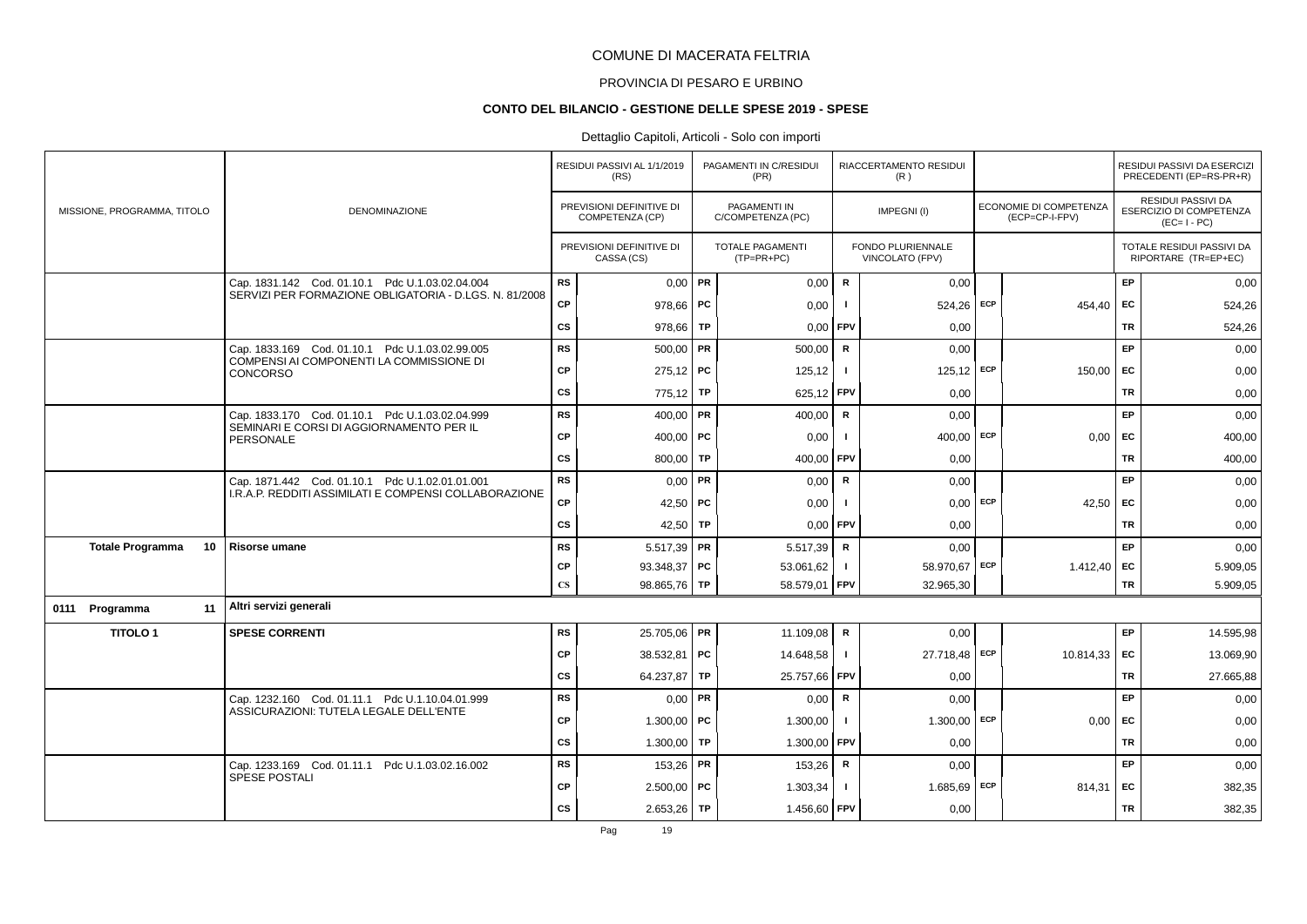# PROVINCIA DI PESARO E URBINO

#### **CONTO DEL BILANCIO - GESTIONE DELLE SPESE 2019 - SPESE**

### Dettaglio Capitoli, Articoli - Solo con importi

|                               |                                                              |                        | RESIDUI PASSIVI AL 1/1/2019<br>(RS)         |           | PAGAMENTI IN C/RESIDUI<br>(PR)           |                | RIACCERTAMENTO RESIDUI<br>(R)        |     |                                          |           | RESIDUI PASSIVI DA ESERCIZI<br>PRECEDENTI (EP=RS-PR+R)              |
|-------------------------------|--------------------------------------------------------------|------------------------|---------------------------------------------|-----------|------------------------------------------|----------------|--------------------------------------|-----|------------------------------------------|-----------|---------------------------------------------------------------------|
| MISSIONE, PROGRAMMA, TITOLO   | DENOMINAZIONE                                                |                        | PREVISIONI DEFINITIVE DI<br>COMPETENZA (CP) |           | <b>PAGAMENTI IN</b><br>C/COMPETENZA (PC) |                | IMPEGNI(I)                           |     | ECONOMIE DI COMPETENZA<br>(ECP=CP-I-FPV) |           | <b>RESIDUI PASSIVI DA</b><br>ESERCIZIO DI COMPETENZA<br>$(EC=I-PC)$ |
|                               |                                                              |                        | PREVISIONI DEFINITIVE DI<br>CASSA (CS)      |           | <b>TOTALE PAGAMENTI</b><br>$(TP=PR+PC)$  |                | FONDO PLURIENNALE<br>VINCOLATO (FPV) |     |                                          |           | TOTALE RESIDUI PASSIVI DA<br>RIPORTARE (TR=EP+EC)                   |
|                               | Cap. 1831.142 Cod. 01.10.1 Pdc U.1.03.02.04.004              | <b>RS</b>              | $0.00$ PR                                   |           | 0,00                                     | $\mathbf R$    | 0,00                                 |     |                                          | EP        | 0,00                                                                |
|                               | SERVIZI PER FORMAZIONE OBLIGATORIA - D.LGS. N. 81/2008       | <b>CP</b>              | $978,66$ PC                                 |           | 0,00                                     |                | 524,26                               | ECP | 454,40                                   | EC        | 524,26                                                              |
|                               |                                                              | CS                     | 978,66                                      | TP        | 0,00                                     | FPV            | 0,00                                 |     |                                          | TR        | 524,26                                                              |
|                               | Cap. 1833.169 Cod. 01.10.1 Pdc U.1.03.02.99.005              | <b>RS</b>              | 500,00                                      | FR.       | 500,00                                   | R              | 0,00                                 |     |                                          | EP        | 0,00                                                                |
|                               | COMPENSI AI COMPONENTI LA COMMISSIONE DI<br><b>CONCORSO</b>  | <b>CP</b>              | $275,12$ PC                                 |           | 125,12                                   | $\mathbf{I}$   | $125,12$ ECP                         |     | 150,00                                   | EC        | 0,00                                                                |
|                               |                                                              | <b>CS</b>              | 775,12 TP                                   |           | 625,12 FPV                               |                | 0,00                                 |     |                                          | <b>TR</b> | 0,00                                                                |
|                               | Cap. 1833.170 Cod. 01.10.1 Pdc U.1.03.02.04.999              | <b>RS</b>              | 400,00   PR                                 |           | 400,00                                   | R              | 0,00                                 |     |                                          | EP        | 0,00                                                                |
|                               | SEMINARI E CORSI DI AGGIORNAMENTO PER IL<br><b>PERSONALE</b> | <b>CP</b>              | 400,00   PC                                 |           | 0,00                                     | $\blacksquare$ | 400,00                               | ECP | 0,00                                     | EC        | 400,00                                                              |
|                               |                                                              | <b>CS</b>              | 800,00                                      | TP        | 400,00                                   | FPV            | 0,00                                 |     |                                          | <b>TR</b> | 400,00                                                              |
|                               | Cap. 1871.442 Cod. 01.10.1 Pdc U.1.02.01.01.001              | <b>RS</b>              | $0,00$ PR                                   |           | 0,00                                     | $\mathsf{R}$   | 0,00                                 |     |                                          | EP        | 0,00                                                                |
|                               | I.R.A.P. REDDITI ASSIMILATI E COMPENSI COLLABORAZIONE        | <b>CP</b>              | 42,50   PC                                  |           | 0,00                                     |                | $0,00$ ECP                           |     | 42,50                                    | EC        | 0,00                                                                |
|                               |                                                              | <b>CS</b>              | 42,50                                       | <b>TP</b> | 0,00                                     | FPV            | 0,00                                 |     |                                          | TR        | 0,00                                                                |
| 10<br><b>Totale Programma</b> | Risorse umane                                                | <b>RS</b>              | $5.517,39$ PR                               |           | 5.517,39                                 | $\mathbf R$    | 0,00                                 |     |                                          | <b>EP</b> | 0,00                                                                |
|                               |                                                              | <b>CP</b>              | 93.348,37   PC                              |           | 53.061,62                                | -1             | 58.970,67 ECP                        |     | 1.412,40                                 | EC        | 5.909,05                                                            |
|                               |                                                              | $\mathbf{C}\mathbf{S}$ | 98.865,76 TP                                |           | 58.579,01                                | FPV            | 32.965,30                            |     |                                          | <b>TR</b> | 5.909,05                                                            |
| 11<br>0111 Programma          | Altri servizi generali                                       |                        |                                             |           |                                          |                |                                      |     |                                          |           |                                                                     |
| <b>TITOLO1</b>                | <b>SPESE CORRENTI</b>                                        | <b>RS</b>              | 25.705,06 PR                                |           | 11.109,08                                | R              | 0,00                                 |     |                                          | EP        | 14.595,98                                                           |
|                               |                                                              | <b>CP</b>              | 38.532,81 PC                                |           | 14.648,58                                |                | 27.718,48 ECP                        |     | 10.814,33                                | EC        | 13.069,90                                                           |
|                               |                                                              | <b>CS</b>              | 64.237,87                                   | TP        | 25.757,66                                | <b>FPV</b>     | 0,00                                 |     |                                          | <b>TR</b> | 27.665,88                                                           |
|                               | Cap. 1232.160 Cod. 01.11.1 Pdc U.1.10.04.01.999              | <b>RS</b>              | $0,00$ PR                                   |           | 0,00                                     | $\mathbf R$    | 0,00                                 |     |                                          | EP        | 0,00                                                                |
|                               | ASSICURAZIONI: TUTELA LEGALE DELL'ENTE                       | <b>CP</b>              | 1.300,00   PC                               |           | 1.300,00                                 | $\mathbf{I}$   | 1.300,00                             | ECP | 0,00                                     | EC        | 0,00                                                                |
|                               |                                                              | CS                     | 1.300,00                                    | TP        | 1.300,00                                 | FPV            | 0,00                                 |     |                                          | TR        | 0,00                                                                |
|                               | Cap. 1233.169 Cod. 01.11.1 Pdc U.1.03.02.16.002              | <b>RS</b>              | 153,26 PR                                   |           | 153,26                                   | R              | 0,00                                 |     |                                          | EP        | 0,00                                                                |
|                               | SPESE POSTALI                                                | <b>CP</b>              | $2.500,00$ PC                               |           | 1.303,34                                 |                | 1.685,69 ECP                         |     | 814,31                                   | EC        | 382,35                                                              |
|                               |                                                              | <b>CS</b>              | $2.653,26$ TP                               |           | 1.456,60                                 | <b>FPV</b>     | 0,00                                 |     |                                          | <b>TR</b> | 382,35                                                              |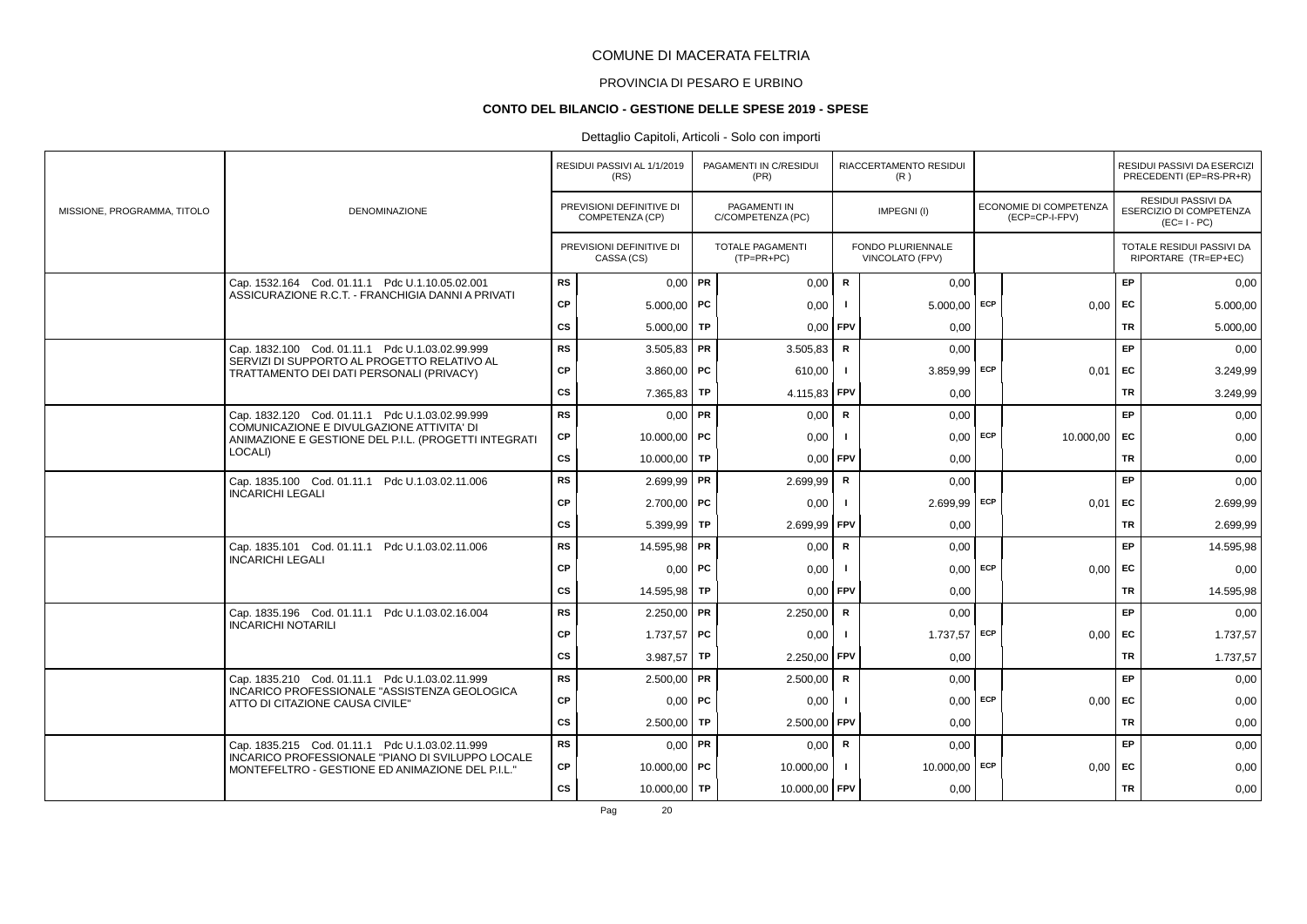# PROVINCIA DI PESARO E URBINO

#### **CONTO DEL BILANCIO - GESTIONE DELLE SPESE 2019 - SPESE**

### Dettaglio Capitoli, Articoli - Solo con importi

|                             |                                                                                                                                                         |           | RESIDUI PASSIVI AL 1/1/2019<br>(RS)         |    | PAGAMENTI IN C/RESIDUI<br>(PR)          |                | RIACCERTAMENTO RESIDUI<br>(R)        |            |                                          |           | RESIDUI PASSIVI DA ESERCIZI<br>PRECEDENTI (EP=RS-PR+R)              |
|-----------------------------|---------------------------------------------------------------------------------------------------------------------------------------------------------|-----------|---------------------------------------------|----|-----------------------------------------|----------------|--------------------------------------|------------|------------------------------------------|-----------|---------------------------------------------------------------------|
| MISSIONE, PROGRAMMA, TITOLO | <b>DENOMINAZIONE</b>                                                                                                                                    |           | PREVISIONI DEFINITIVE DI<br>COMPETENZA (CP) |    | PAGAMENTI IN<br>C/COMPETENZA (PC)       |                | IMPEGNI(I)                           |            | ECONOMIE DI COMPETENZA<br>(ECP=CP-I-FPV) |           | RESIDUI PASSIVI DA<br><b>ESERCIZIO DI COMPETENZA</b><br>$(EC=I-PC)$ |
|                             |                                                                                                                                                         |           | PREVISIONI DEFINITIVE DI<br>CASSA (CS)      |    | <b>TOTALE PAGAMENTI</b><br>$(TP=PR+PC)$ |                | FONDO PLURIENNALE<br>VINCOLATO (FPV) |            |                                          |           | TOTALE RESIDUI PASSIVI DA<br>RIPORTARE (TR=EP+EC)                   |
|                             | Cap. 1532.164 Cod. 01.11.1 Pdc U.1.10.05.02.001                                                                                                         | <b>RS</b> | $0,00$ PR                                   |    | 0,00                                    | $\mathbf R$    | 0,00                                 |            |                                          | EP        | 0,00                                                                |
|                             | ASSICURAZIONE R.C.T. - FRANCHIGIA DANNI A PRIVATI                                                                                                       | CP        | $5.000,00$ PC                               |    | 0,00                                    | $\mathbf{I}$   | 5.000,00                             | ECP        | $0,00$ EC                                |           | 5.000,00                                                            |
|                             |                                                                                                                                                         | <b>CS</b> | $5.000,00$ TP                               |    | 0,00                                    | FPV            | 0.00                                 |            |                                          | TR        | 5.000,00                                                            |
|                             | Cap. 1832.100 Cod. 01.11.1 Pdc U.1.03.02.99.999                                                                                                         | <b>RS</b> | $3.505,83$ PR                               |    | 3.505,83                                | $\mathsf{R}$   | 0.00                                 |            |                                          | EP        | 0,00                                                                |
|                             | SERVIZI DI SUPPORTO AL PROGETTO RELATIVO AL<br>TRATTAMENTO DEI DATI PERSONALI (PRIVACY)                                                                 | CP        | $3.860,00$ PC                               |    | 610,00                                  |                | $3.859.99$ ECP                       |            | 0,01                                     | EC        | 3.249,99                                                            |
|                             |                                                                                                                                                         | cs        | $7.365,83$ TP                               |    | 4.115,83                                | <b>FPV</b>     | 0,00                                 |            |                                          | TR        | 3.249,99                                                            |
|                             | Cap. 1832.120 Cod. 01.11.1 Pdc U.1.03.02.99.999                                                                                                         | <b>RS</b> | $0.00$ PR                                   |    | 0,00                                    | $\mathbf R$    | 0,00                                 |            |                                          | EP        | 0,00                                                                |
|                             | COMUNICAZIONE E DIVULGAZIONE ATTIVITA' DI<br>ANIMAZIONE E GESTIONE DEL P.I.L. (PROGETTI INTEGRATI                                                       | СP        | 10.000.00   PC                              |    | 0,00                                    |                | $0,00$ ECP                           |            | 10.000,00 EC                             |           | 0,00                                                                |
|                             | LOCALI)                                                                                                                                                 | <b>CS</b> | 10.000,00 TP                                |    | 0,00                                    | FPV            | 0,00                                 |            |                                          | <b>TR</b> | 0,00                                                                |
|                             | Cap. 1835.100 Cod. 01.11.1 Pdc U.1.03.02.11.006                                                                                                         | <b>RS</b> | $2.699,99$ PR                               |    | 2.699,99                                | $\mathsf{R}$   | 0,00                                 |            |                                          | EP        | 0,00                                                                |
|                             | <b>INCARICHI LEGALI</b>                                                                                                                                 | СP        | $2.700,00$ PC                               |    | 0,00                                    | - 1            | 2.699.99 ECP                         |            | 0.01                                     | FC        | 2.699,99                                                            |
|                             |                                                                                                                                                         | CS        | $5.399.99$ TP                               |    | 2.699,99 FPV                            |                | 0,00                                 |            |                                          | TR        | 2.699,99                                                            |
|                             | Cap. 1835.101 Cod. 01.11.1 Pdc U.1.03.02.11.006                                                                                                         | <b>RS</b> | 14.595,98 PR                                |    | 0,00                                    | $\mathbf R$    | 0,00                                 |            |                                          | EP        | 14.595,98                                                           |
|                             | <b>INCARICHI LEGALI</b>                                                                                                                                 | CP        | $0,00$   PC                                 |    | 0,00                                    |                |                                      | $0,00$ ECP | 0,00                                     | EC        | 0,00                                                                |
|                             |                                                                                                                                                         | <b>CS</b> | 14.595,98 TP                                |    | 0,00                                    | <b>FPV</b>     | 0,00                                 |            |                                          | TR        | 14.595,98                                                           |
|                             | Cap. 1835.196 Cod. 01.11.1 Pdc U.1.03.02.16.004                                                                                                         | <b>RS</b> | $2.250,00$ PR                               |    | 2.250,00                                | $\mathsf{R}$   | 0,00                                 |            |                                          | EP        | 0,00                                                                |
|                             | <b>INCARICHI NOTARILI</b>                                                                                                                               | CP        | 1.737,57 PC                                 |    | 0,00                                    | $\blacksquare$ | 1.737,57                             | ECP        | $0,00$ EC                                |           | 1.737,57                                                            |
|                             |                                                                                                                                                         | <b>CS</b> | 3.987,57 TP                                 |    | 2.250,00                                | <b>FPV</b>     | 0,00                                 |            |                                          | TR        | 1.737,57                                                            |
|                             | Cap. 1835.210 Cod. 01.11.1 Pdc U.1.03.02.11.999                                                                                                         | <b>RS</b> | $2.500,00$ PR                               |    | 2.500,00                                | $\mathbf R$    | 0,00                                 |            |                                          | EP        | 0,00                                                                |
|                             | INCARICO PROFESSIONALE "ASSISTENZA GEOLOGICA<br>ATTO DI CITAZIONE CAUSA CIVILE"                                                                         | CP        | $0,00$   PC                                 |    | 0,00                                    |                |                                      | $0,00$ ECP | $0.00$ EC                                |           | 0,00                                                                |
|                             |                                                                                                                                                         | <b>CS</b> | 2.500.00                                    | TP | 2.500,00                                | <b>FPV</b>     | 0.00                                 |            |                                          | TR        | 0,00                                                                |
|                             | Cap. 1835.215 Cod. 01.11.1 Pdc U.1.03.02.11.999<br>INCARICO PROFESSIONALE "PIANO DI SVILUPPO LOCALE<br>MONTEFELTRO - GESTIONE ED ANIMAZIONE DEL P.I.L." | <b>RS</b> | $0.00$ PR                                   |    | 0,00                                    | R              | 0,00                                 |            |                                          | EP        | 0,00                                                                |
|                             |                                                                                                                                                         | <b>CP</b> | 10.000,00   PC                              |    | 10.000,00                               |                | 10.000,00 ECP                        |            | $0,00$ EC                                |           | 0,00                                                                |
|                             |                                                                                                                                                         | cs        | 10.000,00   TP                              |    | 10.000,00 FPV                           |                | 0,00                                 |            |                                          | <b>TR</b> | 0,00                                                                |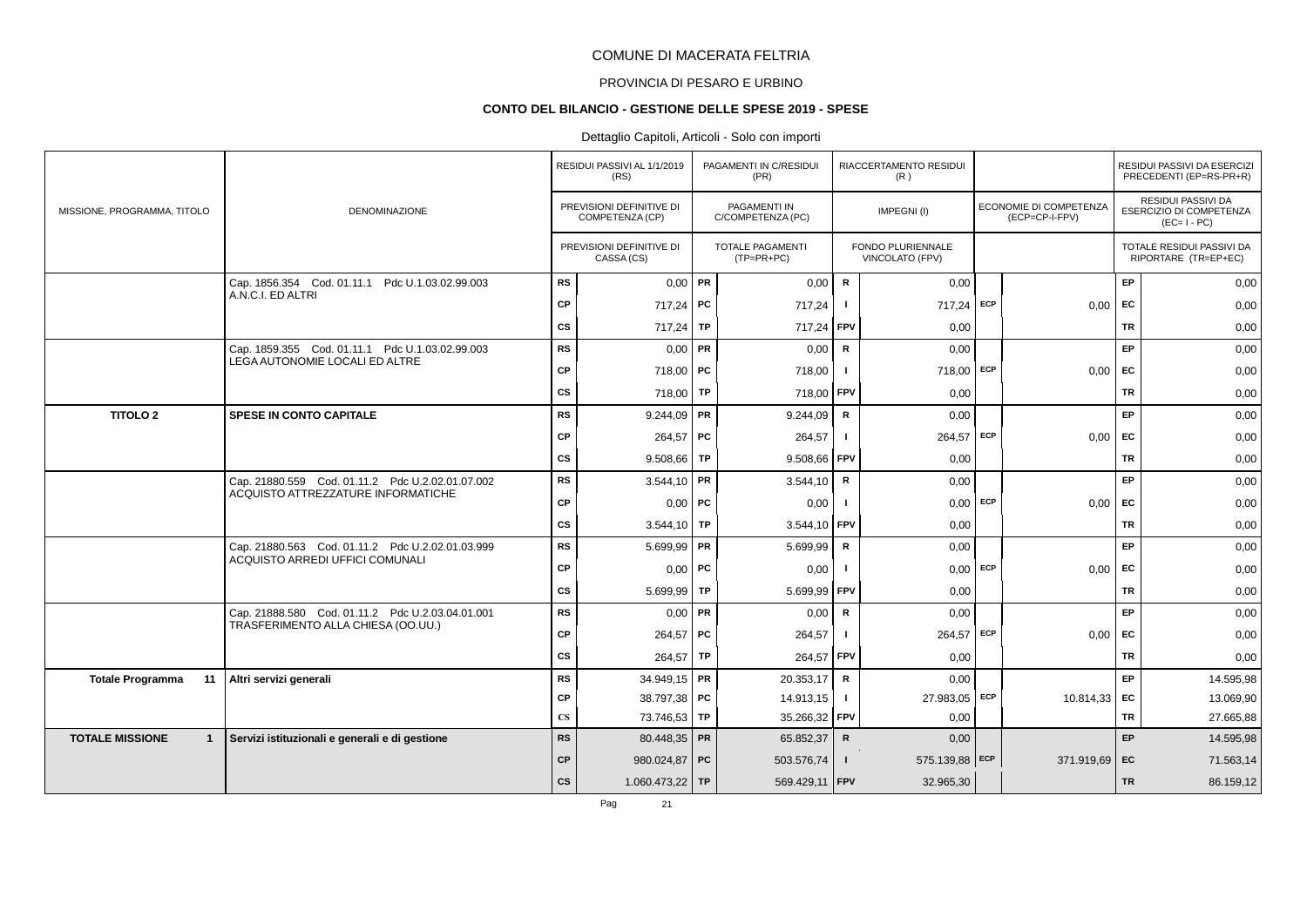# PROVINCIA DI PESARO E URBINO

### **CONTO DEL BILANCIO - GESTIONE DELLE SPESE 2019 - SPESE**

### Dettaglio Capitoli, Articoli - Solo con importi

|                                        |                                                  |                        | RESIDUI PASSIVI AL 1/1/2019<br>(RS)         |    | PAGAMENTI IN C/RESIDUI<br>(PR)           |               | RIACCERTAMENTO RESIDUI<br>(R)        |            |                                          |           | RESIDUI PASSIVI DA ESERCIZI<br>PRECEDENTI (EP=RS-PR+R)                     |
|----------------------------------------|--------------------------------------------------|------------------------|---------------------------------------------|----|------------------------------------------|---------------|--------------------------------------|------------|------------------------------------------|-----------|----------------------------------------------------------------------------|
| MISSIONE, PROGRAMMA, TITOLO            | <b>DENOMINAZIONE</b>                             |                        | PREVISIONI DEFINITIVE DI<br>COMPETENZA (CP) |    | <b>PAGAMENTI IN</b><br>C/COMPETENZA (PC) |               | IMPEGNI(I)                           |            | ECONOMIE DI COMPETENZA<br>(ECP=CP-I-FPV) |           | <b>RESIDUI PASSIVI DA</b><br><b>ESERCIZIO DI COMPETENZA</b><br>$(EC=I-PC)$ |
|                                        |                                                  |                        | PREVISIONI DEFINITIVE DI<br>CASSA (CS)      |    | <b>TOTALE PAGAMENTI</b><br>$(TP=PR+PC)$  |               | FONDO PLURIENNALE<br>VINCOLATO (FPV) |            |                                          |           | TOTALE RESIDUI PASSIVI DA<br>RIPORTARE (TR=EP+EC)                          |
|                                        | Cap. 1856.354 Cod. 01.11.1 Pdc U.1.03.02.99.003  | <b>RS</b>              | $0,00$ PR                                   |    | 0,00                                     | R             | 0,00                                 |            |                                          | EP.       | 0,00                                                                       |
|                                        | A.N.C.I. ED ALTRI                                | CP                     | 717,24 PC                                   |    | 717,24                                   | $\mathbf{I}$  | 717,24 ECP                           |            | 0.00                                     | <b>FC</b> | 0,00                                                                       |
|                                        |                                                  | <b>CS</b>              | 717,24 TP                                   |    | 717,24                                   | <b>FPV</b>    | 0,00                                 |            |                                          | <b>TR</b> | 0,00                                                                       |
|                                        | Cap. 1859.355 Cod. 01.11.1 Pdc U.1.03.02.99.003  | <b>RS</b>              | $0.00$ PR                                   |    | 0,00                                     | R             | 0,00                                 |            |                                          | EP        | 0,00                                                                       |
|                                        | LEGA AUTONOMIE LOCALI ED ALTRE                   | <b>CP</b>              | 718,00 PC                                   |    | 718,00                                   | $\mathbf{I}$  | 718,00 ECP                           |            | $0,00$ EC                                |           | 0,00                                                                       |
|                                        |                                                  | <b>CS</b>              | 718,00                                      | TP | 718,00                                   | <b>FPV</b>    | 0,00                                 |            |                                          | TR        | 0,00                                                                       |
| <b>TITOLO 2</b>                        | <b>SPESE IN CONTO CAPITALE</b>                   | <b>RS</b>              | $9.244.09$ PR                               |    | 9.244,09                                 | R             | 0,00                                 |            |                                          | EP        | 0,00                                                                       |
|                                        |                                                  | <b>CP</b>              | $264,57$ PC                                 |    | 264,57                                   | -1            | 264,57 ECP                           |            | $0,00$ EC                                |           | 0,00                                                                       |
|                                        |                                                  | <b>CS</b>              | $9.508,66$ TP                               |    | 9.508,66 FPV                             |               | 0,00                                 |            |                                          | TR        | 0,00                                                                       |
|                                        | Cap. 21880.559 Cod. 01.11.2 Pdc U.2.02.01.07.002 | <b>RS</b>              | $3.544,10$ PR                               |    | 3.544,10                                 | R             | 0,00                                 |            |                                          | EP.       | 0,00                                                                       |
|                                        | ACQUISTO ATTREZZATURE INFORMATICHE               | CP                     | $0,00$   PC                                 |    | 0,00                                     | $\mathbf{I}$  |                                      | $0,00$ ECP | $0,00$ EC                                |           | 0,00                                                                       |
|                                        |                                                  | <b>CS</b>              | 3.544,10 TP                                 |    | 3.544,10                                 | FPV           | 0,00                                 |            |                                          | TR        | 0,00                                                                       |
|                                        | Cap. 21880.563 Cod. 01.11.2 Pdc U.2.02.01.03.999 | <b>RS</b>              | $5.699.99$ PR                               |    | 5.699,99                                 | R             | 0.00                                 |            |                                          | EP        | 0,00                                                                       |
|                                        | ACQUISTO ARREDI UFFICI COMUNALI                  | <b>CP</b>              | $0,00$ PC                                   |    | 0,00                                     | $\mathbf{I}$  |                                      | $0,00$ ECP | $0,00$ EC                                |           | 0,00                                                                       |
|                                        |                                                  | <b>CS</b>              | $5.699,99$ TP                               |    | 5.699,99                                 | <b>FPV</b>    | 0,00                                 |            |                                          | TR        | 0,00                                                                       |
|                                        | Cap. 21888.580 Cod. 01.11.2 Pdc U.2.03.04.01.001 | <b>RS</b>              | $0,00$ PR                                   |    | 0,00                                     | R             | 0,00                                 |            |                                          | EP        | 0,00                                                                       |
|                                        | TRASFERIMENTO ALLA CHIESA (OO.UU.)               | <b>CP</b>              | 264,57   PC                                 |    | 264,57                                   | $\mathbf{I}$  | 264,57 ECP                           |            | 0.00                                     | <b>FC</b> | 0,00                                                                       |
|                                        |                                                  | <b>CS</b>              | $264,57$ TP                                 |    | 264,57 FPV                               |               | 0,00                                 |            |                                          | TR        | 0,00                                                                       |
| 11<br><b>Totale Programma</b>          | Altri servizi generali                           | <b>RS</b>              | 34.949,15   PR                              |    | 20.353,17                                | ${\mathbf R}$ | 0,00                                 |            |                                          | EP        | 14.595,98                                                                  |
|                                        |                                                  | <b>CP</b>              | 38.797,38 PC                                |    | 14.913,15                                | $\mathbf{I}$  | 27.983,05 ECP                        |            | $10.814,33$ EC                           |           | 13.069,90                                                                  |
|                                        |                                                  | $\mathbf{C}\mathbf{S}$ | 73.746,53 TP                                |    | 35.266,32 FPV                            |               | 0,00                                 |            |                                          | <b>TR</b> | 27.665,88                                                                  |
| <b>TOTALE MISSIONE</b><br>$\mathbf{1}$ | Servizi istituzionali e generali e di gestione   | <b>RS</b>              | 80.448,35 PR                                |    | 65.852,37                                | $\mathsf{R}$  | 0,00                                 |            |                                          | <b>EP</b> | 14.595,98                                                                  |
|                                        |                                                  | CP                     | 980.024,87 PC                               |    | 503.576,74                               | $\mathbf{I}$  | 575.139,88 ECP                       |            | 371.919,69 EC                            |           | 71.563,14                                                                  |
|                                        |                                                  | cs                     | 1.060.473,22   TP                           |    | 569.429,11 FPV                           |               | 32.965,30                            |            |                                          | <b>TR</b> | 86.159,12                                                                  |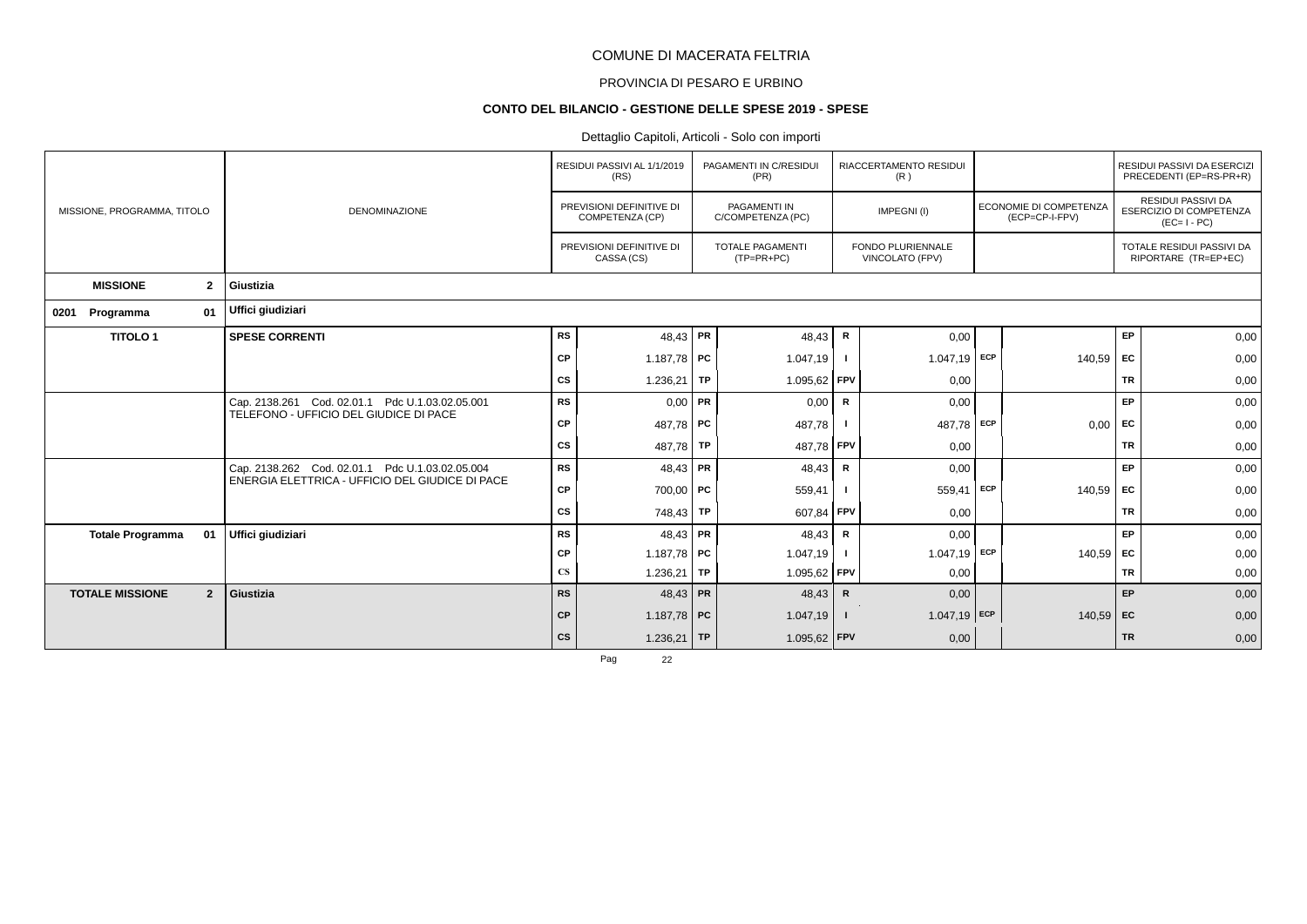# PROVINCIA DI PESARO E URBINO

#### **CONTO DEL BILANCIO - GESTIONE DELLE SPESE 2019 - SPESE**

### Dettaglio Capitoli, Articoli - Solo con importi

|                                          |                                                 |                        | RESIDUI PASSIVI AL 1/1/2019<br>(RS)         |    | PAGAMENTI IN C/RESIDUI<br>(PR)           |              | RIACCERTAMENTO RESIDUI<br>(R)               |     |                                          |           | RESIDUI PASSIVI DA ESERCIZI<br>PRECEDENTI (EP=RS-PR+R)                     |
|------------------------------------------|-------------------------------------------------|------------------------|---------------------------------------------|----|------------------------------------------|--------------|---------------------------------------------|-----|------------------------------------------|-----------|----------------------------------------------------------------------------|
| MISSIONE, PROGRAMMA, TITOLO              | <b>DENOMINAZIONE</b>                            |                        | PREVISIONI DEFINITIVE DI<br>COMPETENZA (CP) |    | <b>PAGAMENTI IN</b><br>C/COMPETENZA (PC) |              | IMPEGNI(I)                                  |     | ECONOMIE DI COMPETENZA<br>(ECP=CP-I-FPV) |           | <b>RESIDUI PASSIVI DA</b><br><b>ESERCIZIO DI COMPETENZA</b><br>$(EC=I-PC)$ |
|                                          |                                                 |                        | PREVISIONI DEFINITIVE DI<br>CASSA (CS)      |    | <b>TOTALE PAGAMENTI</b><br>$(TP=PR+PC)$  |              | <b>FONDO PLURIENNALE</b><br>VINCOLATO (FPV) |     |                                          |           | TOTALE RESIDUI PASSIVI DA<br>RIPORTARE (TR=EP+EC)                          |
| <b>MISSIONE</b><br>$\mathbf{2}$          | Giustizia                                       |                        |                                             |    |                                          |              |                                             |     |                                          |           |                                                                            |
| 01<br>Programma<br>0201                  | Uffici giudiziari                               |                        |                                             |    |                                          |              |                                             |     |                                          |           |                                                                            |
| <b>TITOLO1</b>                           | <b>SPESE CORRENTI</b>                           | <b>RS</b>              | 48,43 PR                                    |    | 48,43                                    | R            | 0,00                                        |     |                                          | EP        | 0,00                                                                       |
|                                          |                                                 | CP                     | 1.187,78 PC                                 |    | 1.047,19                                 |              | 1.047,19                                    | ECP | 140,59                                   | EC        | 0,00                                                                       |
|                                          |                                                 | CS                     | 1.236,21   TP                               |    | 1.095,62 FPV                             |              | 0,00                                        |     |                                          | <b>TR</b> | 0,00                                                                       |
|                                          | Cap. 2138.261 Cod. 02.01.1 Pdc U.1.03.02.05.001 | <b>RS</b>              | $0,00$ PR                                   |    | 0,00                                     | R            | 0,00                                        |     |                                          | EP        | 0,00                                                                       |
|                                          | TELEFONO - UFFICIO DEL GIUDICE DI PACE          | CP                     | 487,78 PC                                   |    | 487,78                                   |              | 487,78                                      | ECP | 0,00                                     | EC        | 0,00                                                                       |
|                                          |                                                 | <b>CS</b>              | 487,78 TP                                   |    | 487,78 FPV                               |              | 0,00                                        |     |                                          | <b>TR</b> | 0,00                                                                       |
|                                          | Cap. 2138.262 Cod. 02.01.1 Pdc U.1.03.02.05.004 | <b>RS</b>              | $48,43$ PR                                  |    | 48,43                                    | R            | 0,00                                        |     |                                          | EP        | 0,00                                                                       |
|                                          | ENERGIA ELETTRICA - UFFICIO DEL GIUDICE DI PACE | CP                     | $700,00$ PC                                 |    | 559,41                                   |              | 559,41                                      | ECP | $140,59$ EC                              |           | 0,00                                                                       |
|                                          |                                                 | CS                     | 748,43 TP                                   |    | 607,84 FPV                               |              | 0,00                                        |     |                                          | <b>TR</b> | 0,00                                                                       |
| <b>Totale Programma</b><br>01            | Uffici giudiziari                               | <b>RS</b>              | $48,43$ PR                                  |    | 48,43                                    | R            | 0,00                                        |     |                                          | EP        | 0,00                                                                       |
|                                          |                                                 | CP                     | 1.187,78 PC                                 |    | 1.047, 19                                |              | $1.047,19$ ECP                              |     | $140,59$ EC                              |           | 0,00                                                                       |
|                                          |                                                 | $\mathbf{C}\mathbf{S}$ | 1.236,21                                    | TP | $1.095,62$ FPV                           |              | 0,00                                        |     |                                          | <b>TR</b> | 0,00                                                                       |
| $\overline{2}$<br><b>TOTALE MISSIONE</b> | Giustizia                                       | <b>RS</b>              | 48,43 PR                                    |    | 48,43                                    | $\mathsf{R}$ | 0,00                                        |     |                                          | EP        | 0,00                                                                       |
|                                          |                                                 | CP                     | 1.187,78 PC                                 |    | 1.047,19                                 | $\mathbf{I}$ | $1.047,19$ ECP                              |     | 140,59 EC                                |           | 0,00                                                                       |
|                                          |                                                 | cs                     | 1.236,21 TP                                 |    | $1.095,62$ FPV                           |              | 0,00                                        |     |                                          | <b>TR</b> | 0,00                                                                       |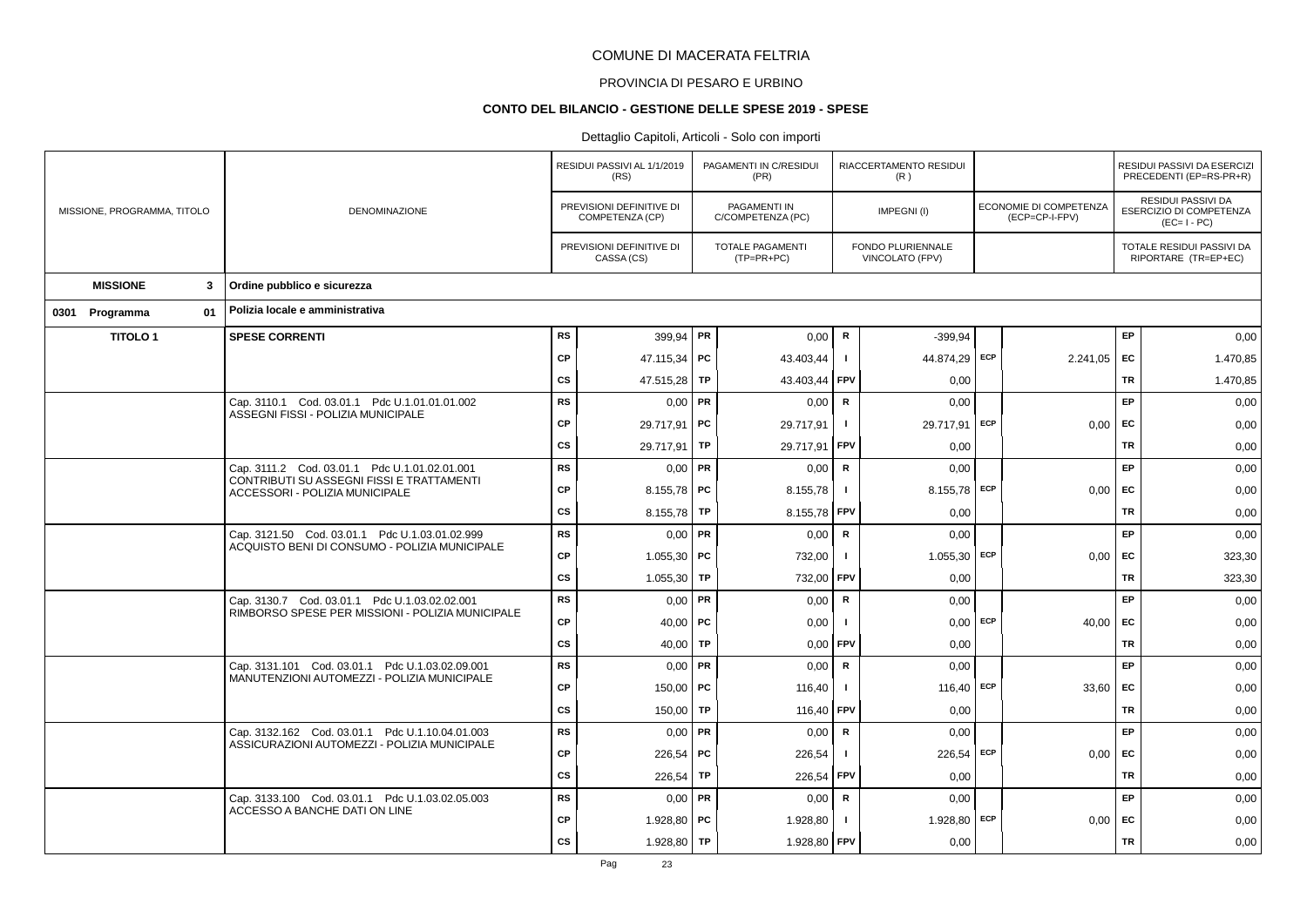# PROVINCIA DI PESARO E URBINO

#### **CONTO DEL BILANCIO - GESTIONE DELLE SPESE 2019 - SPESE**

|  |                             |    | RESIDUI PASSIVI AL 1/1/2019<br>(RS)                                                               |               | PAGAMENTI IN C/RESIDUI<br>(PR)              |           | RIACCERTAMENTO RESIDUI<br>(R)           |                |                                      | RESIDUI PASSIVI DA ESERCIZI<br>PRECEDENTI (EP=RS-PR+R) |           |                                                              |
|--|-----------------------------|----|---------------------------------------------------------------------------------------------------|---------------|---------------------------------------------|-----------|-----------------------------------------|----------------|--------------------------------------|--------------------------------------------------------|-----------|--------------------------------------------------------------|
|  | MISSIONE, PROGRAMMA, TITOLO |    | <b>DENOMINAZIONE</b>                                                                              |               | PREVISIONI DEFINITIVE DI<br>COMPETENZA (CP) |           | PAGAMENTI IN<br>C/COMPETENZA (PC)       |                | IMPEGNI(I)                           | ECONOMIE DI COMPETENZA<br>(ECP=CP-I-FPV)               |           | RESIDUI PASSIVI DA<br>ESERCIZIO DI COMPETENZA<br>$(EC=I-PC)$ |
|  |                             |    |                                                                                                   |               | PREVISIONI DEFINITIVE DI<br>CASSA (CS)      |           | <b>TOTALE PAGAMENTI</b><br>$(TP=PR+PC)$ |                | FONDO PLURIENNALE<br>VINCOLATO (FPV) |                                                        |           | TOTALE RESIDUI PASSIVI DA<br>RIPORTARE (TR=EP+EC)            |
|  | <b>MISSIONE</b>             | 3  | Ordine pubblico e sicurezza                                                                       |               |                                             |           |                                         |                |                                      |                                                        |           |                                                              |
|  | 0301 Programma              | 01 | Polizia locale e amministrativa                                                                   |               |                                             |           |                                         |                |                                      |                                                        |           |                                                              |
|  | <b>TITOLO1</b>              |    | <b>SPESE CORRENTI</b>                                                                             | <b>RS</b>     | 399,94   PR                                 |           | 0,00                                    | $\mathsf{R}$   | $-399.94$                            |                                                        | EP        | 0,00                                                         |
|  |                             |    |                                                                                                   | <b>CP</b>     | 47.115,34 PC                                |           | 43.403,44                               | $\mathbf{I}$   | 44.874,29 ECP                        | 2.241,05                                               | EC        | 1.470,85                                                     |
|  |                             |    |                                                                                                   | <b>CS</b>     | 47.515,28                                   | <b>TP</b> | 43.403,44                               | FPV            | 0,00                                 |                                                        | TR        | 1.470,85                                                     |
|  |                             |    | Cap. 3110.1 Cod. 03.01.1 Pdc U.1.01.01.01.002                                                     | <b>RS</b>     | $0,00$ PR                                   |           | 0,00                                    | R              | 0,00                                 |                                                        | EP        | 0,00                                                         |
|  |                             |    | ASSEGNI FISSI - POLIZIA MUNICIPALE                                                                | <b>CP</b>     | 29.717.91 PC                                |           | 29.717,91                               | $\mathbf{I}$   | 29.717,91 ECP                        | 0,00                                                   | EC        | 0,00                                                         |
|  |                             |    |                                                                                                   | <b>CS</b>     | 29.717,91 TP                                |           | 29.717,91                               | FPV            | 0,00                                 |                                                        | <b>TR</b> | 0,00                                                         |
|  |                             |    | Cap. 3111.2 Cod. 03.01.1 Pdc U.1.01.02.01.001<br>CONTRIBUTI SU ASSEGNI FISSI E TRATTAMENTI        | <b>RS</b>     | $0,00$ PR                                   |           | 0,00                                    | $\mathsf{R}$   | 0,00                                 |                                                        | EP        | 0,00                                                         |
|  |                             |    | ACCESSORI - POLIZIA MUNICIPALE                                                                    | СP            | 8.155,78   PC                               |           | 8.155,78                                | $\blacksquare$ | 8.155,78 ECP                         | 0,00                                                   | EC        | 0,00                                                         |
|  |                             |    |                                                                                                   | <b>CS</b>     | 8.155,78                                    | <b>TP</b> | 8.155,78                                | FPV            | 0,00                                 |                                                        | <b>TR</b> | 0,00                                                         |
|  |                             |    | Cap. 3121.50 Cod. 03.01.1 Pdc U.1.03.01.02.999<br>ACQUISTO BENI DI CONSUMO - POLIZIA MUNICIPALE   | <b>RS</b>     | $0,00$ PR                                   |           | 0,00                                    | $\mathbf R$    | 0,00                                 |                                                        | EP        | 0,00                                                         |
|  |                             |    |                                                                                                   | <b>CP</b>     | 1.055,30   PC                               |           | 732,00                                  | $\blacksquare$ | $1.055,30$ ECP                       | 0.00                                                   | EC        | 323,30                                                       |
|  |                             |    |                                                                                                   | <b>CS</b>     | 1.055,30                                    | <b>TP</b> | 732,00                                  | FPV            | 0,00                                 |                                                        | TR        | 323,30                                                       |
|  |                             |    | Cap. 3130.7 Cod. 03.01.1 Pdc U.1.03.02.02.001<br>RIMBORSO SPESE PER MISSIONI - POLIZIA MUNICIPALE | <b>RS</b>     | $0,00$ PR                                   |           | 0,00                                    | $\mathbf R$    | 0,00                                 |                                                        | EP        | 0,00                                                         |
|  |                             |    |                                                                                                   | <b>CP</b>     | 40,00   PC                                  |           | 0,00                                    | $\blacksquare$ | $0,00$ ECP                           | 40,00                                                  | EC        | 0,00                                                         |
|  |                             |    |                                                                                                   | <b>CS</b>     | 40,00                                       | <b>TP</b> | 0,00                                    | FPV            | 0,00                                 |                                                        | TR        | 0,00                                                         |
|  |                             |    | Cap. 3131.101 Cod. 03.01.1 Pdc U.1.03.02.09.001<br>MANUTENZIONI AUTOMEZZI - POLIZIA MUNICIPALE    | <b>RS</b>     | $0,00$ PR                                   |           | 0,00                                    | $\mathbf R$    | 0,00                                 |                                                        | EP        | 0,00                                                         |
|  |                             |    |                                                                                                   | <b>CP</b>     | $150,00$ PC                                 |           | 116,40                                  | $\blacksquare$ | $116,40$ ECP                         | 33,60                                                  | EC        | 0,00                                                         |
|  |                             |    |                                                                                                   | CS            | 150,00                                      | TP        | 116,40                                  | FPV            | 0,00                                 |                                                        | TR        | 0,00                                                         |
|  |                             |    | Cap. 3132.162 Cod. 03.01.1 Pdc U.1.10.04.01.003<br>ASSICURAZIONI AUTOMEZZI - POLIZIA MUNICIPALE   | <b>RS</b>     | $0,00$ PR                                   |           | 0,00                                    | $\mathbf R$    | 0,00                                 |                                                        | EP        | 0,00                                                         |
|  |                             |    |                                                                                                   | <b>CP</b>     | $226,54$ PC                                 |           | 226,54                                  | $\blacksquare$ | 226,54 ECP                           | 0,00                                                   | EC        | 0,00                                                         |
|  |                             |    |                                                                                                   | CS            | 226,54                                      | TP        | 226,54                                  | FPV            | 0,00                                 |                                                        | TR        | 0,00                                                         |
|  |                             |    | Cap. 3133.100 Cod. 03.01.1 Pdc U.1.03.02.05.003<br>ACCESSO A BANCHE DATI ON LINE                  | <b>RS</b>     | $0,00$ PR                                   |           | 0,00                                    | $\mathbf R$    | 0,00                                 |                                                        | EP        | 0,00                                                         |
|  |                             |    | <b>CP</b>                                                                                         | 1.928,80   PC |                                             | 1.928,80  | -1                                      | 1.928,80 ECP   | 0,00                                 | EC                                                     | 0,00      |                                                              |
|  |                             |    |                                                                                                   | <b>CS</b>     | 1.928,80                                    | <b>TP</b> | 1.928,80                                | <b>FPV</b>     | 0,00                                 |                                                        | <b>TR</b> | 0,00                                                         |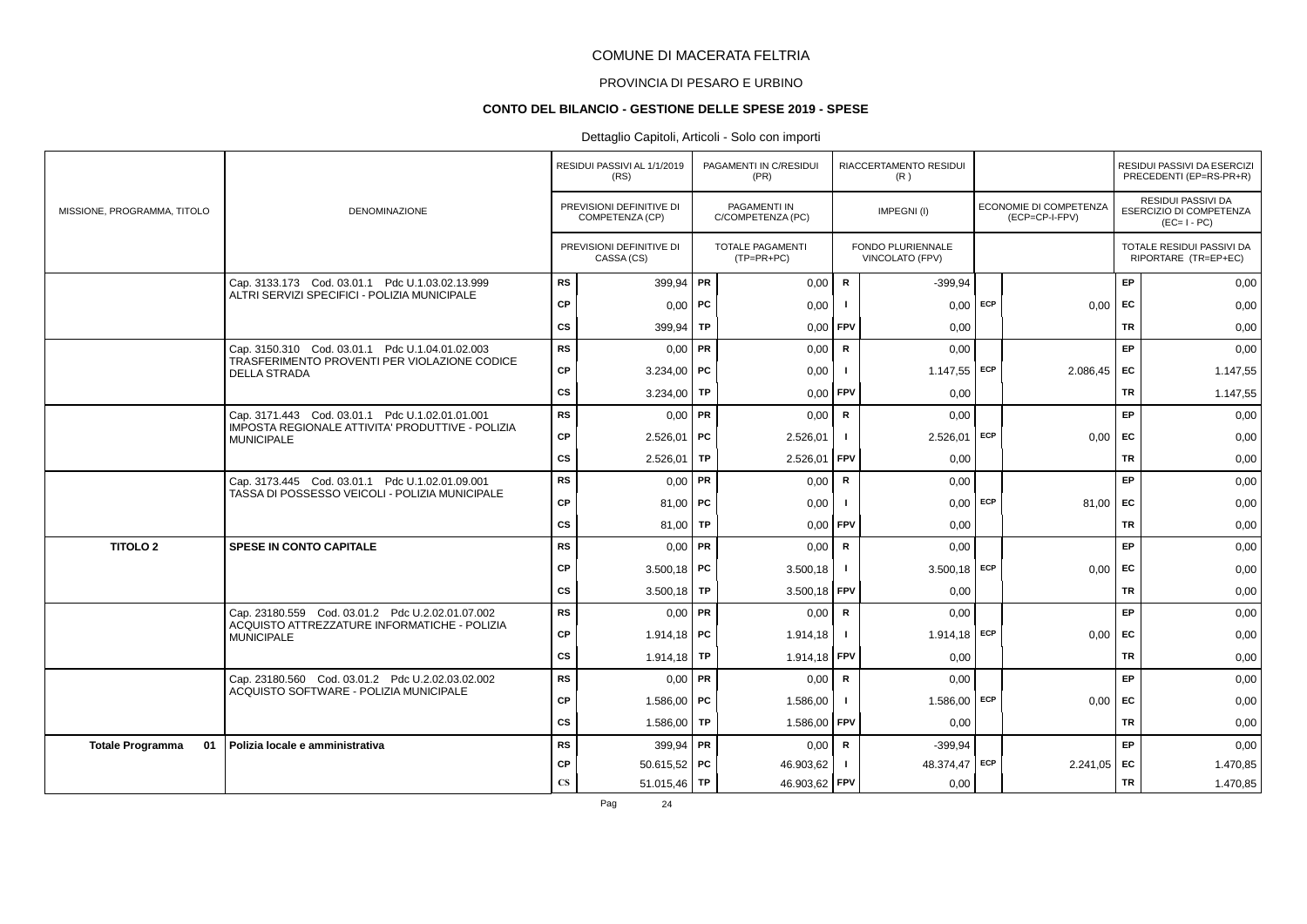# PROVINCIA DI PESARO E URBINO

#### **CONTO DEL BILANCIO - GESTIONE DELLE SPESE 2019 - SPESE**

### Dettaglio Capitoli, Articoli - Solo con importi

|                               |                                                                                                     |                        | RESIDUI PASSIVI AL 1/1/2019<br>(RS)         |    | PAGAMENTI IN C/RESIDUI<br>(PR)           |                | RIACCERTAMENTO RESIDUI<br>(R)               |            |                                          |           | RESIDUI PASSIVI DA ESERCIZI<br>PRECEDENTI (EP=RS-PR+R)              |
|-------------------------------|-----------------------------------------------------------------------------------------------------|------------------------|---------------------------------------------|----|------------------------------------------|----------------|---------------------------------------------|------------|------------------------------------------|-----------|---------------------------------------------------------------------|
| MISSIONE, PROGRAMMA, TITOLO   | DENOMINAZIONE                                                                                       |                        | PREVISIONI DEFINITIVE DI<br>COMPETENZA (CP) |    | <b>PAGAMENTI IN</b><br>C/COMPETENZA (PC) |                | IMPEGNI(I)                                  |            | ECONOMIE DI COMPETENZA<br>(ECP=CP-I-FPV) |           | <b>RESIDUI PASSIVI DA</b><br>ESERCIZIO DI COMPETENZA<br>$(EC=I-PC)$ |
|                               |                                                                                                     |                        | PREVISIONI DEFINITIVE DI<br>CASSA (CS)      |    | <b>TOTALE PAGAMENTI</b><br>$(TP=PR+PC)$  |                | <b>FONDO PLURIENNALE</b><br>VINCOLATO (FPV) |            |                                          |           | TOTALE RESIDUI PASSIVI DA<br>RIPORTARE (TR=EP+EC)                   |
|                               | Cap. 3133.173 Cod. 03.01.1 Pdc U.1.03.02.13.999                                                     | <b>RS</b>              | 399,94   PR                                 |    | 0,00                                     | R              | $-399.94$                                   |            |                                          | <b>EP</b> | 0,00                                                                |
|                               | ALTRI SERVIZI SPECIFICI - POLIZIA MUNICIPALE                                                        | CP                     | 0.00                                        | PC | 0,00                                     | - 1            | 0.00                                        | ECP        | 0,00                                     | EC        | 0,00                                                                |
|                               |                                                                                                     | cs                     | 399,94   TP                                 |    | 0,00                                     | <b>FPV</b>     | 0,00                                        |            |                                          | TR        | 0,00                                                                |
|                               | Cap. 3150.310 Cod. 03.01.1 Pdc U.1.04.01.02.003                                                     | <b>RS</b>              | $0,00$ PR                                   |    | 0,00                                     | $\mathsf{R}$   | 0.00                                        |            |                                          | EP.       | 0,00                                                                |
|                               | TRASFERIMENTO PROVENTI PER VIOLAZIONE CODICE<br><b>DELLA STRADA</b>                                 | <b>CP</b>              | 3.234,00   PC                               |    | 0,00                                     | $\blacksquare$ | $1.147,55$ ECP                              |            | 2.086,45                                 | FC        | 1.147,55                                                            |
|                               |                                                                                                     | cs                     | 3.234,00   TP                               |    | $0,00$ FPV                               |                | 0,00                                        |            |                                          | <b>TR</b> | 1.147,55                                                            |
|                               | Cap. 3171.443 Cod. 03.01.1 Pdc U.1.02.01.01.001<br>IMPOSTA REGIONALE ATTIVITA' PRODUTTIVE - POLIZIA | <b>RS</b>              | $0,00$ PR                                   |    | 0,00                                     | $\mathbf R$    | 0,00                                        |            |                                          | EP        | 0,00                                                                |
|                               | <b>MUNICIPALE</b>                                                                                   | CP                     | 2.526,01                                    | PC | 2.526,01                                 |                | $2.526,01$ ECP                              |            | $0,00$ EC                                |           | 0,00                                                                |
|                               |                                                                                                     | CS                     | 2.526,01                                    | TP | 2.526,01                                 | <b>FPV</b>     | 0,00                                        |            |                                          | TR        | 0,00                                                                |
|                               | Cap. 3173.445 Cod. 03.01.1 Pdc U.1.02.01.09.001<br>TASSA DI POSSESSO VEICOLI - POLIZIA MUNICIPALE   | <b>RS</b>              | $0,00$ PR                                   |    | 0,00                                     | $\mathsf{R}$   | 0,00                                        |            |                                          | EP.       | 0,00                                                                |
|                               |                                                                                                     | <b>CP</b>              | 81,00   PC                                  |    | 0,00                                     |                |                                             | $0,00$ ECP | 81,00                                    | EC        | 0,00                                                                |
|                               |                                                                                                     | CS                     | 81,00 TP                                    |    | 0,00                                     | <b>FPV</b>     | 0,00                                        |            |                                          | TR        | 0,00                                                                |
| <b>TITOLO 2</b>               | <b>SPESE IN CONTO CAPITALE</b>                                                                      | <b>RS</b>              | $0,00$ PR                                   |    | 0,00                                     | $\mathsf{R}$   | 0,00                                        |            |                                          | EP        | 0,00                                                                |
|                               |                                                                                                     | <b>CP</b>              | $3.500,18$ PC                               |    | 3.500,18                                 | Ι.             | $3.500,18$ ECP                              |            | $0,00$ EC                                |           | 0,00                                                                |
|                               |                                                                                                     | cs                     | 3.500,18   TP                               |    | $3.500,18$ FPV                           |                | 0.00                                        |            |                                          | <b>TR</b> | 0,00                                                                |
|                               | Cap. 23180.559 Cod. 03.01.2 Pdc U.2.02.01.07.002<br>ACQUISTO ATTREZZATURE INFORMATICHE - POLIZIA    | <b>RS</b>              | $0,00$ PR                                   |    | 0,00                                     | R              | 0,00                                        |            |                                          | EP        | 0,00                                                                |
|                               | <b>MUNICIPALE</b>                                                                                   | CP                     | $1.914,18$ PC                               |    | 1.914,18                                 | -1             | $1.914,18$ ECP                              |            | 0,00                                     | EC        | 0,00                                                                |
|                               |                                                                                                     | CS                     | 1.914,18 TP                                 |    | 1.914,18 FPV                             |                | 0,00                                        |            |                                          | <b>TR</b> | 0,00                                                                |
|                               | Cap. 23180.560 Cod. 03.01.2 Pdc U.2.02.03.02.002<br>ACQUISTO SOFTWARE - POLIZIA MUNICIPALE          | <b>RS</b>              | $0,00$ PR                                   |    | 0,00                                     | R              | 0.00                                        |            |                                          | <b>EP</b> | 0,00                                                                |
|                               |                                                                                                     | <b>CP</b>              | 1.586.00   PC                               |    | 1.586,00                                 | $\blacksquare$ | $1.586,00$ ECP                              |            | 0.00                                     | <b>FC</b> | 0,00                                                                |
|                               |                                                                                                     | CS                     | 1.586,00 TP                                 |    | 1.586,00                                 | <b>FPV</b>     | 0,00                                        |            |                                          | <b>TR</b> | 0,00                                                                |
| 01<br><b>Totale Programma</b> | Polizia locale e amministrativa                                                                     | <b>RS</b>              | 399,94 PR                                   |    | 0,00                                     | $\mathsf{R}$   | $-399.94$                                   |            |                                          | EP        | 0,00                                                                |
|                               |                                                                                                     | CP                     | $50.615,52$ PC                              |    | 46.903,62                                | $\blacksquare$ | 48.374,47 ECP                               |            | $2.241,05$ EC                            |           | 1.470,85                                                            |
|                               |                                                                                                     | $\mathbf{C}\mathbf{S}$ | 51.015,46   TP                              |    | 46.903,62 FPV                            |                | 0,00                                        |            |                                          | <b>TR</b> | 1.470,85                                                            |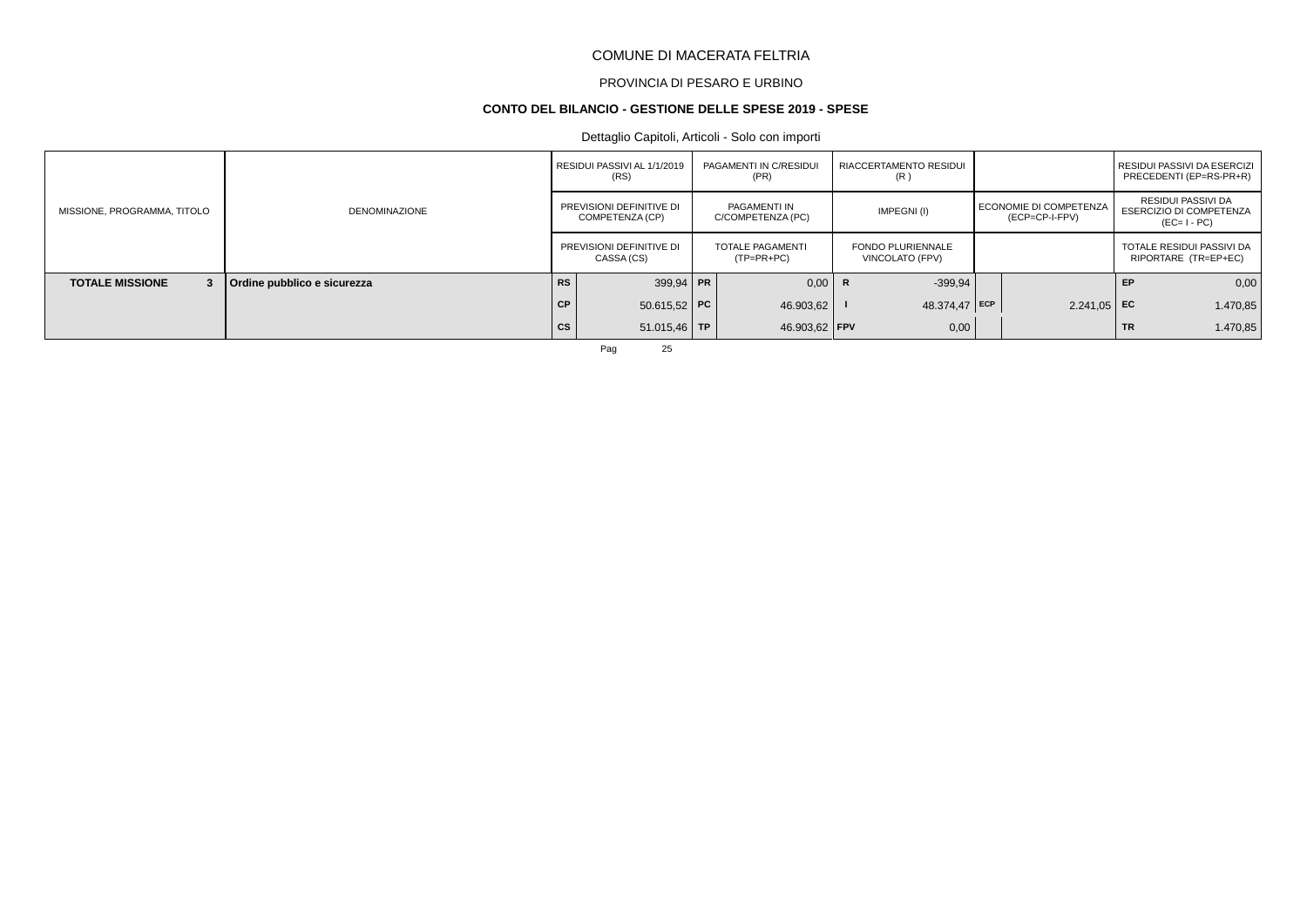# PROVINCIA DI PESARO E URBINO

#### **CONTO DEL BILANCIO - GESTIONE DELLE SPESE 2019 - SPESE**

### Dettaglio Capitoli, Articoli - Solo con importi

|                             |                             |               | RESIDUI PASSIVI AL 1/1/2019<br>(RS)         | PAGAMENTI IN C/RESIDUI<br>(PR)    | RIACCERTAMENTO RESIDUI<br>(R)               |                                          |    | I RESIDUI PASSIVI DA ESERCIZI<br>PRECEDENTI (EP=RS-PR+R)            |
|-----------------------------|-----------------------------|---------------|---------------------------------------------|-----------------------------------|---------------------------------------------|------------------------------------------|----|---------------------------------------------------------------------|
| MISSIONE, PROGRAMMA, TITOLO | <b>DENOMINAZIONE</b>        |               | PREVISIONI DEFINITIVE DI<br>COMPETENZA (CP) | PAGAMENTI IN<br>C/COMPETENZA (PC) | IMPEGNI(I)                                  | ECONOMIE DI COMPETENZA<br>(ECP=CP-I-FPV) |    | RESIDUI PASSIVI DA<br><b>ESERCIZIO DI COMPETENZA</b><br>$(EC=I-PC)$ |
|                             |                             |               | PREVISIONI DEFINITIVE DI<br>CASSA (CS)      | TOTALE PAGAMENTI<br>$(TP=PR+PC)$  | <b>FONDO PLURIENNALE</b><br>VINCOLATO (FPV) |                                          |    | TOTALE RESIDUI PASSIVI DA<br>RIPORTARE (TR=EP+EC)                   |
| <b>TOTALE MISSIONE</b><br>3 | Ordine pubblico e sicurezza | <b>RS</b>     | $399.94$ PR                                 | $0,00$ R                          | $-399.94$                                   |                                          | EP | 0,00                                                                |
|                             |                             | <b>CP</b>     | $50.615,52$ PC                              | 46.903,62                         | $48.374.47$ ECP                             | $2.241.05$ EC                            |    | 1.470,85                                                            |
|                             |                             | $\mathsf{cs}$ | $51.015.46$ TP                              | 46.903,62 FPV                     | 0,00                                        |                                          | TR | 1.470,85                                                            |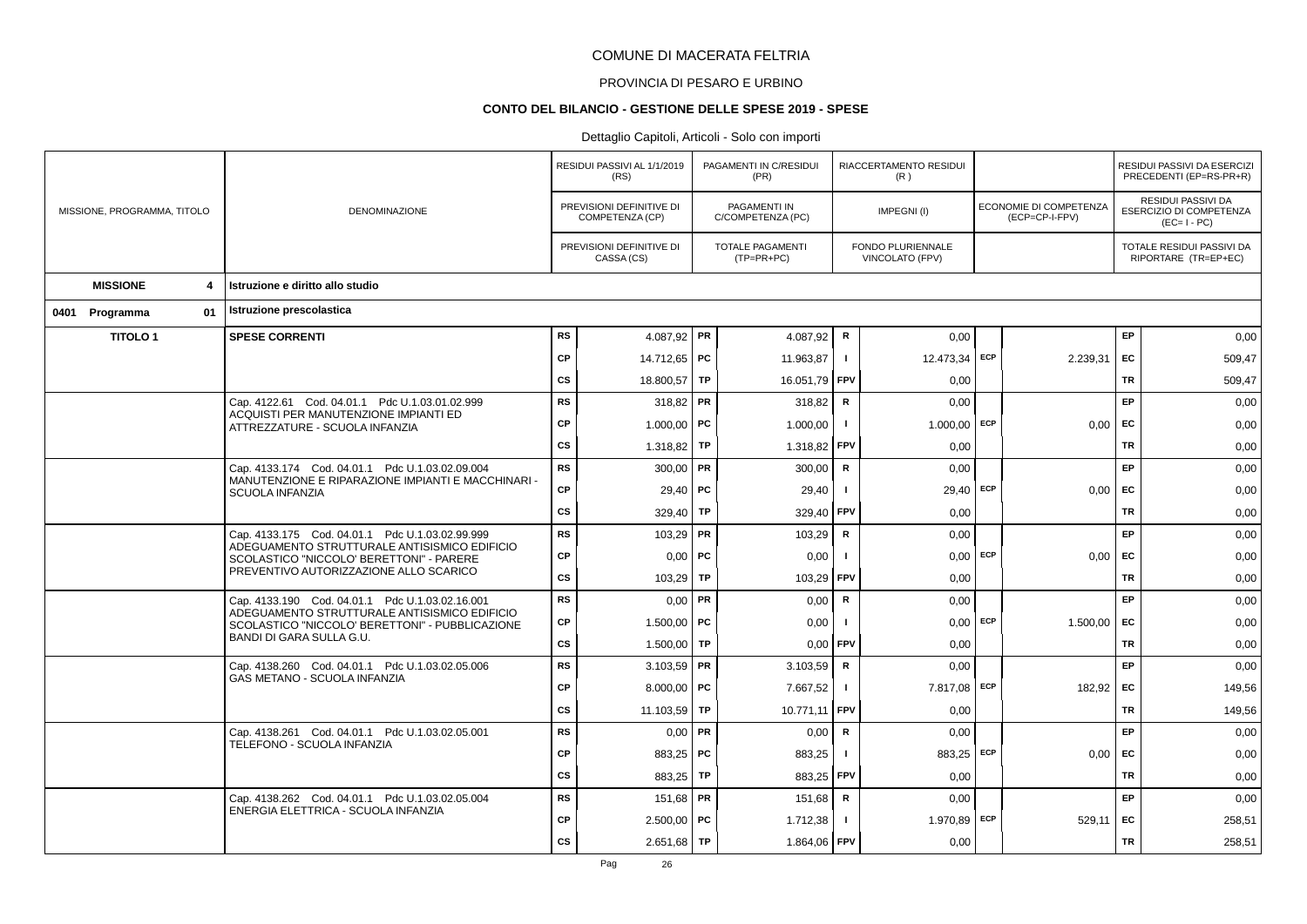# PROVINCIA DI PESARO E URBINO

#### **CONTO DEL BILANCIO - GESTIONE DELLE SPESE 2019 - SPESE**

|                |                             |                                                                                                       | RESIDUI PASSIVI AL 1/1/2019<br>(RS) |                                             | PAGAMENTI IN C/RESIDUI<br>(PR) |                                   | RIACCERTAMENTO RESIDUI<br>(R) |                                      |                                          | RESIDUI PASSIVI DA ESERCIZI<br>PRECEDENTI (EP=RS-PR+R) |                                                              |
|----------------|-----------------------------|-------------------------------------------------------------------------------------------------------|-------------------------------------|---------------------------------------------|--------------------------------|-----------------------------------|-------------------------------|--------------------------------------|------------------------------------------|--------------------------------------------------------|--------------------------------------------------------------|
|                | MISSIONE, PROGRAMMA, TITOLO | <b>DENOMINAZIONE</b>                                                                                  |                                     | PREVISIONI DEFINITIVE DI<br>COMPETENZA (CP) |                                | PAGAMENTI IN<br>C/COMPETENZA (PC) |                               | IMPEGNI(I)                           | ECONOMIE DI COMPETENZA<br>(ECP=CP-I-FPV) |                                                        | RESIDUI PASSIVI DA<br>ESERCIZIO DI COMPETENZA<br>$(EC=I-PC)$ |
|                |                             |                                                                                                       |                                     | PREVISIONI DEFINITIVE DI<br>CASSA (CS)      |                                | TOTALE PAGAMENTI<br>$(TP=PR+PC)$  |                               | FONDO PLURIENNALE<br>VINCOLATO (FPV) |                                          |                                                        | TOTALE RESIDUI PASSIVI DA<br>RIPORTARE (TR=EP+EC)            |
|                | <b>MISSIONE</b><br>4        | Istruzione e diritto allo studio                                                                      |                                     |                                             |                                |                                   |                               |                                      |                                          |                                                        |                                                              |
| 0401 Programma | 01                          | Istruzione prescolastica                                                                              |                                     |                                             |                                |                                   |                               |                                      |                                          |                                                        |                                                              |
|                | <b>TITOLO1</b>              | <b>SPESE CORRENTI</b>                                                                                 | <b>RS</b>                           | 4.087,92   PR                               |                                | 4.087,92                          | $\mathsf{R}$                  | 0,00                                 |                                          | EP                                                     | 0,00                                                         |
|                |                             |                                                                                                       | <b>CP</b>                           | 14.712,65 PC                                |                                | 11.963,87                         | Τ.                            | 12.473,34 ECP                        | 2.239,31                                 | EC                                                     | 509,47                                                       |
|                |                             |                                                                                                       | <b>CS</b>                           | 18.800,57 TP                                |                                | 16.051,79                         | FPV                           | 0,00                                 |                                          | <b>TR</b>                                              | 509,47                                                       |
|                |                             | Cap. 4122.61 Cod. 04.01.1 Pdc U.1.03.01.02.999<br>ACQUISTI PER MANUTENZIONE IMPIANTI ED               | <b>RS</b>                           | $318,82$ PR                                 |                                | 318,82                            | R                             | 0,00                                 |                                          | EP                                                     | 0,00                                                         |
|                |                             | ATTREZZATURE - SCUOLA INFANZIA                                                                        | <b>CP</b>                           | $1.000,00$ PC                               |                                | 1.000,00                          | $\blacksquare$                | $1.000,00$ ECP                       | 0,00                                     | EC                                                     | 0,00                                                         |
|                |                             |                                                                                                       | <b>CS</b>                           | 1.318,82                                    | TP                             | 1.318,82                          | FPV                           | 0,00                                 |                                          | <b>TR</b>                                              | 0,00                                                         |
|                |                             | Cap. 4133.174 Cod. 04.01.1 Pdc U.1.03.02.09.004<br>MANUTENZIONE E RIPARAZIONE IMPIANTI E MACCHINARI - | <b>RS</b>                           | $300,00$ PR                                 |                                | 300,00                            | $\mathsf{R}$                  | 0,00                                 |                                          | EP                                                     | 0,00                                                         |
|                |                             | <b>SCUOLA INFANZIA</b>                                                                                | <b>CP</b>                           | $29,40$ PC                                  |                                | 29,40                             | - 1                           | 29,40 ECP                            | 0,00                                     | EC                                                     | 0,00                                                         |
|                |                             |                                                                                                       | <b>CS</b>                           | 329,40                                      | <b>TP</b>                      | 329,40                            | FPV                           | 0,00                                 |                                          | <b>TR</b>                                              | 0,00                                                         |
|                |                             | Cap. 4133.175 Cod. 04.01.1 Pdc U.1.03.02.99.999<br>ADEGUAMENTO STRUTTURALE ANTISISMICO EDIFICIO       | <b>RS</b>                           | $103,29$ PR                                 |                                | 103,29                            | $\mathbf R$                   | 0,00                                 |                                          | <b>EP</b>                                              | 0,00                                                         |
|                |                             | SCOLASTICO "NICCOLO' BERETTONI" - PARERE<br>PREVENTIVO AUTORIZZAZIONE ALLO SCARICO                    | <b>CP</b>                           | $0,00$ PC                                   |                                | 0,00                              |                               | $0.00$ ECP                           | 0.00                                     | EC                                                     | 0,00                                                         |
|                |                             |                                                                                                       | <b>CS</b>                           | 103,29                                      | TP                             | 103,29                            | FPV                           | 0,00                                 |                                          | TR                                                     | 0,00                                                         |
|                |                             | Cap. 4133.190 Cod. 04.01.1 Pdc U.1.03.02.16.001<br>ADEGUAMENTO STRUTTURALE ANTISISMICO EDIFICIO       | <b>RS</b>                           | $0,00$ PR                                   |                                | 0,00                              | $\mathbf R$                   | 0,00                                 |                                          | EP                                                     | 0,00                                                         |
|                |                             | SCOLASTICO "NICCOLO' BERETTONI" - PUBBLICAZIONE<br>BANDI DI GARA SULLA G.U.                           | <b>CP</b>                           | $1.500,00$ PC                               |                                | 0,00                              | $\blacksquare$                | $0,00$ ECP                           | 1.500,00                                 | EC                                                     | 0,00                                                         |
|                |                             |                                                                                                       | <b>CS</b>                           | 1.500,00                                    | TP                             | 0,00                              | FPV                           | 0,00                                 |                                          | <b>TR</b>                                              | 0,00                                                         |
|                |                             | Cap. 4138.260 Cod. 04.01.1 Pdc U.1.03.02.05.006<br><b>GAS METANO - SCUOLA INFANZIA</b>                | <b>RS</b>                           | 3.103,59   PR                               |                                | 3.103,59                          | $\mathbf R$                   | 0,00                                 |                                          | EP                                                     | 0,00                                                         |
|                |                             |                                                                                                       | <b>CP</b>                           | 8.000,00   PC                               |                                | 7.667,52                          | $\blacksquare$                | 7.817,08 ECP                         | 182,92                                   | EC                                                     | 149,56                                                       |
|                |                             |                                                                                                       | <b>CS</b>                           | 11.103,59                                   | <b>TP</b>                      | 10.771,11                         | FPV                           | 0,00                                 |                                          | <b>TR</b>                                              | 149,56                                                       |
|                |                             | Cap. 4138.261 Cod. 04.01.1 Pdc U.1.03.02.05.001<br>TELEFONO - SCUOLA INFANZIA                         | <b>RS</b>                           | $0,00$ PR                                   |                                | 0,00                              | $\mathbf R$                   | 0,00                                 |                                          | EP                                                     | 0,00                                                         |
|                |                             |                                                                                                       | <b>CP</b>                           | 883,25 PC                                   |                                | 883,25                            | - 1                           | 883,25 ECP                           | 0,00                                     | EC                                                     | 0,00                                                         |
|                |                             |                                                                                                       | <b>CS</b>                           | 883,25                                      | TP                             | 883,25                            | <b>FPV</b>                    | 0,00                                 |                                          | TR                                                     | 0,00                                                         |
|                |                             | Cap. 4138.262 Cod. 04.01.1 Pdc U.1.03.02.05.004<br>ENERGIA ELETTRICA - SCUOLA INFANZIA                | <b>RS</b>                           | 151,68   PR                                 |                                | 151,68                            | $\mathsf{R}$                  | 0,00                                 |                                          | EP                                                     | 0,00                                                         |
|                |                             | <b>CP</b>                                                                                             | $2.500,00$ PC                       |                                             | 1.712,38                       |                                   | 1.970,89 ECP                  | 529,11                               | EC                                       | 258,51                                                 |                                                              |
|                |                             |                                                                                                       | <b>CS</b>                           | $2.651,68$ TP                               |                                | 1.864,06 FPV                      |                               | 0,00                                 |                                          | <b>TR</b>                                              | 258,51                                                       |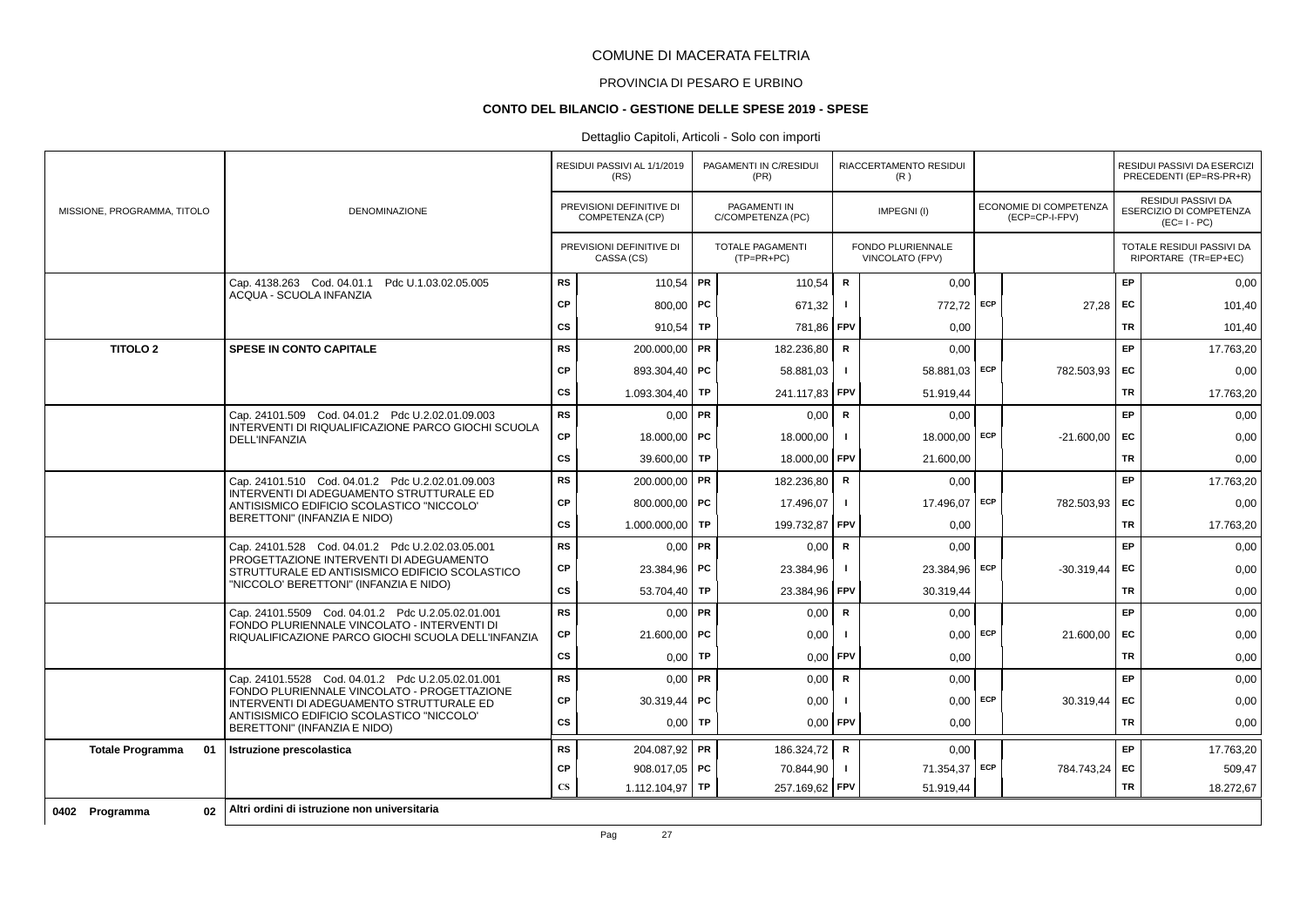# PROVINCIA DI PESARO E URBINO

### **CONTO DEL BILANCIO - GESTIONE DELLE SPESE 2019 - SPESE**

|                               |                                                                                                   |                        | RESIDUI PASSIVI AL 1/1/2019<br>(RS)         |           | PAGAMENTI IN C/RESIDUI<br>(PR)           |              | RIACCERTAMENTO RESIDUI<br>(R)        |            |                                          |           | RESIDUI PASSIVI DA ESERCIZI<br>PRECEDENTI (EP=RS-PR+R)       |
|-------------------------------|---------------------------------------------------------------------------------------------------|------------------------|---------------------------------------------|-----------|------------------------------------------|--------------|--------------------------------------|------------|------------------------------------------|-----------|--------------------------------------------------------------|
| MISSIONE, PROGRAMMA, TITOLO   | <b>DENOMINAZIONE</b>                                                                              |                        | PREVISIONI DEFINITIVE DI<br>COMPETENZA (CP) |           | <b>PAGAMENTI IN</b><br>C/COMPETENZA (PC) |              | IMPEGNI(I)                           |            | ECONOMIE DI COMPETENZA<br>(ECP=CP-I-FPV) |           | RESIDUI PASSIVI DA<br>ESERCIZIO DI COMPETENZA<br>$(EC=I-PC)$ |
|                               |                                                                                                   |                        | PREVISIONI DEFINITIVE DI<br>CASSA (CS)      |           | <b>TOTALE PAGAMENTI</b><br>$(TP=PR+PC)$  |              | FONDO PLURIENNALE<br>VINCOLATO (FPV) |            |                                          |           | TOTALE RESIDUI PASSIVI DA<br>RIPORTARE (TR=EP+EC)            |
|                               | Cap. 4138.263 Cod. 04.01.1 Pdc U.1.03.02.05.005                                                   | <b>RS</b>              | 110,54   PR                                 |           | 110,54                                   | R            | 0.00                                 |            |                                          | EP        | 0,00                                                         |
|                               | ACQUA - SCUOLA INFANZIA                                                                           | <b>CP</b>              | $800,00$ PC                                 |           | 671,32                                   | $\mathbf{I}$ | 772,72 ECP                           |            | 27.28                                    | EC.       | 101,40                                                       |
|                               |                                                                                                   | <b>CS</b>              | 910,54   TP                                 |           | 781,86                                   | <b>FPV</b>   | 0.00                                 |            |                                          | <b>TR</b> | 101.40                                                       |
| <b>TITOLO 2</b>               | <b>SPESE IN CONTO CAPITALE</b>                                                                    | <b>RS</b>              | 200.000,00 PR                               |           | 182.236,80                               | R            | 0,00                                 |            |                                          | EP        | 17.763,20                                                    |
|                               |                                                                                                   | <b>CP</b>              | 893.304,40   PC                             |           | 58.881.03                                | $\mathbf{I}$ | 58.881,03 ECP                        |            | 782.503.93                               | <b>FC</b> | 0,00                                                         |
|                               |                                                                                                   | <b>CS</b>              | 1.093.304,40                                | TP        | 241.117,83                               | <b>FPV</b>   | 51.919.44                            |            |                                          | <b>TR</b> | 17.763,20                                                    |
|                               | Cap. 24101.509 Cod. 04.01.2 Pdc U.2.02.01.09.003                                                  | <b>RS</b>              | 0,00                                        | PR        | 0,00                                     | ${\sf R}$    | 0,00                                 |            |                                          | EP        | 0,00                                                         |
|                               | INTERVENTI DI RIQUALIFICAZIONE PARCO GIOCHI SCUOLA<br>DELL'INFANZIA                               | <b>CP</b>              | 18.000,00 PC                                |           | 18.000,00                                | $\mathbf{I}$ | 18.000,00 ECP                        |            | $-21.600,00$                             | <b>FC</b> | 0,00                                                         |
|                               |                                                                                                   | <b>CS</b>              | 39.600,00 TP                                |           | 18.000,00                                | <b>FPV</b>   | 21.600,00                            |            |                                          | TR        | 0,00                                                         |
|                               | Cap. 24101.510 Cod. 04.01.2 Pdc U.2.02.01.09.003                                                  | <b>RS</b>              | 200.000,00 PR                               |           | 182.236,80                               | R            | 0,00                                 |            |                                          | EP.       | 17.763,20                                                    |
|                               | INTERVENTI DI ADEGUAMENTO STRUTTURALE ED<br>ANTISISMICO EDIFICIO SCOLASTICO "NICCOLO"             | <b>CP</b>              | 800.000,00 PC                               |           | 17.496.07                                | $\mathbf{I}$ | 17.496.07                            | ECP        | 782.503,93                               | <b>EC</b> | 0,00                                                         |
|                               | BERETTONI" (INFANZIA E NIDO)                                                                      | <b>CS</b>              | 1.000.000,00                                | <b>TP</b> | 199.732,87                               | <b>FPV</b>   | 0,00                                 |            |                                          | <b>TR</b> | 17.763,20                                                    |
|                               | Cap. 24101.528 Cod. 04.01.2 Pdc U.2.02.03.05.001                                                  | <b>RS</b>              | $0,00$ PR                                   |           | 0,00                                     | $\mathbf R$  | 0,00                                 |            |                                          | EP        | 0,00                                                         |
|                               | PROGETTAZIONE INTERVENTI DI ADEGUAMENTO<br>STRUTTURALE ED ANTISISMICO EDIFICIO SCOLASTICO         | <b>CP</b>              | 23.384,96 PC                                |           | 23.384,96                                | $\mathbf{I}$ | 23.384,96                            | ECP        | $-30.319,44$                             | EC        | 0,00                                                         |
|                               | "NICCOLO' BERETTONI" (INFANZIA E NIDO)                                                            | <b>CS</b>              | 53.704,40                                   | TP        | 23.384,96                                | FPV          | 30.319,44                            |            |                                          | <b>TR</b> | 0,00                                                         |
|                               | Cap. 24101.5509 Cod. 04.01.2 Pdc U.2.05.02.01.001                                                 | <b>RS</b>              | $0,00$ PR                                   |           | 0,00                                     | $\mathsf R$  | 0,00                                 |            |                                          | EP        | 0,00                                                         |
|                               | FONDO PLURIENNALE VINCOLATO - INTERVENTI DI<br>RIQUALIFICAZIONE PARCO GIOCHI SCUOLA DELL'INFANZIA | <b>CP</b>              | 21.600,00   PC                              |           | 0,00                                     | $\mathbf{I}$ |                                      | $0,00$ ECP | 21.600,00                                | <b>EC</b> | 0,00                                                         |
|                               |                                                                                                   | CS                     | 0,00                                        | TP        | 0,00                                     | <b>FPV</b>   | 0,00                                 |            |                                          | <b>TR</b> | 0,00                                                         |
|                               | Cap. 24101.5528 Cod. 04.01.2 Pdc U.2.05.02.01.001                                                 | <b>RS</b>              | $0,00$ PR                                   |           | 0,00                                     | R            | 0,00                                 |            |                                          | EP        | 0,00                                                         |
|                               | FONDO PLURIENNALE VINCOLATO - PROGETTAZIONE<br>INTERVENTI DI ADEGUAMENTO STRUTTURALE ED           | <b>CP</b>              | $30.319,44$ PC                              |           | 0,00                                     | -1           |                                      | $0.00$ ECP | 30.319,44                                | <b>EC</b> | 0,00                                                         |
|                               | ANTISISMICO EDIFICIO SCOLASTICO "NICCOLO"<br>BERETTONI" (INFANZIA E NIDO)                         | <b>CS</b>              | 0,00                                        | <b>TP</b> | 0,00                                     | FPV          | 0,00                                 |            |                                          | <b>TR</b> | 0,00                                                         |
| <b>Totale Programma</b><br>01 | Istruzione prescolastica                                                                          | <b>RS</b>              | 204.087,92 PR                               |           | 186.324,72                               | R            | 0,00                                 |            |                                          | EP        | 17.763,20                                                    |
|                               |                                                                                                   | <b>CP</b>              | 908.017.05   PC                             |           | 70.844,90                                | -1           | 71.354,37 ECP                        |            | 784.743,24 EC                            |           | 509,47                                                       |
|                               |                                                                                                   | $\mathbf{C}\mathbf{S}$ | 1.112.104,97 TP                             |           | 257.169,62                               | FPV          | 51.919,44                            |            |                                          | <b>TR</b> | 18.272,67                                                    |
| 02<br>0402 Programma          | Altri ordini di istruzione non universitaria                                                      |                        |                                             |           |                                          |              |                                      |            |                                          |           |                                                              |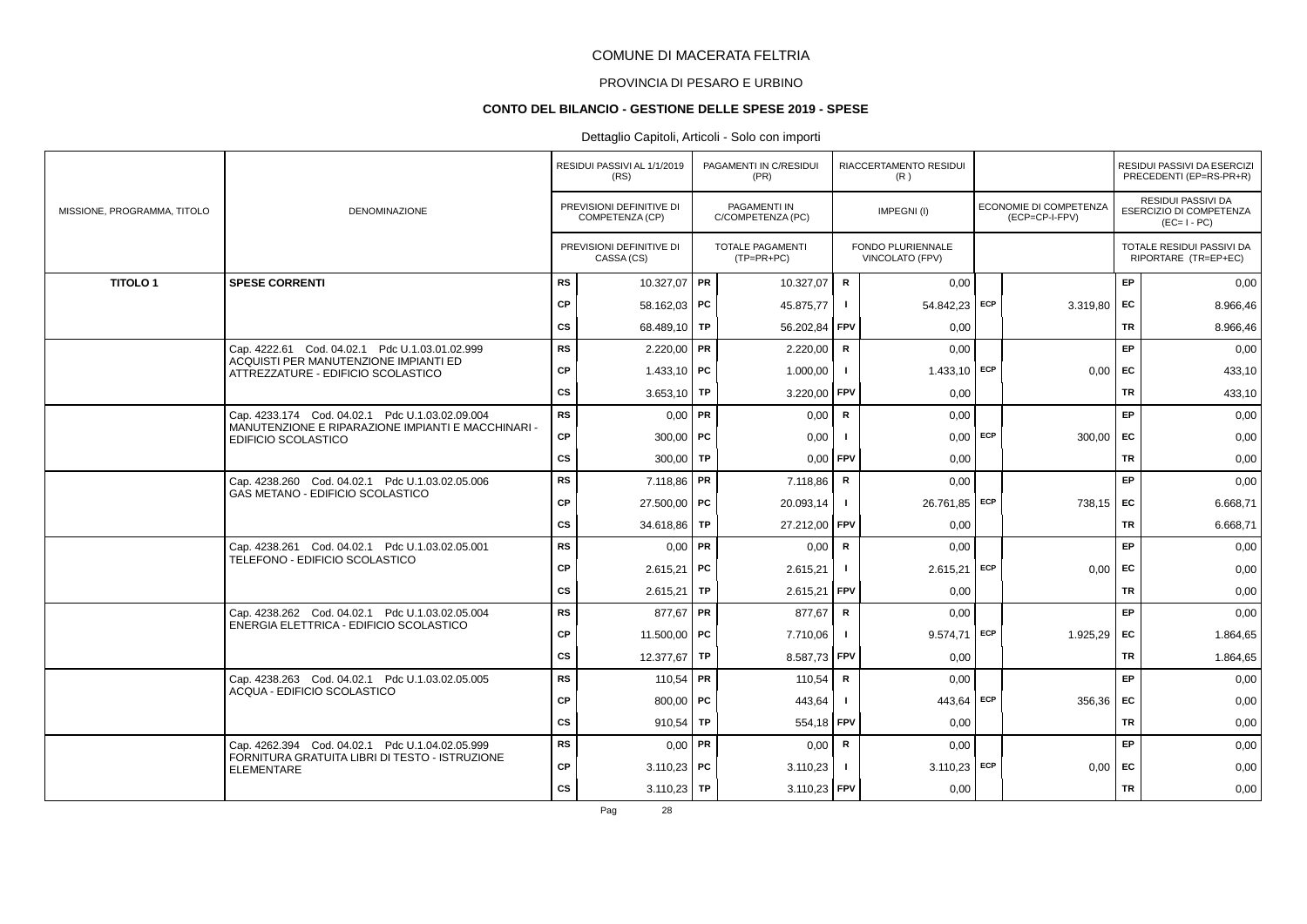# PROVINCIA DI PESARO E URBINO

#### **CONTO DEL BILANCIO - GESTIONE DELLE SPESE 2019 - SPESE**

### Dettaglio Capitoli, Articoli - Solo con importi

|                             |                                                                             |           | RESIDUI PASSIVI AL 1/1/2019<br>(RS)         |    | PAGAMENTI IN C/RESIDUI<br>(PR)          |                | RIACCERTAMENTO RESIDUI<br>(R)        |            |                                          |           | RESIDUI PASSIVI DA ESERCIZI<br>PRECEDENTI (EP=RS-PR+R)              |
|-----------------------------|-----------------------------------------------------------------------------|-----------|---------------------------------------------|----|-----------------------------------------|----------------|--------------------------------------|------------|------------------------------------------|-----------|---------------------------------------------------------------------|
| MISSIONE, PROGRAMMA, TITOLO | <b>DENOMINAZIONE</b>                                                        |           | PREVISIONI DEFINITIVE DI<br>COMPETENZA (CP) |    | PAGAMENTI IN<br>C/COMPETENZA (PC)       |                | IMPEGNI(I)                           |            | ECONOMIE DI COMPETENZA<br>(ECP=CP-I-FPV) |           | RESIDUI PASSIVI DA<br><b>ESERCIZIO DI COMPETENZA</b><br>$(EC=I-PC)$ |
|                             |                                                                             |           | PREVISIONI DEFINITIVE DI<br>CASSA (CS)      |    | <b>TOTALE PAGAMENTI</b><br>$(TP=PR+PC)$ |                | FONDO PLURIENNALE<br>VINCOLATO (FPV) |            |                                          |           | TOTALE RESIDUI PASSIVI DA<br>RIPORTARE (TR=EP+EC)                   |
| <b>TITOLO1</b>              | <b>SPESE CORRENTI</b>                                                       | <b>RS</b> | 10.327,07 PR                                |    | 10.327,07                               | $\mathbf R$    | 0,00                                 |            |                                          | EP        | 0,00                                                                |
|                             |                                                                             | CP        | 58.162.03 PC                                |    | 45.875,77                               | $\mathbf{I}$   | 54.842.23                            | ECP        | $3.319,80$ EC                            |           | 8.966,46                                                            |
|                             |                                                                             | <b>CS</b> | 68.489,10 TP                                |    | 56.202,84                               | <b>FPV</b>     | 0,00                                 |            |                                          | TR        | 8.966,46                                                            |
|                             | Cap. 4222.61 Cod. 04.02.1 Pdc U.1.03.01.02.999                              | <b>RS</b> | $2.220,00$ PR                               |    | 2.220,00                                | $\mathbf R$    | 0.00                                 |            |                                          | EP        | 0,00                                                                |
|                             | ACQUISTI PER MANUTENZIONE IMPIANTI ED<br>ATTREZZATURE - EDIFICIO SCOLASTICO | CP        | 1.433,10   PC                               |    | 1.000,00                                |                | $1.433,10$ ECP                       |            | $0.00$ EC                                |           | 433,10                                                              |
|                             |                                                                             | CS        | 3.653,10 TP                                 |    | 3.220,00                                | <b>FPV</b>     | 0,00                                 |            |                                          | TR        | 433,10                                                              |
|                             | Cap. 4233.174 Cod. 04.02.1 Pdc U.1.03.02.09.004                             | <b>RS</b> | $0,00$ PR                                   |    | 0,00                                    | $\mathbf R$    | 0,00                                 |            |                                          | <b>EP</b> | 0,00                                                                |
|                             | MANUTENZIONE E RIPARAZIONE IMPIANTI E MACCHINARI -<br>EDIFICIO SCOLASTICO   | CP        | $300,00$ PC                                 |    | 0,00                                    |                |                                      | $0,00$ ECP | $300,00$ EC                              |           | 0,00                                                                |
|                             |                                                                             | cs        | 300,00   TP                                 |    | 0.00                                    | FPV            | 0,00                                 |            |                                          | <b>TR</b> | 0,00                                                                |
|                             | Cap. 4238.260 Cod. 04.02.1 Pdc U.1.03.02.05.006                             | <b>RS</b> | $7.118,86$ PR                               |    | 7.118,86                                | $\mathbf R$    | 0,00                                 |            |                                          | <b>EP</b> | 0,00                                                                |
|                             | GAS METANO - EDIFICIO SCOLASTICO                                            | СP        | 27.500,00 PC                                |    | 20.093,14                               | Ι.             | 26.761,85 ECP                        |            | 738,15 EC                                |           | 6.668,71                                                            |
|                             |                                                                             | cs        | 34.618,86   TP                              |    | 27.212,00 FPV                           |                | 0,00                                 |            |                                          | <b>TR</b> | 6.668,71                                                            |
|                             | Cap. 4238.261 Cod. 04.02.1 Pdc U.1.03.02.05.001                             | <b>RS</b> | $0,00$ PR                                   |    | 0,00                                    | $\mathbf R$    | 0,00                                 |            |                                          | EP        | 0,00                                                                |
|                             | TELEFONO - EDIFICIO SCOLASTICO                                              | CP        | $2.615,21$ PC                               |    | 2.615,21                                |                | $2.615,21$ ECP                       |            | 0,00                                     | <b>FC</b> | 0,00                                                                |
|                             |                                                                             | cs        | 2.615,21                                    | TP | 2.615,21                                | FPV            | 0,00                                 |            |                                          | <b>TR</b> | 0,00                                                                |
|                             | Cap. 4238.262 Cod. 04.02.1 Pdc U.1.03.02.05.004                             | <b>RS</b> | 877,67 PR                                   |    | 877,67                                  | $\mathbf R$    | 0,00                                 |            |                                          | EP        | 0,00                                                                |
|                             | ENERGIA ELETTRICA - EDIFICIO SCOLASTICO                                     | CP        | 11.500,00 PC                                |    | 7.710,06                                | $\blacksquare$ | 9.574.71                             | ECP        | 1.925,29 EC                              |           | 1.864,65                                                            |
|                             |                                                                             | <b>CS</b> | 12.377,67 TP                                |    | 8.587,73                                | <b>FPV</b>     | 0,00                                 |            |                                          | TR        | 1.864,65                                                            |
|                             | Cap. 4238.263 Cod. 04.02.1 Pdc U.1.03.02.05.005                             | <b>RS</b> | 110,54 PR                                   |    | 110,54                                  | $\mathbf R$    | 0,00                                 |            |                                          | EP        | 0,00                                                                |
|                             | ACQUA - EDIFICIO SCOLASTICO                                                 | CP        | 800,00   $PC$                               |    | 443,64                                  |                | $443,64$ ECP                         |            | $356,36$ EC                              |           | 0,00                                                                |
|                             |                                                                             | <b>CS</b> | 910,54                                      | TP | 554,18 FPV                              |                | 0,00                                 |            |                                          | TR        | 0,00                                                                |
|                             | Cap. 4262.394 Cod. 04.02.1 Pdc U.1.04.02.05.999                             | <b>RS</b> | $0,00$ PR                                   |    | 0,00                                    | $\mathbf R$    | 0,00                                 |            |                                          | EP        | 0,00                                                                |
|                             | FORNITURA GRATUITA LIBRI DI TESTO - ISTRUZIONE<br><b>ELEMENTARE</b>         | CP        | $3.110,23$ PC                               |    | 3.110,23                                |                | $3.110,23$ ECP                       |            | $0,00$ EC                                |           | 0,00                                                                |
|                             |                                                                             | cs        | $3.110.23$ TP                               |    | $3.110,23$ FPV                          |                | 0,00                                 |            |                                          | <b>TR</b> | 0,00                                                                |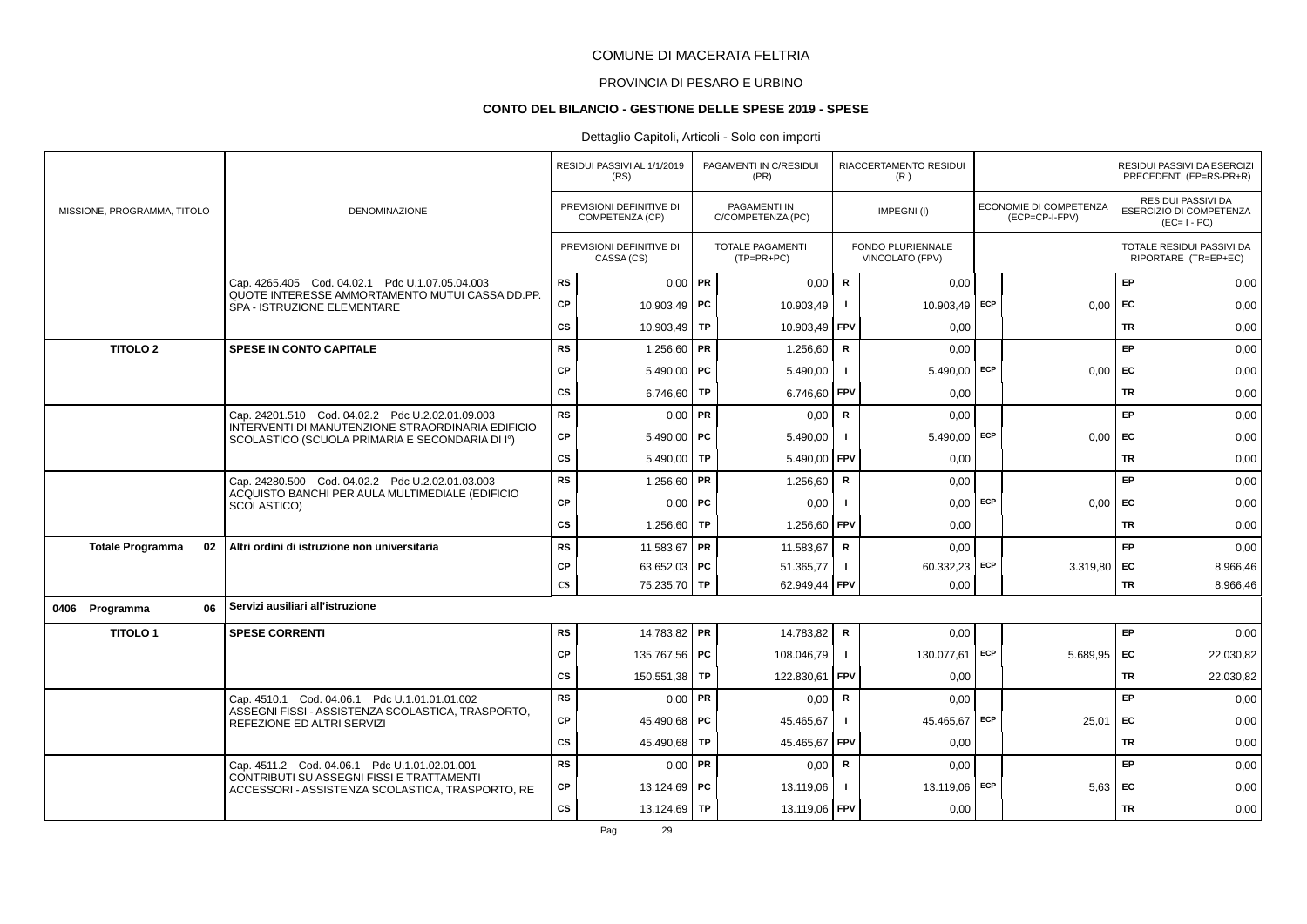# PROVINCIA DI PESARO E URBINO

#### **CONTO DEL BILANCIO - GESTIONE DELLE SPESE 2019 - SPESE**

|  |                               |                                                                                                      | RESIDUI PASSIVI AL 1/1/2019<br>(RS) |                                             | PAGAMENTI IN C/RESIDUI<br>(PR) |                                          | RIACCERTAMENTO RESIDUI<br>(R) |                                      |     |                                          | RESIDUI PASSIVI DA ESERCIZI<br>PRECEDENTI (EP=RS-PR+R) |                                                                     |
|--|-------------------------------|------------------------------------------------------------------------------------------------------|-------------------------------------|---------------------------------------------|--------------------------------|------------------------------------------|-------------------------------|--------------------------------------|-----|------------------------------------------|--------------------------------------------------------|---------------------------------------------------------------------|
|  | MISSIONE, PROGRAMMA, TITOLO   | DENOMINAZIONE                                                                                        |                                     | PREVISIONI DEFINITIVE DI<br>COMPETENZA (CP) |                                | <b>PAGAMENTI IN</b><br>C/COMPETENZA (PC) |                               | IMPEGNI(I)                           |     | ECONOMIE DI COMPETENZA<br>(ECP=CP-I-FPV) |                                                        | <b>RESIDUI PASSIVI DA</b><br>ESERCIZIO DI COMPETENZA<br>$(EC=I-PC)$ |
|  |                               |                                                                                                      |                                     | PREVISIONI DEFINITIVE DI<br>CASSA (CS)      |                                | <b>TOTALE PAGAMENTI</b><br>$(TP=PR+PC)$  |                               | FONDO PLURIENNALE<br>VINCOLATO (FPV) |     |                                          |                                                        | TOTALE RESIDUI PASSIVI DA<br>RIPORTARE (TR=EP+EC)                   |
|  |                               | Cap. 4265.405 Cod. 04.02.1 Pdc U.1.07.05.04.003                                                      | <b>RS</b>                           | $0,00$ PR                                   |                                | 0,00                                     | $\mathbf R$                   | 0,00                                 |     |                                          | EP                                                     | 0,00                                                                |
|  |                               | QUOTE INTERESSE AMMORTAMENTO MUTUI CASSA DD.PP.<br>SPA - ISTRUZIONE ELEMENTARE                       | <b>CP</b>                           | 10.903,49 PC                                |                                | 10.903,49                                |                               | 10.903,49                            | ECP | 0,00                                     | EC                                                     | 0,00                                                                |
|  |                               |                                                                                                      | <b>CS</b>                           | 10.903,49                                   | <b>TP</b>                      | 10.903,49                                | FPV                           | 0,00                                 |     |                                          | <b>TR</b>                                              | 0,00                                                                |
|  | <b>TITOLO 2</b>               | <b>SPESE IN CONTO CAPITALE</b>                                                                       | <b>RS</b>                           | 1.256,60   PR                               |                                | 1.256,60                                 | R                             | 0,00                                 |     |                                          | EP                                                     | 0,00                                                                |
|  |                               |                                                                                                      | <b>CP</b>                           | $5.490,00$ PC                               |                                | 5.490,00                                 | $\mathbf{I}$                  | $5.490,00$ ECP                       |     | 0,00                                     | EC                                                     | 0,00                                                                |
|  |                               |                                                                                                      | <b>CS</b>                           | 6.746,60   TP                               |                                | 6.746,60                                 | FPV                           | 0,00                                 |     |                                          | TR                                                     | 0,00                                                                |
|  |                               | Cap. 24201.510 Cod. 04.02.2 Pdc U.2.02.01.09.003                                                     | RS                                  | $0,00$ PR                                   |                                | 0,00                                     | R                             | 0,00                                 |     |                                          | EP                                                     | 0,00                                                                |
|  |                               | INTERVENTI DI MANUTENZIONE STRAORDINARIA EDIFICIO<br>SCOLASTICO (SCUOLA PRIMARIA E SECONDARIA DI Iº) | CP                                  | $5.490,00$ PC                               |                                | 5.490,00                                 | $\blacksquare$                | 5.490,00 ECP                         |     | 0,00                                     | EC                                                     | 0,00                                                                |
|  |                               |                                                                                                      | <b>CS</b>                           | 5.490,00                                    | TP                             | 5.490,00                                 | FPV                           | 0,00                                 |     |                                          | <b>TR</b>                                              | 0,00                                                                |
|  |                               | Cap. 24280.500 Cod. 04.02.2 Pdc U.2.02.01.03.003                                                     | <b>RS</b>                           | 1.256,60   PR                               |                                | 1.256,60                                 | $\mathsf{R}$                  | 0,00                                 |     |                                          | EP                                                     | 0,00                                                                |
|  |                               | ACQUISTO BANCHI PER AULA MULTIMEDIALE (EDIFICIO<br>SCOLASTICO)                                       | <b>CP</b>                           | $0,00$ PC                                   |                                | 0,00                                     |                               | $0,00$ ECP                           |     | 0,00                                     | EC                                                     | 0,00                                                                |
|  |                               |                                                                                                      | <b>CS</b>                           | 1.256,60                                    | TP                             | 1.256,60                                 | FPV                           | 0,00                                 |     |                                          | <b>TR</b>                                              | 0,00                                                                |
|  | <b>Totale Programma</b><br>02 | Altri ordini di istruzione non universitaria                                                         | <b>RS</b>                           | 11.583,67 PR                                |                                | 11.583,67                                | $\mathsf R$                   | 0,00                                 |     |                                          | EP                                                     | 0,00                                                                |
|  |                               |                                                                                                      | <b>CP</b>                           | 63.652,03   PC                              |                                | 51.365,77                                | -1                            | 60.332,23                            | ECP | 3.319,80                                 | EC                                                     | 8.966,46                                                            |
|  |                               |                                                                                                      | $\mathbf{C}\mathbf{S}$              | 75.235,70 TP                                |                                | 62.949,44                                | <b>FPV</b>                    | 0,00                                 |     |                                          | TR                                                     | 8.966,46                                                            |
|  | 0406 Programma<br>06          | Servizi ausiliari all'istruzione                                                                     |                                     |                                             |                                |                                          |                               |                                      |     |                                          |                                                        |                                                                     |
|  | <b>TITOLO1</b>                | <b>SPESE CORRENTI</b>                                                                                | <b>RS</b>                           | 14.783,82 PR                                |                                | 14.783,82                                | $\mathbf R$                   | 0,00                                 |     |                                          | EP                                                     | 0,00                                                                |
|  |                               |                                                                                                      | <b>CP</b>                           | 135.767,56 PC                               |                                | 108.046,79                               | $\blacksquare$                | 130.077,61 ECP                       |     | 5.689,95                                 | EC                                                     | 22.030,82                                                           |
|  |                               |                                                                                                      | <b>CS</b>                           | 150.551,38                                  | TP                             | 122.830,61                               | <b>FPV</b>                    | 0,00                                 |     |                                          | <b>TR</b>                                              | 22.030,82                                                           |
|  |                               | Cap. 4510.1 Cod. 04.06.1 Pdc U.1.01.01.01.002                                                        | <b>RS</b>                           | $0,00$ PR                                   |                                | 0,00                                     | $\mathsf{R}$                  | 0,00                                 |     |                                          | EP                                                     | 0,00                                                                |
|  |                               | ASSEGNI FISSI - ASSISTENZA SCOLASTICA, TRASPORTO,<br>REFEZIONE ED ALTRI SERVIZI                      | <b>CP</b>                           | 45.490,68 PC                                |                                | 45.465,67                                | $\mathbf{I}$                  | 45.465,67                            | ECP | 25,01                                    | EC                                                     | 0,00                                                                |
|  |                               |                                                                                                      | CS                                  | 45.490,68                                   | TP                             | 45.465,67                                | FPV                           | 0,00                                 |     |                                          | <b>TR</b>                                              | 0,00                                                                |
|  |                               | Cap. 4511.2 Cod. 04.06.1 Pdc U.1.01.02.01.001                                                        | <b>RS</b>                           | $0,00$ PR                                   |                                | 0,00                                     | $\mathbf R$                   | 0,00                                 |     |                                          | EP                                                     | 0,00                                                                |
|  |                               | CONTRIBUTI SU ASSEGNI FISSI E TRATTAMENTI<br>ACCESSORI - ASSISTENZA SCOLASTICA, TRASPORTO, RE        | <b>CP</b>                           | 13.124,69 PC                                |                                | 13.119,06                                |                               | 13.119,06                            | ECP | 5,63                                     | EC                                                     | 0,00                                                                |
|  |                               |                                                                                                      | <b>CS</b>                           | 13.124,69   TP                              |                                | 13.119,06 FPV                            |                               | 0,00                                 |     |                                          | TR                                                     | 0,00                                                                |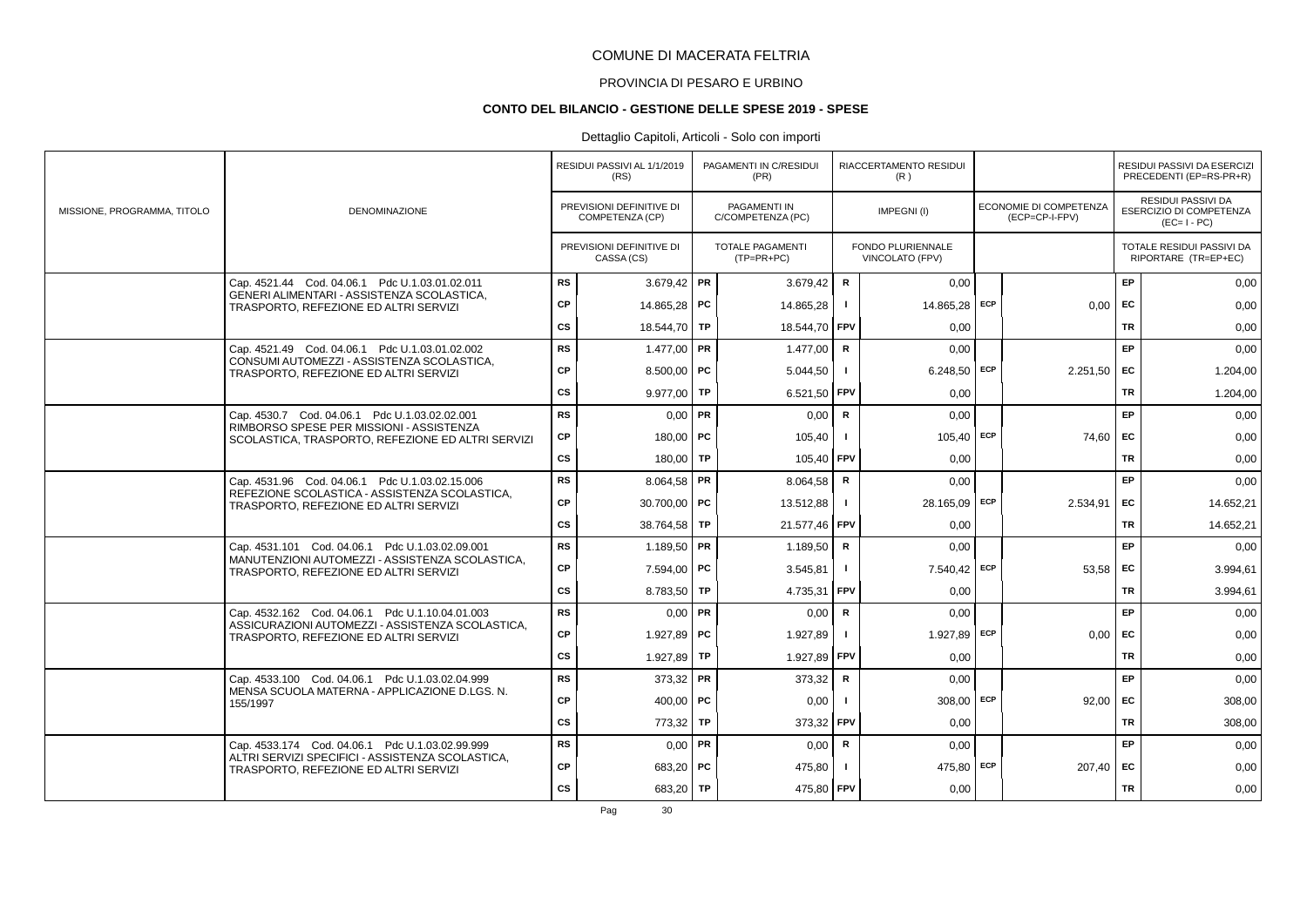# PROVINCIA DI PESARO E URBINO

#### **CONTO DEL BILANCIO - GESTIONE DELLE SPESE 2019 - SPESE**

### Dettaglio Capitoli, Articoli - Solo con importi

|                             |                                                                                               |           | RESIDUI PASSIVI AL 1/1/2019<br>(RS)         |    | PAGAMENTI IN C/RESIDUI<br>(PR)           |              | RIACCERTAMENTO RESIDUI<br>(R)        |                                                 |           | RESIDUI PASSIVI DA ESERCIZI<br>PRECEDENTI (EP=RS-PR+R)       |
|-----------------------------|-----------------------------------------------------------------------------------------------|-----------|---------------------------------------------|----|------------------------------------------|--------------|--------------------------------------|-------------------------------------------------|-----------|--------------------------------------------------------------|
| MISSIONE, PROGRAMMA, TITOLO | <b>DENOMINAZIONE</b>                                                                          |           | PREVISIONI DEFINITIVE DI<br>COMPETENZA (CP) |    | <b>PAGAMENTI IN</b><br>C/COMPETENZA (PC) |              | IMPEGNI(I)                           | <b>ECONOMIE DI COMPETENZA</b><br>(ECP=CP-I-FPV) |           | RESIDUI PASSIVI DA<br>ESERCIZIO DI COMPETENZA<br>$(EC=I-PC)$ |
|                             |                                                                                               |           | PREVISIONI DEFINITIVE DI<br>CASSA (CS)      |    | TOTALE PAGAMENTI<br>$(TP=PR+PC)$         |              | FONDO PLURIENNALE<br>VINCOLATO (FPV) |                                                 |           | TOTALE RESIDUI PASSIVI DA<br>RIPORTARE (TR=EP+EC)            |
|                             | Cap. 4521.44 Cod. 04.06.1 Pdc U.1.03.01.02.011                                                | <b>RS</b> | 3.679,42   PR                               |    | 3.679,42                                 | $\mathsf R$  | 0,00                                 |                                                 | EP        | 0,00                                                         |
|                             | GENERI ALIMENTARI - ASSISTENZA SCOLASTICA,<br>TRASPORTO, REFEZIONE ED ALTRI SERVIZI           | <b>CP</b> | 14.865,28 PC                                |    | 14.865,28                                | $\mathbf{I}$ | 14.865,28 ECP                        | 0,00                                            | EC        | 0,00                                                         |
|                             |                                                                                               | cs        | 18.544,70 TP                                |    | 18.544,70                                | FPV          | 0.00                                 |                                                 | <b>TR</b> | 0,00                                                         |
|                             | Cap. 4521.49 Cod. 04.06.1 Pdc U.1.03.01.02.002                                                | <b>RS</b> | $1.477,00$ PR                               |    | 1.477.00                                 | $\mathsf R$  | 0.00                                 |                                                 | EP        | 0,00                                                         |
|                             | CONSUMI AUTOMEZZI - ASSISTENZA SCOLASTICA,<br>TRASPORTO, REFEZIONE ED ALTRI SERVIZI           | CP        | $8.500,00$ PC                               |    | 5.044,50                                 |              | $6.248,50$ ECP                       | 2.251,50                                        | EC        | 1.204,00                                                     |
|                             |                                                                                               | CS        | 9.977,00 TP                                 |    | 6.521,50                                 | <b>FPV</b>   | 0,00                                 |                                                 | <b>TR</b> | 1.204,00                                                     |
|                             | Cap. 4530.7 Cod. 04.06.1 Pdc U.1.03.02.02.001                                                 | <b>RS</b> | $0.00$ PR                                   |    | 0,00                                     | $\mathsf{R}$ | 0,00                                 |                                                 | EP        | 0,00                                                         |
|                             | RIMBORSO SPESE PER MISSIONI - ASSISTENZA<br>SCOLASTICA, TRASPORTO, REFEZIONE ED ALTRI SERVIZI | <b>CP</b> | 180,00   PC                                 |    | 105,40                                   | $\mathbf{I}$ | $105,40$ ECP                         | 74,60                                           | <b>FC</b> | 0,00                                                         |
|                             |                                                                                               | CS        | 180,00 TP                                   |    | 105,40                                   | FPV          | 0,00                                 |                                                 | <b>TR</b> | 0,00                                                         |
|                             | Cap. 4531.96 Cod. 04.06.1 Pdc U.1.03.02.15.006                                                | <b>RS</b> | 8.064,58 PR                                 |    | 8.064,58                                 | $\mathsf R$  | 0,00                                 |                                                 | EP        | 0,00                                                         |
|                             | REFEZIONE SCOLASTICA - ASSISTENZA SCOLASTICA,<br>TRASPORTO, REFEZIONE ED ALTRI SERVIZI        | <b>CP</b> | 30.700,00   PC                              |    | 13.512.88                                | $\mathbf{I}$ | 28.165,09 ECP                        | 2.534.91                                        | <b>FC</b> | 14.652,21                                                    |
|                             |                                                                                               | CS        | 38.764,58   TP                              |    | 21.577,46 FPV                            |              | 0,00                                 |                                                 | TR        | 14.652,21                                                    |
|                             | Cap. 4531.101 Cod. 04.06.1 Pdc U.1.03.02.09.001                                               | <b>RS</b> | 1.189,50 PR                                 |    | 1.189,50                                 | R            | 0,00                                 |                                                 | EP        | 0,00                                                         |
|                             | MANUTENZIONI AUTOMEZZI - ASSISTENZA SCOLASTICA.<br>TRASPORTO, REFEZIONE ED ALTRI SERVIZI      | <b>CP</b> | 7.594,00 PC                                 |    | 3.545,81                                 | $\mathbf{I}$ | 7.540,42 ECP                         | 53,58                                           | EC        | 3.994,61                                                     |
|                             |                                                                                               | CS        | 8.783,50 TP                                 |    | 4.735,31                                 | <b>FPV</b>   | 0,00                                 |                                                 | <b>TR</b> | 3.994,61                                                     |
|                             | Cap. 4532.162 Cod. 04.06.1 Pdc U.1.10.04.01.003                                               | <b>RS</b> | $0.00$ PR                                   |    | 0,00                                     | R            | 0,00                                 |                                                 | EP        | 0,00                                                         |
|                             | ASSICURAZIONI AUTOMEZZI - ASSISTENZA SCOLASTICA.<br>TRASPORTO, REFEZIONE ED ALTRI SERVIZI     | <b>CP</b> | 1.927,89 PC                                 |    | 1.927,89                                 | $\mathbf{I}$ | 1.927,89 ECP                         | 0,00                                            | EC        | 0,00                                                         |
|                             |                                                                                               | cs        | 1.927,89                                    | TP | 1.927,89                                 | FPV          | 0,00                                 |                                                 | <b>TR</b> | 0,00                                                         |
|                             | Cap. 4533.100 Cod. 04.06.1 Pdc U.1.03.02.04.999                                               | <b>RS</b> | 373,32 PR                                   |    | 373,32                                   | $\mathbf R$  | 0,00                                 |                                                 | EP        | 0,00                                                         |
|                             | MENSA SCUOLA MATERNA - APPLICAZIONE D.LGS. N.<br>155/1997                                     | CP        | 400,00   PC                                 |    | 0,00                                     |              | $308,00$ ECP                         | 92.00                                           | EC        | 308,00                                                       |
|                             |                                                                                               | CS        | 773,32 TP                                   |    | 373,32                                   | <b>FPV</b>   | 0.00                                 |                                                 | <b>TR</b> | 308,00                                                       |
|                             | Cap. 4533.174 Cod. 04.06.1 Pdc U.1.03.02.99.999                                               | <b>RS</b> | $0,00$ PR                                   |    | 0,00                                     | R            | 0,00                                 |                                                 | EP        | 0,00                                                         |
|                             | ALTRI SERVIZI SPECIFICI - ASSISTENZA SCOLASTICA,<br>TRASPORTO, REFEZIONE ED ALTRI SERVIZI     | <b>CP</b> | 683,20   PC                                 |    | 475,80                                   | $\mathbf{I}$ | 475,80 ECP                           | 207,40                                          | EC        | 0,00                                                         |
|                             |                                                                                               | <b>CS</b> | 683,20 TP                                   |    | 475,80 FPV                               |              | 0,00                                 |                                                 | <b>TR</b> | 0,00                                                         |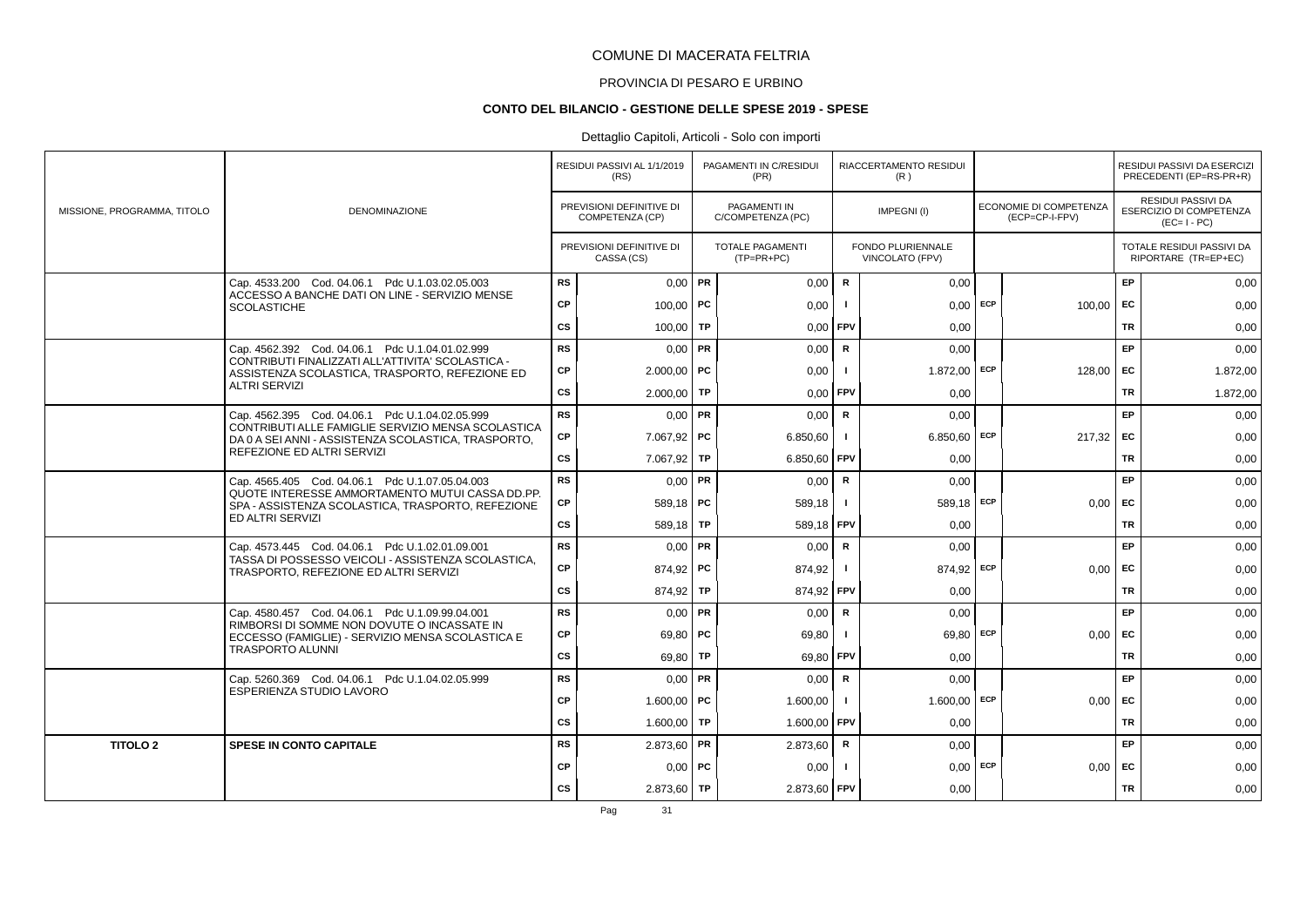# PROVINCIA DI PESARO E URBINO

#### **CONTO DEL BILANCIO - GESTIONE DELLE SPESE 2019 - SPESE**

### Dettaglio Capitoli, Articoli - Solo con importi

|                             |                                                                                                           |           | RESIDUI PASSIVI AL 1/1/2019<br>(RS)         |    | PAGAMENTI IN C/RESIDUI<br>(PR)           |               | RIACCERTAMENTO RESIDUI<br>(R)        |     |                                                 |           | RESIDUI PASSIVI DA ESERCIZI<br>PRECEDENTI (EP=RS-PR+R)       |
|-----------------------------|-----------------------------------------------------------------------------------------------------------|-----------|---------------------------------------------|----|------------------------------------------|---------------|--------------------------------------|-----|-------------------------------------------------|-----------|--------------------------------------------------------------|
| MISSIONE, PROGRAMMA, TITOLO | <b>DENOMINAZIONE</b>                                                                                      |           | PREVISIONI DEFINITIVE DI<br>COMPETENZA (CP) |    | <b>PAGAMENTI IN</b><br>C/COMPETENZA (PC) |               | IMPEGNI(I)                           |     | <b>ECONOMIE DI COMPETENZA</b><br>(ECP=CP-I-FPV) |           | RESIDUI PASSIVI DA<br>ESERCIZIO DI COMPETENZA<br>$(EC=I-PC)$ |
|                             |                                                                                                           |           | PREVISIONI DEFINITIVE DI<br>CASSA (CS)      |    | <b>TOTALE PAGAMENTI</b><br>$(TP=PR+PC)$  |               | FONDO PLURIENNALE<br>VINCOLATO (FPV) |     |                                                 |           | TOTALE RESIDUI PASSIVI DA<br>RIPORTARE (TR=EP+EC)            |
|                             | Cap. 4533.200 Cod. 04.06.1 Pdc U.1.03.02.05.003                                                           | <b>RS</b> | $0,00$ PR                                   |    | 0,00                                     | ${\mathbf R}$ | 0.00                                 |     |                                                 | EP        | 0,00                                                         |
|                             | ACCESSO A BANCHE DATI ON LINE - SERVIZIO MENSE<br><b>SCOLASTICHE</b>                                      | <b>CP</b> | $100,00$ PC                                 |    | 0,00                                     | -1            | $0,00$ ECP                           |     | 100,00                                          | <b>FC</b> | 0,00                                                         |
|                             |                                                                                                           | CS        | 100,00                                      | TP | 0,00                                     | FPV           | 0,00                                 |     |                                                 | TR        | 0,00                                                         |
|                             | Cap. 4562.392 Cod. 04.06.1 Pdc U.1.04.01.02.999                                                           | <b>RS</b> | $0.00$ PR                                   |    | 0,00                                     | $\mathsf{R}$  | 0.00                                 |     |                                                 | EP        | 0,00                                                         |
|                             | CONTRIBUTI FINALIZZATI ALL'ATTIVITA' SCOLASTICA -<br>ASSISTENZA SCOLASTICA, TRASPORTO, REFEZIONE ED       | <b>CP</b> | $2.000,00$ PC                               |    | 0,00                                     |               | $1.872,00$ ECP                       |     | 128,00                                          | EC        | 1.872,00                                                     |
|                             | <b>ALTRI SERVIZI</b>                                                                                      | <b>CS</b> | $2.000,00$ TP                               |    | 0,00                                     | FPV           | 0,00                                 |     |                                                 | <b>TR</b> | 1.872,00                                                     |
|                             | Cap. 4562.395 Cod. 04.06.1 Pdc U.1.04.02.05.999                                                           | <b>RS</b> | $0.00$ PR                                   |    | 0,00                                     | R             | 0.00                                 |     |                                                 | EP        | 0,00                                                         |
|                             | CONTRIBUTI ALLE FAMIGLIE SERVIZIO MENSA SCOLASTICA<br>DA 0 A SEI ANNI - ASSISTENZA SCOLASTICA. TRASPORTO. | CP        | $7.067,92$ PC                               |    | 6.850,60                                 | $\mathbf{I}$  | $6.850,60$ ECP                       |     | 217,32                                          | <b>FC</b> | 0,00                                                         |
|                             | REFEZIONE ED ALTRI SERVIZI                                                                                | CS        | $7.067,92$ TP                               |    | 6.850,60                                 | FPV           | 0,00                                 |     |                                                 | TR        | 0,00                                                         |
|                             | Cap. 4565.405 Cod. 04.06.1 Pdc U.1.07.05.04.003                                                           | <b>RS</b> | $0.00$ PR                                   |    | 0,00                                     | R             | 0,00                                 |     |                                                 | EP        | 0,00                                                         |
|                             | QUOTE INTERESSE AMMORTAMENTO MUTUI CASSA DD.PP.<br>SPA - ASSISTENZA SCOLASTICA, TRASPORTO, REFEZIONE      | <b>CP</b> | $589,18$ PC                                 |    | 589,18                                   | $\mathbf{I}$  | $589,18$ ECP                         |     | 0,00                                            | EC        | 0,00                                                         |
|                             | ED ALTRI SERVIZI                                                                                          | CS        | $589,18$ TP                                 |    | 589,18 FPV                               |               | 0,00                                 |     |                                                 | <b>TR</b> | 0,00                                                         |
|                             | Cap. 4573.445 Cod. 04.06.1 Pdc U.1.02.01.09.001                                                           | <b>RS</b> | $0,00$ PR                                   |    | 0.00                                     | $\mathsf{R}$  | 0.00                                 |     |                                                 | EP        | 0,00                                                         |
|                             | TASSA DI POSSESSO VEICOLI - ASSISTENZA SCOLASTICA,<br>TRASPORTO, REFEZIONE ED ALTRI SERVIZI               | <b>CP</b> | 874,92   PC                                 |    | 874,92                                   |               | 874,92 ECP                           |     | 0.00                                            | EC        | 0,00                                                         |
|                             |                                                                                                           | CS        | 874,92 TP                                   |    | 874,92 FPV                               |               | 0,00                                 |     |                                                 | <b>TR</b> | 0,00                                                         |
|                             | Cap. 4580.457 Cod. 04.06.1 Pdc U.1.09.99.04.001<br>RIMBORSI DI SOMME NON DOVUTE O INCASSATE IN            | <b>RS</b> | $0.00$ PR                                   |    | 0,00                                     | R             | 0,00                                 |     |                                                 | EP        | 0,00                                                         |
|                             | ECCESSO (FAMIGLIE) - SERVIZIO MENSA SCOLASTICA E                                                          | <b>CP</b> | 69,80   PC                                  |    | 69,80                                    | -1            | 69,80                                | ECP | 0,00                                            | <b>FC</b> | 0,00                                                         |
|                             | <b>TRASPORTO ALUNNI</b>                                                                                   | CS        | 69,80 TP                                    |    | 69,80                                    | <b>FPV</b>    | 0.00                                 |     |                                                 | <b>TR</b> | 0,00                                                         |
|                             | Cap. 5260.369 Cod. 04.06.1 Pdc U.1.04.02.05.999<br>ESPERIENZA STUDIO LAVORO                               | <b>RS</b> | $0,00$ PR                                   |    | 0,00                                     | R             | 0,00                                 |     |                                                 | EP        | 0,00                                                         |
|                             |                                                                                                           | CP        | 1.600.00   PC                               |    | 1.600,00                                 | $\mathbf{I}$  | $1.600,00$ ECP                       |     | 0.00                                            | <b>FC</b> | 0,00                                                         |
|                             |                                                                                                           | CS        | $1.600,00$ TP                               |    | 1.600,00                                 | <b>FPV</b>    | 0,00                                 |     |                                                 | TR        | 0,00                                                         |
| <b>TITOLO 2</b>             | <b>SPESE IN CONTO CAPITALE</b>                                                                            | <b>RS</b> | $2.873,60$ PR                               |    | 2.873,60                                 | R             | 0,00                                 |     |                                                 | EP        | 0,00                                                         |
|                             |                                                                                                           | <b>CP</b> | $0.00$ PC                                   |    | 0,00                                     |               | $0,00$ ECP                           |     | 0,00                                            | EC        | 0,00                                                         |
|                             |                                                                                                           | <b>CS</b> | $2.873,60$ TP                               |    | 2.873,60 FPV                             |               | 0,00                                 |     |                                                 | <b>TR</b> | 0,00                                                         |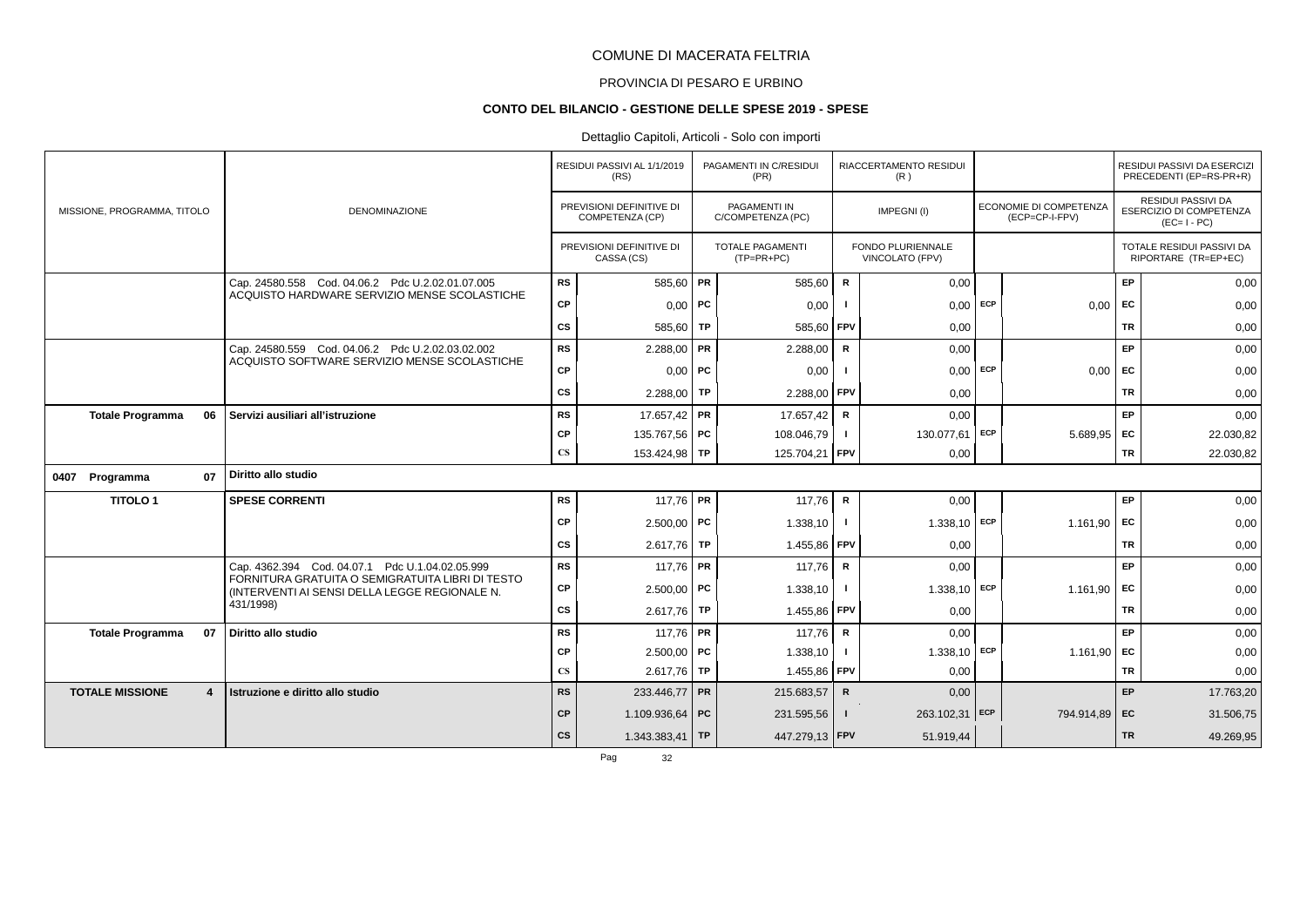# PROVINCIA DI PESARO E URBINO

# **CONTO DEL BILANCIO - GESTIONE DELLE SPESE 2019 - SPESE**

|                                          |                                                                                                   |                        | RESIDUI PASSIVI AL 1/1/2019<br>(RS)         | PAGAMENTI IN C/RESIDUI<br>(PR)          |              | RIACCERTAMENTO RESIDUI<br>(R)        |     |                                          |           | RESIDUI PASSIVI DA ESERCIZI<br>PRECEDENTI (EP=RS-PR+R)              |
|------------------------------------------|---------------------------------------------------------------------------------------------------|------------------------|---------------------------------------------|-----------------------------------------|--------------|--------------------------------------|-----|------------------------------------------|-----------|---------------------------------------------------------------------|
| MISSIONE, PROGRAMMA, TITOLO              | <b>DENOMINAZIONE</b>                                                                              |                        | PREVISIONI DEFINITIVE DI<br>COMPETENZA (CP) | PAGAMENTI IN<br>C/COMPETENZA (PC)       |              | IMPEGNI(I)                           |     | ECONOMIE DI COMPETENZA<br>(ECP=CP-I-FPV) |           | <b>RESIDUI PASSIVI DA</b><br>ESERCIZIO DI COMPETENZA<br>$(EC=I-PC)$ |
|                                          |                                                                                                   |                        | PREVISIONI DEFINITIVE DI<br>CASSA (CS)      | <b>TOTALE PAGAMENTI</b><br>$(TP=PR+PC)$ |              | FONDO PLURIENNALE<br>VINCOLATO (FPV) |     |                                          |           | TOTALE RESIDUI PASSIVI DA<br>RIPORTARE (TR=EP+EC)                   |
|                                          | Cap. 24580.558 Cod. 04.06.2 Pdc U.2.02.01.07.005<br>ACQUISTO HARDWARE SERVIZIO MENSE SCOLASTICHE  | <b>RS</b>              | 585,60 PR                                   | 585,60                                  | $\mathsf{R}$ | 0,00                                 |     |                                          | EP        | 0,00                                                                |
|                                          |                                                                                                   | CP                     | $0.00$ PC                                   | 0,00                                    |              | 0,00                                 | ECP | 0,00                                     | EC        | 0,00                                                                |
|                                          |                                                                                                   | CS                     | 585,60   TP                                 | 585,60 FPV                              |              | 0,00                                 |     |                                          | <b>TR</b> | 0,00                                                                |
|                                          | Cap. 24580.559 Cod. 04.06.2 Pdc U.2.02.03.02.002<br>ACQUISTO SOFTWARE SERVIZIO MENSE SCOLASTICHE  | <b>RS</b>              | $2.288,00$ PR                               | 2.288,00                                | $\mathsf{R}$ | 0,00                                 |     |                                          | EP        | 0,00                                                                |
|                                          |                                                                                                   | CP                     | $0,00$ PC                                   | 0,00                                    |              | 0,00                                 | ECP | 0,00                                     | EC        | 0,00                                                                |
|                                          |                                                                                                   | <b>CS</b>              | 2.288,00 TP                                 | 2.288,00                                | FPV          | 0,00                                 |     |                                          | TR        | 0,00                                                                |
| 06<br><b>Totale Programma</b>            | Servizi ausiliari all'istruzione                                                                  | <b>RS</b>              | 17.657,42 PR                                | 17.657,42                               | $\mathbf R$  | 0,00                                 |     |                                          | <b>EP</b> | 0,00                                                                |
|                                          |                                                                                                   | СP                     | 135.767,56 PC                               | 108.046,79                              | $\mathbf{I}$ | 130.077,61                           | ECP | $5.689.95$ EC                            |           | 22.030,82                                                           |
|                                          |                                                                                                   | $\mathbf{C}\mathbf{S}$ | 153.424,98 TP                               | 125.704,21 FPV                          |              | 0,00                                 |     |                                          | TR        | 22.030,82                                                           |
| 07<br>0407 Programma                     | Diritto allo studio                                                                               |                        |                                             |                                         |              |                                      |     |                                          |           |                                                                     |
| <b>TITOLO1</b>                           | <b>SPESE CORRENTI</b>                                                                             | <b>RS</b>              | 117,76 PR                                   | 117,76                                  | $\mathsf{R}$ | 0,00                                 |     |                                          | EP        | 0,00                                                                |
|                                          |                                                                                                   | СP                     | $2.500,00$ PC                               | 1.338,10                                | $\mathbf{I}$ | $1.338,10$ ECP                       |     | 1.161,90                                 | <b>FC</b> | 0,00                                                                |
|                                          |                                                                                                   | <b>CS</b>              | $2.617,76$ TP                               | 1.455,86                                | <b>FPV</b>   | 0,00                                 |     |                                          | TR        | 0,00                                                                |
|                                          | Cap. 4362.394 Cod. 04.07.1 Pdc U.1.04.02.05.999                                                   | <b>RS</b>              | 117,76 PR                                   | 117.76                                  | $\mathsf{R}$ | 0,00                                 |     |                                          | <b>EP</b> | 0,00                                                                |
|                                          | FORNITURA GRATUITA O SEMIGRATUITA LIBRI DI TESTO<br>(INTERVENTI AI SENSI DELLA LEGGE REGIONALE N. | СP                     | $2.500.00$ PC                               | 1.338,10                                |              | $1.338,10$ ECP                       |     | 1.161.90                                 | EC        | 0,00                                                                |
|                                          | 431/1998)                                                                                         | cs                     | $2.617,76$ TP                               | 1.455,86                                | FPV          | 0.00                                 |     |                                          | <b>TR</b> | 0,00                                                                |
| <b>Totale Programma</b><br>07            | Diritto allo studio                                                                               | <b>RS</b>              | 117,76 PR                                   | 117,76                                  | $\mathsf{R}$ | 0,00                                 |     |                                          | EP        | 0,00                                                                |
|                                          |                                                                                                   | <b>CP</b>              | $2.500,00$ PC                               | 1.338,10                                |              | $1.338,10$ ECP                       |     | 1.161,90 EC                              |           | 0,00                                                                |
|                                          |                                                                                                   | $\mathbf{C}\mathbf{S}$ | $2.617,76$ TP                               | 1.455,86 FPV                            |              | 0,00                                 |     |                                          | TR        | 0,00                                                                |
| <b>TOTALE MISSIONE</b><br>$\overline{4}$ | Istruzione e diritto allo studio                                                                  | <b>RS</b>              | 233.446,77 PR                               | 215.683,57                              | $\mathsf{R}$ | 0,00                                 |     |                                          | EP        | 17.763,20                                                           |
|                                          |                                                                                                   | CP                     | 1.109.936,64 PC                             | 231.595,56                              | $\mathbf{I}$ | 263.102,31 ECP                       |     | 794.914,89 EC                            |           | 31.506,75                                                           |
|                                          |                                                                                                   | <b>CS</b>              | $1.343.383.41$ TP                           | 447.279,13 FPV                          |              | 51.919,44                            |     |                                          | <b>TR</b> | 49.269,95                                                           |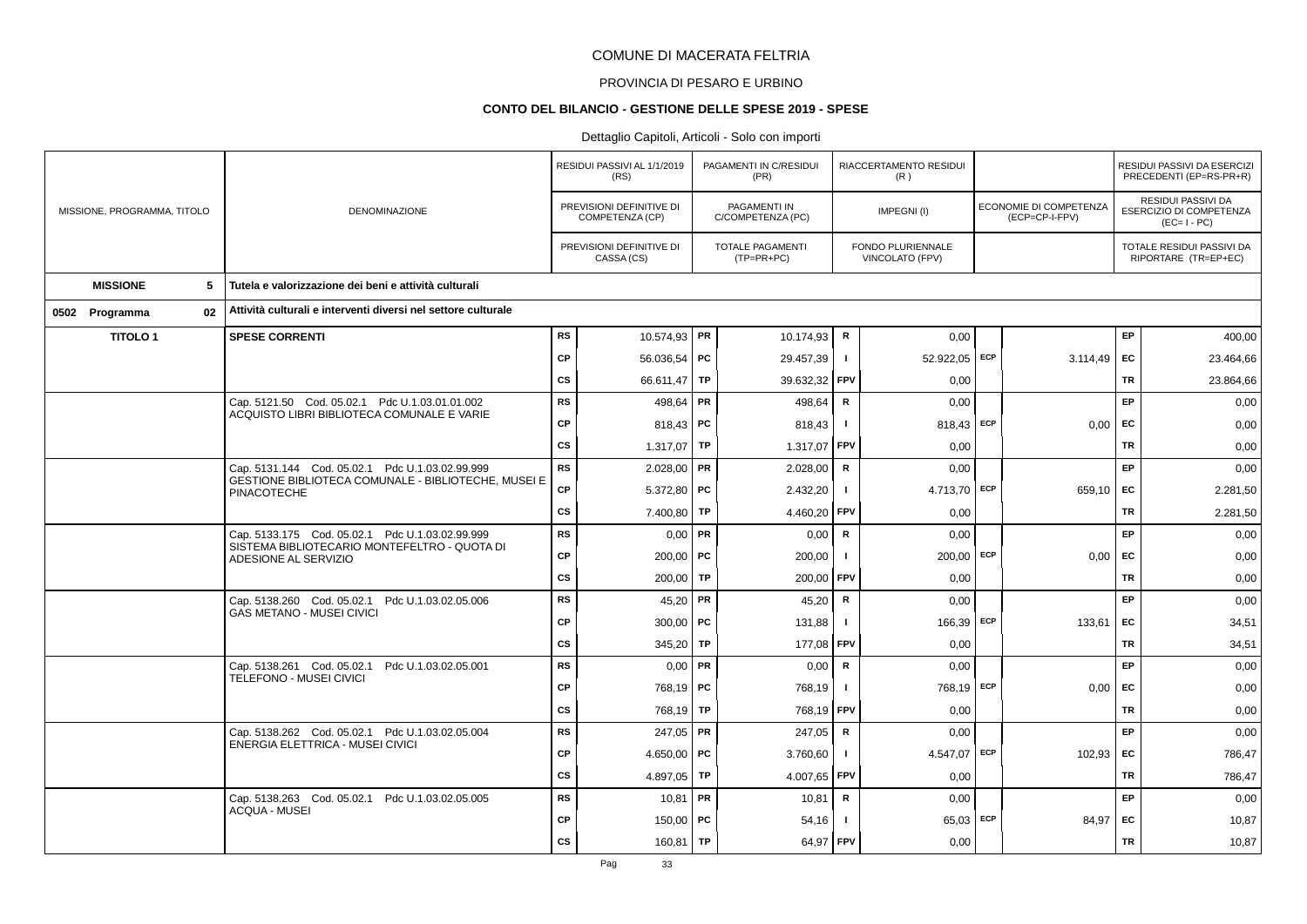# PROVINCIA DI PESARO E URBINO

#### **CONTO DEL BILANCIO - GESTIONE DELLE SPESE 2019 - SPESE**

|                             |                                                                                                        |           | RESIDUI PASSIVI AL 1/1/2019<br>(RS)         |           | PAGAMENTI IN C/RESIDUI<br>(PR)          |              | RIACCERTAMENTO RESIDUI<br>(R)        |                                          |           | RESIDUI PASSIVI DA ESERCIZI<br>PRECEDENTI (EP=RS-PR+R)       |
|-----------------------------|--------------------------------------------------------------------------------------------------------|-----------|---------------------------------------------|-----------|-----------------------------------------|--------------|--------------------------------------|------------------------------------------|-----------|--------------------------------------------------------------|
| MISSIONE, PROGRAMMA, TITOLO | <b>DENOMINAZIONE</b>                                                                                   |           | PREVISIONI DEFINITIVE DI<br>COMPETENZA (CP) |           | PAGAMENTI IN<br>C/COMPETENZA (PC)       |              | IMPEGNI(I)                           | ECONOMIE DI COMPETENZA<br>(ECP=CP-I-FPV) |           | RESIDUI PASSIVI DA<br>ESERCIZIO DI COMPETENZA<br>$(EC=I-PC)$ |
|                             |                                                                                                        |           | PREVISIONI DEFINITIVE DI<br>CASSA (CS)      |           | <b>TOTALE PAGAMENTI</b><br>$(TP=PR+PC)$ |              | FONDO PLURIENNALE<br>VINCOLATO (FPV) |                                          |           | TOTALE RESIDUI PASSIVI DA<br>RIPORTARE (TR=EP+EC)            |
| <b>MISSIONE</b><br>5        | Tutela e valorizzazione dei beni e attività culturali                                                  |           |                                             |           |                                         |              |                                      |                                          |           |                                                              |
| 02<br>0502 Programma        | Attività culturali e interventi diversi nel settore culturale                                          |           |                                             |           |                                         |              |                                      |                                          |           |                                                              |
| <b>TITOLO1</b>              | <b>SPESE CORRENTI</b>                                                                                  | <b>RS</b> | 10.574,93   PR                              |           | 10.174,93                               | $\mathsf{R}$ | 0,00                                 |                                          | EP        | 400,00                                                       |
|                             |                                                                                                        | CP        | 56.036,54   PC                              |           | 29.457,39                               | -1           | 52.922,05 ECP                        | 3.114,49                                 | EC        | 23.464,66                                                    |
|                             |                                                                                                        | <b>CS</b> | 66.611,47                                   | TP        | 39.632,32                               | FPV          | 0,00                                 |                                          | <b>TR</b> | 23.864,66                                                    |
|                             | Cap. 5121.50 Cod. 05.02.1 Pdc U.1.03.01.01.002                                                         | RS        | 498,64   PR                                 |           | 498,64                                  | $\mathsf{R}$ | 0,00                                 |                                          | <b>EP</b> | 0,00                                                         |
|                             | ACQUISTO LIBRI BIBLIOTECA COMUNALE E VARIE                                                             | <b>CP</b> | 818,43   PC                                 |           | 818,43                                  |              | 818,43 ECP                           | 0,00                                     | <b>FC</b> | 0,00                                                         |
|                             |                                                                                                        | <b>CS</b> | 1.317,07                                    | TP        | 1.317,07                                | FPV          | 0,00                                 |                                          | <b>TR</b> | 0,00                                                         |
|                             | Cap. 5131.144 Cod. 05.02.1 Pdc U.1.03.02.99.999<br>GESTIONE BIBLIOTECA COMUNALE - BIBLIOTECHE, MUSEI E | <b>RS</b> | $2.028,00$ PR                               |           | 2.028,00                                | ${\sf R}$    | 0,00                                 |                                          | EP        | 0,00                                                         |
|                             | <b>PINACOTECHE</b>                                                                                     | <b>CP</b> | 5.372,80 PC                                 |           | 2.432,20                                | - 1          | 4.713,70 ECP                         | 659,10                                   | EC        | 2.281,50                                                     |
|                             |                                                                                                        | CS        | 7.400,80                                    | TP        | 4.460,20                                | FPV          | 0,00                                 |                                          | <b>TR</b> | 2.281,50                                                     |
|                             | Cap. 5133.175 Cod. 05.02.1 Pdc U.1.03.02.99.999<br>SISTEMA BIBLIOTECARIO MONTEFELTRO - QUOTA DI        | <b>RS</b> | $0,00$ PR                                   |           | 0,00                                    | R            | 0,00                                 |                                          | <b>EP</b> | 0,00                                                         |
|                             | ADESIONE AL SERVIZIO                                                                                   | <b>CP</b> | $200.00$ PC                                 |           | 200,00                                  |              | $200,00$ ECP                         | 0.00                                     | <b>FC</b> | 0,00                                                         |
|                             |                                                                                                        | <b>CS</b> | 200,00                                      | TP        | 200,00                                  | FPV          | 0,00                                 |                                          | TR        | 0,00                                                         |
|                             | Cap. 5138.260 Cod. 05.02.1 Pdc U.1.03.02.05.006<br><b>GAS METANO - MUSEI CIVICI</b>                    | <b>RS</b> | 45,20   PR                                  |           | 45,20                                   | $\mathbf R$  | 0,00                                 |                                          | EP        | 0,00                                                         |
|                             |                                                                                                        | <b>CP</b> | $300,00$ PC                                 |           | 131,88                                  | - 1          | 166,39 ECP                           | 133,61                                   | EC        | 34,51                                                        |
|                             |                                                                                                        | CS        | 345,20                                      | TP        | 177,08                                  | FPV          | 0,00                                 |                                          | TR        | 34,51                                                        |
|                             | Cap. 5138.261 Cod. 05.02.1 Pdc U.1.03.02.05.001<br><b>TELEFONO - MUSEI CIVICI</b>                      | <b>RS</b> | $0,00$ PR                                   |           | 0,00                                    | ${\sf R}$    | 0,00                                 |                                          | EP        | 0,00                                                         |
|                             |                                                                                                        | CP        | 768,19   PC                                 |           | 768,19                                  | -1           | 768,19 ECP                           | 0,00                                     | EC        | 0,00                                                         |
|                             |                                                                                                        | <b>CS</b> | 768,19                                      | TP        | 768,19                                  | <b>FPV</b>   | 0,00                                 |                                          | <b>TR</b> | 0,00                                                         |
|                             | Cap. 5138.262 Cod. 05.02.1 Pdc U.1.03.02.05.004<br>ENERGIA ELETTRICA - MUSEI CIVICI                    | RS        | $247,05$ PR                                 |           | 247,05                                  | $\mathbf R$  | 0,00                                 |                                          | EP        | 0,00                                                         |
|                             |                                                                                                        | <b>CP</b> | 4.650,00   PC                               |           | 3.760,60                                | -1           | 4.547.07 ECP                         | 102,93                                   | <b>FC</b> | 786,47                                                       |
|                             |                                                                                                        | <b>CS</b> | 4.897,05                                    | TP        | 4.007,65                                | FPV          | 0,00                                 |                                          | TR        | 786,47                                                       |
|                             | Cap. 5138.263 Cod. 05.02.1 Pdc U.1.03.02.05.005<br><b>ACQUA - MUSEI</b>                                | <b>RS</b> | $10,81$ PR                                  |           | 10,81                                   | ${\sf R}$    | 0,00                                 |                                          | <b>EP</b> | 0,00                                                         |
|                             |                                                                                                        | <b>CP</b> | $150,00$ PC                                 |           | 54,16                                   |              | $65,03$ ECP                          | 84,97                                    | EC        | 10,87                                                        |
|                             |                                                                                                        | <b>CS</b> | 160,81                                      | <b>TP</b> | 64,97                                   | <b>FPV</b>   | 0,00                                 |                                          | <b>TR</b> | 10,87                                                        |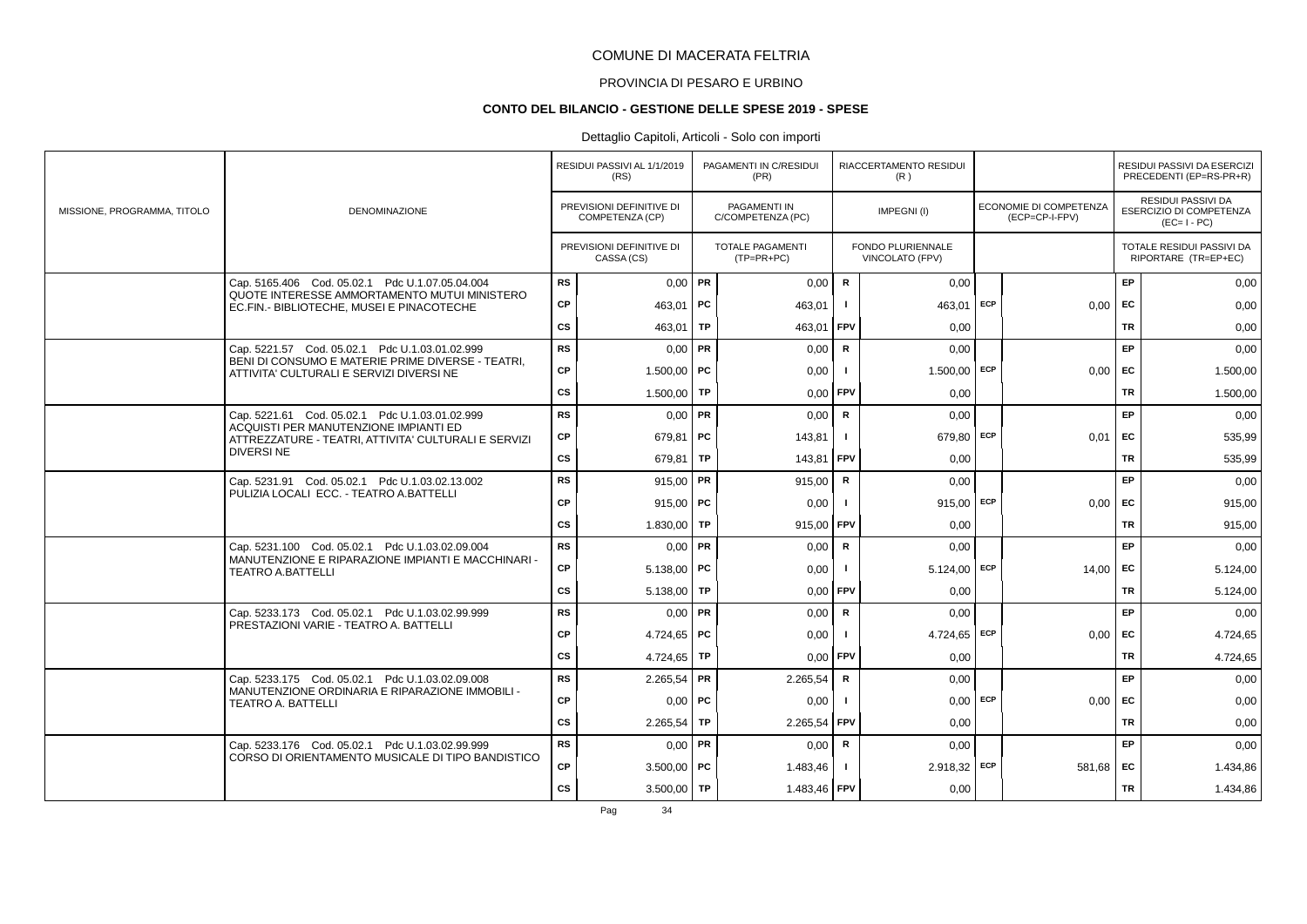# PROVINCIA DI PESARO E URBINO

#### **CONTO DEL BILANCIO - GESTIONE DELLE SPESE 2019 - SPESE**

### Dettaglio Capitoli, Articoli - Solo con importi

|                             |                                                                                               |           | RESIDUI PASSIVI AL 1/1/2019<br>(RS)         |           | PAGAMENTI IN C/RESIDUI<br>(PR)          |                | RIACCERTAMENTO RESIDUI<br>(R)        |            |                                          |           | RESIDUI PASSIVI DA ESERCIZI<br>PRECEDENTI (EP=RS-PR+R)              |
|-----------------------------|-----------------------------------------------------------------------------------------------|-----------|---------------------------------------------|-----------|-----------------------------------------|----------------|--------------------------------------|------------|------------------------------------------|-----------|---------------------------------------------------------------------|
| MISSIONE, PROGRAMMA, TITOLO | <b>DENOMINAZIONE</b>                                                                          |           | PREVISIONI DEFINITIVE DI<br>COMPETENZA (CP) |           | PAGAMENTI IN<br>C/COMPETENZA (PC)       |                | IMPEGNI(I)                           |            | ECONOMIE DI COMPETENZA<br>(ECP=CP-I-FPV) |           | RESIDUI PASSIVI DA<br><b>ESERCIZIO DI COMPETENZA</b><br>$(EC=I-PC)$ |
|                             |                                                                                               |           | PREVISIONI DEFINITIVE DI<br>CASSA (CS)      |           | <b>TOTALE PAGAMENTI</b><br>$(TP=PR+PC)$ |                | FONDO PLURIENNALE<br>VINCOLATO (FPV) |            |                                          |           | TOTALE RESIDUI PASSIVI DA<br>RIPORTARE (TR=EP+EC)                   |
|                             | Cap. 5165.406 Cod. 05.02.1 Pdc U.1.07.05.04.004                                               | <b>RS</b> | $0,00$ PR                                   |           | 0,00                                    | $\mathbf R$    | 0,00                                 |            |                                          | EP        | 0,00                                                                |
|                             | QUOTE INTERESSE AMMORTAMENTO MUTUI MINISTERO<br>EC.FIN.- BIBLIOTECHE, MUSEI E PINACOTECHE     | CP        | 463.01   PC                                 |           | 463,01                                  |                | 463.01                               | ECP        | $0.00$ EC                                |           | 0,00                                                                |
|                             |                                                                                               | <b>CS</b> | 463,01                                      | TP        | 463,01                                  | <b>FPV</b>     | 0.00                                 |            |                                          | <b>TR</b> | 0,00                                                                |
|                             | Cap. 5221.57 Cod. 05.02.1 Pdc U.1.03.01.02.999                                                | <b>RS</b> | $0,00$ PR                                   |           | 0.00                                    | $\mathbf R$    | 0.00                                 |            |                                          | EP        | 0,00                                                                |
|                             | BENI DI CONSUMO E MATERIE PRIME DIVERSE - TEATRI.<br>ATTIVITA' CULTURALI E SERVIZI DIVERSI NE | <b>CP</b> | $1.500,00$ PC                               |           | 0,00                                    |                | $1.500,00$ ECP                       |            | $0,00$ EC                                |           | 1.500,00                                                            |
|                             |                                                                                               | CS        | 1.500,00                                    | TP        | 0,00                                    | <b>FPV</b>     | 0,00                                 |            |                                          | <b>TR</b> | 1.500,00                                                            |
|                             | Cap. 5221.61 Cod. 05.02.1 Pdc U.1.03.01.02.999                                                | <b>RS</b> | $0,00$ PR                                   |           | 0,00                                    | $\mathbf R$    | 0,00                                 |            |                                          | <b>EP</b> | 0,00                                                                |
|                             | ACQUISTI PER MANUTENZIONE IMPIANTI ED<br>ATTREZZATURE - TEATRI, ATTIVITA' CULTURALI E SERVIZI | СP        | 679,81   PC                                 |           | 143,81                                  |                | 679,80 ECP                           |            | 0.01                                     | EC        | 535,99                                                              |
|                             | <b>DIVERSINE</b>                                                                              | <b>CS</b> | 679,81                                      | <b>TP</b> | 143,81                                  | FPV            | 0,00                                 |            |                                          | <b>TR</b> | 535,99                                                              |
|                             | Cap. 5231.91 Cod. 05.02.1 Pdc U.1.03.02.13.002                                                | <b>RS</b> | 915,00   PR                                 |           | 915,00                                  | $\mathbf R$    | 0,00                                 |            |                                          | EP        | 0,00                                                                |
|                             | PULIZIA LOCALI ECC. - TEATRO A BATTELLI                                                       | СP        | $915,00$ PC                                 |           | 0,00                                    |                | $915,00$ ECP                         |            | 0,00                                     | EC        | 915,00                                                              |
|                             |                                                                                               | <b>CS</b> | 1.830,00 TP                                 |           | 915,00 FPV                              |                | 0.00                                 |            |                                          | <b>TR</b> | 915,00                                                              |
|                             | Cap. 5231.100 Cod. 05.02.1 Pdc U.1.03.02.09.004                                               | <b>RS</b> | $0,00$ PR                                   |           | 0,00                                    | $\mathbf R$    | 0.00                                 |            |                                          | EP.       | 0,00                                                                |
|                             | MANUTENZIONE E RIPARAZIONE IMPIANTI E MACCHINARI -<br><b>TEATRO A.BATTELLI</b>                | СP        | $5.138,00$ PC                               |           | 0,00                                    |                | $5.124,00$ ECP                       |            | $14,00$ EC                               |           | 5.124,00                                                            |
|                             |                                                                                               | <b>CS</b> | 5.138,00 TP                                 |           | 0,00                                    | FPV            | 0,00                                 |            |                                          | <b>TR</b> | 5.124,00                                                            |
|                             | Cap. 5233.173 Cod. 05.02.1 Pdc U.1.03.02.99.999                                               | <b>RS</b> | $0.00$ PR                                   |           | 0,00                                    | $\mathbf R$    | 0,00                                 |            |                                          | EP        | 0,00                                                                |
|                             | PRESTAZIONI VARIE - TEATRO A. BATTELLI                                                        | CP        | 4.724.65 PC                                 |           | 0,00                                    | $\blacksquare$ | 4.724.65                             | ECP        | $0,00$ EC                                |           | 4.724,65                                                            |
|                             |                                                                                               | CS        | 4.724,65   TP                               |           | 0,00                                    | FPV            | 0,00                                 |            |                                          | <b>TR</b> | 4.724,65                                                            |
|                             | Cap. 5233.175 Cod. 05.02.1 Pdc U.1.03.02.09.008                                               | <b>RS</b> | $2.265,54$ PR                               |           | 2.265,54                                | $\mathbf R$    | 0.00                                 |            |                                          | EP        | 0,00                                                                |
|                             | MANUTENZIONE ORDINARIA E RIPARAZIONE IMMOBILI -<br><b>TEATRO A. BATTELLI</b>                  | <b>CP</b> | $0,00$   PC                                 |           | 0,00                                    |                |                                      | $0,00$ ECP | $0,00$ EC                                |           | 0,00                                                                |
|                             |                                                                                               | <b>CS</b> | 2.265,54                                    | TP        | 2.265,54                                | <b>FPV</b>     | 0,00                                 |            |                                          | TR        | 0,00                                                                |
|                             | Cap. 5233.176 Cod. 05.02.1 Pdc U.1.03.02.99.999                                               | <b>RS</b> | $0,00$ PR                                   |           | 0,00                                    | $\mathsf{R}$   | 0,00                                 |            |                                          | EP        | 0,00                                                                |
|                             | CORSO DI ORIENTAMENTO MUSICALE DI TIPO BANDISTICO                                             | <b>CP</b> | $3.500,00$ PC                               |           | 1.483,46                                |                | $2.918,32$ ECP                       |            | $581,68$ EC                              |           | 1.434,86                                                            |
|                             |                                                                                               | <b>CS</b> | $3.500,00$ TP                               |           | 1.483,46 FPV                            |                | 0,00                                 |            |                                          | <b>TR</b> | 1.434,86                                                            |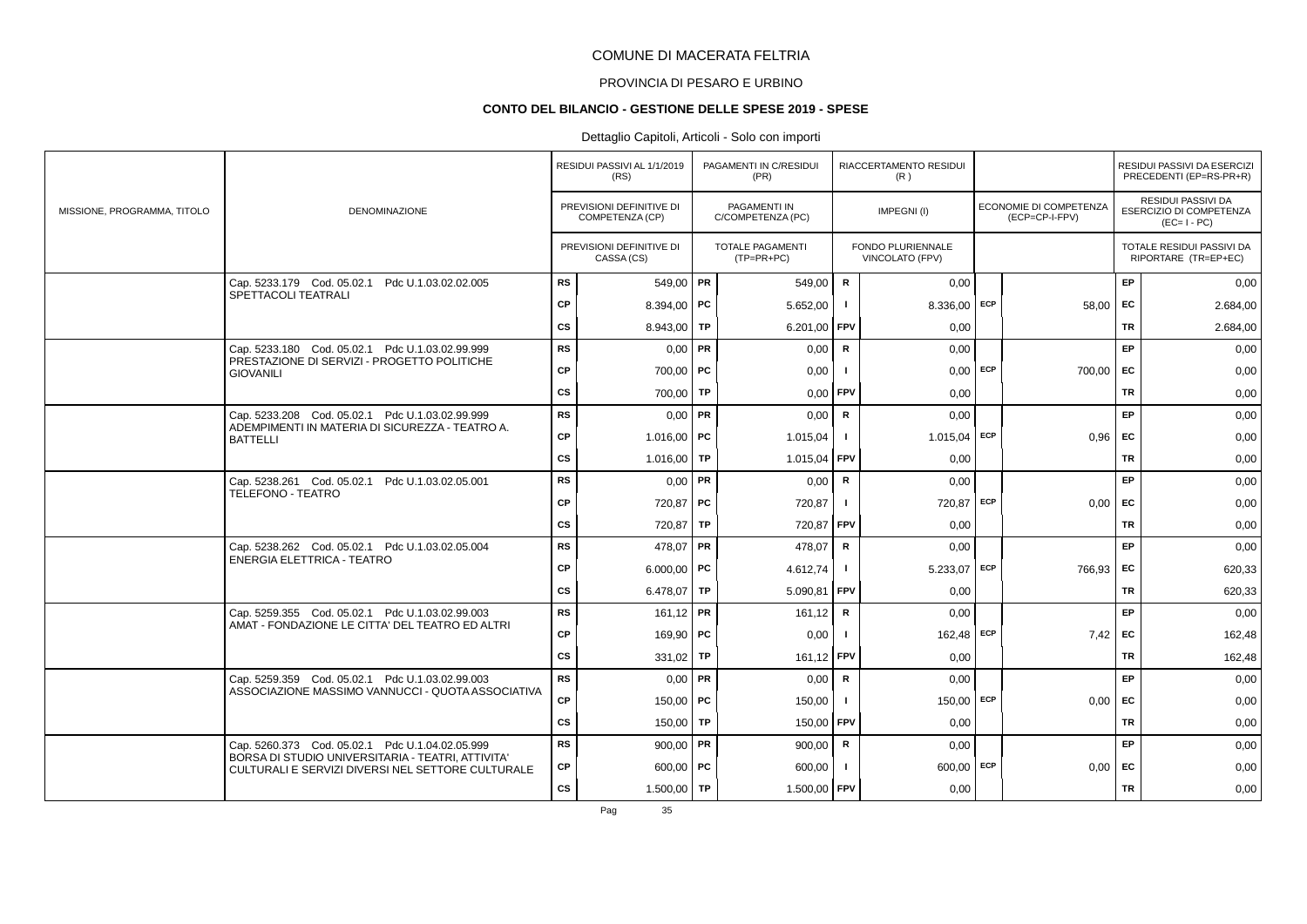# PROVINCIA DI PESARO E URBINO

#### **CONTO DEL BILANCIO - GESTIONE DELLE SPESE 2019 - SPESE**

### Dettaglio Capitoli, Articoli - Solo con importi

|                             |                                                                                                        |           | RESIDUI PASSIVI AL 1/1/2019<br>(RS)         | PAGAMENTI IN C/RESIDUI<br>(PR)           |              | RIACCERTAMENTO RESIDUI<br>(R)        |     |                                                 |           | RESIDUI PASSIVI DA ESERCIZI<br>PRECEDENTI (EP=RS-PR+R)       |
|-----------------------------|--------------------------------------------------------------------------------------------------------|-----------|---------------------------------------------|------------------------------------------|--------------|--------------------------------------|-----|-------------------------------------------------|-----------|--------------------------------------------------------------|
| MISSIONE, PROGRAMMA, TITOLO | <b>DENOMINAZIONE</b>                                                                                   |           | PREVISIONI DEFINITIVE DI<br>COMPETENZA (CP) | <b>PAGAMENTI IN</b><br>C/COMPETENZA (PC) |              | IMPEGNI(I)                           |     | <b>ECONOMIE DI COMPETENZA</b><br>(ECP=CP-I-FPV) |           | RESIDUI PASSIVI DA<br>ESERCIZIO DI COMPETENZA<br>$(EC=I-PC)$ |
|                             |                                                                                                        |           | PREVISIONI DEFINITIVE DI<br>CASSA (CS)      | TOTALE PAGAMENTI<br>$(TP=PR+PC)$         |              | FONDO PLURIENNALE<br>VINCOLATO (FPV) |     |                                                 |           | TOTALE RESIDUI PASSIVI DA<br>RIPORTARE (TR=EP+EC)            |
|                             | Cap. 5233.179 Cod. 05.02.1 Pdc U.1.03.02.02.005                                                        | <b>RS</b> | 549,00 PR                                   | 549,00                                   | $\mathsf R$  | 0,00                                 |     |                                                 | EP        | 0,00                                                         |
|                             | SPETTACOLI TEATRALI                                                                                    | <b>CP</b> | 8.394,00   PC                               | 5.652,00                                 | $\mathbf{I}$ | 8.336,00 ECP                         |     | 58,00                                           | <b>FC</b> | 2.684,00                                                     |
|                             |                                                                                                        | cs        | 8.943,00 TP                                 | 6.201,00                                 | FPV          | 0,00                                 |     |                                                 | <b>TR</b> | 2.684,00                                                     |
|                             | Cap. 5233.180 Cod. 05.02.1 Pdc U.1.03.02.99.999<br>PRESTAZIONE DI SERVIZI - PROGETTO POLITICHE         | <b>RS</b> | $0,00$ PR                                   | 0.00                                     | $\mathsf{R}$ | 0.00                                 |     |                                                 | EP        | 0,00                                                         |
|                             | <b>GIOVANILI</b>                                                                                       | CP        | $700,00$ PC                                 | 0,00                                     |              | $0.00$ ECP                           |     | 700,00                                          | EC        | 0,00                                                         |
|                             |                                                                                                        | CS        | $700,00$ TP                                 | 0,00                                     | FPV          | 0,00                                 |     |                                                 | <b>TR</b> | 0,00                                                         |
|                             | Cap. 5233.208 Cod. 05.02.1 Pdc U.1.03.02.99.999                                                        | <b>RS</b> | $0,00$ PR                                   | 0,00                                     | $\mathsf{R}$ | 0,00                                 |     |                                                 | EP        | 0,00                                                         |
|                             | ADEMPIMENTI IN MATERIA DI SICUREZZA - TEATRO A.<br><b>BATTELLI</b>                                     | <b>CP</b> | $1.016,00$ PC                               | 1.015,04                                 | $\mathbf{I}$ | $1.015,04$ ECP                       |     | 0.96                                            | <b>FC</b> | 0,00                                                         |
|                             |                                                                                                        | CS        | 1.016,00 TP                                 | 1.015,04                                 | FPV          | 0,00                                 |     |                                                 | <b>TR</b> | 0,00                                                         |
|                             | Cap. 5238.261 Cod. 05.02.1 Pdc U.1.03.02.05.001                                                        | <b>RS</b> | $0,00$ PR                                   | 0,00                                     | $\mathsf R$  | 0,00                                 |     |                                                 | EP        | 0,00                                                         |
|                             | TELEFONO - TEATRO                                                                                      | CP        | 720,87   PC                                 | 720,87                                   | $\mathbf{I}$ | 720,87 ECP                           |     | 0.00                                            | <b>FC</b> | 0,00                                                         |
|                             |                                                                                                        | CS        | $720,87$ TP                                 | 720,87 FPV                               |              | 0,00                                 |     |                                                 | TR        | 0,00                                                         |
|                             | Cap. 5238.262 Cod. 05.02.1 Pdc U.1.03.02.05.004                                                        | <b>RS</b> | 478,07   PR                                 | 478,07                                   | $\mathsf{R}$ | 0,00                                 |     |                                                 | EP        | 0,00                                                         |
|                             | ENERGIA ELETTRICA - TEATRO                                                                             | <b>CP</b> | 6.000,00   PC                               | 4.612,74                                 | $\mathbf{I}$ | $5.233,07$ ECP                       |     | 766,93                                          | EC        | 620,33                                                       |
|                             |                                                                                                        | CS        | 6.478,07   TP                               | 5.090,81                                 | <b>FPV</b>   | 0,00                                 |     |                                                 | TR        | 620,33                                                       |
|                             | Cap. 5259.355 Cod. 05.02.1 Pdc U.1.03.02.99.003                                                        | <b>RS</b> | $161,12$ PR                                 | 161,12                                   | R            | 0,00                                 |     |                                                 | EP        | 0,00                                                         |
|                             | AMAT - FONDAZIONE LE CITTA' DEL TEATRO ED ALTRI                                                        | CP        | 169,90   PC                                 | 0,00                                     | $\mathbf{I}$ | 162,48                               | ECP | 7,42                                            | EC        | 162,48                                                       |
|                             |                                                                                                        | cs        | 331,02   TP                                 | 161,12                                   | FPV          | 0,00                                 |     |                                                 | <b>TR</b> | 162,48                                                       |
|                             | Cap. 5259.359 Cod. 05.02.1 Pdc U.1.03.02.99.003                                                        | <b>RS</b> | $0.00$ PR                                   | 0,00                                     | $\mathbf R$  | 0,00                                 |     |                                                 | EP        | 0,00                                                         |
|                             | ASSOCIAZIONE MASSIMO VANNUCCI - QUOTA ASSOCIATIVA                                                      | CP        | 150,00   PC                                 | 150,00                                   |              | 150,00 ECP                           |     | 0,00                                            | EC        | 0,00                                                         |
|                             |                                                                                                        | CS        | $150,00$ TP                                 | 150,00                                   | FPV          | 0.00                                 |     |                                                 | <b>TR</b> | 0,00                                                         |
|                             | Cap. 5260.373 Cod. 05.02.1 Pdc U.1.04.02.05.999                                                        | <b>RS</b> | 900,00   PR                                 | 900,00                                   | R            | 0,00                                 |     |                                                 | EP        | 0,00                                                         |
|                             | BORSA DI STUDIO UNIVERSITARIA - TEATRI, ATTIVITA'<br>CULTURALI E SERVIZI DIVERSI NEL SETTORE CULTURALE | <b>CP</b> | $600,00$ PC                                 | 600,00                                   | $\mathbf{I}$ | $600,00$ ECP                         |     | 0,00                                            | <b>FC</b> | 0,00                                                         |
|                             |                                                                                                        | cs        | $1.500,00$ TP                               | 1.500,00 FPV                             |              | 0,00                                 |     |                                                 | <b>TR</b> | 0,00                                                         |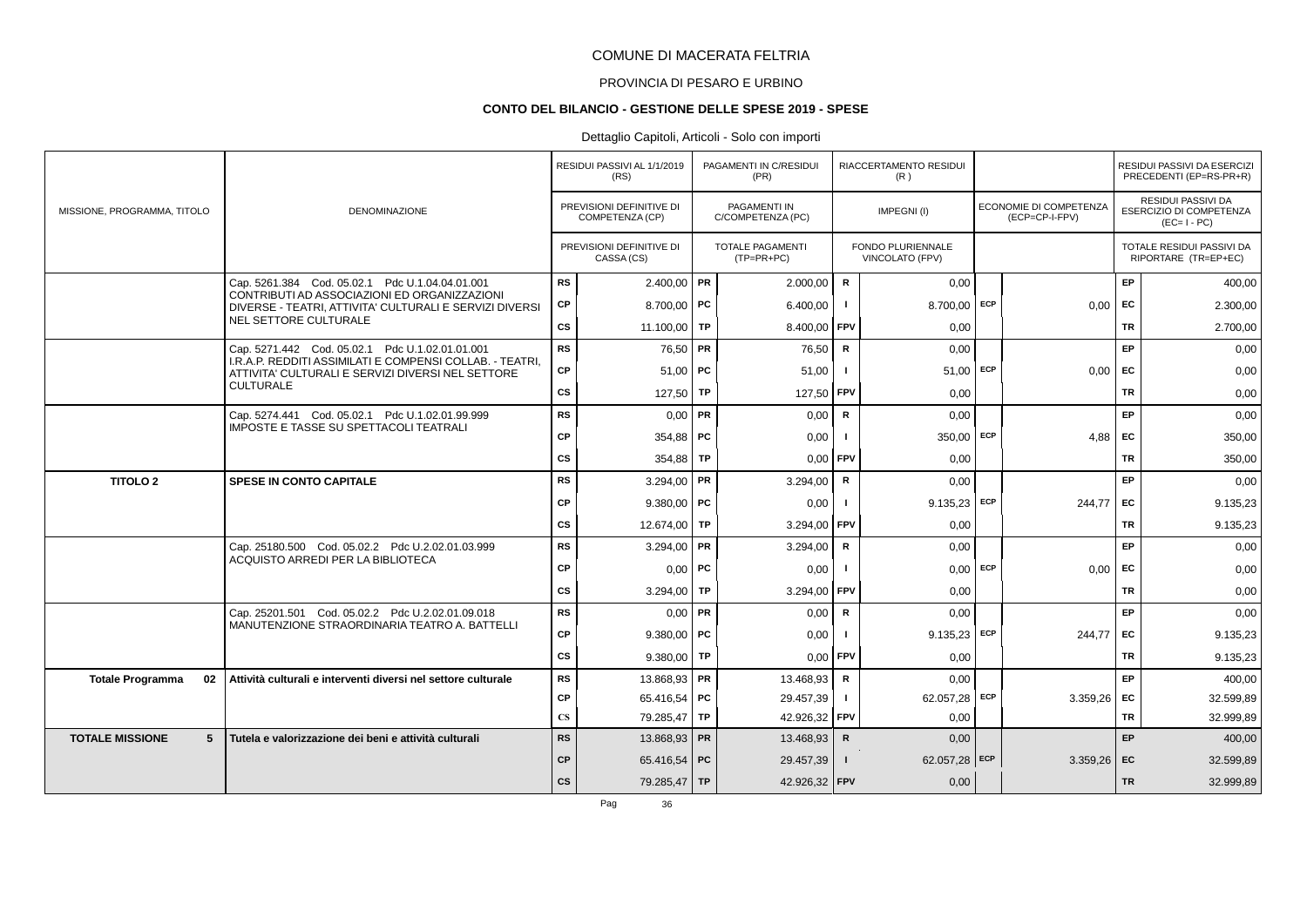# PROVINCIA DI PESARO E URBINO

### **CONTO DEL BILANCIO - GESTIONE DELLE SPESE 2019 - SPESE**

### Dettaglio Capitoli, Articoli - Solo con importi

|                               |                                                                                                               |                        | RESIDUI PASSIVI AL 1/1/2019<br>(RS)         | PAGAMENTI IN C/RESIDUI<br>(PR)          |                | RIACCERTAMENTO RESIDUI<br>(R)        |            |                                          |           | RESIDUI PASSIVI DA ESERCIZI<br>PRECEDENTI (EP=RS-PR+R)                     |
|-------------------------------|---------------------------------------------------------------------------------------------------------------|------------------------|---------------------------------------------|-----------------------------------------|----------------|--------------------------------------|------------|------------------------------------------|-----------|----------------------------------------------------------------------------|
| MISSIONE, PROGRAMMA, TITOLO   | <b>DENOMINAZIONE</b>                                                                                          |                        | PREVISIONI DEFINITIVE DI<br>COMPETENZA (CP) | PAGAMENTI IN<br>C/COMPETENZA (PC)       |                | IMPEGNI(I)                           |            | ECONOMIE DI COMPETENZA<br>(ECP=CP-I-FPV) |           | <b>RESIDUI PASSIVI DA</b><br><b>ESERCIZIO DI COMPETENZA</b><br>$(EC=I-PC)$ |
|                               |                                                                                                               |                        | PREVISIONI DEFINITIVE DI<br>CASSA (CS)      | <b>TOTALE PAGAMENTI</b><br>$(TP=PR+PC)$ |                | FONDO PLURIENNALE<br>VINCOLATO (FPV) |            |                                          |           | TOTALE RESIDUI PASSIVI DA<br>RIPORTARE (TR=EP+EC)                          |
|                               | Cap. 5261.384 Cod. 05.02.1 Pdc U.1.04.04.01.001                                                               | <b>RS</b>              | $2.400,00$ PR                               | 2.000,00                                | $\mathsf{R}$   | 0.00                                 |            |                                          | <b>EP</b> | 400,00                                                                     |
|                               | CONTRIBUTI AD ASSOCIAZIONI ED ORGANIZZAZIONI<br>DIVERSE - TEATRI, ATTIVITA' CULTURALI E SERVIZI DIVERSI       | CP                     | 8.700.00   PC                               | 6.400,00                                |                | 8.700.00                             | <b>ECP</b> | 0.00                                     | EC        | 2.300,00                                                                   |
|                               | NEL SETTORE CULTURALE                                                                                         | CS                     | 11.100,00   TP                              | 8.400,00 FPV                            |                | 0,00                                 |            |                                          | TR        | 2.700,00                                                                   |
|                               | Cap. 5271.442 Cod. 05.02.1 Pdc U.1.02.01.01.001                                                               | <b>RS</b>              | 76,50 PR                                    | 76,50                                   | R              | 0,00                                 |            |                                          | EP        | 0,00                                                                       |
|                               | I.R.A.P. REDDITI ASSIMILATI E COMPENSI COLLAB. - TEATRI,<br>ATTIVITA' CULTURALI E SERVIZI DIVERSI NEL SETTORE | <b>CP</b>              | $51,00$ PC                                  | 51,00                                   | $\blacksquare$ | 51,00                                | ECP        | 0,00                                     | EC        | 0,00                                                                       |
|                               | <b>CULTURALE</b>                                                                                              | cs                     | 127,50 TP                                   | 127,50                                  | FPV            | 0.00                                 |            |                                          | <b>TR</b> | 0,00                                                                       |
|                               | Cap. 5274.441 Cod. 05.02.1 Pdc U.1.02.01.99.999                                                               | <b>RS</b>              | $0,00$ PR                                   | 0.00                                    | $\mathsf{R}$   | 0,00                                 |            |                                          | EP        | 0,00                                                                       |
|                               | <b>IMPOSTE E TASSE SU SPETTACOLI TEATRALI</b>                                                                 | <b>CP</b>              | $354,88$ PC                                 | 0,00                                    |                | $350,00$ ECP                         |            | 4,88                                     | EC        | 350,00                                                                     |
|                               |                                                                                                               | CS                     | 354,88   TP                                 | $0,00$ FPV                              |                | 0,00                                 |            |                                          | TR        | 350,00                                                                     |
| <b>TITOLO 2</b>               | <b>SPESE IN CONTO CAPITALE</b>                                                                                | <b>RS</b>              | 3.294,00 PR                                 | 3.294,00                                | $\mathsf{R}$   | 0.00                                 |            |                                          | EP.       | 0,00                                                                       |
|                               |                                                                                                               | <b>CP</b>              | $9.380,00$ PC                               | 0,00                                    |                | $9.135,23$ ECP                       |            | 244,77                                   | EC.       | 9.135,23                                                                   |
|                               |                                                                                                               | cs                     | 12.674,00 TP                                | 3.294,00                                | FPV            | 0,00                                 |            |                                          | <b>TR</b> | 9.135,23                                                                   |
|                               | Cap. 25180.500 Cod. 05.02.2 Pdc U.2.02.01.03.999                                                              | <b>RS</b>              | 3.294,00 PR                                 | 3.294.00                                | R              | 0.00                                 |            |                                          | EP        | 0,00                                                                       |
|                               | ACQUISTO ARREDI PER LA BIBLIOTECA                                                                             | <b>CP</b>              | $0,00$   PC                                 | 0,00                                    |                | $0,00$ ECP                           |            | 0.00                                     | EC        | 0,00                                                                       |
|                               |                                                                                                               | CS                     | 3.294,00   TP                               | 3.294,00                                | <b>FPV</b>     | 0,00                                 |            |                                          | <b>TR</b> | 0,00                                                                       |
|                               | Cap. 25201.501 Cod. 05.02.2 Pdc U.2.02.01.09.018                                                              | <b>RS</b>              | $0,00$ PR                                   | 0,00                                    | $\mathbf R$    | 0,00                                 |            |                                          | EP.       | 0,00                                                                       |
|                               | MANUTENZIONE STRAORDINARIA TEATRO A. BATTELLI                                                                 | <b>CP</b>              | $9.380,00$ PC                               | 0,00                                    |                | $9.135,23$ ECP                       |            | 244,77                                   | <b>FC</b> | 9.135,23                                                                   |
|                               |                                                                                                               | CS                     | $9.380,00$ TP                               | $0.00$ FPV                              |                | 0,00                                 |            |                                          | <b>TR</b> | 9.135,23                                                                   |
| 02<br><b>Totale Programma</b> | Attività culturali e interventi diversi nel settore culturale                                                 | <b>RS</b>              | 13.868,93 PR                                | 13.468,93                               | $\mathbf R$    | 0,00                                 |            |                                          | <b>EP</b> | 400,00                                                                     |
|                               |                                                                                                               | CP                     | 65.416,54   PC                              | 29.457,39                               | $\blacksquare$ | 62.057,28                            | ECP        | 3.359,26                                 | EC        | 32.599,89                                                                  |
|                               |                                                                                                               | $\mathbf{C}\mathbf{S}$ | 79.285,47 TP                                | 42.926,32                               | FPV            | 0,00                                 |            |                                          | <b>TR</b> | 32.999,89                                                                  |
| <b>TOTALE MISSIONE</b><br>5   | Tutela e valorizzazione dei beni e attività culturali                                                         | <b>RS</b>              | 13.868,93 PR                                | 13.468,93                               | $\mathsf{R}$   | 0,00                                 |            |                                          | EP        | 400,00                                                                     |
|                               |                                                                                                               | <b>CP</b>              | 65.416,54 PC                                | 29.457,39                               | $\mathbf{I}$   | 62.057,28 ECP                        |            | $3.359,26$ EC                            |           | 32.599,89                                                                  |
|                               |                                                                                                               | cs                     | 79.285,47 TP                                | 42.926,32 FPV                           |                | 0,00                                 |            |                                          | <b>TR</b> | 32.999,89                                                                  |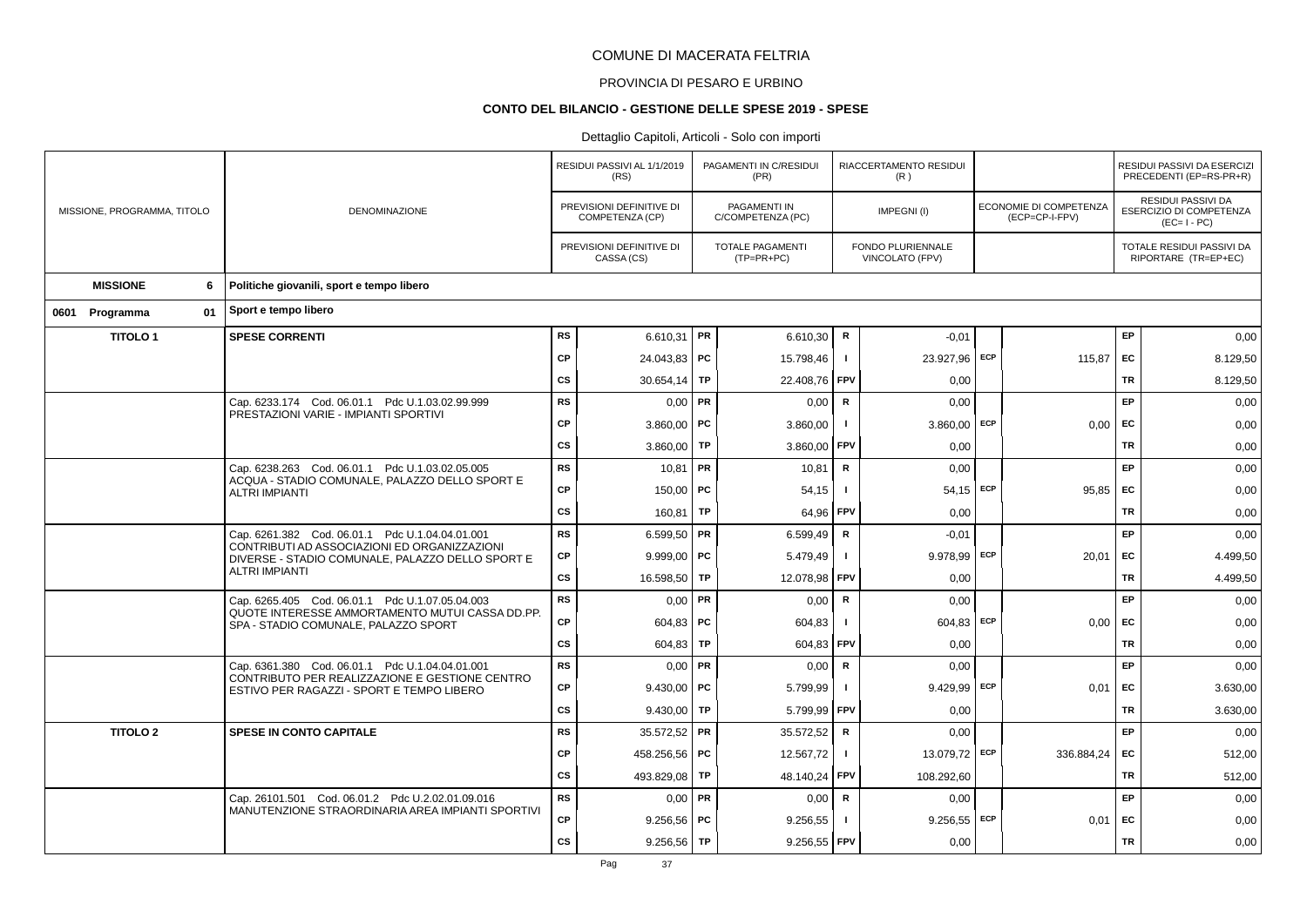# PROVINCIA DI PESARO E URBINO

### **CONTO DEL BILANCIO - GESTIONE DELLE SPESE 2019 - SPESE**

|                             |                                                                                                       |           | RESIDUI PASSIVI AL 1/1/2019<br>(RS)         |           | PAGAMENTI IN C/RESIDUI<br>(PR)          |                | RIACCERTAMENTO RESIDUI<br>(R)        |                                          |           | RESIDUI PASSIVI DA ESERCIZI<br>PRECEDENTI (EP=RS-PR+R)       |
|-----------------------------|-------------------------------------------------------------------------------------------------------|-----------|---------------------------------------------|-----------|-----------------------------------------|----------------|--------------------------------------|------------------------------------------|-----------|--------------------------------------------------------------|
| MISSIONE, PROGRAMMA, TITOLO | <b>DENOMINAZIONE</b>                                                                                  |           | PREVISIONI DEFINITIVE DI<br>COMPETENZA (CP) |           | PAGAMENTI IN<br>C/COMPETENZA (PC)       |                | IMPEGNI(I)                           | ECONOMIE DI COMPETENZA<br>(ECP=CP-I-FPV) |           | RESIDUI PASSIVI DA<br>ESERCIZIO DI COMPETENZA<br>$(EC=I-PC)$ |
|                             |                                                                                                       |           | PREVISIONI DEFINITIVE DI<br>CASSA (CS)      |           | <b>TOTALE PAGAMENTI</b><br>$(TP=PR+PC)$ |                | FONDO PLURIENNALE<br>VINCOLATO (FPV) |                                          |           | TOTALE RESIDUI PASSIVI DA<br>RIPORTARE (TR=EP+EC)            |
| <b>MISSIONE</b><br>6        | Politiche giovanili, sport e tempo libero                                                             |           |                                             |           |                                         |                |                                      |                                          |           |                                                              |
| 01<br>0601 Programma        | Sport e tempo libero                                                                                  |           |                                             |           |                                         |                |                                      |                                          |           |                                                              |
| <b>TITOLO1</b>              | <b>SPESE CORRENTI</b>                                                                                 | <b>RS</b> | 6.610,31   PR                               |           | 6.610,30                                | R              | $-0,01$                              |                                          | <b>EP</b> | 0.00                                                         |
|                             |                                                                                                       | <b>CP</b> | 24.043,83 PC                                |           | 15.798,46                               | -1             | 23.927,96 ECP                        | 115,87                                   | EC        | 8.129,50                                                     |
|                             |                                                                                                       | <b>CS</b> | 30.654,14                                   | TP        | 22.408,76                               | FPV            | 0,00                                 |                                          | TR        | 8.129,50                                                     |
|                             | Cap. 6233.174 Cod. 06.01.1 Pdc U.1.03.02.99.999                                                       | <b>RS</b> | $0,00$ PR                                   |           | 0,00                                    | $\mathbf R$    | 0,00                                 |                                          | EP        | 0,00                                                         |
|                             | PRESTAZIONI VARIE - IMPIANTI SPORTIVI                                                                 | <b>CP</b> | $3.860,00$ PC                               |           | 3.860,00                                |                | $3.860,00$ ECP                       | 0,00                                     | <b>FC</b> | 0,00                                                         |
|                             |                                                                                                       | <b>CS</b> | 3.860,00                                    | TP        | 3.860,00                                | <b>FPV</b>     | 0,00                                 |                                          | TR        | 0,00                                                         |
|                             | Cap. 6238.263 Cod. 06.01.1 Pdc U.1.03.02.05.005<br>ACQUA - STADIO COMUNALE, PALAZZO DELLO SPORT E     | RS        | $10,81$ PR                                  |           | 10,81                                   | $\mathsf{R}$   | 0,00                                 |                                          | EP        | 0,00                                                         |
|                             | <b>ALTRI IMPIANTI</b>                                                                                 | <b>CP</b> | 150,00   PC                                 |           | 54,15                                   |                | $54,15$ ECP                          | 95,85                                    | EC        | 0,00                                                         |
|                             |                                                                                                       | <b>CS</b> | 160,81                                      | <b>TP</b> | 64,96                                   | FPV            | 0,00                                 |                                          | <b>TR</b> | 0,00                                                         |
|                             | Cap. 6261.382 Cod. 06.01.1 Pdc U.1.04.04.01.001<br>CONTRIBUTI AD ASSOCIAZIONI ED ORGANIZZAZIONI       | RS        | 6.599,50   PR                               |           | 6.599,49                                | R              | $-0,01$                              |                                          | EP        | 0,00                                                         |
|                             | DIVERSE - STADIO COMUNALE, PALAZZO DELLO SPORT E                                                      | <b>CP</b> | $9.999,00$ PC                               |           | 5.479,49                                |                | 9.978,99 ECP                         | 20,01                                    | EC        | 4.499,50                                                     |
|                             | <b>ALTRI IMPIANTI</b>                                                                                 | <b>CS</b> | 16.598,50                                   | TP        | 12.078,98                               | FPV            | 0,00                                 |                                          | <b>TR</b> | 4.499,50                                                     |
|                             | Cap. 6265.405 Cod. 06.01.1 Pdc U.1.07.05.04.003<br>QUOTE INTERESSE AMMORTAMENTO MUTUI CASSA DD.PP.    | <b>RS</b> | $0,00$ PR                                   |           | 0,00                                    | ${\mathbf R}$  | 0,00                                 |                                          | EP        | 0,00                                                         |
|                             | SPA - STADIO COMUNALE, PALAZZO SPORT                                                                  | CP        | 604,83   PC                                 |           | 604,83                                  |                | $604,83$ ECP                         | 0,00                                     | EC        | 0,00                                                         |
|                             |                                                                                                       | CS        | 604,83                                      | TP        | 604,83                                  | <b>FPV</b>     | 0,00                                 |                                          | <b>TR</b> | 0,00                                                         |
|                             | Cap. 6361.380 Cod. 06.01.1 Pdc U.1.04.04.01.001<br>CONTRIBUTO PER REALIZZAZIONE E GESTIONE CENTRO     | <b>RS</b> | $0,00$ PR                                   |           | 0,00                                    | $\mathbf R$    | 0,00                                 |                                          | EP        | 0,00                                                         |
|                             | ESTIVO PER RAGAZZI - SPORT E TEMPO LIBERO                                                             | <b>CP</b> | $9.430.00$ PC                               |           | 5.799,99                                |                | $9.429,99$ ECP                       | 0.01                                     | <b>FC</b> | 3.630,00                                                     |
|                             |                                                                                                       | <b>CS</b> | 9.430,00                                    | TP        | 5.799,99                                | FPV            | 0,00                                 |                                          | TR        | 3.630,00                                                     |
| <b>TITOLO 2</b>             | <b>SPESE IN CONTO CAPITALE</b>                                                                        | <b>RS</b> | 35.572,52 PR                                |           | 35.572,52                               | R              | 0,00                                 |                                          | EP        | 0,00                                                         |
|                             |                                                                                                       | CP        | 458.256,56   PC                             |           | 12.567,72                               | $\blacksquare$ | 13.079,72 ECP                        | 336.884,24                               | EC        | 512,00                                                       |
|                             |                                                                                                       | <b>CS</b> | 493.829,08                                  | TP        | 48.140,24                               | FPV            | 108.292,60                           |                                          | <b>TR</b> | 512,00                                                       |
|                             | Cap. 26101.501 Cod. 06.01.2 Pdc U.2.02.01.09.016<br>MANUTENZIONE STRAORDINARIA AREA IMPIANTI SPORTIVI | <b>RS</b> | $0.00$ PR                                   |           | 0,00                                    | $\mathbf R$    | 0,00                                 |                                          | EP        | 0,00                                                         |
|                             |                                                                                                       | CP        | $9.256,56$ PC                               |           | 9.256,55                                |                | $9.256,55$ ECP                       | 0,01                                     | EC        | 0,00                                                         |
|                             |                                                                                                       | <b>CS</b> | 9.256,56                                    | <b>TP</b> | 9.256,55 FPV                            |                | 0,00                                 |                                          | <b>TR</b> | 0,00                                                         |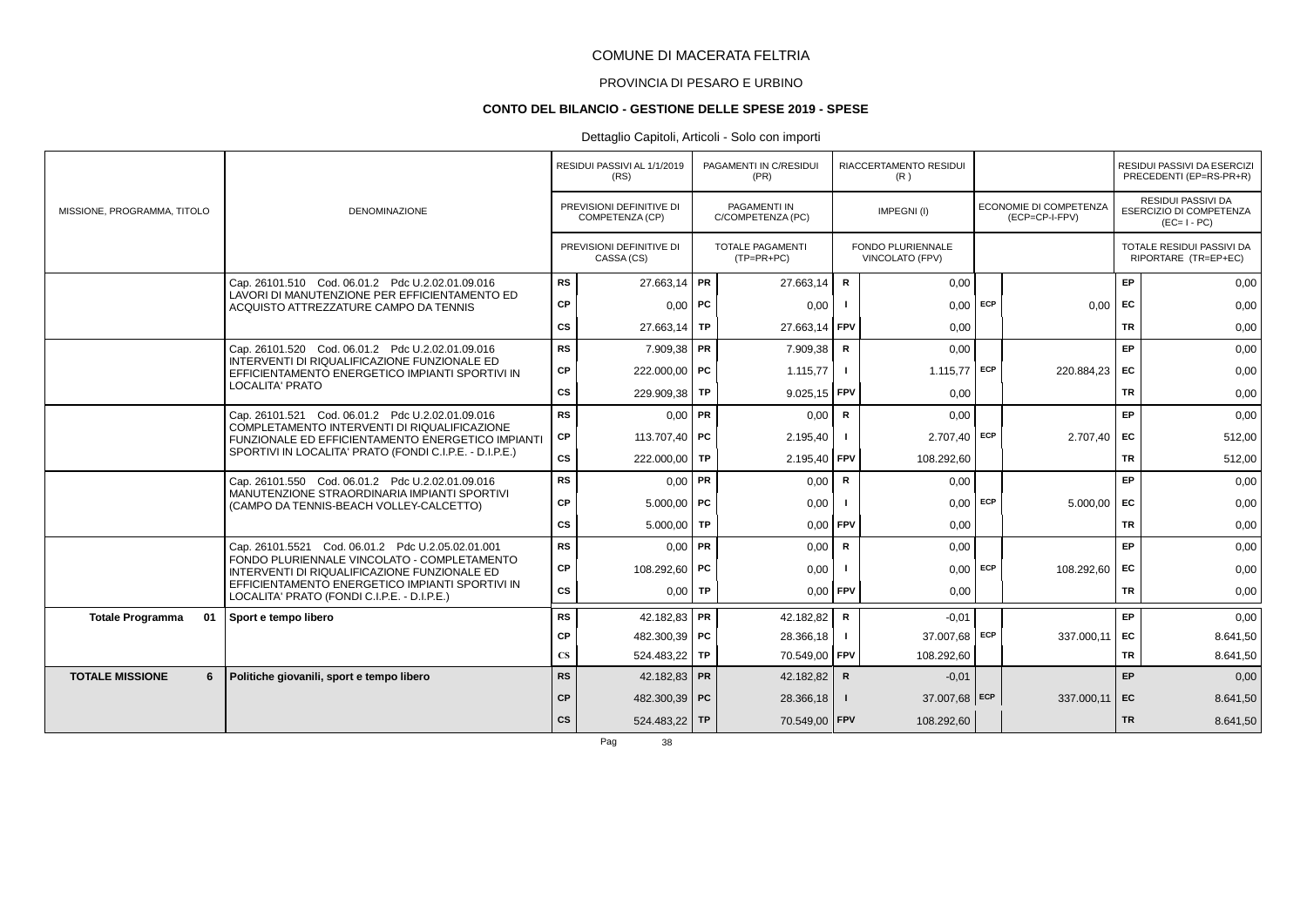# PROVINCIA DI PESARO E URBINO

#### **CONTO DEL BILANCIO - GESTIONE DELLE SPESE 2019 - SPESE**

# Dettaglio Capitoli, Articoli - Solo con importi

|                               |                                                                                                   |                        | RESIDUI PASSIVI AL 1/1/2019<br>(RS)         | PAGAMENTI IN C/RESIDUI<br>(PR)          |              | RIACCERTAMENTO RESIDUI<br>(R)        |     |                                                 |           | RESIDUI PASSIVI DA ESERCIZI<br>PRECEDENTI (EP=RS-PR+R)              |
|-------------------------------|---------------------------------------------------------------------------------------------------|------------------------|---------------------------------------------|-----------------------------------------|--------------|--------------------------------------|-----|-------------------------------------------------|-----------|---------------------------------------------------------------------|
| MISSIONE, PROGRAMMA, TITOLO   | <b>DENOMINAZIONE</b>                                                                              |                        | PREVISIONI DEFINITIVE DI<br>COMPETENZA (CP) | PAGAMENTI IN<br>C/COMPETENZA (PC)       |              | IMPEGNI(I)                           |     | <b>ECONOMIE DI COMPETENZA</b><br>(ECP=CP-I-FPV) |           | <b>RESIDUI PASSIVI DA</b><br>ESERCIZIO DI COMPETENZA<br>$(EC=I-PC)$ |
|                               |                                                                                                   |                        | PREVISIONI DEFINITIVE DI<br>CASSA (CS)      | <b>TOTALE PAGAMENTI</b><br>$(TP=PR+PC)$ |              | FONDO PLURIENNALE<br>VINCOLATO (FPV) |     |                                                 |           | TOTALE RESIDUI PASSIVI DA<br>RIPORTARE (TR=EP+EC)                   |
|                               | Cap. 26101.510 Cod. 06.01.2 Pdc U.2.02.01.09.016<br>LAVORI DI MANUTENZIONE PER EFFICIENTAMENTO ED | <b>RS</b>              | 27.663,14 PR                                | 27.663,14                               | $\mathbf R$  | 0,00                                 |     |                                                 | EP        | 0,00                                                                |
|                               | ACQUISTO ATTREZZATURE CAMPO DA TENNIS                                                             | CP                     | $0,00$ PC                                   | 0,00                                    |              | 0,00                                 | ECP | 0,00                                            | <b>FC</b> | 0,00                                                                |
|                               |                                                                                                   | CS                     | $27.663,14$ TP                              | 27.663,14                               | <b>FPV</b>   | 0,00                                 |     |                                                 | TR        | 0,00                                                                |
|                               | Cap. 26101.520 Cod. 06.01.2 Pdc U.2.02.01.09.016<br>INTERVENTI DI RIQUALIFICAZIONE FUNZIONALE ED  | <b>RS</b>              | 7.909,38 PR                                 | 7.909,38                                | R            | 0,00                                 |     |                                                 | EP        | 0,00                                                                |
|                               | EFFICIENTAMENTO ENERGETICO IMPIANTI SPORTIVI IN                                                   | CP                     | 222.000,00 PC                               | 1.115,77                                | -1           | 1.115,77                             | ECP | 220.884,23                                      | EC        | 0,00                                                                |
|                               | LOCALITA' PRATO                                                                                   | <b>CS</b>              | 229.909,38 TP                               | $9.025,15$ FPV                          |              | 0,00                                 |     |                                                 | <b>TR</b> | 0,00                                                                |
|                               | Cap. 26101.521 Cod. 06.01.2 Pdc U.2.02.01.09.016<br>COMPLETAMENTO INTERVENTI DI RIQUALIFICAZIONE  | <b>RS</b>              | $0.00$ PR                                   | 0,00                                    | R            | 0,00                                 |     |                                                 | <b>EP</b> | 0,00                                                                |
|                               | FUNZIONALE ED EFFICIENTAMENTO ENERGETICO IMPIANTI                                                 | СP                     | 113.707.40 PC                               | 2.195,40                                |              | $2.707,40$ ECP                       |     | $2.707,40$ EC                                   |           | 512,00                                                              |
|                               | SPORTIVI IN LOCALITA' PRATO (FONDI C.I.P.E. - D.I.P.E.)                                           | CS                     | 222.000,00 TP                               | 2.195,40 FPV                            |              | 108.292,60                           |     |                                                 | TR        | 512,00                                                              |
|                               | Cap. 26101.550 Cod. 06.01.2 Pdc U.2.02.01.09.016<br>MANUTENZIONE STRAORDINARIA IMPIANTI SPORTIVI  | <b>RS</b>              | $0,00$ PR                                   | 0,00                                    | $\mathbf R$  | 0,00                                 |     |                                                 | EP        | 0,00                                                                |
|                               | (CAMPO DA TENNIS-BEACH VOLLEY-CALCETTO)                                                           | CP                     | $5.000,00$ PC                               | 0,00                                    |              | 0,00                                 | ECP | 5.000,00                                        | EC        | 0,00                                                                |
|                               |                                                                                                   | CS                     | $5.000,00$ TP                               | $0.00$ FPV                              |              | 0,00                                 |     |                                                 | <b>TR</b> | 0,00                                                                |
|                               | Cap. 26101.5521 Cod. 06.01.2 Pdc U.2.05.02.01.001<br>FONDO PLURIENNALE VINCOLATO - COMPLETAMENTO  | <b>RS</b>              | $0.00$ PR                                   | 0,00                                    | $\mathbf R$  | 0,00                                 |     |                                                 | <b>EP</b> | 0,00                                                                |
|                               | INTERVENTI DI RIQUALIFICAZIONE FUNZIONALE ED                                                      | СP                     | 108.292,60 PC                               | 0,00                                    |              | 0,00                                 | ECP | 108.292,60                                      | <b>FC</b> | 0,00                                                                |
|                               | EFFICIENTAMENTO ENERGETICO IMPIANTI SPORTIVI IN<br>LOCALITA' PRATO (FONDI C.I.P.E. - D.I.P.E.)    | <b>CS</b>              | $0,00$ TP                                   | $0,00$ FPV                              |              | 0,00                                 |     |                                                 | <b>TR</b> | 0,00                                                                |
| <b>Totale Programma</b><br>01 | Sport e tempo libero                                                                              | <b>RS</b>              | 42.182,83 PR                                | 42.182,82                               | R            | $-0.01$                              |     |                                                 | EP        | 0,00                                                                |
|                               |                                                                                                   | СP                     | 482.300,39 PC                               | 28.366,18                               | $\mathbf{I}$ | 37.007.68                            | ECP | 337.000,11                                      | <b>FC</b> | 8.641,50                                                            |
|                               |                                                                                                   | $\mathbf{C}\mathbf{S}$ | 524.483,22 TP                               | 70.549,00 FPV                           |              | 108.292,60                           |     |                                                 | <b>TR</b> | 8.641,50                                                            |
| <b>TOTALE MISSIONE</b><br>6   | Politiche giovanili, sport e tempo libero                                                         | <b>RS</b>              | 42.182,83 PR                                | 42.182,82                               | $\mathsf{R}$ | $-0.01$                              |     |                                                 | <b>EP</b> | 0,00                                                                |
|                               |                                                                                                   | <b>CP</b>              | 482.300,39 PC                               | 28.366,18                               | -1           | 37.007,68 ECP                        |     | $337.000,11$ EC                                 |           | 8.641,50                                                            |
|                               |                                                                                                   | <b>CS</b>              | 524.483,22 TP                               | 70.549,00 FPV                           |              | 108.292,60                           |     |                                                 | <b>TR</b> | 8.641,50                                                            |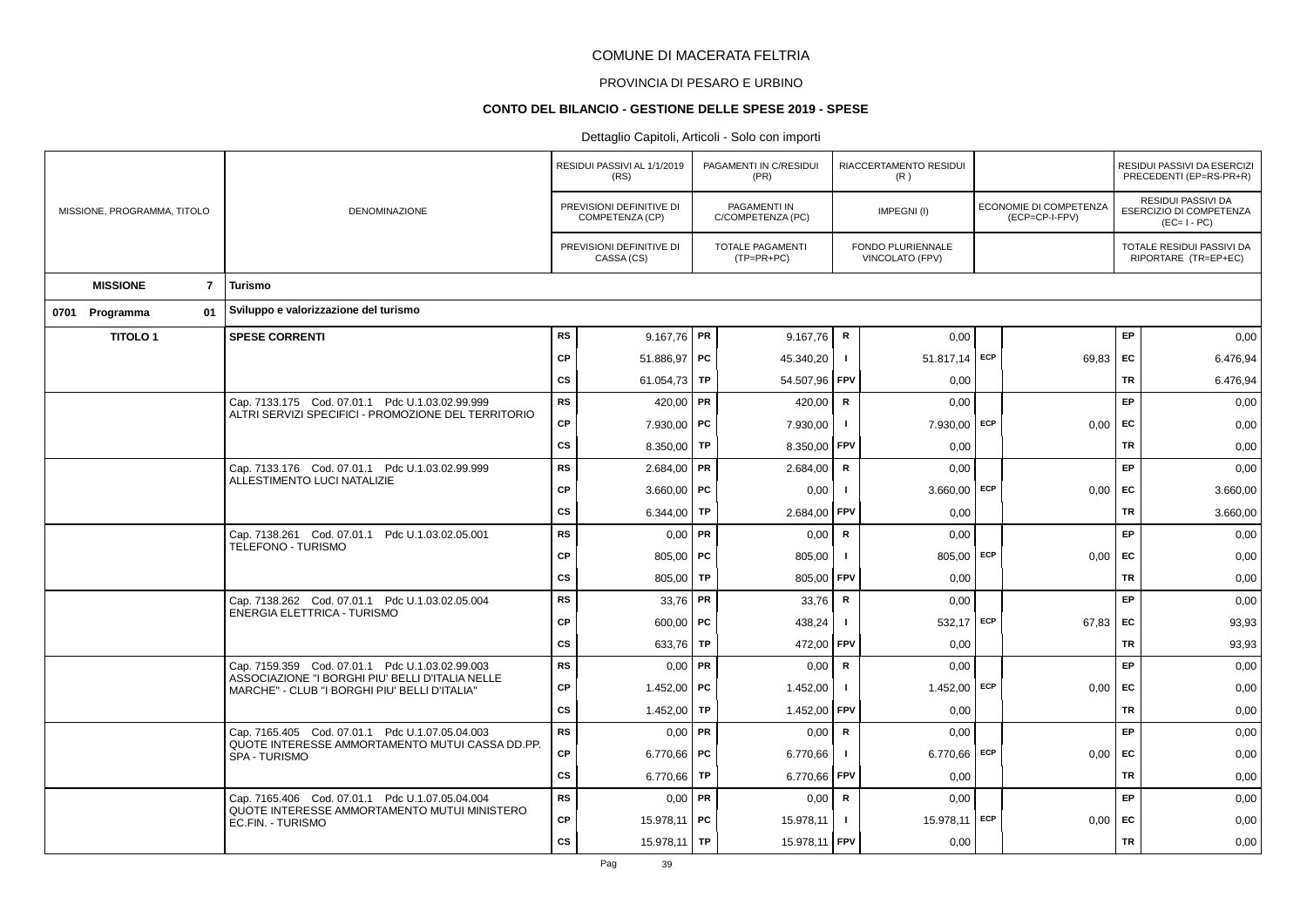# PROVINCIA DI PESARO E URBINO

#### **CONTO DEL BILANCIO - GESTIONE DELLE SPESE 2019 - SPESE**

|                             |                |                                                                                                        |           | RESIDUI PASSIVI AL 1/1/2019<br>(RS)         |           | PAGAMENTI IN C/RESIDUI<br>(PR)          |                | RIACCERTAMENTO RESIDUI<br>(R)        |            |                                          |           | RESIDUI PASSIVI DA ESERCIZI<br>PRECEDENTI (EP=RS-PR+R)       |
|-----------------------------|----------------|--------------------------------------------------------------------------------------------------------|-----------|---------------------------------------------|-----------|-----------------------------------------|----------------|--------------------------------------|------------|------------------------------------------|-----------|--------------------------------------------------------------|
| MISSIONE, PROGRAMMA, TITOLO |                | DENOMINAZIONE                                                                                          |           | PREVISIONI DEFINITIVE DI<br>COMPETENZA (CP) |           | PAGAMENTI IN<br>C/COMPETENZA (PC)       |                | IMPEGNI(I)                           |            | ECONOMIE DI COMPETENZA<br>(ECP=CP-I-FPV) |           | RESIDUI PASSIVI DA<br>ESERCIZIO DI COMPETENZA<br>$(EC=I-PC)$ |
|                             |                |                                                                                                        |           | PREVISIONI DEFINITIVE DI<br>CASSA (CS)      |           | <b>TOTALE PAGAMENTI</b><br>$(TP=PR+PC)$ |                | FONDO PLURIENNALE<br>VINCOLATO (FPV) |            |                                          |           | TOTALE RESIDUI PASSIVI DA<br>RIPORTARE (TR=EP+EC)            |
| <b>MISSIONE</b>             | $\overline{7}$ | Turismo                                                                                                |           |                                             |           |                                         |                |                                      |            |                                          |           |                                                              |
| 0701 Programma              | 01             | Sviluppo e valorizzazione del turismo                                                                  |           |                                             |           |                                         |                |                                      |            |                                          |           |                                                              |
| <b>TITOLO1</b>              |                | <b>SPESE CORRENTI</b>                                                                                  | <b>RS</b> | 9.167,76   PR                               |           | 9.167,76                                | R              | 0,00                                 |            |                                          | EP        | 0,00                                                         |
|                             |                |                                                                                                        | <b>CP</b> | 51.886,97 PC                                |           | 45.340,20                               |                | 51.817,14 ECP                        |            | 69,83                                    | EC        | 6.476,94                                                     |
|                             |                |                                                                                                        | CS        | 61.054,73                                   | TP        | 54.507,96                               | <b>FPV</b>     | 0,00                                 |            |                                          | TR        | 6.476,94                                                     |
|                             |                | Cap. 7133.175 Cod. 07.01.1 Pdc U.1.03.02.99.999<br>ALTRI SERVIZI SPECIFICI - PROMOZIONE DEL TERRITORIO | <b>RS</b> | 420,00 PR                                   |           | 420.00                                  | R              | 0.00                                 |            |                                          | EP        | 0,00                                                         |
|                             |                |                                                                                                        | CP        | 7.930,00 PC                                 |           | 7.930,00                                | $\blacksquare$ | 7.930,00                             | ECP        | 0,00                                     | <b>FC</b> | 0,00                                                         |
|                             |                |                                                                                                        | <b>CS</b> | 8.350,00                                    | TP        | 8.350,00                                | <b>FPV</b>     | 0,00                                 |            |                                          | TR        | 0,00                                                         |
|                             |                | Cap. 7133.176 Cod. 07.01.1 Pdc U.1.03.02.99.999<br>ALLESTIMENTO LUCI NATALIZIE                         | <b>RS</b> | $2.684,00$ PR                               |           | 2.684,00                                | $\mathbf R$    | 0,00                                 |            |                                          | EP        | 0,00                                                         |
|                             |                |                                                                                                        | <b>CP</b> | 3.660,00                                    | <b>PC</b> | 0,00                                    |                | 3.660,00                             | ECP        | 0,00                                     | EC        | 3.660,00                                                     |
|                             |                |                                                                                                        | <b>CS</b> | 6.344,00                                    | <b>TP</b> | 2.684,00                                | FPV            | 0,00                                 |            |                                          | <b>TR</b> | 3.660,00                                                     |
|                             |                | Cap. 7138.261 Cod. 07.01.1 Pdc U.1.03.02.05.001<br>TELEFONO - TURISMO                                  | <b>RS</b> | 0,00                                        | PR        | 0,00                                    | $\mathsf{R}$   | 0,00                                 |            |                                          | EP        | 0,00                                                         |
|                             |                |                                                                                                        | <b>CP</b> | 805,00   PC                                 |           | 805,00                                  | -1             | 805,00                               | <b>ECP</b> | 0,00                                     | <b>FC</b> | 0,00                                                         |
|                             |                |                                                                                                        | CS        | 805,00                                      | TP        | 805,00                                  | FPV            | 0,00                                 |            |                                          | TR        | 0,00                                                         |
|                             |                | Cap. 7138.262 Cod. 07.01.1 Pdc U.1.03.02.05.004<br>ENERGIA ELETTRICA - TURISMO                         | <b>RS</b> | $33,76$ PR                                  |           | 33,76                                   | R              | 0,00                                 |            |                                          | EP        | 0,00                                                         |
|                             |                |                                                                                                        | <b>CP</b> | $600,00$ PC                                 |           | 438,24                                  |                | 532.17                               | ECP        | 67,83                                    | EC        | 93,93                                                        |
|                             |                |                                                                                                        | <b>CS</b> | 633,76                                      | TP        | 472,00                                  | <b>FPV</b>     | 0,00                                 |            |                                          | TR        | 93,93                                                        |
|                             |                | Cap. 7159.359 Cod. 07.01.1 Pdc U.1.03.02.99.003<br>ASSOCIAZIONE "I BORGHI PIU' BELLI D'ITALIA NELLE    | <b>RS</b> | 0,00                                        | <b>PR</b> | 0,00                                    | $\mathbf R$    | 0,00                                 |            |                                          | EP        | 0,00                                                         |
|                             |                | MARCHE" - CLUB "I BORGHI PIU' BELLI D'ITALIA"                                                          | CP        | 1.452,00                                    | <b>PC</b> | 1.452,00                                | $\blacksquare$ | 1.452,00                             | ECP        | 0,00                                     | EC        | 0,00                                                         |
|                             |                |                                                                                                        | <b>CS</b> | 1.452,00                                    | <b>TP</b> | 1.452,00                                | FPV            | 0,00                                 |            |                                          | TR        | 0,00                                                         |
|                             |                | Cap. 7165.405 Cod. 07.01.1 Pdc U.1.07.05.04.003<br>QUOTE INTERESSE AMMORTAMENTO MUTUI CASSA DD.PP.     | <b>RS</b> | 0,00                                        | PR        | 0,00                                    | $\mathsf{R}$   | 0,00                                 |            |                                          | EP        | 0,00                                                         |
|                             |                | SPA - TURISMO                                                                                          | <b>CP</b> | 6.770,66   PC                               |           | 6.770,66                                |                | 6.770,66                             | ECP        | 0,00                                     | <b>FC</b> | 0,00                                                         |
|                             |                |                                                                                                        | CS        | 6.770,66                                    | <b>TP</b> | 6.770,66                                | FPV            | 0,00                                 |            |                                          | <b>TR</b> | 0,00                                                         |
|                             |                | Cap. 7165.406 Cod. 07.01.1 Pdc U.1.07.05.04.004<br>QUOTE INTERESSE AMMORTAMENTO MUTUI MINISTERO        | RS        | $0,00$ PR                                   |           | 0,00                                    | $\mathsf{R}$   | 0,00                                 |            |                                          | EP        | 0,00                                                         |
|                             |                | EC.FIN. - TURISMO                                                                                      | CP        | 15.978,11 PC                                |           | 15.978,11                               |                | 15.978,11                            | ECP        | 0,00                                     | EC        | 0,00                                                         |
|                             |                |                                                                                                        | <b>CS</b> | $15.978,11$ TP                              |           | 15.978,11 FPV                           |                | 0,00                                 |            |                                          | <b>TR</b> | 0,00                                                         |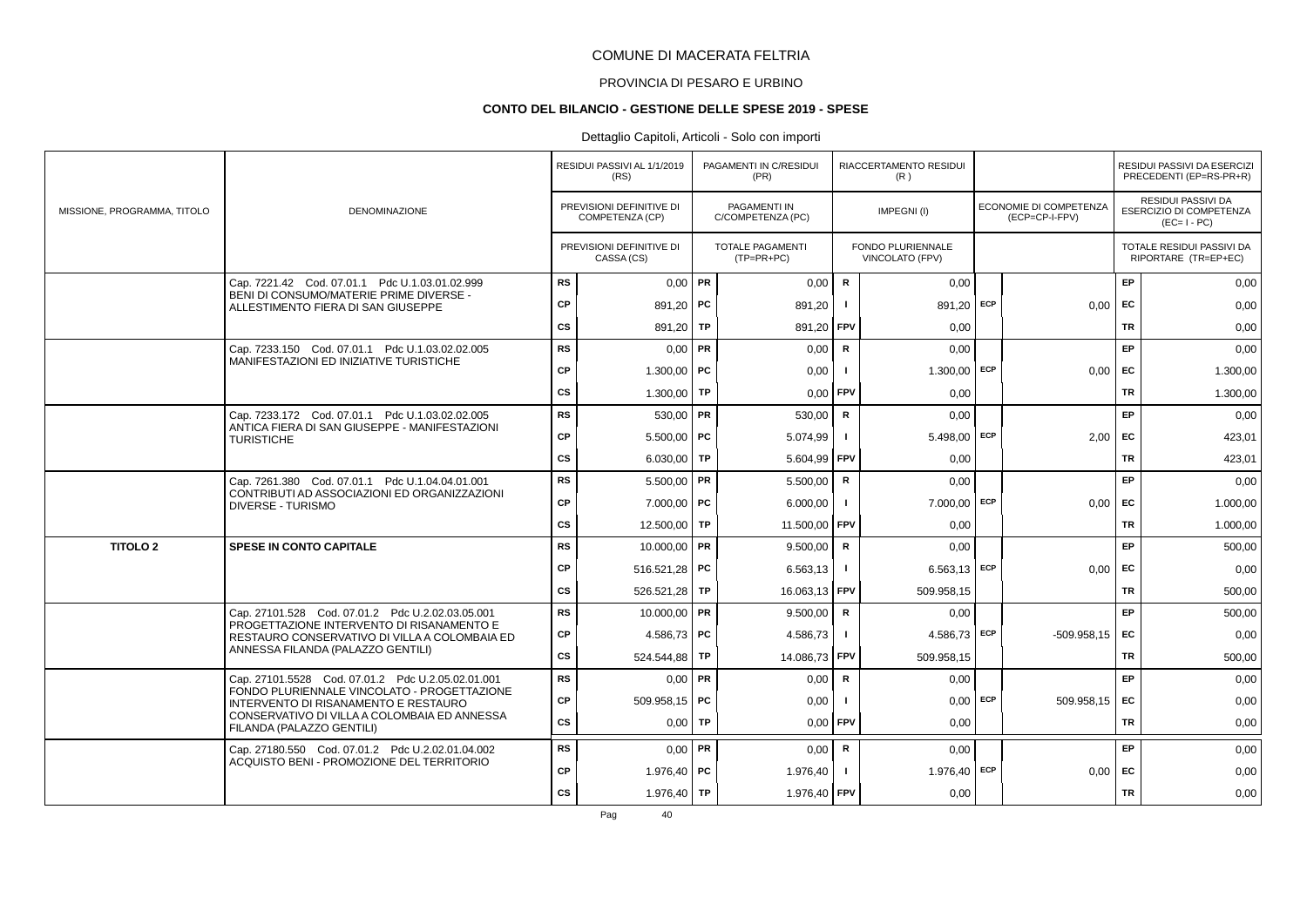# PROVINCIA DI PESARO E URBINO

#### **CONTO DEL BILANCIO - GESTIONE DELLE SPESE 2019 - SPESE**

# Dettaglio Capitoli, Articoli - Solo con importi

|                             |                                                                                                  |           | RESIDUI PASSIVI AL 1/1/2019<br>(RS)         | PAGAMENTI IN C/RESIDUI<br>(PR)          |              | RIACCERTAMENTO RESIDUI<br>(R)        |            |                                          |           | RESIDUI PASSIVI DA ESERCIZI<br>PRECEDENTI (EP=RS-PR+R)              |
|-----------------------------|--------------------------------------------------------------------------------------------------|-----------|---------------------------------------------|-----------------------------------------|--------------|--------------------------------------|------------|------------------------------------------|-----------|---------------------------------------------------------------------|
| MISSIONE, PROGRAMMA, TITOLO | <b>DENOMINAZIONE</b>                                                                             |           | PREVISIONI DEFINITIVE DI<br>COMPETENZA (CP) | PAGAMENTI IN<br>C/COMPETENZA (PC)       |              | IMPEGNI(I)                           |            | ECONOMIE DI COMPETENZA<br>(ECP=CP-I-FPV) |           | RESIDUI PASSIVI DA<br><b>ESERCIZIO DI COMPETENZA</b><br>$(EC=I-PC)$ |
|                             |                                                                                                  |           | PREVISIONI DEFINITIVE DI<br>CASSA (CS)      | <b>TOTALE PAGAMENTI</b><br>$(TP=PR+PC)$ |              | FONDO PLURIENNALE<br>VINCOLATO (FPV) |            |                                          |           | TOTALE RESIDUI PASSIVI DA<br>RIPORTARE (TR=EP+EC)                   |
|                             | Cap. 7221.42 Cod. 07.01.1 Pdc U.1.03.01.02.999                                                   | <b>RS</b> | $0.00$ PR                                   | 0,00                                    | $\mathbf R$  | 0,00                                 |            |                                          | EP        | 0,00                                                                |
|                             | BENI DI CONSUMO/MATERIE PRIME DIVERSE -<br>ALLESTIMENTO FIERA DI SAN GIUSEPPE                    | <b>CP</b> | 891,20 PC                                   | 891,20                                  | $\mathbf{I}$ | 891,20 ECP                           |            | $0.00$ EC                                |           | 0,00                                                                |
|                             |                                                                                                  | <b>CS</b> | 891,20   TP                                 | 891,20 FPV                              |              | 0.00                                 |            |                                          | <b>TR</b> | 0,00                                                                |
|                             | Cap. 7233.150 Cod. 07.01.1 Pdc U.1.03.02.02.005                                                  | <b>RS</b> | $0,00$ PR                                   | 0,00                                    | R            | 0,00                                 |            |                                          | EP        | 0,00                                                                |
|                             | MANIFESTAZIONI ED INIZIATIVE TURISTICHE                                                          | CP        | $1.300,00$ PC                               | 0,00                                    |              | $1.300,00$ ECP                       |            | $0.00$ EC                                |           | 1.300,00                                                            |
|                             |                                                                                                  | <b>CS</b> | 1.300,00 TP                                 | 0,00                                    | <b>FPV</b>   | 0,00                                 |            |                                          | <b>TR</b> | 1.300,00                                                            |
|                             | Cap. 7233.172 Cod. 07.01.1 Pdc U.1.03.02.02.005                                                  | <b>RS</b> | $530,00$ PR                                 | 530,00                                  | $\mathsf{R}$ | 0,00                                 |            |                                          | EP        | 0,00                                                                |
|                             | ANTICA FIERA DI SAN GIUSEPPE - MANIFESTAZIONI<br><b>TURISTICHE</b>                               | <b>CP</b> | $5.500.00$ PC                               | 5.074,99                                | $\mathbf{I}$ | $5.498,00$ ECP                       |            | 2.00                                     | EC        | 423,01                                                              |
|                             |                                                                                                  | CS        | 6.030,00 TP                                 | 5.604,99 FPV                            |              | 0,00                                 |            |                                          | <b>TR</b> | 423,01                                                              |
|                             | Cap. 7261.380 Cod. 07.01.1 Pdc U.1.04.04.01.001                                                  | <b>RS</b> | $5.500,00$ PR                               | 5.500,00                                | $\mathsf{R}$ | 0.00                                 |            |                                          | EP        | 0,00                                                                |
|                             | CONTRIBUTI AD ASSOCIAZIONI ED ORGANIZZAZIONI<br><b>DIVERSE - TURISMO</b>                         | CP        | $7.000,00$ PC                               | 6.000,00                                |              | 7.000,00                             | ECP        | 0.00                                     | EC        | 1.000,00                                                            |
|                             |                                                                                                  | cs        | 12.500,00 TP                                | 11.500,00                               | <b>FPV</b>   | 0,00                                 |            |                                          | <b>TR</b> | 1.000,00                                                            |
| <b>TITOLO 2</b>             | <b>SPESE IN CONTO CAPITALE</b>                                                                   | <b>RS</b> | 10.000,00 PR                                | 9.500,00                                | $\mathsf{R}$ | 0.00                                 |            |                                          | EP        | 500,00                                                              |
|                             |                                                                                                  | CP        | 516.521,28 PC                               | 6.563,13                                | $\mathbf{I}$ | $6.563,13$ ECP                       |            | $0,00$ EC                                |           | 0,00                                                                |
|                             |                                                                                                  | cs        | 526.521,28 TP                               | 16.063.13                               | FPV          | 509.958.15                           |            |                                          | <b>TR</b> | 500.00                                                              |
|                             | Cap. 27101.528 Cod. 07.01.2 Pdc U.2.02.03.05.001<br>PROGETTAZIONE INTERVENTO DI RISANAMENTO E    | <b>RS</b> | $10.000,00$ PR                              | 9.500,00                                | $\mathbf R$  | 0,00                                 |            |                                          | EP        | 500,00                                                              |
|                             | RESTAURO CONSERVATIVO DI VILLA A COLOMBAIA ED                                                    | CP        | 4.586,73   PC                               | 4.586,73                                | $\mathbf{I}$ | $4.586,73$ ECP                       |            | $-509.958.15$ EC                         |           | 0,00                                                                |
|                             | ANNESSA FILANDA (PALAZZO GENTILI)                                                                | cs        | 524.544,88 TP                               | 14.086,73                               | l FPV        | 509.958,15                           |            |                                          | <b>TR</b> | 500,00                                                              |
|                             | Cap. 27101.5528 Cod. 07.01.2 Pdc U.2.05.02.01.001<br>FONDO PLURIENNALE VINCOLATO - PROGETTAZIONE | <b>RS</b> | $0,00$ PR                                   | 0,00                                    | R            | 0,00                                 |            |                                          | EP.       | 0,00                                                                |
|                             | INTERVENTO DI RISANAMENTO E RESTAURO                                                             | CP        | 509.958,15 PC                               | 0,00                                    |              |                                      | $0.00$ ECP | 509.958.15 EC                            |           | 0,00                                                                |
|                             | CONSERVATIVO DI VILLA A COLOMBAIA ED ANNESSA<br>FILANDA (PALAZZO GENTILI)                        | CS        | $0,00$ TP                                   | 0,00                                    | <b>FPV</b>   | 0,00                                 |            |                                          | <b>TR</b> | 0,00                                                                |
|                             | Cap. 27180.550 Cod. 07.01.2 Pdc U.2.02.01.04.002                                                 | <b>RS</b> | $0,00$ PR                                   | 0,00                                    | R            | 0,00                                 |            |                                          | EP        | 0,00                                                                |
|                             | ACQUISTO BENI - PROMOZIONE DEL TERRITORIO                                                        | <b>CP</b> | 1.976,40   PC                               | 1.976,40                                |              | 1.976,40 ECP                         |            | $0.00$ EC                                |           | 0,00                                                                |
|                             |                                                                                                  | <b>CS</b> | 1.976,40 TP                                 | 1.976,40 FPV                            |              | 0,00                                 |            |                                          | <b>TR</b> | 0,00                                                                |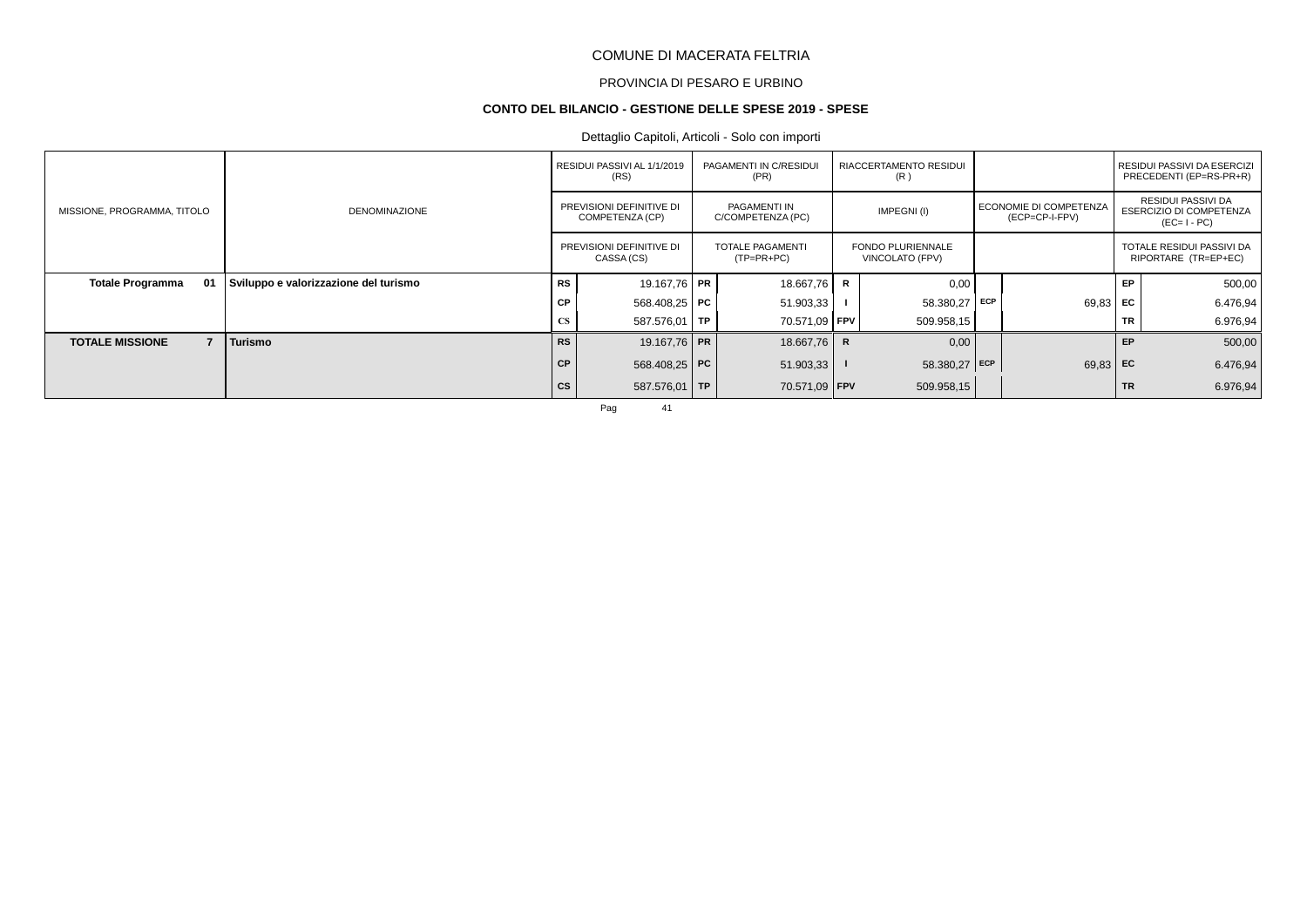# PROVINCIA DI PESARO E URBINO

#### **CONTO DEL BILANCIO - GESTIONE DELLE SPESE 2019 - SPESE**

# Dettaglio Capitoli, Articoli - Solo con importi

|                                          |                                       |           | RESIDUI PASSIVI AL 1/1/2019<br>(RS)         | PAGAMENTI IN C/RESIDUI<br>(PR)          |   | RIACCERTAMENTO RESIDUI<br>(R)               |                                          |           | RESIDUI PASSIVI DA ESERCIZI<br>PRECEDENTI (EP=RS-PR+R)       |
|------------------------------------------|---------------------------------------|-----------|---------------------------------------------|-----------------------------------------|---|---------------------------------------------|------------------------------------------|-----------|--------------------------------------------------------------|
| MISSIONE, PROGRAMMA, TITOLO              | <b>DENOMINAZIONE</b>                  |           | PREVISIONI DEFINITIVE DI<br>COMPETENZA (CP) | PAGAMENTI IN<br>C/COMPETENZA (PC)       |   | IMPEGNI(I)                                  | ECONOMIE DI COMPETENZA<br>(ECP=CP-I-FPV) |           | RESIDUI PASSIVI DA<br>ESERCIZIO DI COMPETENZA<br>$(EC=I-PC)$ |
|                                          |                                       |           | PREVISIONI DEFINITIVE DI<br>CASSA (CS)      | <b>TOTALE PAGAMENTI</b><br>$(TP=PR+PC)$ |   | <b>FONDO PLURIENNALE</b><br>VINCOLATO (FPV) |                                          |           | TOTALE RESIDUI PASSIVI DA<br>RIPORTARE (TR=EP+EC)            |
| <b>Totale Programma</b><br>01            | Sviluppo e valorizzazione del turismo | <b>RS</b> | 19.167.76 PR                                | 18.667,76                               | R | 0,00                                        |                                          | EP.       | 500,00                                                       |
|                                          |                                       | <b>CP</b> | 568.408,25 <b>PC</b>                        | 51.903,33                               |   | $58.380,27$ ECP                             | $69,83$ EC                               |           | 6.476,94                                                     |
|                                          |                                       | <b>CS</b> | 587.576,01 TP                               | 70.571,09   FPV                         |   | 509.958,15                                  |                                          | TR        | 6.976,94                                                     |
| $\overline{7}$<br><b>TOTALE MISSIONE</b> | Turismo                               | <b>RS</b> | 19.167,76 PR                                | 18.667,76                               | R | 0,00                                        |                                          | EP        | 500,00                                                       |
|                                          |                                       | <b>CP</b> | 568.408,25 PC                               | 51.903,33                               |   | 58.380,27 $ $ ECP                           | $69,83$ EC                               |           | 6.476,94                                                     |
|                                          |                                       | cs        | 587.576,01 TP                               | 70.571,09 FPV                           |   | 509.958,15                                  |                                          | <b>TR</b> | 6.976,94                                                     |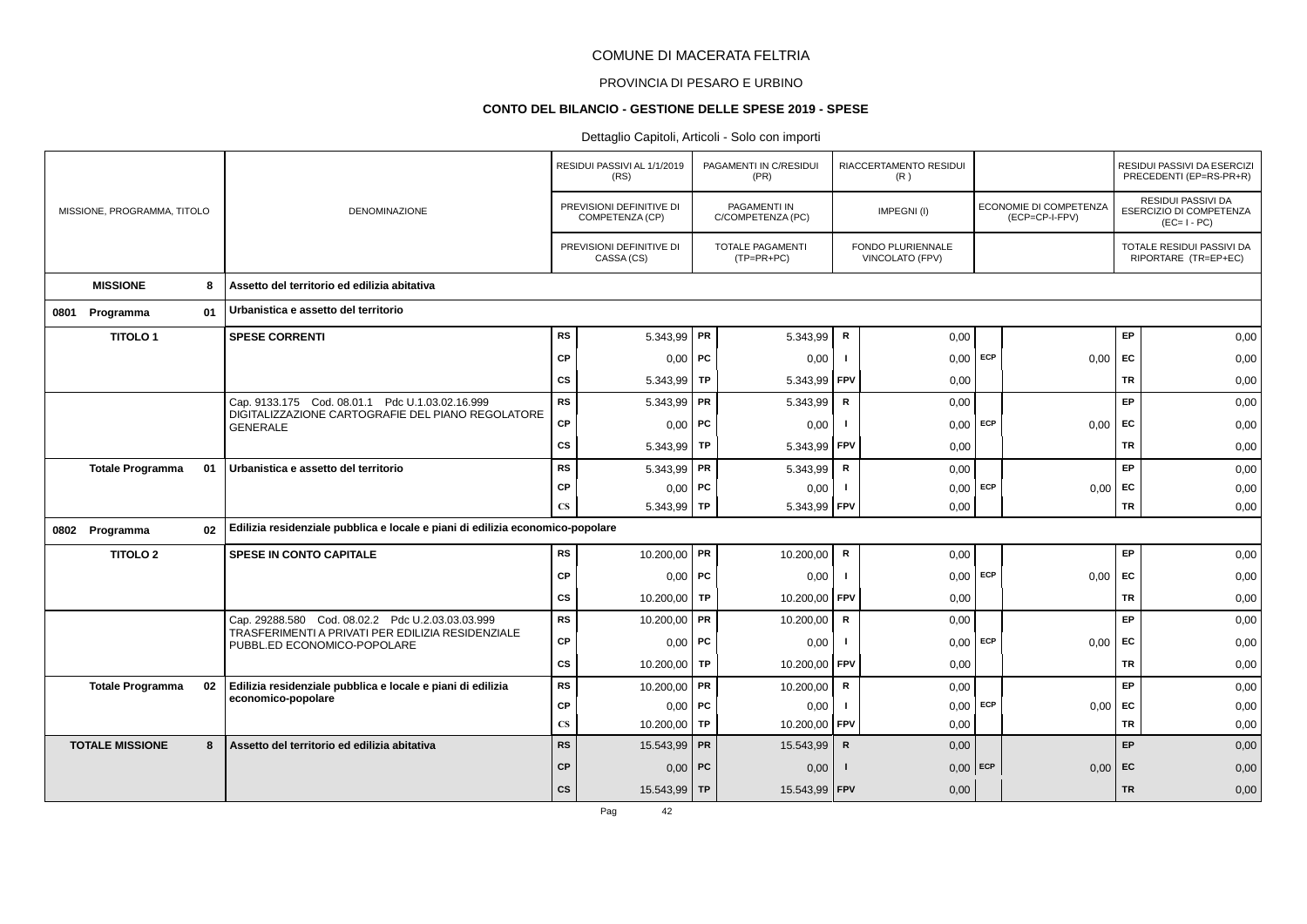# PROVINCIA DI PESARO E URBINO

# **CONTO DEL BILANCIO - GESTIONE DELLE SPESE 2019 - SPESE**

|                             |    |                                                                                  |                        | RESIDUI PASSIVI AL 1/1/2019<br>(RS)         |    | PAGAMENTI IN C/RESIDUI<br>(PR)           |                | RIACCERTAMENTO RESIDUI<br>(R)        |            |                                                 |           | RESIDUI PASSIVI DA ESERCIZI<br>PRECEDENTI (EP=RS-PR+R)              |
|-----------------------------|----|----------------------------------------------------------------------------------|------------------------|---------------------------------------------|----|------------------------------------------|----------------|--------------------------------------|------------|-------------------------------------------------|-----------|---------------------------------------------------------------------|
| MISSIONE, PROGRAMMA, TITOLO |    | DENOMINAZIONE                                                                    |                        | PREVISIONI DEFINITIVE DI<br>COMPETENZA (CP) |    | <b>PAGAMENTI IN</b><br>C/COMPETENZA (PC) |                | IMPEGNI(I)                           |            | <b>ECONOMIE DI COMPETENZA</b><br>(ECP=CP-I-FPV) |           | <b>RESIDUI PASSIVI DA</b><br>ESERCIZIO DI COMPETENZA<br>$(EC=I-PC)$ |
|                             |    |                                                                                  |                        | PREVISIONI DEFINITIVE DI<br>CASSA (CS)      |    | <b>TOTALE PAGAMENTI</b><br>(TP=PR+PC)    |                | FONDO PLURIENNALE<br>VINCOLATO (FPV) |            |                                                 |           | TOTALE RESIDUI PASSIVI DA<br>RIPORTARE (TR=EP+EC)                   |
| <b>MISSIONE</b>             | 8  | Assetto del territorio ed edilizia abitativa                                     |                        |                                             |    |                                          |                |                                      |            |                                                 |           |                                                                     |
| 0801 Programma              | 01 | Urbanistica e assetto del territorio                                             |                        |                                             |    |                                          |                |                                      |            |                                                 |           |                                                                     |
| <b>TITOLO1</b>              |    | <b>SPESE CORRENTI</b>                                                            | <b>RS</b>              | 5.343,99   PR                               |    | 5.343,99                                 | R              | 0,00                                 |            |                                                 | EP        | 0,00                                                                |
|                             |    |                                                                                  | CP                     | 0,00                                        | PC | 0,00                                     | $\mathbf{I}$   | 0,00                                 | <b>ECP</b> | 0,00                                            | EC        | 0,00                                                                |
|                             |    |                                                                                  | CS                     | 5.343,99   TP                               |    | 5.343,99                                 | FPV            | 0,00                                 |            |                                                 | <b>TR</b> | 0,00                                                                |
|                             |    | Cap. 9133.175 Cod. 08.01.1 Pdc U.1.03.02.16.999                                  | <b>RS</b>              | $5.343,99$ PR                               |    | 5.343,99                                 | R              | 0,00                                 |            |                                                 | EP        | 0,00                                                                |
|                             |    | DIGITALIZZAZIONE CARTOGRAFIE DEL PIANO REGOLATORE<br><b>GENERALE</b>             | CP                     | $0,00$   PC                                 |    | 0,00                                     | $\mathbf{I}$   | $0,00$ ECP                           |            | 0,00                                            | <b>FC</b> | 0,00                                                                |
|                             |    |                                                                                  | CS                     | 5.343,99   TP                               |    | 5.343,99                                 | FPV            | 0,00                                 |            |                                                 | TR        | 0,00                                                                |
| <b>Totale Programma</b>     | 01 | Urbanistica e assetto del territorio                                             | <b>RS</b>              | $5.343,99$ PR                               |    | 5.343,99                                 | $\mathsf{R}$   | 0,00                                 |            |                                                 | EP        | 0,00                                                                |
|                             |    |                                                                                  | CP                     | $0,00$   PC                                 |    | 0,00                                     |                | 0,00                                 | ECP        | 0.00                                            | EC        | 0,00                                                                |
|                             |    |                                                                                  | $\mathbf{C}\mathbf{S}$ | 5.343,99 TP                                 |    | 5.343,99   FPV                           |                | 0,00                                 |            |                                                 | <b>TR</b> | 0,00                                                                |
| 0802 Programma              | 02 | Edilizia residenziale pubblica e locale e piani di edilizia economico-popolare   |                        |                                             |    |                                          |                |                                      |            |                                                 |           |                                                                     |
| <b>TITOLO 2</b>             |    | <b>SPESE IN CONTO CAPITALE</b>                                                   | <b>RS</b>              | 10.200,00   PR                              |    | 10.200,00                                | R              | 0,00                                 |            |                                                 | EP        | 0,00                                                                |
|                             |    |                                                                                  | CP                     | $0,00$ PC                                   |    | 0,00                                     | $\blacksquare$ | $0,00$ ECP                           |            | 0,00                                            | EC        | 0,00                                                                |
|                             |    |                                                                                  | <b>CS</b>              | 10.200,00 TP                                |    | 10.200,00                                | FPV            | 0,00                                 |            |                                                 | <b>TR</b> | 0,00                                                                |
|                             |    | Cap. 29288.580 Cod. 08.02.2 Pdc U.2.03.03.03.999                                 | <b>RS</b>              | 10.200,00   PR                              |    | 10.200,00                                | $\mathsf R$    | 0,00                                 |            |                                                 | EP        | 0,00                                                                |
|                             |    | TRASFERIMENTI A PRIVATI PER EDILIZIA RESIDENZIALE<br>PUBBL.ED ECONOMICO-POPOLARE | CP                     | $0,00$   PC                                 |    | 0,00                                     | -1             | $0,00$ ECP                           |            | 0,00                                            | EC        | 0,00                                                                |
|                             |    |                                                                                  | cs                     | 10.200,00 TP                                |    | 10.200,00                                | FPV            | 0,00                                 |            |                                                 | <b>TR</b> | 0,00                                                                |
| <b>Totale Programma</b>     | 02 | Edilizia residenziale pubblica e locale e piani di edilizia                      | <b>RS</b>              | 10.200,00   PR                              |    | 10.200,00                                | $\mathsf{R}$   | 0,00                                 |            |                                                 | EP        | 0,00                                                                |
|                             |    | economico-popolare                                                               | <b>CP</b>              | $0,00$ PC                                   |    | 0,00                                     | $\mathbf{I}$   | 0,00                                 | ECP        | 0,00                                            | EC        | 0,00                                                                |
|                             |    |                                                                                  | $\mathbf{C}\mathbf{S}$ | 10.200,00 TP                                |    | 10.200,00                                | <b>FPV</b>     | 0.00                                 |            |                                                 | <b>TR</b> | 0,00                                                                |
| <b>TOTALE MISSIONE</b>      | 8  | Assetto del territorio ed edilizia abitativa                                     | <b>RS</b>              | 15.543,99 PR                                |    | 15.543,99                                | $\mathbf R$    | 0,00                                 |            |                                                 | EP        | 0,00                                                                |
|                             |    |                                                                                  | CP                     | $0,00$ PC                                   |    | 0,00                                     |                | $0,00$ ECP                           |            | 0,00                                            | EC        | 0,00                                                                |
|                             |    |                                                                                  | cs                     | 15.543,99 TP                                |    | 15.543,99   FPV                          |                | 0,00                                 |            |                                                 | <b>TR</b> | 0,00                                                                |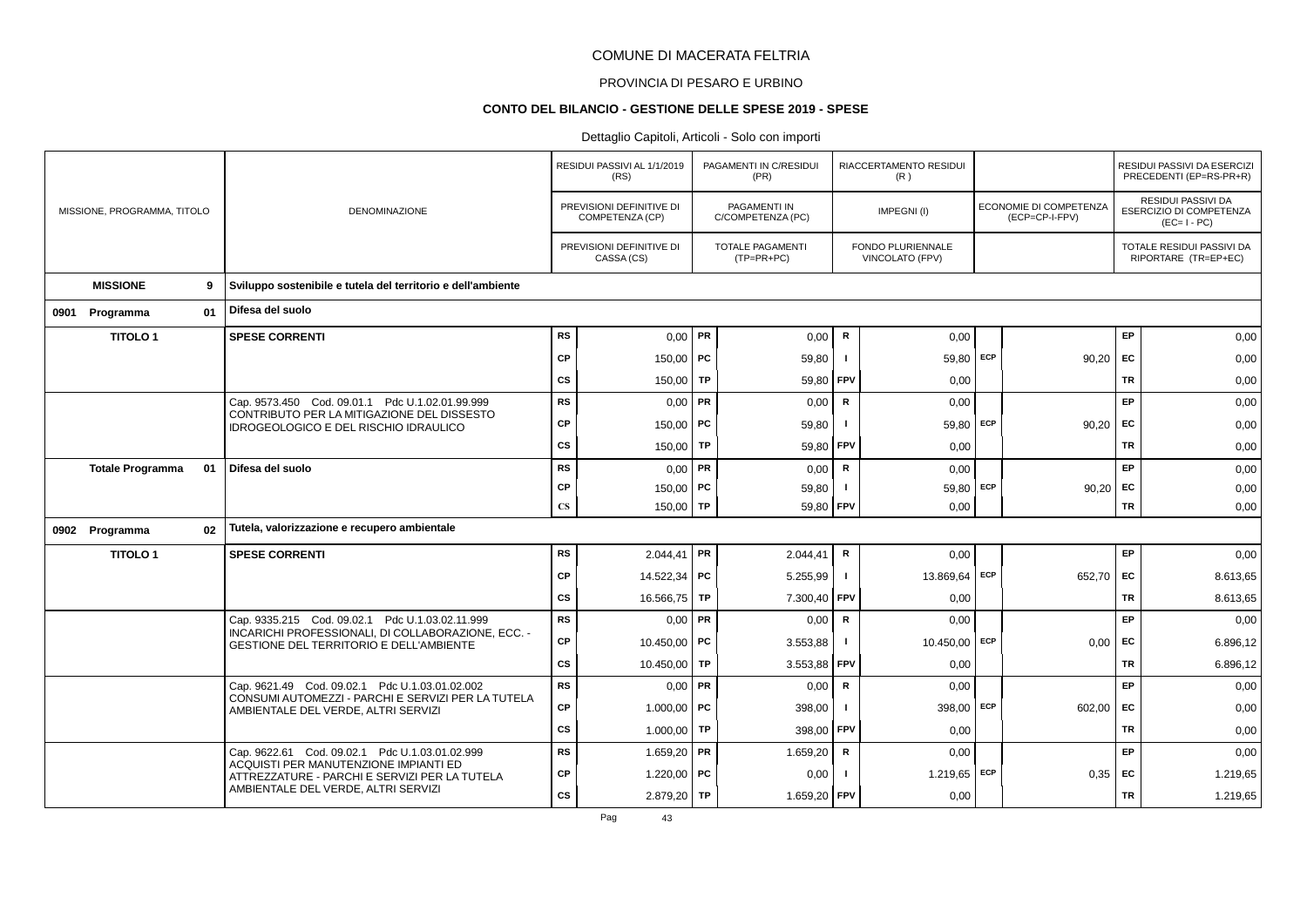# PROVINCIA DI PESARO E URBINO

# **CONTO DEL BILANCIO - GESTIONE DELLE SPESE 2019 - SPESE**

# Dettaglio Capitoli, Articoli - Solo con importi

|      |                             |    |                                                                                                      |                        | RESIDUI PASSIVI AL 1/1/2019<br>(RS)         |           | PAGAMENTI IN C/RESIDUI<br>(PR)           |              | RIACCERTAMENTO RESIDUI<br>(R)               |     |                                          |           | RESIDUI PASSIVI DA ESERCIZI<br>PRECEDENTI (EP=RS-PR+R)              |
|------|-----------------------------|----|------------------------------------------------------------------------------------------------------|------------------------|---------------------------------------------|-----------|------------------------------------------|--------------|---------------------------------------------|-----|------------------------------------------|-----------|---------------------------------------------------------------------|
|      | MISSIONE, PROGRAMMA, TITOLO |    | <b>DENOMINAZIONE</b>                                                                                 |                        | PREVISIONI DEFINITIVE DI<br>COMPETENZA (CP) |           | <b>PAGAMENTI IN</b><br>C/COMPETENZA (PC) |              | IMPEGNI(I)                                  |     | ECONOMIE DI COMPETENZA<br>(ECP=CP-I-FPV) |           | RESIDUI PASSIVI DA<br><b>ESERCIZIO DI COMPETENZA</b><br>$(EC=I-PC)$ |
|      |                             |    |                                                                                                      |                        | PREVISIONI DEFINITIVE DI<br>CASSA (CS)      |           | <b>TOTALE PAGAMENTI</b><br>(TP=PR+PC)    |              | FONDO PLURIENNALE<br><b>VINCOLATO (FPV)</b> |     |                                          |           | TOTALE RESIDUI PASSIVI DA<br>RIPORTARE (TR=EP+EC)                   |
|      | <b>MISSIONE</b>             | 9  | Sviluppo sostenibile e tutela del territorio e dell'ambiente                                         |                        |                                             |           |                                          |              |                                             |     |                                          |           |                                                                     |
| 0901 | Programma                   | 01 | Difesa del suolo                                                                                     |                        |                                             |           |                                          |              |                                             |     |                                          |           |                                                                     |
|      | <b>TITOLO1</b>              |    | <b>SPESE CORRENTI</b>                                                                                | <b>RS</b>              | $0,00$ PR                                   |           | 0,00                                     | R            | 0,00                                        |     |                                          | EP        | 0,00                                                                |
|      |                             |    |                                                                                                      | <b>CP</b>              | 150,00   PC                                 |           | 59,80                                    | $\mathbf{I}$ | 59,80 ECP                                   |     | 90,20                                    | EC        | 0,00                                                                |
|      |                             |    |                                                                                                      | CS                     | 150,00                                      | TP        | 59,80                                    | FPV          | 0,00                                        |     |                                          | <b>TR</b> | 0,00                                                                |
|      |                             |    | Cap. 9573.450 Cod. 09.01.1 Pdc U.1.02.01.99.999                                                      | <b>RS</b>              | $0,00$ PR                                   |           | 0,00                                     | R            | 0,00                                        |     |                                          | EP        | 0,00                                                                |
|      |                             |    | CONTRIBUTO PER LA MITIGAZIONE DEL DISSESTO<br><b>IDROGEOLOGICO E DEL RISCHIO IDRAULICO</b>           | CP                     | 150,00   PC                                 |           | 59,80                                    |              | 59,80                                       | ECP | 90,20                                    | EC        | 0,00                                                                |
|      |                             |    |                                                                                                      | cs                     | 150,00                                      | <b>TP</b> | 59,80                                    | <b>FPV</b>   | 0,00                                        |     |                                          | <b>TR</b> | 0,00                                                                |
|      | <b>Totale Programma</b>     | 01 | Difesa del suolo                                                                                     | <b>RS</b>              | 0,00                                        | PR        | 0,00                                     | $\mathsf{R}$ | 0,00                                        |     |                                          | EP        | 0,00                                                                |
|      |                             |    |                                                                                                      | CP                     | 150,00   PC                                 |           | 59,80                                    |              | 59,80                                       | ECP | 90,20                                    | EC        | 0,00                                                                |
|      |                             |    |                                                                                                      | $\mathbf{C}\mathbf{S}$ | $150,00$ TP                                 |           | 59,80                                    | FPV          | 0,00                                        |     |                                          | <b>TR</b> | 0,00                                                                |
|      | 0902 Programma              | 02 | Tutela, valorizzazione e recupero ambientale                                                         |                        |                                             |           |                                          |              |                                             |     |                                          |           |                                                                     |
|      | <b>TITOLO1</b>              |    | <b>SPESE CORRENTI</b>                                                                                | <b>RS</b>              | $2.044,41$ PR                               |           | 2.044,41                                 | R            | 0,00                                        |     |                                          | EP        | 0,00                                                                |
|      |                             |    |                                                                                                      | <b>CP</b>              | 14.522,34 PC                                |           | 5.255,99                                 | $\mathbf{I}$ | 13.869,64 ECP                               |     | 652,70                                   | EC        | 8.613,65                                                            |
|      |                             |    |                                                                                                      | cs                     | 16.566,75 TP                                |           | 7.300,40                                 | FPV          | 0,00                                        |     |                                          | <b>TR</b> | 8.613,65                                                            |
|      |                             |    | Cap. 9335.215 Cod. 09.02.1 Pdc U.1.03.02.11.999                                                      | <b>RS</b>              | $0,00$ PR                                   |           | 0,00                                     | $\mathsf R$  | 0,00                                        |     |                                          | EP        | 0,00                                                                |
|      |                             |    | INCARICHI PROFESSIONALI, DI COLLABORAZIONE, ECC. -<br><b>GESTIONE DEL TERRITORIO E DELL'AMBIENTE</b> | CP                     | 10.450,00 PC                                |           | 3.553,88                                 | $\mathbf{I}$ | 10.450,00                                   | ECP | 0,00                                     | EC        | 6.896,12                                                            |
|      |                             |    |                                                                                                      | cs                     | 10.450,00 TP                                |           | 3.553,88                                 | FPV          | 0,00                                        |     |                                          | TR        | 6.896,12                                                            |
|      |                             |    | Cap. 9621.49 Cod. 09.02.1 Pdc U.1.03.01.02.002                                                       | <b>RS</b>              | $0,00$ PR                                   |           | 0,00                                     | $\mathsf R$  | 0,00                                        |     |                                          | EP        | 0,00                                                                |
|      |                             |    | CONSUMI AUTOMEZZI - PARCHI E SERVIZI PER LA TUTELA<br>AMBIENTALE DEL VERDE, ALTRI SERVIZI            | CP                     | $1.000,00$ PC                               |           | 398,00                                   | -1           | 398,00                                      | ECP | 602,00                                   | EC        | 0,00                                                                |
|      |                             |    |                                                                                                      | CS                     | 1.000,00   TP                               |           | 398,00                                   | FPV          | 0,00                                        |     |                                          | <b>TR</b> | 0,00                                                                |
|      |                             |    | Cap. 9622.61 Cod. 09.02.1 Pdc U.1.03.01.02.999                                                       | <b>RS</b>              | 1.659,20   PR                               |           | 1.659,20                                 | R            | 0,00                                        |     |                                          | EP        | 0,00                                                                |
|      |                             |    | ACQUISTI PER MANUTENZIONE IMPIANTI ED<br>ATTREZZATURE - PARCHI E SERVIZI PER LA TUTELA               | <b>CP</b>              | 1.220,00   PC                               |           | 0,00                                     |              | 1.219,65 ECP                                |     | 0,35                                     | EC        | 1.219,65                                                            |
|      |                             |    | AMBIENTALE DEL VERDE, ALTRI SERVIZI                                                                  | cs                     | $2.879,20$ TP                               |           | 1.659,20 FPV                             |              | 0,00                                        |     |                                          | TR        | 1.219,65                                                            |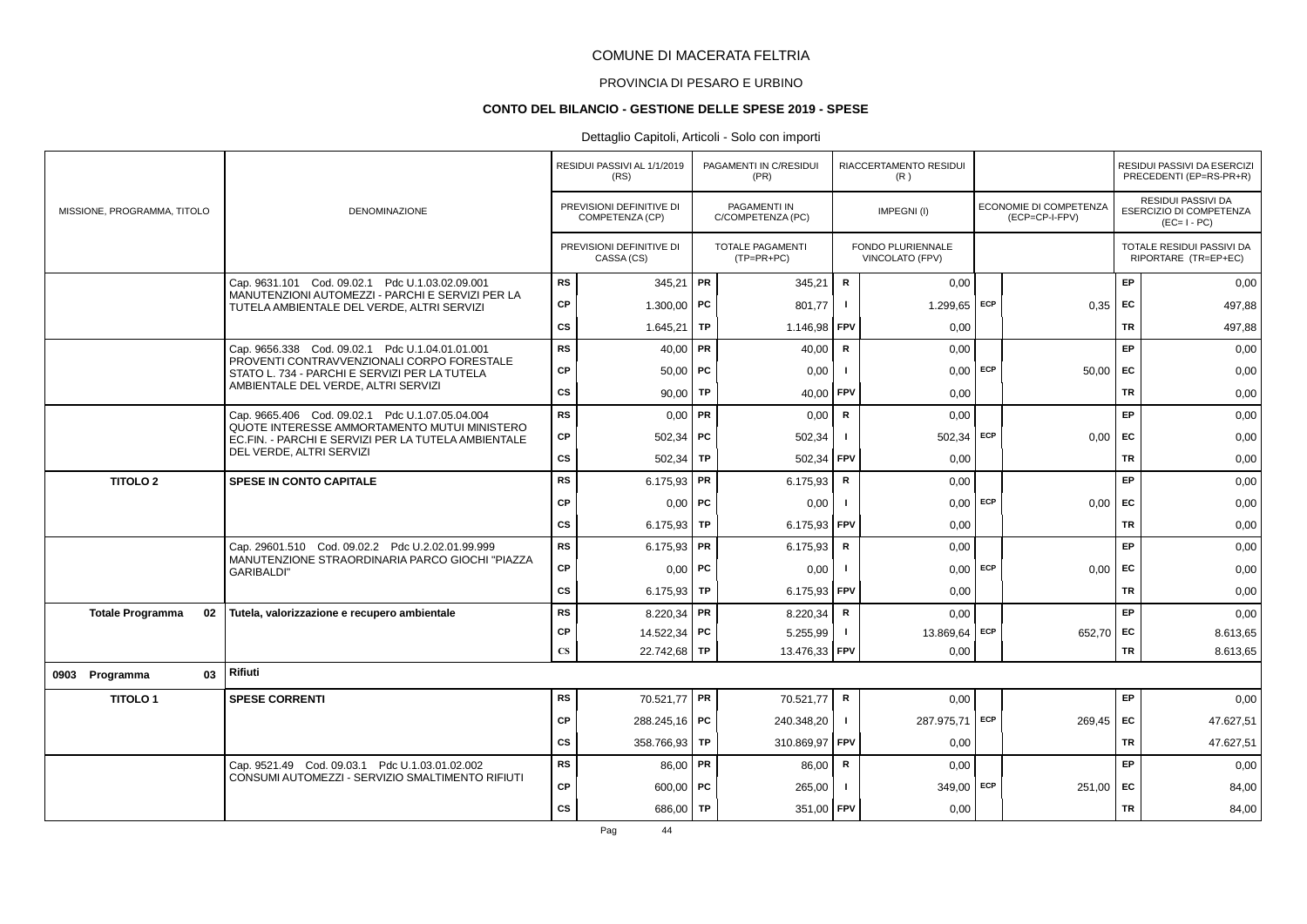# PROVINCIA DI PESARO E URBINO

### **CONTO DEL BILANCIO - GESTIONE DELLE SPESE 2019 - SPESE**

|                             |    |                                                                                                     |                        | RESIDUI PASSIVI AL 1/1/2019<br>(RS)         |    | PAGAMENTI IN C/RESIDUI<br>(PR)           |              | RIACCERTAMENTO RESIDUI<br>(R)        |     |                                                 |           | RESIDUI PASSIVI DA ESERCIZI<br>PRECEDENTI (EP=RS-PR+R)              |
|-----------------------------|----|-----------------------------------------------------------------------------------------------------|------------------------|---------------------------------------------|----|------------------------------------------|--------------|--------------------------------------|-----|-------------------------------------------------|-----------|---------------------------------------------------------------------|
| MISSIONE, PROGRAMMA, TITOLO |    | <b>DENOMINAZIONE</b>                                                                                |                        | PREVISIONI DEFINITIVE DI<br>COMPETENZA (CP) |    | <b>PAGAMENTI IN</b><br>C/COMPETENZA (PC) |              | IMPEGNI(I)                           |     | <b>ECONOMIE DI COMPETENZA</b><br>(ECP=CP-I-FPV) |           | <b>RESIDUI PASSIVI DA</b><br>ESERCIZIO DI COMPETENZA<br>$(EC=I-PC)$ |
|                             |    |                                                                                                     |                        | PREVISIONI DEFINITIVE DI<br>CASSA (CS)      |    | TOTALE PAGAMENTI<br>$(TP=PR+PC)$         |              | FONDO PLURIENNALE<br>VINCOLATO (FPV) |     |                                                 |           | TOTALE RESIDUI PASSIVI DA<br>RIPORTARE (TR=EP+EC)                   |
|                             |    | Cap. 9631.101 Cod. 09.02.1 Pdc U.1.03.02.09.001                                                     | <b>RS</b>              | 345,21                                      | PR | 345,21                                   | $\mathsf R$  | 0,00                                 |     |                                                 | EP        | 0,00                                                                |
|                             |    | MANUTENZIONI AUTOMEZZI - PARCHI E SERVIZI PER LA<br>TUTELA AMBIENTALE DEL VERDE, ALTRI SERVIZI      | <b>CP</b>              | 1.300.00   PC                               |    | 801.77                                   | п.           | 1.299,65                             | ECP | 0,35                                            | EC        | 497,88                                                              |
|                             |    |                                                                                                     | CS                     | 1.645,21                                    | TP | 1.146,98                                 | FPV          | 0,00                                 |     |                                                 | <b>TR</b> | 497,88                                                              |
|                             |    | Cap. 9656.338 Cod. 09.02.1 Pdc U.1.04.01.01.001                                                     | <b>RS</b>              | $40,00$ PR                                  |    | 40,00                                    | R            | 0,00                                 |     |                                                 | EP        | 0,00                                                                |
|                             |    | PROVENTI CONTRAVVENZIONALI CORPO FORESTALE<br>STATO L. 734 - PARCHI E SERVIZI PER LA TUTELA         | <b>CP</b>              | $50,00$ PC                                  |    | 0,00                                     | $\mathbf{I}$ | $0,00$ ECP                           |     | 50,00                                           | <b>FC</b> | 0,00                                                                |
|                             |    | AMBIENTALE DEL VERDE, ALTRI SERVIZI                                                                 | <b>CS</b>              | $90,00$ TP                                  |    | 40,00                                    | <b>FPV</b>   | 0,00                                 |     |                                                 | <b>TR</b> | 0,00                                                                |
|                             |    | Cap. 9665.406 Cod. 09.02.1 Pdc U.1.07.05.04.004                                                     | <b>RS</b>              | $0,00$ PR                                   |    | 0,00                                     | R            | 0.00                                 |     |                                                 | EP        | 0,00                                                                |
|                             |    | QUOTE INTERESSE AMMORTAMENTO MUTUI MINISTERO<br>EC.FIN. - PARCHI E SERVIZI PER LA TUTELA AMBIENTALE | <b>CP</b>              | $502,34$ PC                                 |    | 502,34                                   | $\mathbf{I}$ | $502,34$ ECP                         |     | 0,00                                            | <b>FC</b> | 0,00                                                                |
|                             |    | DEL VERDE, ALTRI SERVIZI                                                                            | <b>CS</b>              | $502,34$ TP                                 |    | 502.34                                   | <b>FPV</b>   | 0,00                                 |     |                                                 | <b>TR</b> | 0,00                                                                |
| <b>TITOLO 2</b>             |    | SPESE IN CONTO CAPITALE                                                                             | <b>RS</b>              | 6.175,93   PR                               |    | 6.175,93                                 | R            | 0,00                                 |     |                                                 | EP        | 0,00                                                                |
|                             |    |                                                                                                     | <b>CP</b>              | $0,00$ PC                                   |    | 0,00                                     |              | $0,00$ ECP                           |     | 0.00                                            | EC.       | 0,00                                                                |
|                             |    |                                                                                                     | <b>CS</b>              | 6.175,93   TP                               |    | 6.175,93                                 | FPV          | 0,00                                 |     |                                                 | <b>TR</b> | 0,00                                                                |
|                             |    | Cap. 29601.510 Cod. 09.02.2 Pdc U.2.02.01.99.999                                                    | <b>RS</b>              | 6.175,93   PR                               |    | 6.175,93                                 | R            | 0,00                                 |     |                                                 | EP        | 0,00                                                                |
|                             |    | MANUTENZIONE STRAORDINARIA PARCO GIOCHI "PIAZZA<br><b>GARIBALDI"</b>                                | <b>CP</b>              | $0,00$   PC                                 |    | 0,00                                     | $\mathbf{I}$ | $0,00$ ECP                           |     | $0,00$ EC                                       |           | 0,00                                                                |
|                             |    |                                                                                                     | <b>CS</b>              | 6.175,93 TP                                 |    | 6.175,93 FPV                             |              | 0,00                                 |     |                                                 | <b>TR</b> | 0,00                                                                |
| <b>Totale Programma</b>     | 02 | Tutela, valorizzazione e recupero ambientale                                                        | <b>RS</b>              | 8.220,34   PR                               |    | 8.220,34                                 | ${\sf R}$    | 0,00                                 |     |                                                 | EP        | 0,00                                                                |
|                             |    |                                                                                                     | <b>CP</b>              | 14.522,34   PC                              |    | 5.255,99                                 | $\mathbf{I}$ | 13.869,64                            | ECP | 652,70 EC                                       |           | 8.613,65                                                            |
|                             |    |                                                                                                     | $\mathbf{C}\mathbf{S}$ | 22.742,68 TP                                |    | 13.476,33 FPV                            |              | 0,00                                 |     |                                                 | <b>TR</b> | 8.613,65                                                            |
| 0903 Programma              | 03 | <b>Rifiuti</b>                                                                                      |                        |                                             |    |                                          |              |                                      |     |                                                 |           |                                                                     |
| <b>TITOLO1</b>              |    | <b>SPESE CORRENTI</b>                                                                               | <b>RS</b>              | 70.521,77 PR                                |    | 70.521,77                                | R            | 0,00                                 |     |                                                 | EP        | 0,00                                                                |
|                             |    |                                                                                                     | <b>CP</b>              | 288.245,16 <b>PC</b>                        |    | 240.348,20                               | $\mathbf{I}$ | 287.975,71 ECP                       |     | 269,45                                          | EC        | 47.627,51                                                           |
|                             |    |                                                                                                     | <b>CS</b>              | 358.766,93 TP                               |    | 310.869,97                               | <b>FPV</b>   | 0,00                                 |     |                                                 | <b>TR</b> | 47.627,51                                                           |
|                             |    | Cap. 9521.49 Cod. 09.03.1 Pdc U.1.03.01.02.002                                                      | <b>RS</b>              | $86,00$ PR                                  |    | 86,00                                    | $\mathsf R$  | 0,00                                 |     |                                                 | EP        | 0,00                                                                |
|                             |    | CONSUMI AUTOMEZZI - SERVIZIO SMALTIMENTO RIFIUTI                                                    | <b>CP</b>              | $600,00$ PC                                 |    | 265,00                                   |              | 349,00 ECP                           |     | 251.00                                          | EC        | 84,00                                                               |
|                             |    |                                                                                                     | <b>CS</b>              | 686,00 TP                                   |    | 351,00 FPV                               |              | 0,00                                 |     |                                                 | TR        | 84,00                                                               |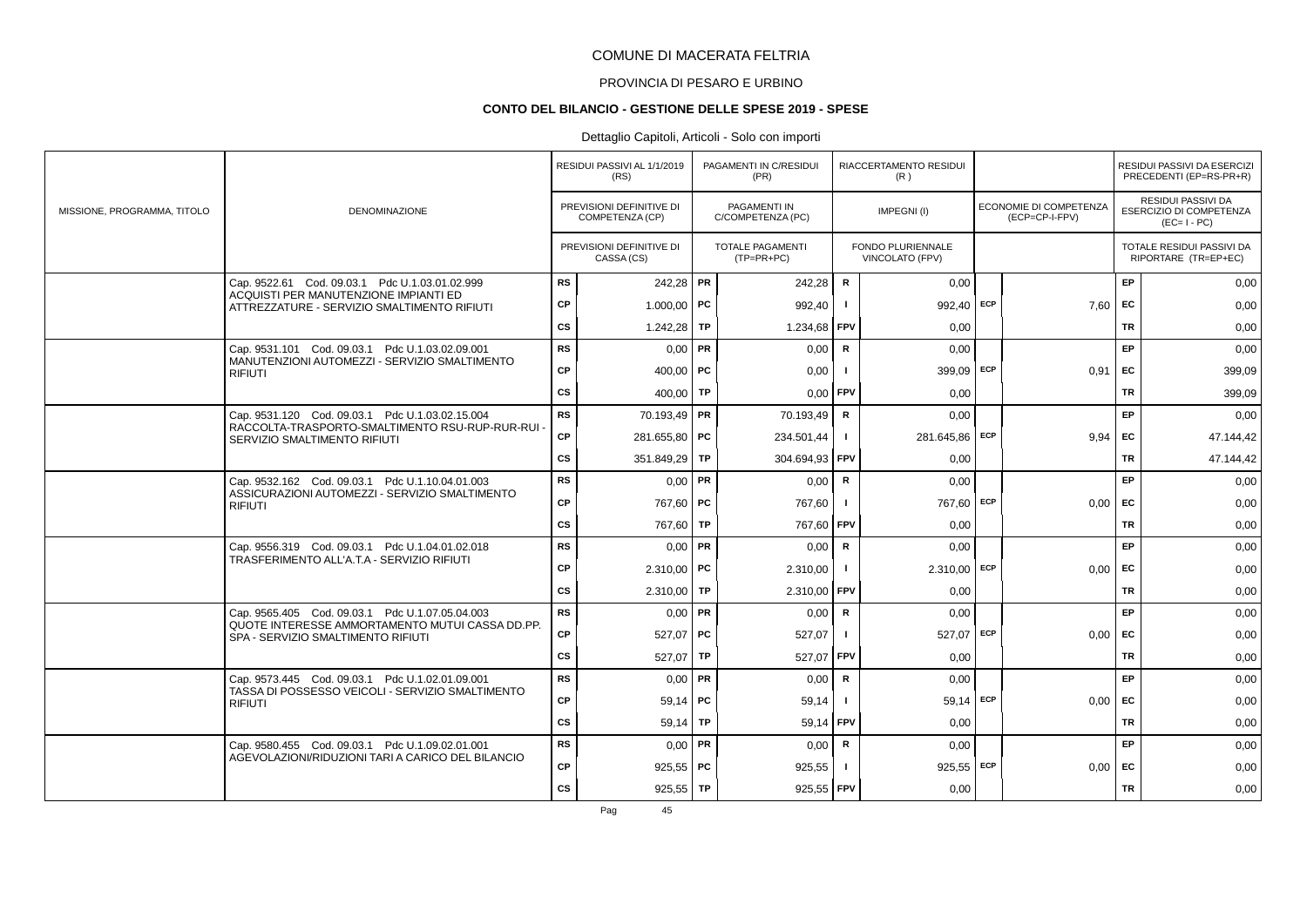# PROVINCIA DI PESARO E URBINO

#### **CONTO DEL BILANCIO - GESTIONE DELLE SPESE 2019 - SPESE**

# Dettaglio Capitoli, Articoli - Solo con importi

|                             |                                                                                       |           | RESIDUI PASSIVI AL 1/1/2019<br>(RS)         |           | PAGAMENTI IN C/RESIDUI<br>(PR)          |                | RIACCERTAMENTO RESIDUI<br>(R)        |            |                                          |           | RESIDUI PASSIVI DA ESERCIZI<br>PRECEDENTI (EP=RS-PR+R)       |
|-----------------------------|---------------------------------------------------------------------------------------|-----------|---------------------------------------------|-----------|-----------------------------------------|----------------|--------------------------------------|------------|------------------------------------------|-----------|--------------------------------------------------------------|
| MISSIONE, PROGRAMMA, TITOLO | <b>DENOMINAZIONE</b>                                                                  |           | PREVISIONI DEFINITIVE DI<br>COMPETENZA (CP) |           | PAGAMENTI IN<br>C/COMPETENZA (PC)       |                | IMPEGNI(I)                           |            | ECONOMIE DI COMPETENZA<br>(ECP=CP-I-FPV) |           | RESIDUI PASSIVI DA<br>ESERCIZIO DI COMPETENZA<br>$(EC=I-PC)$ |
|                             |                                                                                       |           | PREVISIONI DEFINITIVE DI<br>CASSA (CS)      |           | <b>TOTALE PAGAMENTI</b><br>$(TP=PR+PC)$ |                | FONDO PLURIENNALE<br>VINCOLATO (FPV) |            |                                          |           | TOTALE RESIDUI PASSIVI DA<br>RIPORTARE (TR=EP+EC)            |
|                             | Cap. 9522.61 Cod. 09.03.1 Pdc U.1.03.01.02.999                                        | <b>RS</b> | 242,28 PR                                   |           | 242,28                                  | $\mathbf R$    | 0,00                                 |            |                                          | EP        | 0,00                                                         |
|                             | ACQUISTI PER MANUTENZIONE IMPIANTI ED<br>ATTREZZATURE - SERVIZIO SMALTIMENTO RIFIUTI  | CP        | $1.000,00$ PC                               |           | 992,40                                  |                | 992.40                               | <b>ECP</b> | 7.60                                     | <b>FC</b> | 0,00                                                         |
|                             |                                                                                       | <b>CS</b> | 1.242,28                                    | TP        | 1.234,68                                | FPV            | 0.00                                 |            |                                          | TR        | 0,00                                                         |
|                             | Cap. 9531.101 Cod. 09.03.1 Pdc U.1.03.02.09.001                                       | <b>RS</b> | $0.00$ PR                                   |           | 0.00                                    | $\mathsf{R}$   | 0,00                                 |            |                                          | <b>EP</b> | 0,00                                                         |
|                             | MANUTENZIONI AUTOMEZZI - SERVIZIO SMALTIMENTO<br><b>RIFIUTI</b>                       | CP        | 400.00   PC                                 |           | 0,00                                    |                | 399,09 ECP                           |            | 0.91                                     | <b>FC</b> | 399,09                                                       |
|                             |                                                                                       | <b>CS</b> | 400,00                                      | TP        | 0,00                                    | FPV            | 0,00                                 |            |                                          | TR        | 399,09                                                       |
|                             | Cap. 9531.120 Cod. 09.03.1 Pdc U.1.03.02.15.004                                       | RS        | 70.193,49   PR                              |           | 70.193,49                               | R              | 0,00                                 |            |                                          | EP.       | 0,00                                                         |
|                             | RACCOLTA-TRASPORTO-SMALTIMENTO RSU-RUP-RUR-RUI<br>SERVIZIO SMALTIMENTO RIFIUTI        | CP        | 281.655,80 PC                               |           | 234.501,44                              | $\blacksquare$ | 281.645,86                           | <b>ECP</b> | 9.94                                     | EC        | 47.144,42                                                    |
|                             |                                                                                       | <b>CS</b> | 351.849,29 TP                               |           | 304.694,93                              | FPV            | 0,00                                 |            |                                          | <b>TR</b> | 47.144,42                                                    |
|                             | Cap. 9532.162 Cod. 09.03.1 Pdc U.1.10.04.01.003                                       | <b>RS</b> | $0.00$ PR                                   |           | 0,00                                    | R              | 0,00                                 |            |                                          | EP        | 0,00                                                         |
|                             | ASSICURAZIONI AUTOMEZZI - SERVIZIO SMALTIMENTO<br><b>RIFIUTI</b>                      | СP        | 767,60 PC                                   |           | 767,60                                  |                | 767,60 ECP                           |            | 0,00                                     | <b>FC</b> | 0,00                                                         |
|                             |                                                                                       | cs        | 767,60 TP                                   |           | 767,60 FPV                              |                | 0,00                                 |            |                                          | TR        | 0,00                                                         |
|                             | Cap. 9556.319 Cod. 09.03.1 Pdc U.1.04.01.02.018                                       | <b>RS</b> | $0,00$ PR                                   |           | 0,00                                    | $\mathsf{R}$   | 0,00                                 |            |                                          | EP        | 0,00                                                         |
|                             | TRASFERIMENTO ALL'A.T.A - SERVIZIO RIFIUTI                                            | <b>CP</b> | $2.310,00$ PC                               |           | 2.310,00                                |                | 2.310,00                             | <b>ECP</b> | 0,00                                     | EC        | 0,00                                                         |
|                             |                                                                                       | <b>CS</b> | $2.310.00$ TP                               |           | 2.310,00                                | FPV            | 0.00                                 |            |                                          | TR        | 0,00                                                         |
|                             | Cap. 9565.405 Cod. 09.03.1 Pdc U.1.07.05.04.003                                       | <b>RS</b> | $0,00$ PR                                   |           | 0,00                                    | R              | 0,00                                 |            |                                          | EP        | 0,00                                                         |
|                             | QUOTE INTERESSE AMMORTAMENTO MUTUI CASSA DD.PP.<br>SPA - SERVIZIO SMALTIMENTO RIFIUTI | CP        | $527,07$ PC                                 |           | 527,07                                  | -1             | 527,07                               | ECP        | 0,00                                     | EC        | 0,00                                                         |
|                             |                                                                                       | <b>CS</b> | 527,07                                      | <b>TP</b> | 527,07                                  | FPV            | 0,00                                 |            |                                          | <b>TR</b> | 0,00                                                         |
|                             | Cap. 9573.445 Cod. 09.03.1 Pdc U.1.02.01.09.001                                       | <b>RS</b> | $0,00$ PR                                   |           | 0,00                                    | $\mathsf{R}$   | 0,00                                 |            |                                          | EP        | 0,00                                                         |
|                             | TASSA DI POSSESSO VEICOLI - SERVIZIO SMALTIMENTO<br><b>RIFIUTI</b>                    | CP        | $59,14$ PC                                  |           | 59,14                                   |                | 59,14                                | ECP        | 0,00                                     | EC.       | 0,00                                                         |
|                             |                                                                                       | <b>CS</b> | 59.14                                       | TP        | 59,14 FPV                               |                | 0.00                                 |            |                                          | TR        | 0,00                                                         |
|                             | Cap. 9580.455 Cod. 09.03.1 Pdc U.1.09.02.01.001                                       | <b>RS</b> | $0.00$ PR                                   |           | 0,00                                    | R              | 0,00                                 |            |                                          | EP        | 0,00                                                         |
|                             | AGEVOLAZIONI/RIDUZIONI TARI A CARICO DEL BILANCIO                                     | CP        | $925,55$ PC                                 |           | 925,55                                  |                | 925,55                               | ECP        | 0,00                                     | EC        | 0,00                                                         |
|                             |                                                                                       | <b>CS</b> | $925,55$ TP                                 |           | 925,55 FPV                              |                | 0,00                                 |            |                                          | TR        | 0,00                                                         |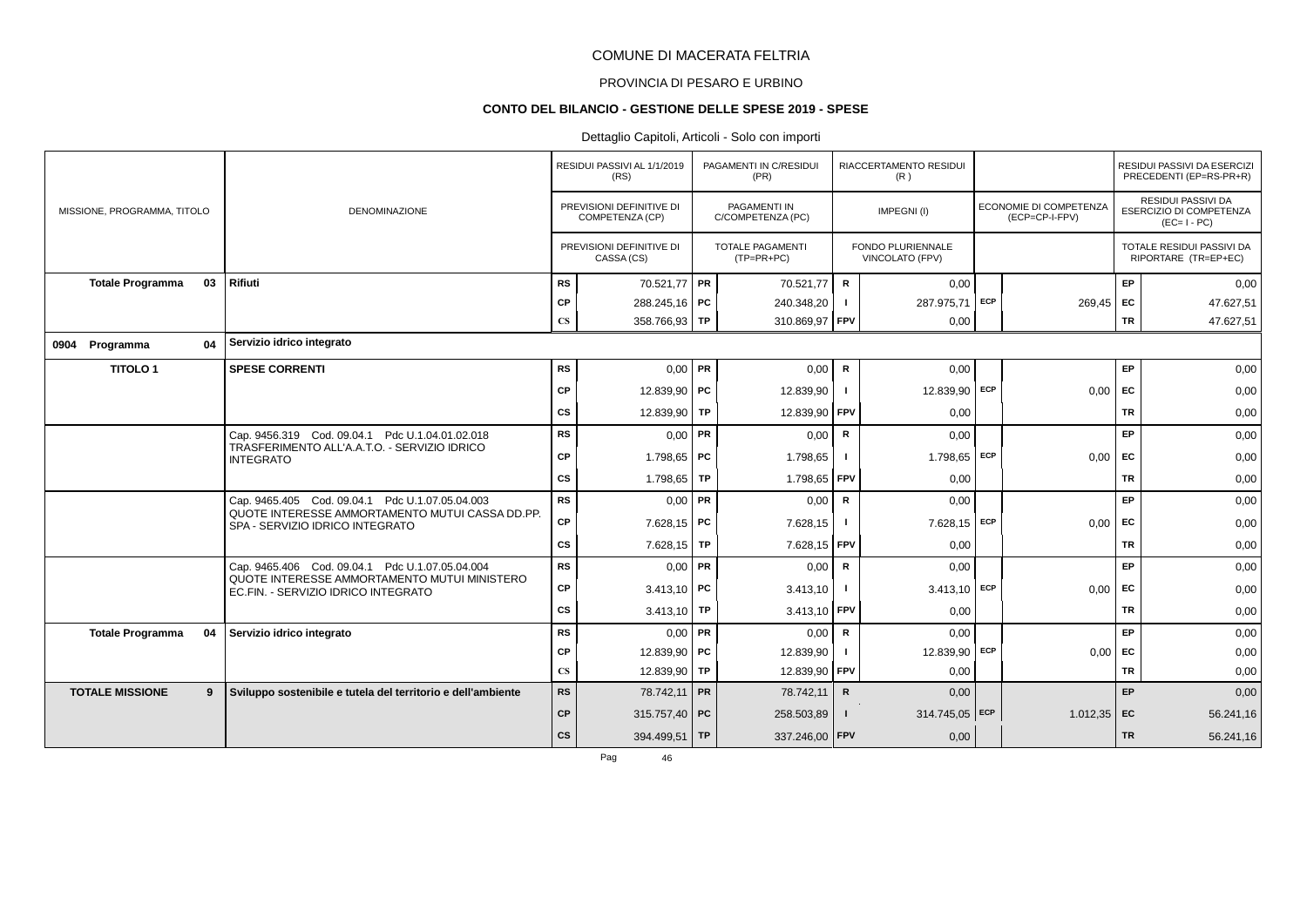# PROVINCIA DI PESARO E URBINO

#### **CONTO DEL BILANCIO - GESTIONE DELLE SPESE 2019 - SPESE**

|                             |    |                                                                                     |                        | RESIDUI PASSIVI AL 1/1/2019<br>(RS)         |    | PAGAMENTI IN C/RESIDUI<br>(PR)          |                | RIACCERTAMENTO RESIDUI<br>(R)        |            |                                          |           | <b>RESIDUI PASSIVI DA ESERCIZI</b><br>PRECEDENTI (EP=RS-PR+R) |
|-----------------------------|----|-------------------------------------------------------------------------------------|------------------------|---------------------------------------------|----|-----------------------------------------|----------------|--------------------------------------|------------|------------------------------------------|-----------|---------------------------------------------------------------|
| MISSIONE, PROGRAMMA, TITOLO |    | <b>DENOMINAZIONE</b>                                                                |                        | PREVISIONI DEFINITIVE DI<br>COMPETENZA (CP) |    | PAGAMENTI IN<br>C/COMPETENZA (PC)       |                | IMPEGNI(I)                           |            | ECONOMIE DI COMPETENZA<br>(ECP=CP-I-FPV) |           | RESIDUI PASSIVI DA<br>ESERCIZIO DI COMPETENZA<br>$(EC=I-PC)$  |
|                             |    |                                                                                     |                        | PREVISIONI DEFINITIVE DI<br>CASSA (CS)      |    | <b>TOTALE PAGAMENTI</b><br>$(TP=PR+PC)$ |                | FONDO PLURIENNALE<br>VINCOLATO (FPV) |            |                                          |           | TOTALE RESIDUI PASSIVI DA<br>RIPORTARE (TR=EP+EC)             |
| <b>Totale Programma</b>     | 03 | Rifiuti                                                                             | <b>RS</b>              | 70.521,77 PR                                |    | 70.521,77                               | R              | 0,00                                 |            |                                          | EP        | 0,00                                                          |
|                             |    |                                                                                     | СP                     | 288.245,16   PC                             |    | 240.348,20                              | - 1            | 287.975.71                           | <b>ECP</b> | 269,45                                   | EC        | 47.627,51                                                     |
|                             |    |                                                                                     | $\mathbf{C}\mathbf{S}$ | 358.766,93 TP                               |    | 310.869,97 FPV                          |                | 0,00                                 |            |                                          | <b>TR</b> | 47.627,51                                                     |
| Programma<br>0904           | 04 | Servizio idrico integrato                                                           |                        |                                             |    |                                         |                |                                      |            |                                          |           |                                                               |
| <b>TITOLO1</b>              |    | <b>SPESE CORRENTI</b>                                                               | <b>RS</b>              | $0,00$ PR                                   |    | 0,00                                    | R              | 0,00                                 |            |                                          | EP        | 0,00                                                          |
|                             |    |                                                                                     | CP                     | 12.839,90 PC                                |    | 12.839,90                               |                | 12.839,90                            | <b>ECP</b> | 0,00                                     | EC        | 0,00                                                          |
|                             |    |                                                                                     | <b>CS</b>              | 12.839,90 TP                                |    | 12.839,90                               | FPV            | 0,00                                 |            |                                          | <b>TR</b> | 0,00                                                          |
|                             |    | Cap. 9456.319 Cod. 09.04.1 Pdc U.1.04.01.02.018                                     | <b>RS</b>              | $0.00$ PR                                   |    | 0,00                                    | R              | 0,00                                 |            |                                          | EP        | 0,00                                                          |
|                             |    | TRASFERIMENTO ALL'A.A.T.O. - SERVIZIO IDRICO<br><b>INTEGRATO</b>                    | СP                     | 1.798.65 PC                                 |    | 1.798,65                                |                | 1.798,65                             | <b>ECP</b> | 0,00                                     | EC        | 0,00                                                          |
|                             |    |                                                                                     | СS                     | 1.798,65   TP                               |    | 1.798,65 FPV                            |                | 0,00                                 |            |                                          | <b>TR</b> | 0,00                                                          |
|                             |    | Cap. 9465.405 Cod. 09.04.1 Pdc U.1.07.05.04.003                                     | <b>RS</b>              | $0.00$ PR                                   |    | 0,00                                    | $\mathbf R$    | 0,00                                 |            |                                          | EP        | 0,00                                                          |
|                             |    | QUOTE INTERESSE AMMORTAMENTO MUTUI CASSA DD.PP.<br>SPA - SERVIZIO IDRICO INTEGRATO  | CP                     | $7.628,15$ PC                               |    | 7.628,15                                |                | 7.628,15 ECP                         |            | 0,00                                     | EC        | 0,00                                                          |
|                             |    |                                                                                     | СS                     | 7.628,15   TP                               |    | 7.628,15                                | <b>FPV</b>     | 0,00                                 |            |                                          | <b>TR</b> | 0,00                                                          |
|                             |    | Cap. 9465.406 Cod. 09.04.1 Pdc U.1.07.05.04.004                                     | <b>RS</b>              | 0,00                                        | PR | 0,00                                    | R              | 0,00                                 |            |                                          | EP        | 0,00                                                          |
|                             |    | QUOTE INTERESSE AMMORTAMENTO MUTUI MINISTERO<br>EC.FIN. - SERVIZIO IDRICO INTEGRATO | CP                     | $3.413,10$ PC                               |    | 3.413,10                                |                | 3.413,10                             | ECP        | 0,00                                     | EC        | 0,00                                                          |
|                             |    |                                                                                     | <b>CS</b>              | 3.413,10 TP                                 |    | 3.413,10                                | <b>FPV</b>     | 0.00                                 |            |                                          | <b>TR</b> | 0,00                                                          |
| <b>Totale Programma</b>     | 04 | Servizio idrico integrato                                                           | <b>RS</b>              | $0.00$ PR                                   |    | 0,00                                    | R              | 0,00                                 |            |                                          | EP        | 0,00                                                          |
|                             |    |                                                                                     | СP                     | 12.839,90   PC                              |    | 12.839,90                               |                | 12.839.90                            | <b>ECP</b> | 0,00                                     | EC        | 0,00                                                          |
|                             |    |                                                                                     | $\mathbf{C}\mathbf{S}$ | 12.839,90 TP                                |    | 12.839,90                               | <b>FPV</b>     | 0,00                                 |            |                                          | <b>TR</b> | 0,00                                                          |
| <b>TOTALE MISSIONE</b>      | 9  | Sviluppo sostenibile e tutela del territorio e dell'ambiente                        | <b>RS</b>              | 78.742,11 PR                                |    | 78.742,11                               | $\mathsf{R}$   | 0,00                                 |            |                                          | <b>EP</b> | 0,00                                                          |
|                             |    |                                                                                     | <b>CP</b>              | 315.757,40 PC                               |    | 258.503,89                              | $\blacksquare$ | 314.745,05 ECP                       |            | $1.012,35$ EC                            |           | 56.241,16                                                     |
|                             |    |                                                                                     | cs                     | 394.499,51 TP                               |    | 337.246,00 FPV                          |                | 0,00                                 |            |                                          | <b>TR</b> | 56.241,16                                                     |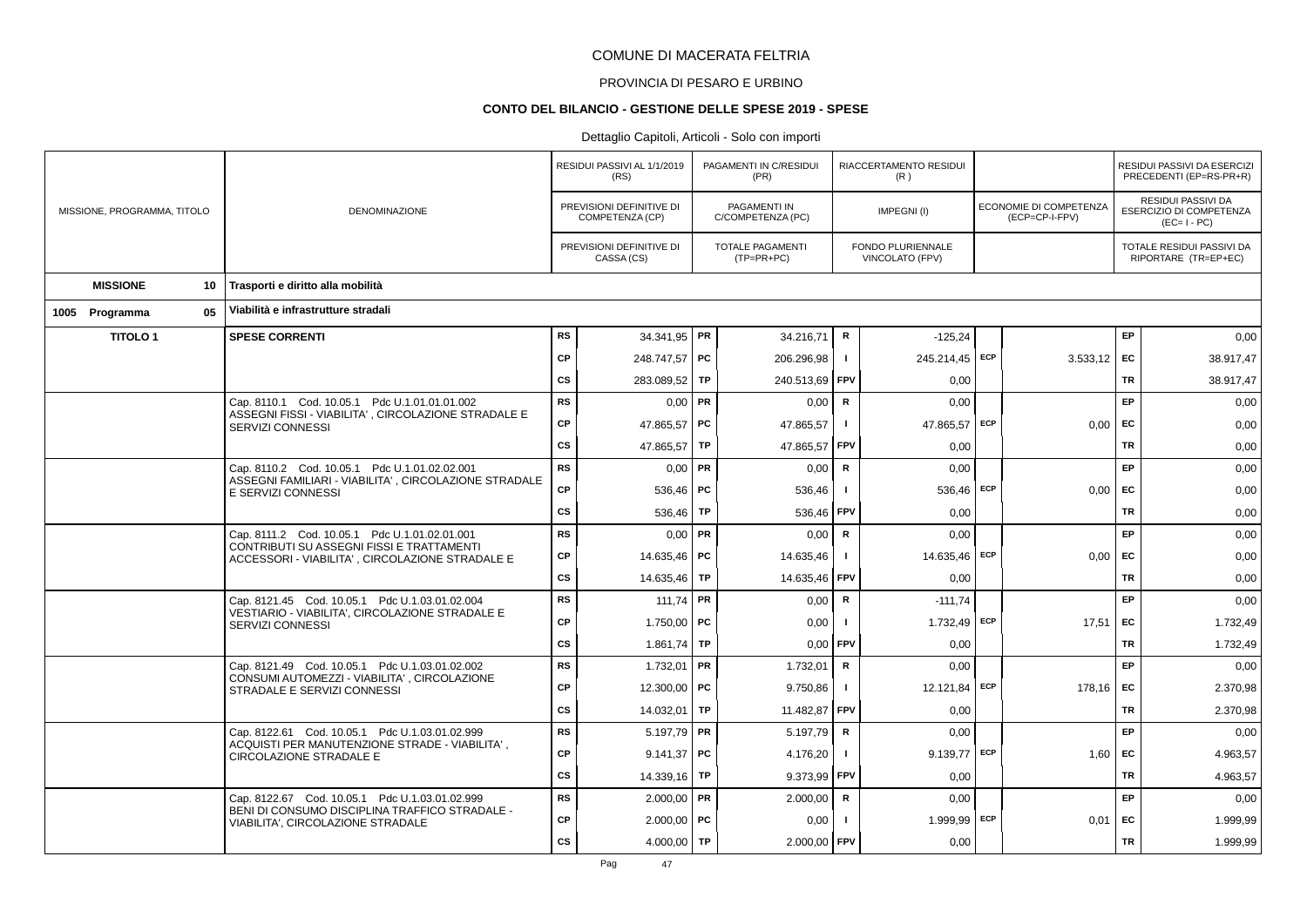# PROVINCIA DI PESARO E URBINO

#### **CONTO DEL BILANCIO - GESTIONE DELLE SPESE 2019 - SPESE**

|                             |                                                                                                        |           | RESIDUI PASSIVI AL 1/1/2019                 |    | PAGAMENTI IN C/RESIDUI                |              | RIACCERTAMENTO RESIDUI               |            |                                          |           | RESIDUI PASSIVI DA ESERCIZI                                  |
|-----------------------------|--------------------------------------------------------------------------------------------------------|-----------|---------------------------------------------|----|---------------------------------------|--------------|--------------------------------------|------------|------------------------------------------|-----------|--------------------------------------------------------------|
|                             |                                                                                                        |           | (RS)                                        |    | (PR)                                  |              | (R)                                  |            |                                          |           | PRECEDENTI (EP=RS-PR+R)                                      |
| MISSIONE, PROGRAMMA, TITOLO | <b>DENOMINAZIONE</b>                                                                                   |           | PREVISIONI DEFINITIVE DI<br>COMPETENZA (CP) |    | PAGAMENTI IN<br>C/COMPETENZA (PC)     |              | IMPEGNI(I)                           |            | ECONOMIE DI COMPETENZA<br>(ECP=CP-I-FPV) |           | RESIDUI PASSIVI DA<br>ESERCIZIO DI COMPETENZA<br>$(EC=I-PC)$ |
|                             |                                                                                                        |           | PREVISIONI DEFINITIVE DI<br>CASSA (CS)      |    | <b>TOTALE PAGAMENTI</b><br>(TP=PR+PC) |              | FONDO PLURIENNALE<br>VINCOLATO (FPV) |            |                                          |           | TOTALE RESIDUI PASSIVI DA<br>RIPORTARE (TR=EP+EC)            |
| <b>MISSIONE</b><br>10       | Trasporti e diritto alla mobilità                                                                      |           |                                             |    |                                       |              |                                      |            |                                          |           |                                                              |
| 05<br>1005 Programma        | Viabilità e infrastrutture stradali                                                                    |           |                                             |    |                                       |              |                                      |            |                                          |           |                                                              |
| <b>TITOLO1</b>              | <b>SPESE CORRENTI</b>                                                                                  | <b>RS</b> | 34.341,95   PR                              |    | 34.216,71                             | $\mathsf{R}$ | $-125,24$                            |            |                                          | EP.       | 0,00                                                         |
|                             |                                                                                                        | <b>CP</b> | 248.747,57   PC                             |    | 206.296,98                            | $\mathbf{I}$ | 245.214,45 ECP                       |            | 3.533,12                                 | <b>FC</b> | 38.917,47                                                    |
|                             |                                                                                                        | <b>CS</b> | 283.089,52 TP                               |    | 240.513,69                            | <b>FPV</b>   | 0,00                                 |            |                                          | TR        | 38.917,47                                                    |
|                             | Cap. 8110.1 Cod. 10.05.1 Pdc U.1.01.01.01.002                                                          | <b>RS</b> | $0.00$ PR                                   |    | 0,00                                  | R            | 0,00                                 |            |                                          | EP        | 0,00                                                         |
|                             | ASSEGNI FISSI - VIABILITA', CIRCOLAZIONE STRADALE E<br>SERVIZI CONNESSI                                | <b>CP</b> | 47.865,57 PC                                |    | 47.865,57                             | $\mathbf{I}$ | 47.865,57                            | <b>ECP</b> | 0,00                                     | <b>EC</b> | 0,00                                                         |
|                             |                                                                                                        | CS        | 47.865,57 TP                                |    | 47.865,57                             | <b>FPV</b>   | 0,00                                 |            |                                          | TR        | 0,00                                                         |
|                             | Cap. 8110.2 Cod. 10.05.1 Pdc U.1.01.02.02.001<br>ASSEGNI FAMILIARI - VIABILITA', CIRCOLAZIONE STRADALE | <b>RS</b> | $0,00$ PR                                   |    | 0,00                                  | R            | 0,00                                 |            |                                          | EP        | 0,00                                                         |
|                             | E SERVIZI CONNESSI                                                                                     | <b>CP</b> | 536,46   PC                                 |    | 536,46                                |              | 536,46                               | ECP        | 0.00                                     | EC        | 0,00                                                         |
|                             |                                                                                                        | <b>CS</b> | 536,46   TP                                 |    | 536,46                                | <b>FPV</b>   | 0,00                                 |            |                                          | TR        | 0,00                                                         |
|                             | Cap. 8111.2 Cod. 10.05.1 Pdc U.1.01.02.01.001<br>CONTRIBUTI SU ASSEGNI FISSI E TRATTAMENTI             | <b>RS</b> | $0,00$ PR                                   |    | 0,00                                  | R            | 0,00                                 |            |                                          | EP        | 0,00                                                         |
|                             | ACCESSORI - VIABILITA', CIRCOLAZIONE STRADALE E                                                        | CP        | 14.635,46   PC                              |    | 14.635,46                             | $\mathbf{I}$ | 14.635,46                            | ECP        | 0,00                                     | <b>EC</b> | 0,00                                                         |
|                             |                                                                                                        | <b>CS</b> | 14.635,46 TP                                |    | 14.635,46                             | <b>FPV</b>   | 0,00                                 |            |                                          | TR        | 0,00                                                         |
|                             | Cap. 8121.45 Cod. 10.05.1 Pdc U.1.03.01.02.004<br>VESTIARIO - VIABILITA', CIRCOLAZIONE STRADALE E      | <b>RS</b> | 111,74 PR                                   |    | 0,00                                  | $\mathsf{R}$ | $-111,74$                            |            |                                          | EP        | 0,00                                                         |
|                             | SERVIZI CONNESSI                                                                                       | <b>CP</b> | 1.750,00   PC                               |    | 0,00                                  | $\mathbf{I}$ | 1.732,49                             | ECP        | 17,51                                    | EC        | 1.732,49                                                     |
|                             |                                                                                                        | <b>CS</b> | $1.861,74$ TP                               |    | 0.00                                  | <b>FPV</b>   | 0,00                                 |            |                                          | <b>TR</b> | 1.732,49                                                     |
|                             | Cap. 8121.49 Cod. 10.05.1 Pdc U.1.03.01.02.002<br>CONSUMI AUTOMEZZI - VIABILITA', CIRCOLAZIONE         | <b>RS</b> | 1.732,01                                    | PR | 1.732,01                              | R            | 0,00                                 |            |                                          | EP        | 0,00                                                         |
|                             | STRADALE E SERVIZI CONNESSI                                                                            | CP        | 12.300,00 PC                                |    | 9.750,86                              | $\mathbf{I}$ | 12.121,84 ECP                        |            | 178.16                                   | EC        | 2.370,98                                                     |
|                             |                                                                                                        | <b>CS</b> | 14.032,01                                   | TP | 11.482,87                             | <b>FPV</b>   | 0,00                                 |            |                                          | TR        | 2.370,98                                                     |
|                             | Cap. 8122.61 Cod. 10.05.1 Pdc U.1.03.01.02.999<br>ACQUISTI PER MANUTENZIONE STRADE - VIABILITA',       | <b>RS</b> | $5.197,79$ PR                               |    | 5.197,79                              | R            | 0,00                                 |            |                                          | EP        | 0,00                                                         |
|                             | CIRCOLAZIONE STRADALE E                                                                                | CP        | $9.141,37$ PC                               |    | 4.176,20                              | $\mathbf{I}$ | $9.139,77$ ECP                       |            | 1,60                                     | EC        | 4.963,57                                                     |
|                             |                                                                                                        | <b>CS</b> | 14.339,16   TP                              |    | 9.373,99                              | <b>FPV</b>   | 0,00                                 |            |                                          | TR        | 4.963,57                                                     |
|                             | Cap. 8122.67 Cod. 10.05.1 Pdc U.1.03.01.02.999<br>BENI DI CONSUMO DISCIPLINA TRAFFICO STRADALE -       | <b>RS</b> | $2.000,00$ PR                               |    | 2.000,00                              | $\mathsf R$  | 0,00                                 |            |                                          | <b>EP</b> | 0,00                                                         |
|                             | VIABILITA', CIRCOLAZIONE STRADALE                                                                      | <b>CP</b> | $2.000,00$ PC                               |    | 0,00                                  |              | 1.999,99 ECP                         |            | 0,01                                     | <b>EC</b> | 1.999,99                                                     |
|                             |                                                                                                        | <b>CS</b> | 4.000,00   TP                               |    | 2.000,00 FPV                          |              | 0,00                                 |            |                                          | <b>TR</b> | 1.999,99                                                     |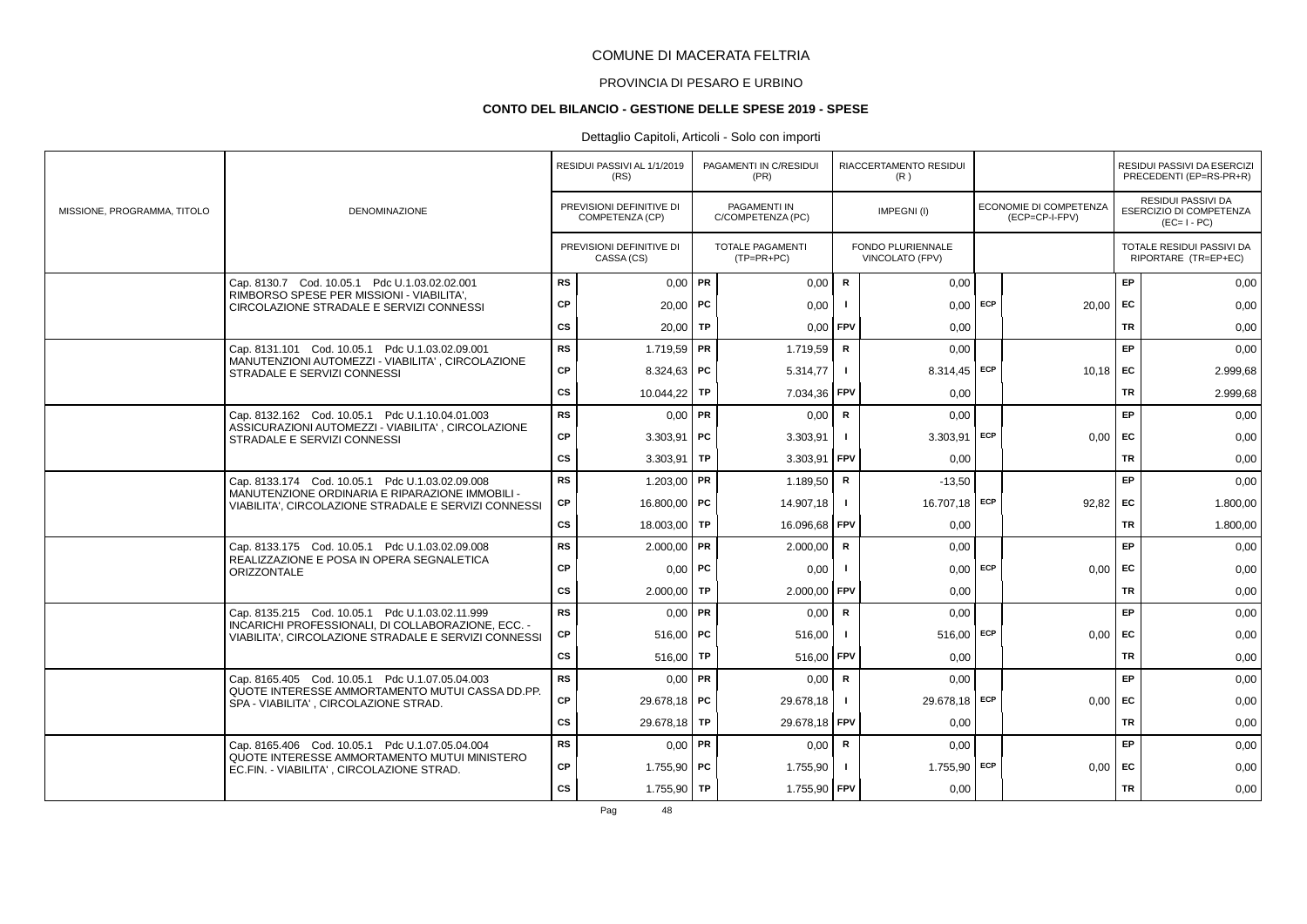# PROVINCIA DI PESARO E URBINO

#### **CONTO DEL BILANCIO - GESTIONE DELLE SPESE 2019 - SPESE**

|                             |                                                                                                            |           | RESIDUI PASSIVI AL 1/1/2019<br>(RS)         |           | PAGAMENTI IN C/RESIDUI<br>(PR)          |                | RIACCERTAMENTO RESIDUI<br>(R)        |            |                                          |           | RESIDUI PASSIVI DA ESERCIZI<br>PRECEDENTI (EP=RS-PR+R)       |
|-----------------------------|------------------------------------------------------------------------------------------------------------|-----------|---------------------------------------------|-----------|-----------------------------------------|----------------|--------------------------------------|------------|------------------------------------------|-----------|--------------------------------------------------------------|
| MISSIONE, PROGRAMMA, TITOLO | <b>DENOMINAZIONE</b>                                                                                       |           | PREVISIONI DEFINITIVE DI<br>COMPETENZA (CP) |           | PAGAMENTI IN<br>C/COMPETENZA (PC)       |                | IMPEGNI(I)                           |            | ECONOMIE DI COMPETENZA<br>(ECP=CP-I-FPV) |           | RESIDUI PASSIVI DA<br>ESERCIZIO DI COMPETENZA<br>$(EC=I-PC)$ |
|                             |                                                                                                            |           | PREVISIONI DEFINITIVE DI<br>CASSA (CS)      |           | <b>TOTALE PAGAMENTI</b><br>$(TP=PR+PC)$ |                | FONDO PLURIENNALE<br>VINCOLATO (FPV) |            |                                          |           | TOTALE RESIDUI PASSIVI DA<br>RIPORTARE (TR=EP+EC)            |
|                             | Cap. 8130.7 Cod. 10.05.1 Pdc U.1.03.02.02.001                                                              | <b>RS</b> | $0,00$ PR                                   |           | 0,00                                    | $\mathbf R$    | 0,00                                 |            |                                          | EP        | 0,00                                                         |
|                             | RIMBORSO SPESE PER MISSIONI - VIABILITA',<br>CIRCOLAZIONE STRADALE E SERVIZI CONNESSI                      | СP        | $20.00$ PC                                  |           | 0,00                                    |                | 0.00                                 | ECP        | $20,00$ EC                               |           | 0,00                                                         |
|                             |                                                                                                            | CS        | 20,00                                       | TP        | 0,00                                    | FPV            | 0,00                                 |            |                                          | TR        | 0,00                                                         |
|                             | Cap. 8131.101 Cod. 10.05.1 Pdc U.1.03.02.09.001                                                            | <b>RS</b> | $1.719,59$ PR                               |           | 1.719,59                                | $\mathbf R$    | 0.00                                 |            |                                          | EP        | 0,00                                                         |
|                             | MANUTENZIONI AUTOMEZZI - VIABILITA' . CIRCOLAZIONE<br>STRADALE E SERVIZI CONNESSI                          | <b>CP</b> | 8.324,63   PC                               |           | 5.314.77                                |                | 8.314,45 ECP                         |            | $10,18$ EC                               |           | 2.999,68                                                     |
|                             |                                                                                                            | CS        | 10.044,22                                   | TP        | 7.034,36                                | <b>FPV</b>     | 0,00                                 |            |                                          | TR        | 2.999,68                                                     |
|                             | Cap. 8132.162 Cod. 10.05.1 Pdc U.1.10.04.01.003                                                            | <b>RS</b> | $0,00$ PR                                   |           | 0,00                                    | $\mathbf R$    | 0,00                                 |            |                                          | EP        | 0,00                                                         |
|                             | ASSICURAZIONI AUTOMEZZI - VIABILITA', CIRCOLAZIONE<br>STRADALE E SERVIZI CONNESSI                          | CP        | $3.303.91$ PC                               |           | 3.303,91                                |                | $3.303,91$ ECP                       |            | $0,00$ EC                                |           | 0,00                                                         |
|                             |                                                                                                            | <b>CS</b> | 3.303,91                                    | <b>TP</b> | 3.303,91                                | FPV            | 0,00                                 |            |                                          | <b>TR</b> | 0,00                                                         |
|                             | Cap. 8133.174 Cod. 10.05.1 Pdc U.1.03.02.09.008                                                            | <b>RS</b> | 1.203,00   PR                               |           | 1.189,50                                | R              | $-13,50$                             |            |                                          | <b>EP</b> | 0,00                                                         |
|                             | MANUTENZIONE ORDINARIA E RIPARAZIONE IMMOBILI -<br>VIABILITA'. CIRCOLAZIONE STRADALE E SERVIZI CONNESSI    | СP        | 16,800.00 PC                                |           | 14.907,18                               | $\blacksquare$ | 16.707,18 ECP                        |            | 92,82                                    | FC        | 1.800,00                                                     |
|                             |                                                                                                            | CS        | 18.003,00   TP                              |           | 16.096,68 FPV                           |                | 0,00                                 |            |                                          | <b>TR</b> | 1.800,00                                                     |
|                             | Cap. 8133.175 Cod. 10.05.1 Pdc U.1.03.02.09.008                                                            | <b>RS</b> | $2.000,00$ PR                               |           | 2.000,00                                | $\mathbf R$    | 0.00                                 |            |                                          | EP        | 0,00                                                         |
|                             | REALIZZAZIONE E POSA IN OPERA SEGNALETICA<br><b>ORIZZONTALE</b>                                            | CP        | $0,00$   PC                                 |           | 0,00                                    |                |                                      | $0,00$ ECP | 0,00                                     | <b>FC</b> | 0,00                                                         |
|                             |                                                                                                            | <b>CS</b> | $2.000,00$ TP                               |           | 2.000,00                                | <b>FPV</b>     | 0,00                                 |            |                                          | <b>TR</b> | 0,00                                                         |
|                             | Cap. 8135.215 Cod. 10.05.1 Pdc U.1.03.02.11.999                                                            | <b>RS</b> | $0.00$ PR                                   |           | 0,00                                    | $\mathbf R$    | 0,00                                 |            |                                          | EP        | 0,00                                                         |
|                             | INCARICHI PROFESSIONALI, DI COLLABORAZIONE, ECC. -<br>VIABILITA'. CIRCOLAZIONE STRADALE E SERVIZI CONNESSI | СP        | $516.00$ PC                                 |           | 516,00                                  | $\blacksquare$ | 516.00                               | ECP        | $0,00$   EC                              |           | 0,00                                                         |
|                             |                                                                                                            | CS        | 516,00                                      | TP        | 516,00                                  | <b>FPV</b>     | 0,00                                 |            |                                          | TR        | 0,00                                                         |
|                             | Cap. 8165.405 Cod. 10.05.1 Pdc U.1.07.05.04.003<br>QUOTE INTERESSE AMMORTAMENTO MUTUI CASSA DD.PP.         | <b>RS</b> | $0,00$ PR                                   |           | 0.00                                    | $\mathbf R$    | 0.00                                 |            |                                          | EP        | 0,00                                                         |
|                             | SPA - VIABILITA', CIRCOLAZIONE STRAD.                                                                      | CP        | 29.678,18 PC                                |           | 29.678,18                               |                | 29.678,18 ECP                        |            | $0,00$ EC                                |           | 0,00                                                         |
|                             |                                                                                                            | <b>CS</b> | 29.678,18                                   | TP        | 29.678,18                               | <b>FPV</b>     | 0,00                                 |            |                                          | TR        | 0,00                                                         |
|                             | Cap. 8165.406 Cod. 10.05.1 Pdc U.1.07.05.04.004                                                            | <b>RS</b> | $0,00$ PR                                   |           | 0,00                                    | R              | 0,00                                 |            |                                          | EP        | 0,00                                                         |
|                             | QUOTE INTERESSE AMMORTAMENTO MUTUI MINISTERO<br>EC.FIN. - VIABILITA', CIRCOLAZIONE STRAD.                  | CP        | 1.755,90   PC                               |           | 1.755,90                                |                | $1.755,90$ ECP                       |            | $0,00$ EC                                |           | 0,00                                                         |
|                             |                                                                                                            | <b>CS</b> | 1.755,90 TP                                 |           | 1.755,90 FPV                            |                | 0,00                                 |            |                                          | <b>TR</b> | 0,00                                                         |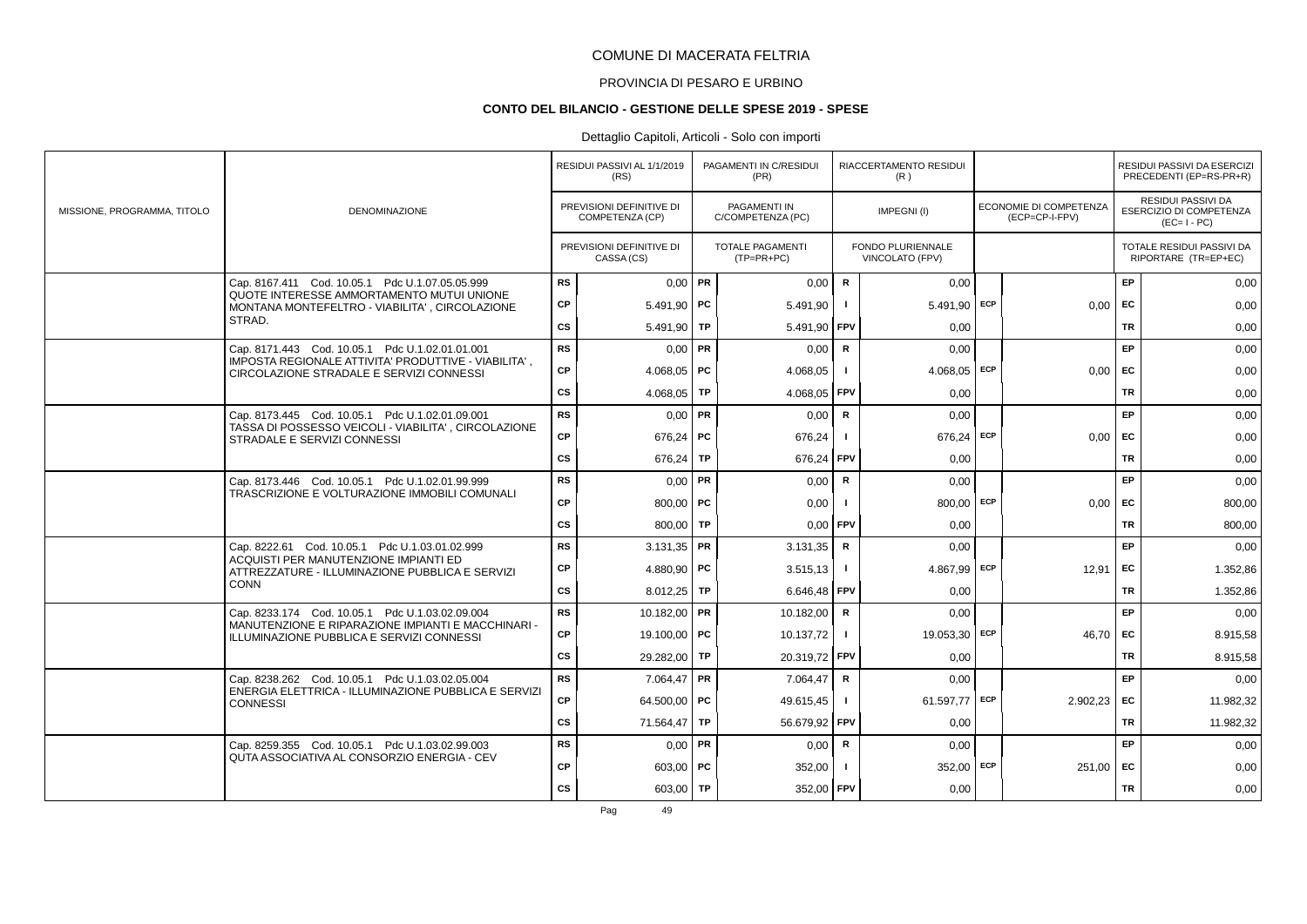# PROVINCIA DI PESARO E URBINO

#### **CONTO DEL BILANCIO - GESTIONE DELLE SPESE 2019 - SPESE**

# Dettaglio Capitoli, Articoli - Solo con importi

|                             |                                                                                                  |           | RESIDUI PASSIVI AL 1/1/2019<br>(RS)         |           | PAGAMENTI IN C/RESIDUI<br>(PR)          |              | RIACCERTAMENTO RESIDUI<br>(R)        |     |                                          |           | RESIDUI PASSIVI DA ESERCIZI<br>PRECEDENTI (EP=RS-PR+R)       |
|-----------------------------|--------------------------------------------------------------------------------------------------|-----------|---------------------------------------------|-----------|-----------------------------------------|--------------|--------------------------------------|-----|------------------------------------------|-----------|--------------------------------------------------------------|
| MISSIONE, PROGRAMMA, TITOLO | <b>DENOMINAZIONE</b>                                                                             |           | PREVISIONI DEFINITIVE DI<br>COMPETENZA (CP) |           | PAGAMENTI IN<br>C/COMPETENZA (PC)       |              | IMPEGNI(I)                           |     | ECONOMIE DI COMPETENZA<br>(ECP=CP-I-FPV) |           | RESIDUI PASSIVI DA<br>ESERCIZIO DI COMPETENZA<br>$(EC=I-PC)$ |
|                             |                                                                                                  |           | PREVISIONI DEFINITIVE DI<br>CASSA (CS)      |           | <b>TOTALE PAGAMENTI</b><br>$(TP=PR+PC)$ |              | FONDO PLURIENNALE<br>VINCOLATO (FPV) |     |                                          |           | TOTALE RESIDUI PASSIVI DA<br>RIPORTARE (TR=EP+EC)            |
|                             | Cap. 8167.411 Cod. 10.05.1 Pdc U.1.07.05.05.999                                                  | <b>RS</b> | $0,00$ PR                                   |           | 0,00                                    | $\mathbf R$  | 0,00                                 |     |                                          | EP        | 0,00                                                         |
|                             | QUOTE INTERESSE AMMORTAMENTO MUTUI UNIONE<br>MONTANA MONTEFELTRO - VIABILITA', CIRCOLAZIONE      | CP        | $5.491.90$ PC                               |           | 5.491,90                                | -1           | 5.491.90                             | ECP | $0,00$ EC                                |           | 0,00                                                         |
|                             | STRAD.                                                                                           | <b>CS</b> | 5.491.90   TP                               |           | 5.491.90                                | <b>FPV</b>   | 0.00                                 |     |                                          | <b>TR</b> | 0,00                                                         |
|                             | Cap. 8171.443 Cod. 10.05.1 Pdc U.1.02.01.01.001                                                  | <b>RS</b> | $0.00$ PR                                   |           | 0,00                                    | R            | 0.00                                 |     |                                          | EP        | 0,00                                                         |
|                             | IMPOSTA REGIONALE ATTIVITA' PRODUTTIVE - VIABILITA',<br>CIRCOLAZIONE STRADALE E SERVIZI CONNESSI | CP        | 4.068.05   PC                               |           | 4.068,05                                |              | $4.068,05$ ECP                       |     | $0.00$ EC                                |           | 0,00                                                         |
|                             |                                                                                                  | <b>CS</b> | 4.068,05                                    | <b>TP</b> | 4.068,05                                | l FPV        | 0,00                                 |     |                                          | <b>TR</b> | 0,00                                                         |
|                             | Cap. 8173.445 Cod. 10.05.1 Pdc U.1.02.01.09.001                                                  | <b>RS</b> | $0,00$ PR                                   |           | 0,00                                    | $\mathbf R$  | 0.00                                 |     |                                          | EP.       | 0,00                                                         |
|                             | TASSA DI POSSESSO VEICOLI - VIABILITA', CIRCOLAZIONE<br>STRADALE E SERVIZI CONNESSI              | СP        | 676,24   PC                                 |           | 676,24                                  |              | 676,24 ECP                           |     | 0,00                                     | <b>FC</b> | 0,00                                                         |
|                             |                                                                                                  | <b>CS</b> | 676,24                                      | TP        | 676,24                                  | FPV          | 0,00                                 |     |                                          | <b>TR</b> | 0,00                                                         |
|                             | Cap. 8173.446 Cod. 10.05.1 Pdc U.1.02.01.99.999                                                  | <b>RS</b> | $0,00$ PR                                   |           | 0,00                                    | R            | 0,00                                 |     |                                          | <b>EP</b> | 0,00                                                         |
|                             | TRASCRIZIONE E VOLTURAZIONE IMMOBILI COMUNALI                                                    | CP        | 800.00   $PC$                               |           | 0,00                                    |              | 800.00 ECP                           |     | $0,00$ EC                                |           | 800,00                                                       |
|                             |                                                                                                  | <b>CS</b> | 800.00 TP                                   |           | $0,00$ FPV                              |              | 0.00                                 |     |                                          | TR        | 800,00                                                       |
|                             | Cap. 8222.61 Cod. 10.05.1 Pdc U.1.03.01.02.999                                                   | <b>RS</b> | $3.131,35$ PR                               |           | 3.131,35                                | $\mathbf R$  | 0,00                                 |     |                                          | EP        | 0,00                                                         |
|                             | ACQUISTI PER MANUTENZIONE IMPIANTI ED<br>ATTREZZATURE - ILLUMINAZIONE PUBBLICA E SERVIZI         | CP        | 4.880,90   PC                               |           | 3.515,13                                |              | $4.867,99$ ECP                       |     | 12,91                                    | EC        | 1.352,86                                                     |
|                             | <b>CONN</b>                                                                                      | <b>CS</b> | $8.012,25$ TP                               |           | 6.646,48                                | <b>FPV</b>   | 0,00                                 |     |                                          | <b>TR</b> | 1.352,86                                                     |
|                             | Cap. 8233.174 Cod. 10.05.1 Pdc U.1.03.02.09.004                                                  | <b>RS</b> | 10.182,00 PR                                |           | 10.182,00                               | R            | 0.00                                 |     |                                          | EP        | 0,00                                                         |
|                             | MANUTENZIONE E RIPARAZIONE IMPIANTI E MACCHINARI -<br>ILLUMINAZIONE PUBBLICA E SERVIZI CONNESSI  | СP        | 19.100,00 PC                                |           | 10.137,72                               |              | 19.053,30                            | ECP | $46.70$ EC                               |           | 8.915,58                                                     |
|                             |                                                                                                  | <b>CS</b> | 29.282,00 TP                                |           | 20.319,72                               | <b>FPV</b>   | 0.00                                 |     |                                          | TR        | 8.915,58                                                     |
|                             | Cap. 8238.262 Cod. 10.05.1 Pdc U.1.03.02.05.004                                                  | <b>RS</b> | $7.064.47$ PR                               |           | 7.064,47                                | $\mathsf{R}$ | 0,00                                 |     |                                          | EP        | 0,00                                                         |
|                             | ENERGIA ELETTRICA - ILLUMINAZIONE PUBBLICA E SERVIZI<br><b>CONNESSI</b>                          | CP        | 64.500,00 PC                                |           | 49.615,45                               |              | 61.597.77 ECP                        |     | $2.902.23$ EC                            |           | 11.982,32                                                    |
|                             |                                                                                                  | CS        | 71.564,47                                   | TP        | 56.679,92                               | <b>FPV</b>   | 0,00                                 |     |                                          | TR        | 11.982,32                                                    |
|                             | Cap. 8259.355 Cod. 10.05.1 Pdc U.1.03.02.99.003                                                  | <b>RS</b> | $0,00$ PR                                   |           | 0,00                                    | R            | 0,00                                 |     |                                          | EP.       | 0,00                                                         |
|                             | QUTA ASSOCIATIVA AL CONSORZIO ENERGIA - CEV                                                      | CP        | $603.00$ PC                                 |           | 352,00                                  |              | $352,00$ ECP                         |     | 251,00                                   | EC        | 0,00                                                         |
|                             |                                                                                                  | <b>CS</b> | 603,00 TP                                   |           | 352,00 FPV                              |              | 0,00                                 |     |                                          | TR        | 0,00                                                         |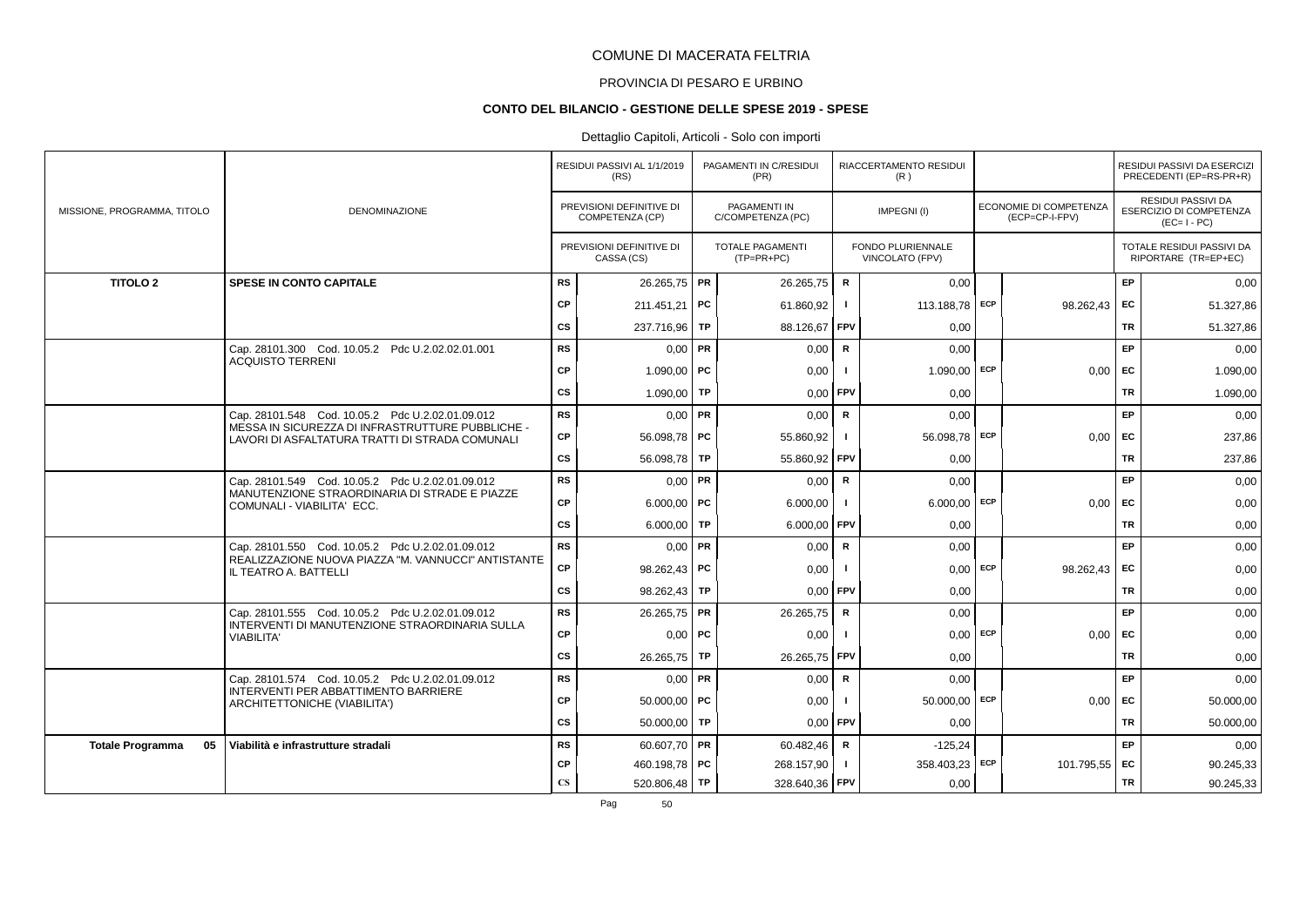# PROVINCIA DI PESARO E URBINO

#### **CONTO DEL BILANCIO - GESTIONE DELLE SPESE 2019 - SPESE**

|                               |                                                                                                     |                        | RESIDUI PASSIVI AL 1/1/2019<br>(RS)         | PAGAMENTI IN C/RESIDUI<br>(PR)          |                | RIACCERTAMENTO RESIDUI<br>(R)               |            |                                          |           | RESIDUI PASSIVI DA ESERCIZI<br>PRECEDENTI (EP=RS-PR+R)              |
|-------------------------------|-----------------------------------------------------------------------------------------------------|------------------------|---------------------------------------------|-----------------------------------------|----------------|---------------------------------------------|------------|------------------------------------------|-----------|---------------------------------------------------------------------|
| MISSIONE, PROGRAMMA, TITOLO   | DENOMINAZIONE                                                                                       |                        | PREVISIONI DEFINITIVE DI<br>COMPETENZA (CP) | PAGAMENTI IN<br>C/COMPETENZA (PC)       |                | IMPEGNI(I)                                  |            | ECONOMIE DI COMPETENZA<br>(ECP=CP-I-FPV) |           | <b>RESIDUI PASSIVI DA</b><br>ESERCIZIO DI COMPETENZA<br>$(EC=I-PC)$ |
|                               |                                                                                                     |                        | PREVISIONI DEFINITIVE DI<br>CASSA (CS)      | <b>TOTALE PAGAMENTI</b><br>$(TP=PR+PC)$ |                | <b>FONDO PLURIENNALE</b><br>VINCOLATO (FPV) |            |                                          |           | TOTALE RESIDUI PASSIVI DA<br>RIPORTARE (TR=EP+EC)                   |
| <b>TITOLO 2</b>               | <b>SPESE IN CONTO CAPITALE</b>                                                                      | <b>RS</b>              | 26.265,75   PR                              | 26.265,75                               | $\mathbf R$    | 0,00                                        |            |                                          | EP.       | 0,00                                                                |
|                               |                                                                                                     | CP                     | 211.451,21 PC                               | 61.860,92                               |                | 113.188,78 ECP                              |            | 98.262,43                                | EC        | 51.327,86                                                           |
|                               |                                                                                                     | <b>CS</b>              | 237.716.96   TP                             | 88.126,67                               | <b>FPV</b>     | 0.00                                        |            |                                          | TR        | 51.327,86                                                           |
|                               | Cap. 28101.300 Cod. 10.05.2 Pdc U.2.02.02.01.001                                                    | <b>RS</b>              | $0.00$ PR                                   | 0,00                                    | R              | 0.00                                        |            |                                          | EP        | 0,00                                                                |
|                               | <b>ACQUISTO TERRENI</b>                                                                             | CP                     | 1.090,00   PC                               | 0,00                                    |                | $1.090,00$ ECP                              |            | $0,00$ EC                                |           | 1.090,00                                                            |
|                               |                                                                                                     | <b>CS</b>              | $1.090,00$ TP                               | 0,00                                    | FPV            | 0,00                                        |            |                                          | <b>TR</b> | 1.090,00                                                            |
|                               | Cap. 28101.548 Cod. 10.05.2 Pdc U.2.02.01.09.012                                                    | <b>RS</b>              | $0,00$ PR                                   | 0.00                                    | $\mathbf R$    | 0.00                                        |            |                                          | EP        | 0,00                                                                |
|                               | MESSA IN SICUREZZA DI INFRASTRUTTURE PUBBLICHE -<br>LAVORI DI ASFALTATURA TRATTI DI STRADA COMUNALI | СP                     | 56.098.78 PC                                | 55.860,92                               |                | 56.098,78 ECP                               |            | $0,00$ EC                                |           | 237,86                                                              |
|                               |                                                                                                     | <b>CS</b>              | 56.098,78 TP                                | 55.860,92                               | <b>FPV</b>     | 0,00                                        |            |                                          | <b>TR</b> | 237,86                                                              |
|                               | Cap. 28101.549 Cod. 10.05.2 Pdc U.2.02.01.09.012                                                    | <b>RS</b>              | $0,00$ PR                                   | 0,00                                    | $\mathbf R$    | 0,00                                        |            |                                          | EP.       | 0,00                                                                |
|                               | MANUTENZIONE STRAORDINARIA DI STRADE E PIAZZE<br>COMUNALI - VIABILITA' ECC.                         | CP                     | $6.000.00$ PC                               | 6.000,00                                |                | $6.000,00$ ECP                              |            | $0.00$ EC                                |           | 0,00                                                                |
|                               |                                                                                                     | <b>CS</b>              | 6.000,00 TP                                 | 6.000,00                                | <b>FPV</b>     | 0,00                                        |            |                                          | <b>TR</b> | 0,00                                                                |
|                               | Cap. 28101.550 Cod. 10.05.2 Pdc U.2.02.01.09.012                                                    | <b>RS</b>              | $0,00$ PR                                   | 0,00                                    | $\mathbf R$    | 0,00                                        |            |                                          | EP        | 0,00                                                                |
|                               | REALIZZAZIONE NUOVA PIAZZA "M. VANNUCCI" ANTISTANTE<br>IL TEATRO A. BATTELLI                        | CP                     | 98.262,43 PC                                | 0,00                                    |                |                                             | $0,00$ ECP | 98.262,43 EC                             |           | 0,00                                                                |
|                               |                                                                                                     | cs                     | 98.262,43   TP                              | 0,00                                    | <b>FPV</b>     | 0.00                                        |            |                                          | TR        | 0,00                                                                |
|                               | Cap. 28101.555 Cod. 10.05.2 Pdc U.2.02.01.09.012                                                    | <b>RS</b>              | 26.265,75   PR                              | 26.265,75                               | $\mathsf{R}$   | 0,00                                        |            |                                          | EP        | 0,00                                                                |
|                               | INTERVENTI DI MANUTENZIONE STRAORDINARIA SULLA<br><b>VIABILITA'</b>                                 | CP                     | $0,00$   PC                                 | 0,00                                    |                |                                             | $0,00$ ECP | 0.00                                     | EC        | 0,00                                                                |
|                               |                                                                                                     | <b>CS</b>              | 26.265,75   TP                              | 26.265,75 FPV                           |                | 0,00                                        |            |                                          | <b>TR</b> | 0,00                                                                |
|                               | Cap. 28101.574 Cod. 10.05.2 Pdc U.2.02.01.09.012                                                    | <b>RS</b>              | $0.00$ PR                                   | 0,00                                    | R              | 0.00                                        |            |                                          | <b>EP</b> | 0,00                                                                |
|                               | INTERVENTI PER ABBATTIMENTO BARRIERE<br>ARCHITETTONICHE (VIABILITA')                                | CP                     | $50.000,00$ PC                              | 0,00                                    |                | 50.000,00 ECP                               |            | 0,00                                     | <b>FC</b> | 50.000,00                                                           |
|                               |                                                                                                     | cs                     | $50.000,00$ TP                              | 0,00                                    | FPV            | 0,00                                        |            |                                          | <b>TR</b> | 50.000,00                                                           |
| 05<br><b>Totale Programma</b> | Viabilità e infrastrutture stradali                                                                 | <b>RS</b>              | 60.607,70 PR                                | 60.482,46                               | $\mathbf R$    | $-125,24$                                   |            |                                          | EP        | 0,00                                                                |
|                               |                                                                                                     | СP                     | 460.198,78 PC                               | 268.157,90                              | $\blacksquare$ | 358.403,23 ECP                              |            | 101.795,55 EC                            |           | 90.245,33                                                           |
|                               |                                                                                                     | $\mathbf{C}\mathbf{S}$ | 520.806,48   TP                             | 328.640,36 FPV                          |                | 0,00                                        |            |                                          | <b>TR</b> | 90.245,33                                                           |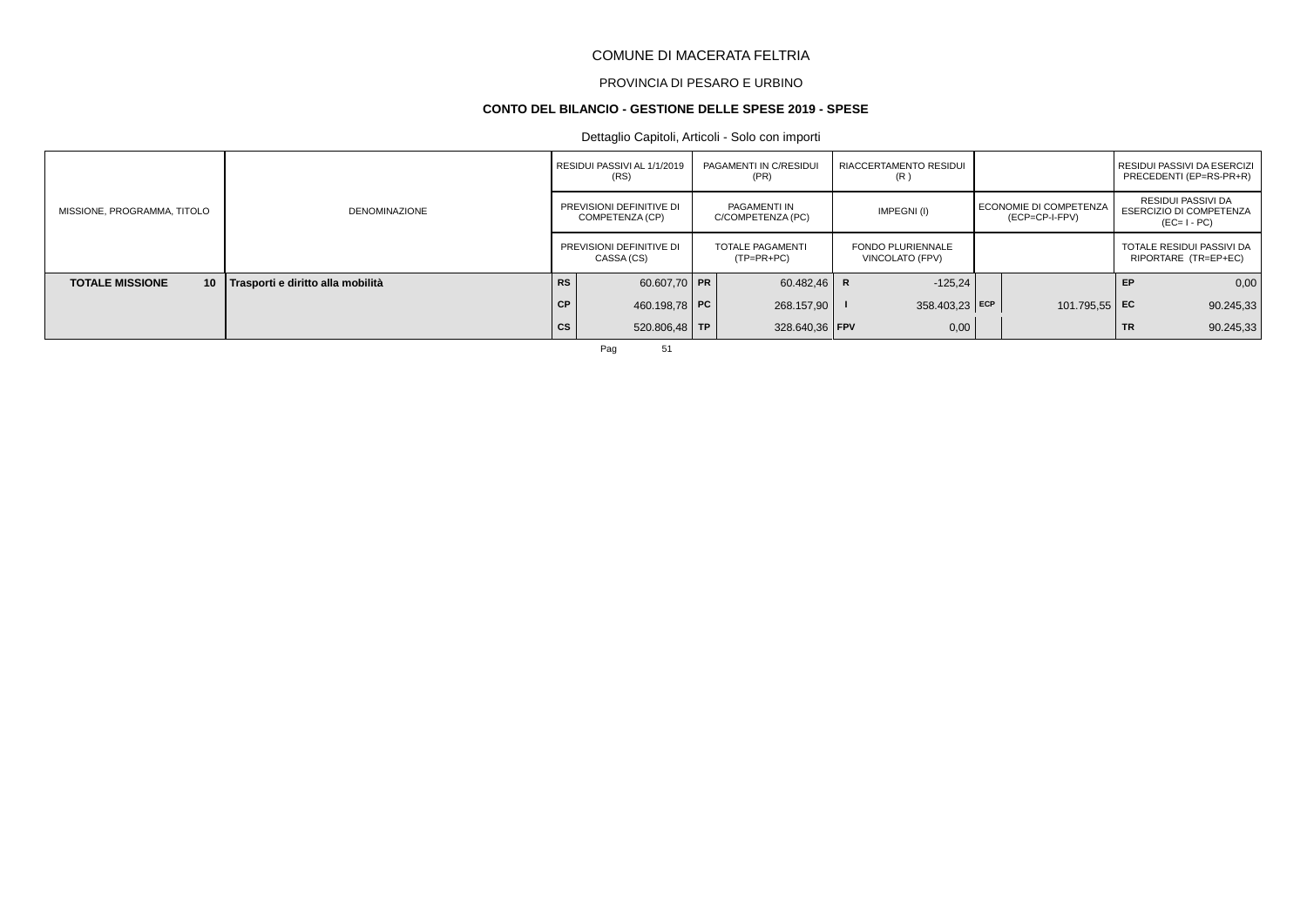# PROVINCIA DI PESARO E URBINO

#### **CONTO DEL BILANCIO - GESTIONE DELLE SPESE 2019 - SPESE**

# Dettaglio Capitoli, Articoli - Solo con importi

|                                           |                                   |           | RESIDUI PASSIVI AL 1/1/2019<br>(RS)         | PAGAMENTI IN C/RESIDUI<br>(PR)          |   | <b>RIACCERTAMENTO RESIDUI</b><br>(R)        |                                            |           | I RESIDUI PASSIVI DA ESERCIZI<br>PRECEDENTI (EP=RS-PR+R)            |
|-------------------------------------------|-----------------------------------|-----------|---------------------------------------------|-----------------------------------------|---|---------------------------------------------|--------------------------------------------|-----------|---------------------------------------------------------------------|
| MISSIONE, PROGRAMMA, TITOLO               | <b>DENOMINAZIONE</b>              |           | PREVISIONI DEFINITIVE DI<br>COMPETENZA (CP) | PAGAMENTI IN<br>C/COMPETENZA (PC)       |   | IMPEGNI(I)                                  | I ECONOMIE DI COMPETENZA<br>(ECP=CP-I-FPV) |           | RESIDUI PASSIVI DA<br><b>ESERCIZIO DI COMPETENZA</b><br>$(EC=I-PC)$ |
|                                           |                                   |           | PREVISIONI DEFINITIVE DI<br>CASSA (CS)      | <b>TOTALE PAGAMENTI</b><br>$(TP=PR+PC)$ |   | <b>FONDO PLURIENNALE</b><br>VINCOLATO (FPV) |                                            |           | TOTALE RESIDUI PASSIVI DA<br>RIPORTARE (TR=EP+EC)                   |
| <b>TOTALE MISSIONE</b><br>10 <sup>1</sup> | Trasporti e diritto alla mobilità | <b>RS</b> | 60.607,70 PR                                | 60.482,46                               | R | $-125,24$                                   |                                            | EP        | 0,00                                                                |
|                                           |                                   | CP        | 460.198,78 PC                               | 268.157.90                              |   | $358.403.23$ ECP                            | 101.795,55 EC                              |           | 90.245,33                                                           |
|                                           |                                   | <b>CS</b> | $520.806,48$ TP                             | 328.640.36   FPV                        |   | 0,00                                        |                                            | <b>TR</b> | 90.245,33                                                           |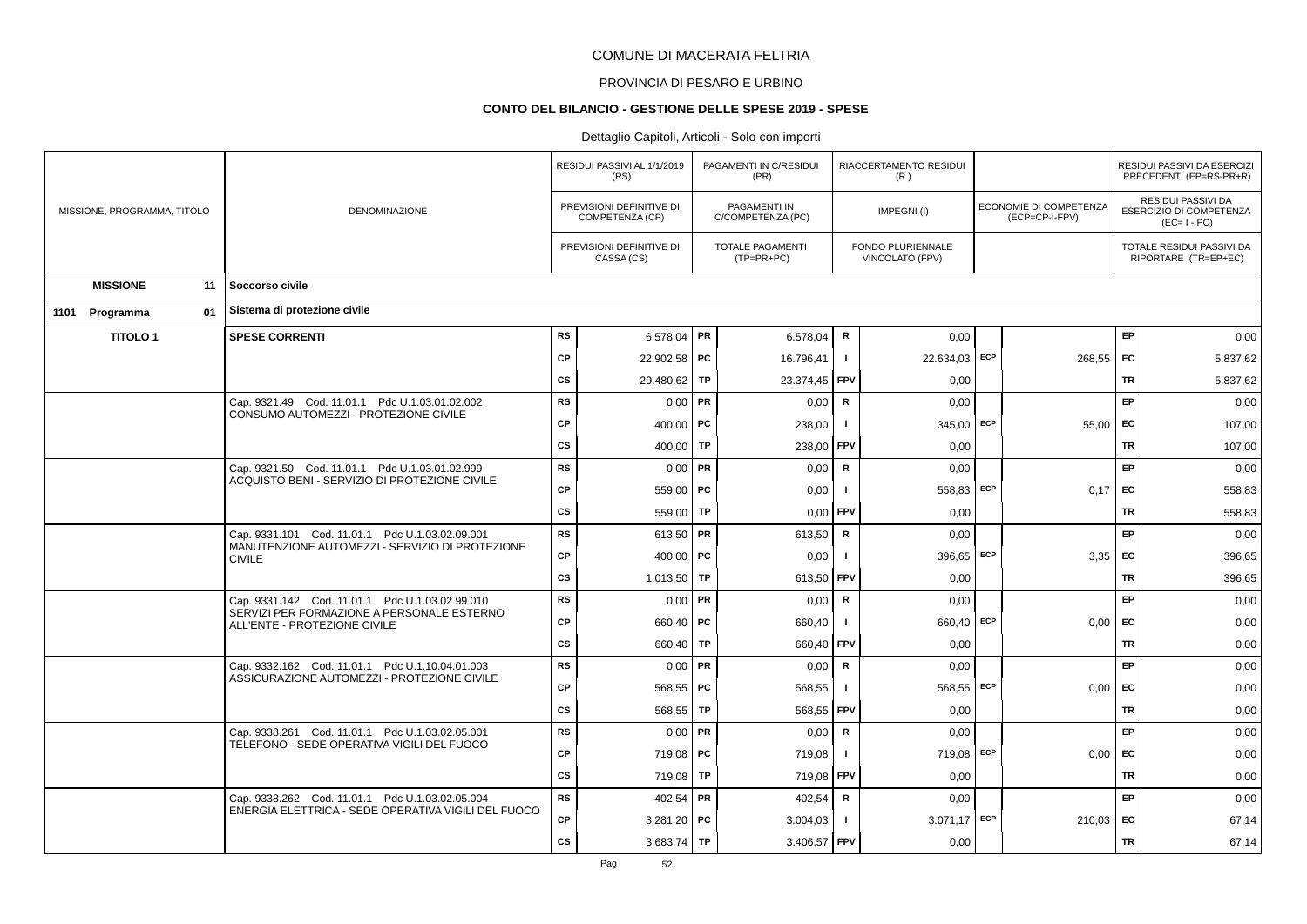# PROVINCIA DI PESARO E URBINO

### **CONTO DEL BILANCIO - GESTIONE DELLE SPESE 2019 - SPESE**

|                             |                                                                                                        |           | RESIDUI PASSIVI AL 1/1/2019<br>(RS)         | PAGAMENTI IN C/RESIDUI<br>(PR)    |              | RIACCERTAMENTO RESIDUI<br>(R)        |                                          |           | RESIDUI PASSIVI DA ESERCIZI<br>PRECEDENTI (EP=RS-PR+R)              |
|-----------------------------|--------------------------------------------------------------------------------------------------------|-----------|---------------------------------------------|-----------------------------------|--------------|--------------------------------------|------------------------------------------|-----------|---------------------------------------------------------------------|
| MISSIONE, PROGRAMMA, TITOLO | DENOMINAZIONE                                                                                          |           | PREVISIONI DEFINITIVE DI<br>COMPETENZA (CP) | PAGAMENTI IN<br>C/COMPETENZA (PC) |              | IMPEGNI(I)                           | ECONOMIE DI COMPETENZA<br>(ECP=CP-I-FPV) |           | <b>RESIDUI PASSIVI DA</b><br>ESERCIZIO DI COMPETENZA<br>$(EC=I-PC)$ |
|                             |                                                                                                        |           | PREVISIONI DEFINITIVE DI<br>CASSA (CS)      | TOTALE PAGAMENTI<br>(TP=PR+PC)    |              | FONDO PLURIENNALE<br>VINCOLATO (FPV) |                                          |           | TOTALE RESIDUI PASSIVI DA<br>RIPORTARE (TR=EP+EC)                   |
| <b>MISSIONE</b><br>11       | Soccorso civile                                                                                        |           |                                             |                                   |              |                                      |                                          |           |                                                                     |
| 01<br>1101 Programma        | Sistema di protezione civile                                                                           |           |                                             |                                   |              |                                      |                                          |           |                                                                     |
| <b>TITOLO1</b>              | <b>SPESE CORRENTI</b>                                                                                  | <b>RS</b> | 6.578,04 PR                                 | 6.578,04                          | R            | 0,00                                 |                                          | EP        | 0,00                                                                |
|                             |                                                                                                        | <b>CP</b> | 22.902,58 PC                                | 16.796,41                         | $\mathbf{I}$ | 22.634,03 ECP                        | 268,55                                   | EC        | 5.837,62                                                            |
|                             |                                                                                                        | <b>CS</b> | 29.480,62   TP                              | 23.374,45                         | <b>FPV</b>   | 0,00                                 |                                          | TR        | 5.837,62                                                            |
|                             | Cap. 9321.49 Cod. 11.01.1 Pdc U.1.03.01.02.002<br>CONSUMO AUTOMEZZI - PROTEZIONE CIVILE                | <b>RS</b> | $0,00$ PR                                   | 0,00                              | R            | 0.00                                 |                                          | EP        | 0,00                                                                |
|                             |                                                                                                        | <b>CP</b> | 400,00   PC                                 | 238,00                            | $\mathbf{I}$ | $345,00$ ECP                         | 55,00                                    | EC        | 107,00                                                              |
|                             |                                                                                                        | <b>CS</b> | 400,00   TP                                 | 238,00                            | FPV          | 0,00                                 |                                          | <b>TR</b> | 107,00                                                              |
|                             | Cap. 9321.50 Cod. 11.01.1 Pdc U.1.03.01.02.999<br>ACQUISTO BENI - SERVIZIO DI PROTEZIONE CIVILE        | <b>RS</b> | $0,00$ PR                                   | 0,00                              | $\mathbf R$  | 0,00                                 |                                          | EP        | 0,00                                                                |
|                             |                                                                                                        | <b>CP</b> | 559.00   PC                                 | 0,00                              | $\mathbf{I}$ | 558,83 ECP                           | 0.17                                     | <b>EC</b> | 558,83                                                              |
|                             |                                                                                                        | <b>CS</b> | 559,00 TP                                   | 0,00                              | FPV          | 0,00                                 |                                          | TR        | 558,83                                                              |
|                             | Cap. 9331.101 Cod. 11.01.1 Pdc U.1.03.02.09.001<br>MANUTENZIONE AUTOMEZZI - SERVIZIO DI PROTEZIONE     | <b>RS</b> | 613,50 PR                                   | 613,50                            | $\mathsf{R}$ | 0.00                                 |                                          | EP        | 0,00                                                                |
|                             | <b>CIVILE</b>                                                                                          | <b>CP</b> | 400,00   PC                                 | 0,00                              | -1           | 396,65 ECP                           | 3,35                                     | <b>EC</b> | 396,65                                                              |
|                             |                                                                                                        | <b>CS</b> | $1.013,50$ TP                               | 613,50                            | FPV          | 0,00                                 |                                          | <b>TR</b> | 396,65                                                              |
|                             | Cap. 9331.142 Cod. 11.01.1 Pdc U.1.03.02.99.010<br>SERVIZI PER FORMAZIONE A PERSONALE ESTERNO          | <b>RS</b> | $0,00$ PR                                   | 0,00                              | R            | 0,00                                 |                                          | EP        | 0,00                                                                |
|                             | ALL'ENTE - PROTEZIONE CIVILE                                                                           | <b>CP</b> | 660,40   PC                                 | 660,40                            | $\mathbf{I}$ | 660,40 ECP                           | 0.00                                     | <b>EC</b> | 0,00                                                                |
|                             |                                                                                                        | <b>CS</b> | 660,40   TP                                 | 660,40                            | <b>FPV</b>   | 0,00                                 |                                          | TR        | 0,00                                                                |
|                             | Cap. 9332.162 Cod. 11.01.1 Pdc U.1.10.04.01.003<br>ASSICURAZIONE AUTOMEZZI - PROTEZIONE CIVILE         | <b>RS</b> | $0,00$ PR                                   | 0,00                              | R            | 0.00                                 |                                          | EP        | 0,00                                                                |
|                             |                                                                                                        | <b>CP</b> | $568,55$ PC                                 | 568,55                            | $\mathbf{I}$ | 568,55 ECP                           | $0,00$ EC                                |           | 0,00                                                                |
|                             |                                                                                                        | <b>CS</b> | $568,55$ TP                                 | 568,55                            | <b>FPV</b>   | 0,00                                 |                                          | <b>TR</b> | 0,00                                                                |
|                             | Cap. 9338.261 Cod. 11.01.1 Pdc U.1.03.02.05.001<br>TELEFONO - SEDE OPERATIVA VIGILI DEL FUOCO          | <b>RS</b> | $0,00$ PR                                   | 0,00                              | R            | 0,00                                 |                                          | EP        | 0,00                                                                |
|                             |                                                                                                        | <b>CP</b> | 719,08   PC                                 | 719,08                            | $\mathbf{I}$ | 719,08 ECP                           | 0.00                                     | <b>EC</b> | 0,00                                                                |
|                             |                                                                                                        | <b>CS</b> | 719,08 TP                                   | 719,08 FPV                        |              | 0,00                                 |                                          | <b>TR</b> | 0,00                                                                |
|                             | Cap. 9338.262 Cod. 11.01.1 Pdc U.1.03.02.05.004<br>ENERGIA ELETTRICA - SEDE OPERATIVA VIGILI DEL FUOCO | <b>RS</b> | $402,54$ PR                                 | 402,54                            | R            | 0,00                                 |                                          | EP        | 0,00                                                                |
|                             |                                                                                                        | <b>CP</b> | $3.281,20$ PC                               | 3.004,03                          | $\mathbf{I}$ | $3.071,17$ ECP                       | $210,03$ EC                              |           | 67,14                                                               |
|                             |                                                                                                        | <b>CS</b> | 3.683,74   TP                               | 3.406,57 FPV                      |              | 0,00                                 |                                          | <b>TR</b> | 67,14                                                               |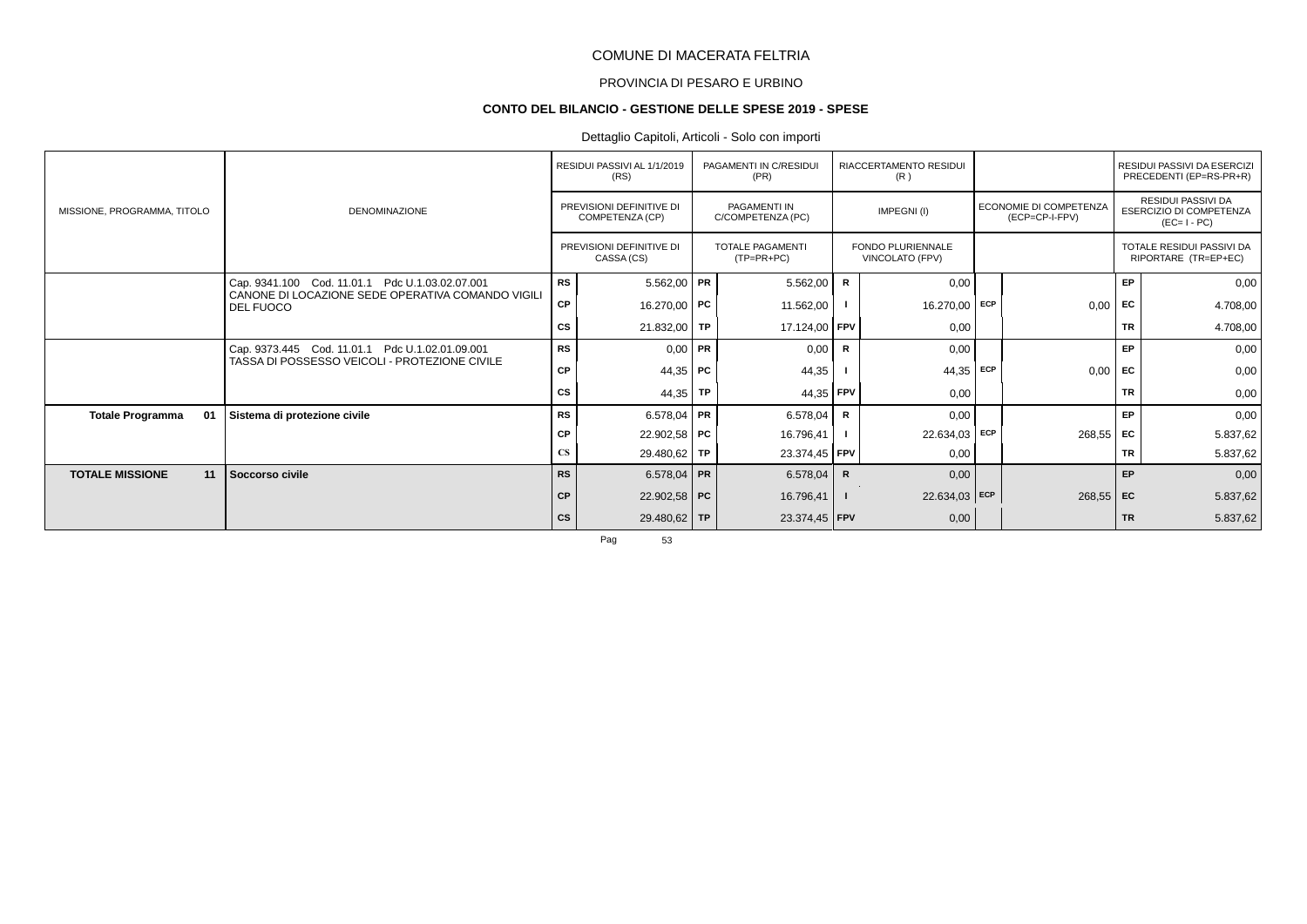# PROVINCIA DI PESARO E URBINO

#### **CONTO DEL BILANCIO - GESTIONE DELLE SPESE 2019 - SPESE**

# Dettaglio Capitoli, Articoli - Solo con importi

|                               |                                                                |                        | RESIDUI PASSIVI AL 1/1/2019<br>(RS)         | PAGAMENTI IN C/RESIDUI<br>(PR)          |              | RIACCERTAMENTO RESIDUI<br>(R)               |     |                                          |           | RESIDUI PASSIVI DA ESERCIZI<br>PRECEDENTI (EP=RS-PR+R)              |
|-------------------------------|----------------------------------------------------------------|------------------------|---------------------------------------------|-----------------------------------------|--------------|---------------------------------------------|-----|------------------------------------------|-----------|---------------------------------------------------------------------|
| MISSIONE, PROGRAMMA, TITOLO   | <b>DENOMINAZIONE</b>                                           |                        | PREVISIONI DEFINITIVE DI<br>COMPETENZA (CP) | PAGAMENTI IN<br>C/COMPETENZA (PC)       |              | IMPEGNI(I)                                  |     | ECONOMIE DI COMPETENZA<br>(ECP=CP-I-FPV) |           | RESIDUI PASSIVI DA<br><b>ESERCIZIO DI COMPETENZA</b><br>$(EC=I-PC)$ |
|                               |                                                                |                        | PREVISIONI DEFINITIVE DI<br>CASSA (CS)      | <b>TOTALE PAGAMENTI</b><br>$(TP=PR+PC)$ |              | <b>FONDO PLURIENNALE</b><br>VINCOLATO (FPV) |     |                                          |           | TOTALE RESIDUI PASSIVI DA<br>RIPORTARE (TR=EP+EC)                   |
|                               | Cap. 9341.100 Cod. 11.01.1 Pdc U.1.03.02.07.001                | <b>RS</b>              | $5.562,00$ PR                               | 5.562,00                                | R            | 0,00                                        |     |                                          | EP        | 0,00                                                                |
|                               | CANONE DI LOCAZIONE SEDE OPERATIVA COMANDO VIGILI<br>DEL FUOCO | <b>CP</b>              | 16.270,00 PC                                | 11.562,00                               |              | 16.270,00                                   | ECP | 0,00                                     | <b>FC</b> | 4.708,00                                                            |
|                               |                                                                | CS                     | 21.832,00 TP                                | 17.124,00 FPV                           |              | 0,00                                        |     |                                          | <b>TR</b> | 4.708,00                                                            |
|                               | Cap. 9373.445 Cod. 11.01.1 Pdc U.1.02.01.09.001                | <b>RS</b>              | $0,00$ PR                                   | 0,00                                    | $\mathsf{R}$ | 0,00                                        |     |                                          | EP        | 0,00                                                                |
|                               | TASSA DI POSSESSO VEICOLI - PROTEZIONE CIVILE                  | СP                     | 44,35   PC                                  | 44,35                                   |              | 44,35                                       | ECP | 0,00                                     | <b>FC</b> | 0,00                                                                |
|                               |                                                                | <b>CS</b>              | 44,35   TP                                  | 44,35 FPV                               |              | 0,00                                        |     |                                          | <b>TR</b> | 0,00                                                                |
| <b>Totale Programma</b><br>01 | Sistema di protezione civile                                   | RS                     | 6.578,04   PR                               | 6.578,04                                | R            | 0,00                                        |     |                                          | EP        | 0,00                                                                |
|                               |                                                                | СP                     | 22.902,58 PC                                | 16.796,41                               |              | 22.634,03 ECP                               |     | $268,55$ EC                              |           | 5.837,62                                                            |
|                               |                                                                | $\mathbf{C}\mathbf{S}$ | 29.480,62 TP                                | 23.374,45   FPV                         |              | 0,00                                        |     |                                          | TR        | 5.837,62                                                            |
| <b>TOTALE MISSIONE</b><br>11  | Soccorso civile                                                | <b>RS</b>              | 6.578,04 PR                                 | 6.578,04                                | R            | 0,00                                        |     |                                          | EP        | 0,00                                                                |
|                               |                                                                | <b>CP</b>              | 22.902,58 PC                                | 16.796,41                               |              | 22.634,03 ECP                               |     | $268,55$ EC                              |           | 5.837,62                                                            |
|                               |                                                                | <b>CS</b>              | $29.480,62$ TP                              | 23.374,45   FPV                         |              | 0,00                                        |     |                                          | <b>TR</b> | 5.837,62                                                            |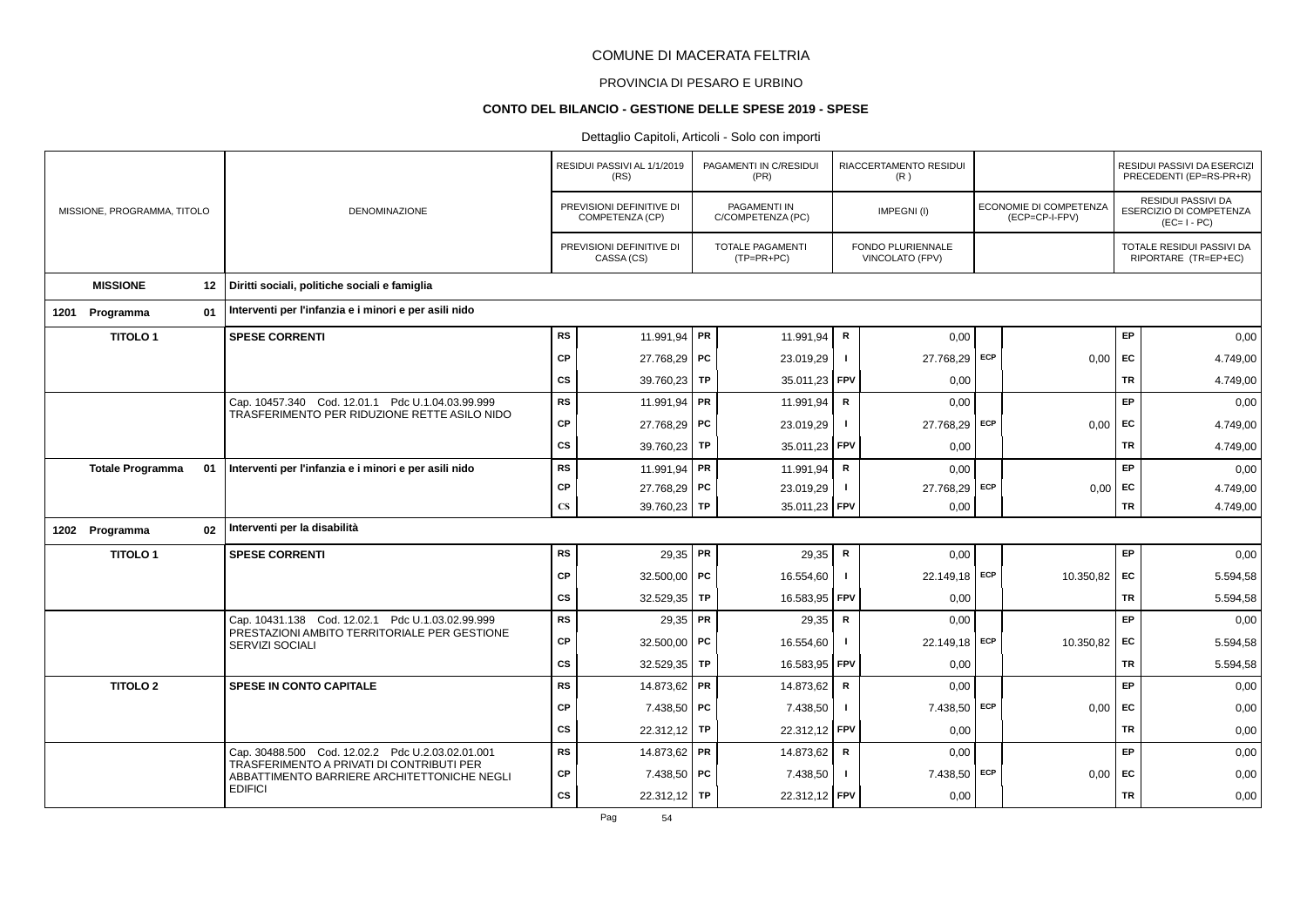# PROVINCIA DI PESARO E URBINO

#### **CONTO DEL BILANCIO - GESTIONE DELLE SPESE 2019 - SPESE**

|      |                             |    |                                                                                          |                        | RESIDUI PASSIVI AL 1/1/2019<br>(RS)         | PAGAMENTI IN C/RESIDUI<br>(PR)        |              | RIACCERTAMENTO RESIDUI<br>(R)        |     |                                          |           | RESIDUI PASSIVI DA ESERCIZI<br>PRECEDENTI (EP=RS-PR+R)       |
|------|-----------------------------|----|------------------------------------------------------------------------------------------|------------------------|---------------------------------------------|---------------------------------------|--------------|--------------------------------------|-----|------------------------------------------|-----------|--------------------------------------------------------------|
|      | MISSIONE, PROGRAMMA, TITOLO |    | <b>DENOMINAZIONE</b>                                                                     |                        | PREVISIONI DEFINITIVE DI<br>COMPETENZA (CP) | PAGAMENTI IN<br>C/COMPETENZA (PC)     |              | IMPEGNI(I)                           |     | ECONOMIE DI COMPETENZA<br>(ECP=CP-I-FPV) |           | RESIDUI PASSIVI DA<br>ESERCIZIO DI COMPETENZA<br>$(EC=I-PC)$ |
|      |                             |    |                                                                                          |                        | PREVISIONI DEFINITIVE DI<br>CASSA (CS)      | <b>TOTALE PAGAMENTI</b><br>(TP=PR+PC) |              | FONDO PLURIENNALE<br>VINCOLATO (FPV) |     |                                          |           | TOTALE RESIDUI PASSIVI DA<br>RIPORTARE (TR=EP+EC)            |
|      | <b>MISSIONE</b>             | 12 | Diritti sociali, politiche sociali e famiglia                                            |                        |                                             |                                       |              |                                      |     |                                          |           |                                                              |
| 1201 | Programma                   | 01 | Interventi per l'infanzia e i minori e per asili nido                                    |                        |                                             |                                       |              |                                      |     |                                          |           |                                                              |
|      | <b>TITOLO1</b>              |    | <b>SPESE CORRENTI</b>                                                                    | <b>RS</b>              | 11.991,94   PR                              | 11.991,94                             | $\mathsf R$  | 0,00                                 |     |                                          | EP        | 0,00                                                         |
|      |                             |    |                                                                                          | <b>CP</b>              | 27.768,29 PC                                | 23.019,29                             | Τ.           | 27.768,29 ECP                        |     | 0,00                                     | EC        | 4.749,00                                                     |
|      |                             |    |                                                                                          | CS                     | 39.760,23 TP                                | 35.011,23                             | <b>FPV</b>   | 0,00                                 |     |                                          | <b>TR</b> | 4.749,00                                                     |
|      |                             |    | Cap. 10457.340 Cod. 12.01.1 Pdc U.1.04.03.99.999                                         | <b>RS</b>              | 11.991,94   PR                              | 11.991,94                             | R            | 0,00                                 |     |                                          | EP        | 0,00                                                         |
|      |                             |    | TRASFERIMENTO PER RIDUZIONE RETTE ASILO NIDO                                             | CP                     | 27.768,29 PC                                | 23.019,29                             | п.           | 27.768,29 ECP                        |     | 0,00                                     | EC        | 4.749,00                                                     |
|      |                             |    |                                                                                          | CS                     | 39.760,23 TP                                | 35.011,23                             | <b>FPV</b>   | 0,00                                 |     |                                          | TR        | 4.749,00                                                     |
|      | <b>Totale Programma</b>     | 01 | Interventi per l'infanzia e i minori e per asili nido                                    | <b>RS</b>              | 11.991,94   PR                              | 11.991,94                             | $\mathsf{R}$ | 0,00                                 |     |                                          | EP        | 0,00                                                         |
|      |                             |    |                                                                                          | CP                     | 27.768,29 PC                                | 23.019,29                             | $\mathbf{I}$ | 27.768,29                            | ECP | 0,00                                     | EC        | 4.749,00                                                     |
|      |                             |    |                                                                                          | $\mathbf{C}\mathbf{S}$ | 39.760,23 TP                                | 35.011,23                             | FPV          | 0,00                                 |     |                                          | TR        | 4.749,00                                                     |
|      | 1202 Programma              | 02 | Interventi per la disabilità                                                             |                        |                                             |                                       |              |                                      |     |                                          |           |                                                              |
|      | <b>TITOLO1</b>              |    | <b>SPESE CORRENTI</b>                                                                    | <b>RS</b>              | $29,35$ PR                                  | 29,35                                 | R            | 0,00                                 |     |                                          | EP        | 0,00                                                         |
|      |                             |    |                                                                                          | <b>CP</b>              | 32.500,00   PC                              | 16.554,60                             | -1           | 22.149,18 ECP                        |     | 10.350,82                                | EC        | 5.594,58                                                     |
|      |                             |    |                                                                                          | CS                     | 32.529,35   TP                              | 16.583,95                             | <b>FPV</b>   | 0,00                                 |     |                                          | TR        | 5.594,58                                                     |
|      |                             |    | Cap. 10431.138 Cod. 12.02.1 Pdc U.1.03.02.99.999                                         | <b>RS</b>              | $29,35$ PR                                  | 29,35                                 | $\mathsf{R}$ | 0,00                                 |     |                                          | EP        | 0,00                                                         |
|      |                             |    | PRESTAZIONI AMBITO TERRITORIALE PER GESTIONE<br>SERVIZI SOCIALI                          | CP                     | 32.500,00   PC                              | 16.554,60                             | $\mathbf{I}$ | 22.149,18 ECP                        |     | 10.350,82                                | EC        | 5.594,58                                                     |
|      |                             |    |                                                                                          | CS                     | 32.529,35   TP                              | 16.583,95                             | FPV          | 0,00                                 |     |                                          | <b>TR</b> | 5.594,58                                                     |
|      | <b>TITOLO 2</b>             |    | <b>SPESE IN CONTO CAPITALE</b>                                                           | <b>RS</b>              | 14.873,62 PR                                | 14.873,62                             | $\mathsf R$  | 0,00                                 |     |                                          | EP        | 0,00                                                         |
|      |                             |    |                                                                                          | <b>CP</b>              | 7.438,50 PC                                 | 7.438,50                              | $\mathbf{I}$ | 7.438,50                             | ECP | 0,00                                     | EC        | 0,00                                                         |
|      |                             |    |                                                                                          | CS                     | 22.312,12 TP                                | 22.312,12                             | <b>FPV</b>   | 0,00                                 |     |                                          | <b>TR</b> | 0,00                                                         |
|      |                             |    | Cap. 30488.500 Cod. 12.02.2 Pdc U.2.03.02.01.001                                         | <b>RS</b>              | 14.873,62 PR                                | 14.873,62                             | R            | 0,00                                 |     |                                          | EP        | 0,00                                                         |
|      |                             |    | TRASFERIMENTO A PRIVATI DI CONTRIBUTI PER<br>ABBATTIMENTO BARRIERE ARCHITETTONICHE NEGLI | CP                     | 7.438,50 PC                                 | 7.438,50                              | $\mathbf{I}$ | 7.438,50 ECP                         |     | 0,00                                     | EC        | 0,00                                                         |
|      |                             |    | <b>EDIFICI</b>                                                                           | CS                     | 22.312,12 TP                                | 22.312,12 FPV                         |              | 0,00                                 |     |                                          | <b>TR</b> | 0,00                                                         |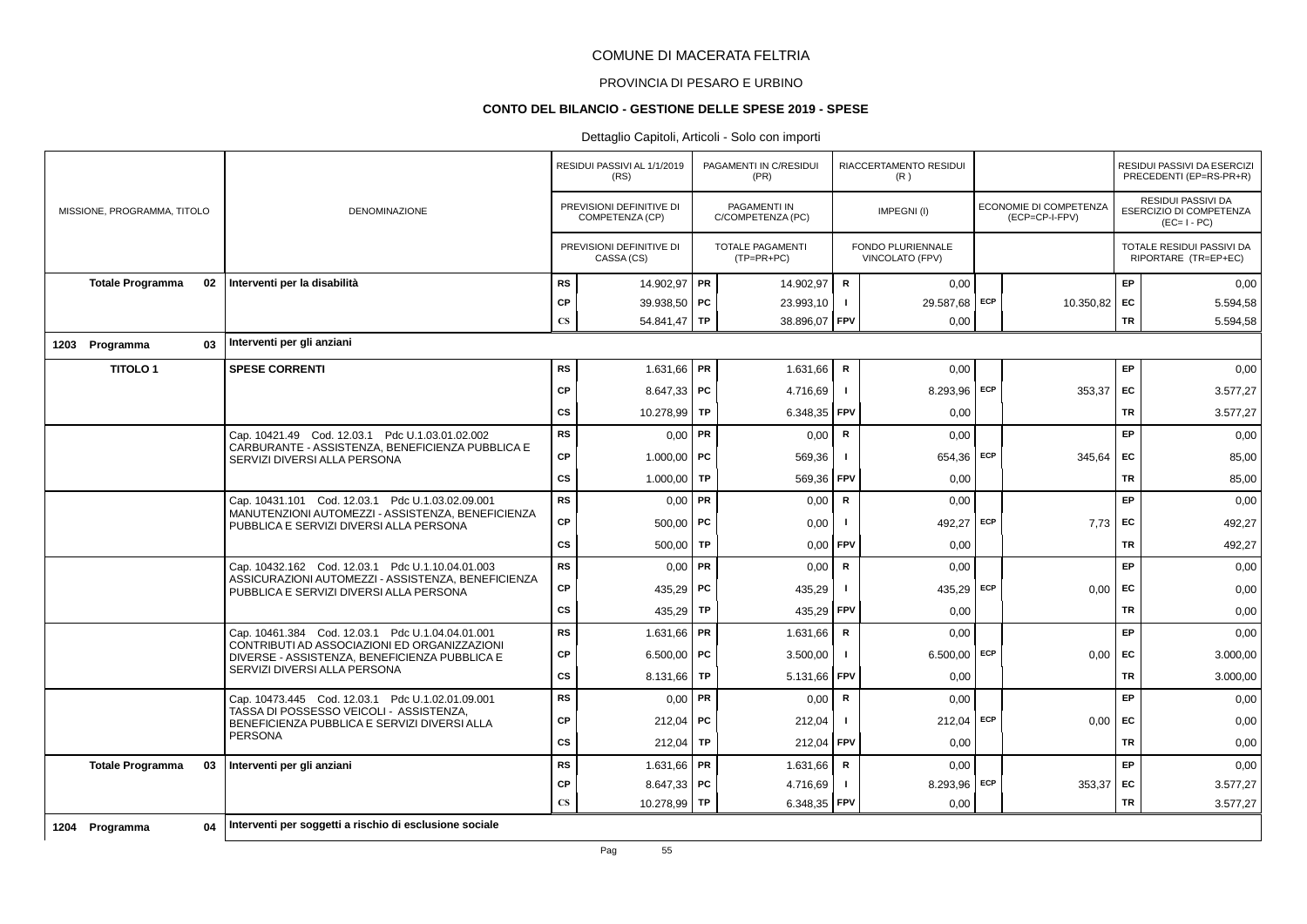#### PROVINCIA DI PESARO E URBINO

### **CONTO DEL BILANCIO - GESTIONE DELLE SPESE 2019 - SPESE**

|                               |                                                                                               |                        | RESIDUI PASSIVI AL 1/1/2019<br>(RS)         |    | PAGAMENTI IN C/RESIDUI<br>(PR)          |                | RIACCERTAMENTO RESIDUI<br>(R)        |            |                                                 |           | RESIDUI PASSIVI DA ESERCIZI<br>PRECEDENTI (EP=RS-PR+R)              |
|-------------------------------|-----------------------------------------------------------------------------------------------|------------------------|---------------------------------------------|----|-----------------------------------------|----------------|--------------------------------------|------------|-------------------------------------------------|-----------|---------------------------------------------------------------------|
| MISSIONE, PROGRAMMA, TITOLO   | <b>DENOMINAZIONE</b>                                                                          |                        | PREVISIONI DEFINITIVE DI<br>COMPETENZA (CP) |    | PAGAMENTI IN<br>C/COMPETENZA (PC)       |                | IMPEGNI(I)                           |            | <b>ECONOMIE DI COMPETENZA</b><br>(ECP=CP-I-FPV) |           | <b>RESIDUI PASSIVI DA</b><br>ESERCIZIO DI COMPETENZA<br>$(EC=I-PC)$ |
|                               |                                                                                               |                        | PREVISIONI DEFINITIVE DI<br>CASSA (CS)      |    | <b>TOTALE PAGAMENTI</b><br>$(TP=PR+PC)$ |                | FONDO PLURIENNALE<br>VINCOLATO (FPV) |            |                                                 |           | TOTALE RESIDUI PASSIVI DA<br>RIPORTARE (TR=EP+EC)                   |
| <b>Totale Programma</b><br>02 | Interventi per la disabilità                                                                  | <b>RS</b>              | 14.902,97 PR                                |    | 14.902,97                               | $\mathbf R$    | 0,00                                 |            |                                                 | EP        | 0,00                                                                |
|                               |                                                                                               | <b>CP</b>              | 39.938,50 PC                                |    | 23.993,10                               | $\blacksquare$ | 29.587,68                            | ECP        | 10.350,82                                       | EC        | 5.594,58                                                            |
|                               |                                                                                               | $\mathbf{C}\mathbf{S}$ | 54.841,47 TP                                |    | 38.896,07   FPV                         |                | 0,00                                 |            |                                                 | TR        | 5.594,58                                                            |
| 03<br>1203 Programma          | Interventi per gli anziani                                                                    |                        |                                             |    |                                         |                |                                      |            |                                                 |           |                                                                     |
| <b>TITOLO1</b>                | <b>SPESE CORRENTI</b>                                                                         | <b>RS</b>              | $1.631,66$ PR                               |    | 1.631,66                                | R              | 0,00                                 |            |                                                 | EP        | 0,00                                                                |
|                               |                                                                                               | CP                     | $8.647,33$ PC                               |    | 4.716,69                                | $\blacksquare$ | 8.293,96                             | <b>ECP</b> | 353,37                                          | EC        | 3.577,27                                                            |
|                               |                                                                                               | CS                     | 10.278,99   TP                              |    | 6.348,35                                | FPV            | 0,00                                 |            |                                                 | TR        | 3.577,27                                                            |
|                               | Cap. 10421.49 Cod. 12.03.1 Pdc U.1.03.01.02.002                                               | <b>RS</b>              | $0,00$ PR                                   |    | 0.00                                    | $\mathsf{R}$   | 0,00                                 |            |                                                 | EP        | 0,00                                                                |
|                               | CARBURANTE - ASSISTENZA, BENEFICIENZA PUBBLICA E<br>SERVIZI DIVERSI ALLA PERSONA              | CP                     | 1.000,00   PC                               |    | 569,36                                  |                | 654,36                               | ECP        | 345,64                                          | EC        | 85,00                                                               |
|                               |                                                                                               | cs                     | 1.000,00 TP                                 |    | 569,36                                  | FPV            | 0,00                                 |            |                                                 | TR        | 85,00                                                               |
|                               | Cap. 10431.101 Cod. 12.03.1 Pdc U.1.03.02.09.001                                              | <b>RS</b>              | $0,00$ PR                                   |    | 0,00                                    | R              | 0,00                                 |            |                                                 | EP        | 0,00                                                                |
|                               | MANUTENZIONI AUTOMEZZI - ASSISTENZA, BENEFICIENZA<br>PUBBLICA E SERVIZI DIVERSI ALLA PERSONA  | СP                     | $500.00$ PC                                 |    | 0,00                                    |                | 492.27                               | <b>ECP</b> | 7.73                                            | EC        | 492,27                                                              |
|                               |                                                                                               | <b>CS</b>              | 500,00                                      | TP | 0,00                                    | <b>FPV</b>     | 0,00                                 |            |                                                 | TR        | 492,27                                                              |
|                               | Cap. 10432.162 Cod. 12.03.1 Pdc U.1.10.04.01.003                                              | <b>RS</b>              | $0,00$ PR                                   |    | 0,00                                    | R              | 0,00                                 |            |                                                 | EP        | 0,00                                                                |
|                               | ASSICURAZIONI AUTOMEZZI - ASSISTENZA, BENEFICIENZA<br>PUBBLICA E SERVIZI DIVERSI ALLA PERSONA | СP                     | 435,29   PC                                 |    | 435,29                                  | $\mathbf{I}$   | 435,29                               | ECP        | 0,00                                            | EC        | 0,00                                                                |
|                               |                                                                                               | cs                     | 435,29                                      | TP | 435,29                                  | l FPV          | 0,00                                 |            |                                                 | <b>TR</b> | 0,00                                                                |
|                               | Cap. 10461.384 Cod. 12.03.1 Pdc U.1.04.04.01.001                                              | <b>RS</b>              | $1.631,66$ PR                               |    | 1.631,66                                | R              | 0,00                                 |            |                                                 | EP        | 0,00                                                                |
|                               | CONTRIBUTI AD ASSOCIAZIONI ED ORGANIZZAZIONI<br>DIVERSE - ASSISTENZA, BENEFICIENZA PUBBLICA E | CP                     | 6.500,00   PC                               |    | 3.500,00                                | $\mathbf{I}$   | 6.500,00                             | ECP        | 0,00                                            | EC        | 3.000,00                                                            |
|                               | SERVIZI DIVERSI ALLA PERSONA                                                                  | <b>CS</b>              | 8.131,66   TP                               |    | 5.131,66 FPV                            |                | 0,00                                 |            |                                                 | TR        | 3.000,00                                                            |
|                               | Cap. 10473.445    Cod. 12.03.1    Pdc U.1.02.01.09.001                                        | <b>RS</b>              | $0,00$ PR                                   |    | 0,00                                    | R              | 0.00                                 |            |                                                 | EP        | 0,00                                                                |
|                               | TASSA DI POSSESSO VEICOLI - ASSISTENZA.<br>BENEFICIENZA PUBBLICA E SERVIZI DIVERSI ALLA       | CP                     | $212,04$ PC                                 |    | 212,04                                  | -1             | 212,04                               | ECP        | 0,00                                            | EC        | 0,00                                                                |
|                               | <b>PERSONA</b>                                                                                | <b>CS</b>              | 212,04                                      | TP | 212.04                                  | FPV            | 0.00                                 |            |                                                 | <b>TR</b> | 0,00                                                                |
| <b>Totale Programma</b><br>03 | Interventi per gli anziani                                                                    | <b>RS</b>              | 1.631,66 PR                                 |    | 1.631,66                                | $\mathsf{R}$   | 0,00                                 |            |                                                 | EP        | 0,00                                                                |
|                               |                                                                                               | СP                     | $8.647,33$ PC                               |    | 4.716,69                                | $\mathbf{I}$   | 8.293,96                             | ECP        | 353,37                                          | EC        | 3.577,27                                                            |
|                               |                                                                                               | $\mathbf{C}\mathbf{S}$ | 10.278,99 TP                                |    | 6.348,35   FPV                          |                | 0,00                                 |            |                                                 | TR        | 3.577,27                                                            |
| 1204 Programma<br>04          | Interventi per soggetti a rischio di esclusione sociale                                       |                        |                                             |    |                                         |                |                                      |            |                                                 |           |                                                                     |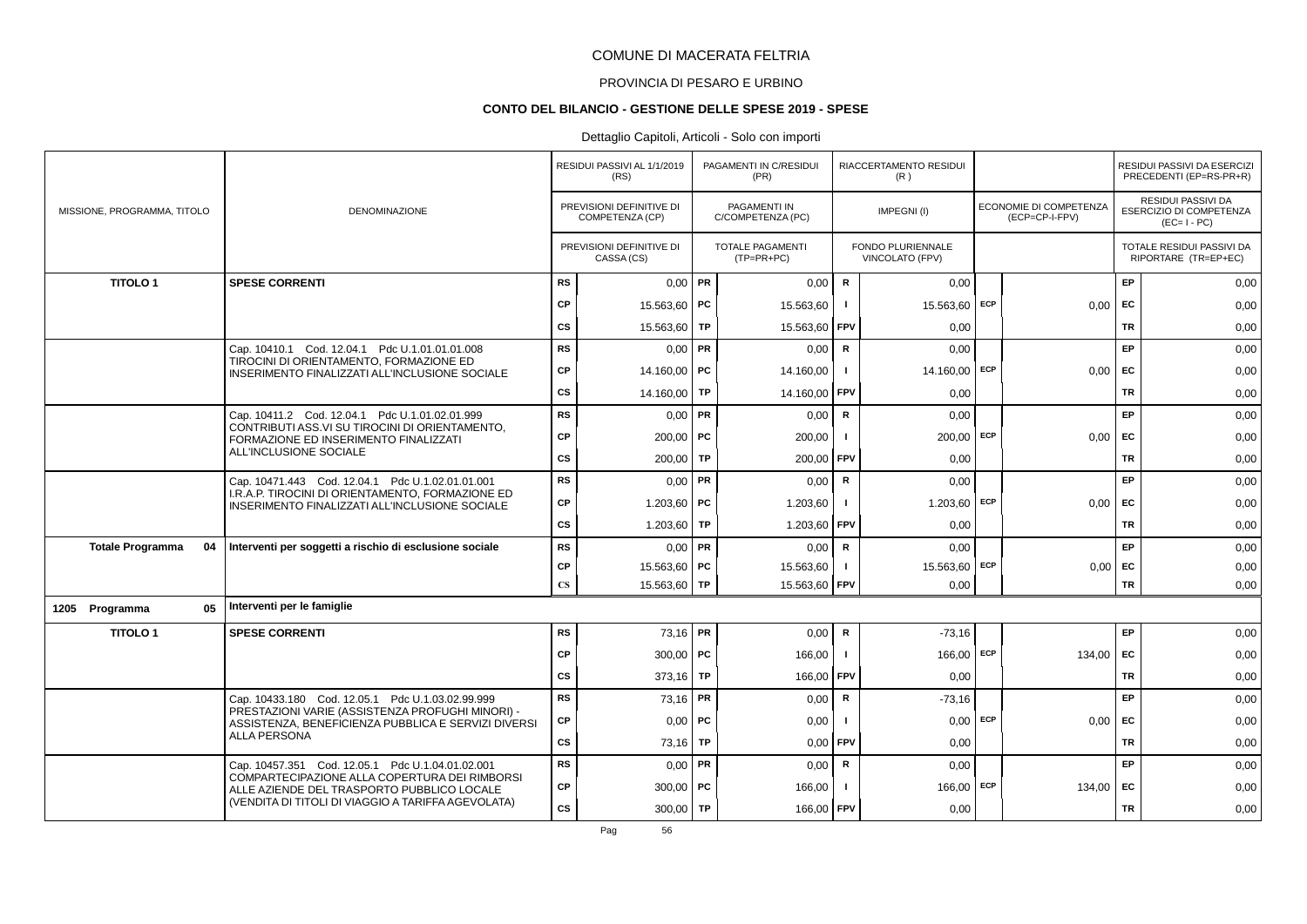# PROVINCIA DI PESARO E URBINO

#### **CONTO DEL BILANCIO - GESTIONE DELLE SPESE 2019 - SPESE**

|                               |                                                                                                      |                        | RESIDUI PASSIVI AL 1/1/2019<br>(RS)         |    | PAGAMENTI IN C/RESIDUI<br>(PR)           |              | RIACCERTAMENTO RESIDUI<br>(R)        |     |                                                 |           | RESIDUI PASSIVI DA ESERCIZI<br>PRECEDENTI (EP=RS-PR+R)       |
|-------------------------------|------------------------------------------------------------------------------------------------------|------------------------|---------------------------------------------|----|------------------------------------------|--------------|--------------------------------------|-----|-------------------------------------------------|-----------|--------------------------------------------------------------|
| MISSIONE, PROGRAMMA, TITOLO   | DENOMINAZIONE                                                                                        |                        | PREVISIONI DEFINITIVE DI<br>COMPETENZA (CP) |    | <b>PAGAMENTI IN</b><br>C/COMPETENZA (PC) |              | IMPEGNI(I)                           |     | <b>ECONOMIE DI COMPETENZA</b><br>(ECP=CP-I-FPV) |           | RESIDUI PASSIVI DA<br>ESERCIZIO DI COMPETENZA<br>$(EC=I-PC)$ |
|                               |                                                                                                      |                        | PREVISIONI DEFINITIVE DI<br>CASSA (CS)      |    | <b>TOTALE PAGAMENTI</b><br>$(TP=PR+PC)$  |              | FONDO PLURIENNALE<br>VINCOLATO (FPV) |     |                                                 |           | TOTALE RESIDUI PASSIVI DA<br>RIPORTARE (TR=EP+EC)            |
| <b>TITOLO1</b>                | <b>SPESE CORRENTI</b>                                                                                | <b>RS</b>              | $0,00$ PR                                   |    | 0,00                                     | $\mathbf R$  | 0,00                                 |     |                                                 | EP        | 0,00                                                         |
|                               |                                                                                                      | <b>CP</b>              | 15.563,60 PC                                |    | 15.563,60                                | -1           | 15.563,60                            | ECP | 0,00                                            | EC        | 0,00                                                         |
|                               |                                                                                                      | <b>CS</b>              | 15.563,60                                   | TP | 15.563,60                                | FPV          | 0,00                                 |     |                                                 | <b>TR</b> | 0,00                                                         |
|                               | Cap. 10410.1 Cod. 12.04.1 Pdc U.1.01.01.01.008                                                       | <b>RS</b>              | $0,00$ PR                                   |    | 0,00                                     | R            | 0,00                                 |     |                                                 | EP        | 0,00                                                         |
|                               | TIROCINI DI ORIENTAMENTO, FORMAZIONE ED<br>INSERIMENTO FINALIZZATI ALL'INCLUSIONE SOCIALE            | <b>CP</b>              | 14.160,00 PC                                |    | 14.160,00                                | $\mathbf{I}$ | 14.160,00 ECP                        |     | 0,00                                            | EC        | 0,00                                                         |
|                               |                                                                                                      | <b>CS</b>              | 14.160,00 TP                                |    | 14.160,00                                | <b>FPV</b>   | 0,00                                 |     |                                                 | <b>TR</b> | 0,00                                                         |
|                               | Cap. 10411.2 Cod. 12.04.1 Pdc U.1.01.02.01.999                                                       | <b>RS</b>              | $0,00$ PR                                   |    | 0,00                                     | ${\sf R}$    | 0.00                                 |     |                                                 | EP        | 0,00                                                         |
|                               | CONTRIBUTI ASS.VI SU TIROCINI DI ORIENTAMENTO,<br>FORMAZIONE ED INSERIMENTO FINALIZZATI              | <b>CP</b>              | $200,00$ PC                                 |    | 200,00                                   |              | $200,00$ ECP                         |     | 0,00                                            | <b>FC</b> | 0,00                                                         |
|                               | ALL'INCLUSIONE SOCIALE                                                                               | <b>CS</b>              | 200,00                                      | TP | 200,00                                   | FPV          | 0.00                                 |     |                                                 | <b>TR</b> | 0,00                                                         |
|                               | Cap. 10471.443 Cod. 12.04.1 Pdc U.1.02.01.01.001                                                     | <b>RS</b>              | $0,00$ PR                                   |    | 0,00                                     | $\mathbf R$  | 0,00                                 |     |                                                 | EP        | 0,00                                                         |
|                               | I.R.A.P. TIROCINI DI ORIENTAMENTO, FORMAZIONE ED<br>INSERIMENTO FINALIZZATI ALL'INCLUSIONE SOCIALE   | <b>CP</b>              | 1.203,60   PC                               |    | 1.203,60                                 |              | $1.203,60$ ECP                       |     | $0,00$ EC                                       |           | 0,00                                                         |
|                               |                                                                                                      | CS                     | 1.203,60                                    | TP | 1.203,60                                 | FPV          | 0,00                                 |     |                                                 | <b>TR</b> | 0,00                                                         |
| <b>Totale Programma</b><br>04 | Interventi per soggetti a rischio di esclusione sociale                                              | <b>RS</b>              | $0,00$ PR                                   |    | 0,00                                     | $\mathsf{R}$ | 0,00                                 |     |                                                 | <b>EP</b> | 0,00                                                         |
|                               |                                                                                                      | <b>CP</b>              | 15.563,60 PC                                |    | 15.563,60                                |              | 15.563,60                            | ECP | 0,00                                            | EC        | 0,00                                                         |
|                               |                                                                                                      | $\mathbf{C}\mathbf{S}$ | 15.563,60 TP                                |    | 15.563,60                                | FPV          | 0,00                                 |     |                                                 | TR        | 0,00                                                         |
| 05<br>1205 Programma          | Interventi per le famiglie                                                                           |                        |                                             |    |                                          |              |                                      |     |                                                 |           |                                                              |
| <b>TITOLO1</b>                | <b>SPESE CORRENTI</b>                                                                                | <b>RS</b>              | 73,16 PR                                    |    | 0,00                                     | $\mathbf R$  | $-73,16$                             |     |                                                 | EP        | 0,00                                                         |
|                               |                                                                                                      | <b>CP</b>              | 300,00   $PC$                               |    | 166,00                                   | - 1          | 166,00 ECP                           |     | 134,00                                          | EC        | 0,00                                                         |
|                               |                                                                                                      | <b>CS</b>              | 373.16                                      | TP | 166,00                                   | FPV          | 0.00                                 |     |                                                 | <b>TR</b> | 0,00                                                         |
|                               | Cap. 10433.180 Cod. 12.05.1 Pdc U.1.03.02.99.999<br>PRESTAZIONI VARIE (ASSISTENZA PROFUGHI MINORI) - | RS                     | 73,16 PR                                    |    | 0,00                                     | ${\sf R}$    | $-73,16$                             |     |                                                 | EP        | 0,00                                                         |
|                               | ASSISTENZA, BENEFICIENZA PUBBLICA E SERVIZI DIVERSI                                                  | <b>CP</b>              | $0,00$   PC                                 |    | 0,00                                     | -1           | $0,00$ ECP                           |     | 0,00                                            | <b>FC</b> | 0,00                                                         |
|                               | <b>ALLA PERSONA</b>                                                                                  | <b>CS</b>              | 73,16                                       | TP | 0,00                                     | FPV          | 0,00                                 |     |                                                 | TR        | 0,00                                                         |
|                               | Cap. 10457.351 Cod. 12.05.1 Pdc U.1.04.01.02.001<br>COMPARTECIPAZIONE ALLA COPERTURA DEI RIMBORSI    | RS                     | $0,00$ PR                                   |    | 0,00                                     | R            | 0,00                                 |     |                                                 | EP        | 0,00                                                         |
|                               | ALLE AZIENDE DEL TRASPORTO PUBBLICO LOCALE                                                           | <b>CP</b>              | $300,00$ PC                                 |    | 166,00                                   |              | 166,00 ECP                           |     | 134,00                                          | <b>FC</b> | 0,00                                                         |
|                               | (VENDITA DI TITOLI DI VIAGGIO A TARIFFA AGEVOLATA)                                                   | <b>CS</b>              | 300,00   TP                                 |    | 166,00 FPV                               |              | 0,00                                 |     |                                                 | TR        | 0,00                                                         |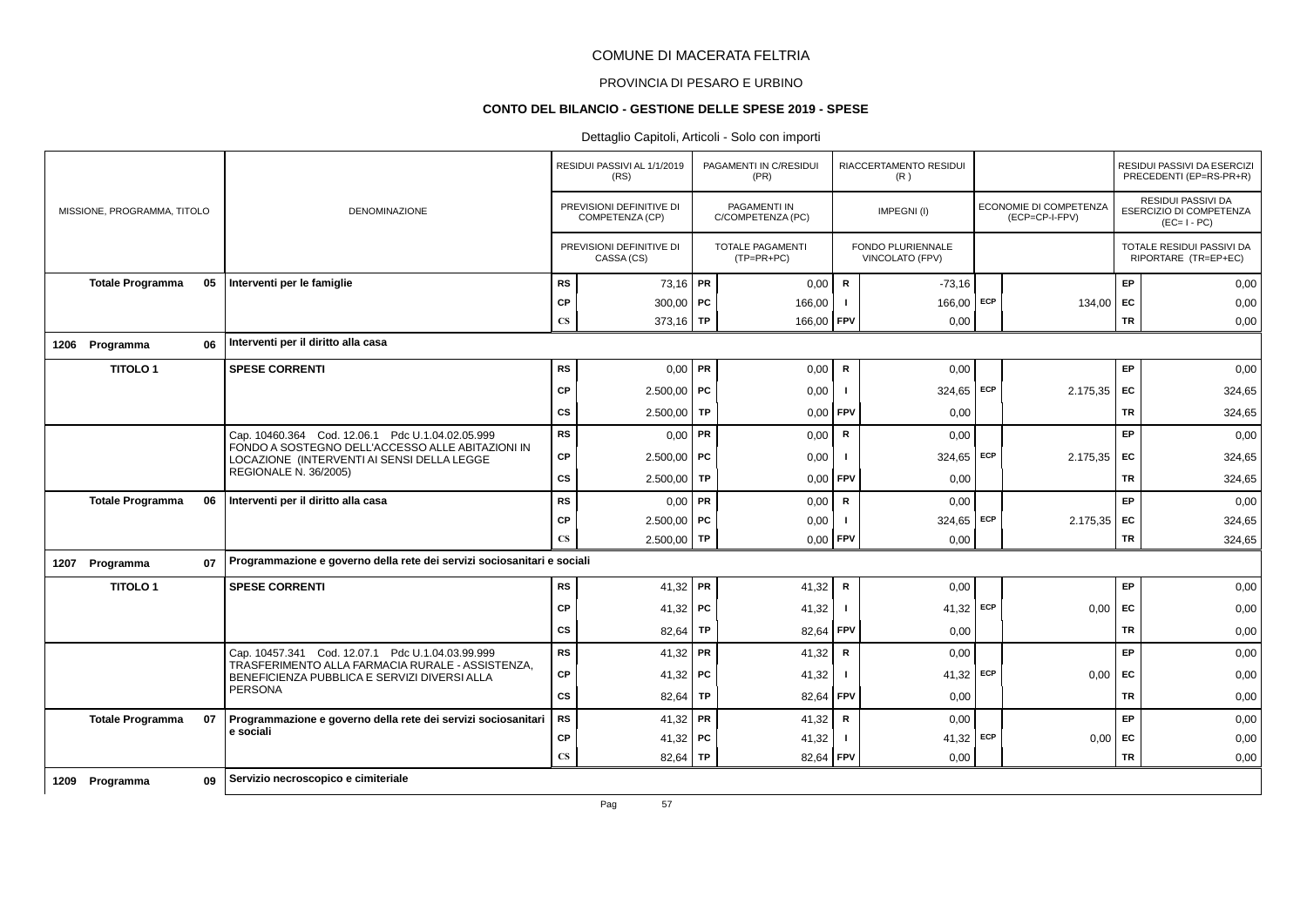# PROVINCIA DI PESARO E URBINO

#### **CONTO DEL BILANCIO - GESTIONE DELLE SPESE 2019 - SPESE**

|                             |    |                                                                                                  |                        | RESIDUI PASSIVI AL 1/1/2019<br>(RS)         |           | PAGAMENTI IN C/RESIDUI<br>(PR)           |                | RIACCERTAMENTO RESIDUI<br>(R)               |     |                                          |           | RESIDUI PASSIVI DA ESERCIZI<br>PRECEDENTI (EP=RS-PR+R)       |
|-----------------------------|----|--------------------------------------------------------------------------------------------------|------------------------|---------------------------------------------|-----------|------------------------------------------|----------------|---------------------------------------------|-----|------------------------------------------|-----------|--------------------------------------------------------------|
| MISSIONE, PROGRAMMA, TITOLO |    | <b>DENOMINAZIONE</b>                                                                             |                        | PREVISIONI DEFINITIVE DI<br>COMPETENZA (CP) |           | <b>PAGAMENTI IN</b><br>C/COMPETENZA (PC) |                | IMPEGNI(I)                                  |     | ECONOMIE DI COMPETENZA<br>(ECP=CP-I-FPV) |           | RESIDUI PASSIVI DA<br>ESERCIZIO DI COMPETENZA<br>$(EC=I-PC)$ |
|                             |    |                                                                                                  |                        | PREVISIONI DEFINITIVE DI<br>CASSA (CS)      |           | <b>TOTALE PAGAMENTI</b><br>$(TP=PR+PC)$  |                | <b>FONDO PLURIENNALE</b><br>VINCOLATO (FPV) |     |                                          |           | TOTALE RESIDUI PASSIVI DA<br>RIPORTARE (TR=EP+EC)            |
| <b>Totale Programma</b>     | 05 | Interventi per le famiglie                                                                       | <b>RS</b>              | 73,16 PR                                    |           | 0,00                                     | R              | $-73,16$                                    |     |                                          | EP        | 0,00                                                         |
|                             |    |                                                                                                  | CP                     | 300,00   $PC$                               |           | 166,00                                   | $\mathbf{I}$   | 166,00                                      | ECP | 134,00 EC                                |           | 0,00                                                         |
|                             |    |                                                                                                  | $\mathbf{C}\mathbf{S}$ | 373,16 TP                                   |           | 166,00 FPV                               |                | 0,00                                        |     |                                          | <b>TR</b> | 0,00                                                         |
| 1206 Programma              | 06 | Interventi per il diritto alla casa                                                              |                        |                                             |           |                                          |                |                                             |     |                                          |           |                                                              |
| <b>TITOLO1</b>              |    | <b>SPESE CORRENTI</b>                                                                            | <b>RS</b>              | $0,00$ PR                                   |           | 0,00                                     | R              | 0.00                                        |     |                                          | EP        | 0,00                                                         |
|                             |    |                                                                                                  | CP                     | $2.500.00$ PC                               |           | 0,00                                     | -1             | 324,65 ECP                                  |     | $2.175,35$ EC                            |           | 324,65                                                       |
|                             |    |                                                                                                  | CS                     | 2.500,00                                    | TP        | 0.00                                     | <b>FPV</b>     | 0,00                                        |     |                                          | TR        | 324,65                                                       |
|                             |    | Cap. 10460.364 Cod. 12.06.1 Pdc U.1.04.02.05.999                                                 | <b>RS</b>              | $0,00$ PR                                   |           | 0,00                                     | R              | 0,00                                        |     |                                          | EP        | 0,00                                                         |
|                             |    | FONDO A SOSTEGNO DELL'ACCESSO ALLE ABITAZIONI IN<br>LOCAZIONE (INTERVENTI AI SENSI DELLA LEGGE   | CP                     | $2.500,00$ PC                               |           | 0,00                                     | -1             | $324,65$ ECP                                |     | 2.175.35                                 | FC        | 324,65                                                       |
|                             |    | <b>REGIONALE N. 36/2005)</b>                                                                     | cs                     | $2.500,00$ TP                               |           | 0,00                                     | <b>FPV</b>     | 0.00                                        |     |                                          | <b>TR</b> | 324,65                                                       |
| <b>Totale Programma</b>     | 06 | Interventi per il diritto alla casa                                                              | <b>RS</b>              | $0,00$ PR                                   |           | 0,00                                     | R              | 0,00                                        |     |                                          | EP        | 0,00                                                         |
|                             |    |                                                                                                  | CP                     | $2.500,00$ PC                               |           | 0,00                                     | $\blacksquare$ | 324,65 ECP                                  |     | $2.175,35$ EC                            |           | 324,65                                                       |
|                             |    |                                                                                                  | $\mathbf{C}\mathbf{S}$ | $2.500,00$ TP                               |           | $0,00$ FPV                               |                | 0,00                                        |     |                                          | <b>TR</b> | 324,65                                                       |
| 1207 Programma              | 07 | Programmazione e governo della rete dei servizi sociosanitari e sociali                          |                        |                                             |           |                                          |                |                                             |     |                                          |           |                                                              |
| <b>TITOLO1</b>              |    | <b>SPESE CORRENTI</b>                                                                            | <b>RS</b>              | 41,32 PR                                    |           | 41,32                                    | R              | 0,00                                        |     |                                          | EP        | 0,00                                                         |
|                             |    |                                                                                                  | CP                     | 41,32   PC                                  |           | 41,32                                    | -1             | $41,32$ ECP                                 |     | 0.00                                     | EC        | 0,00                                                         |
|                             |    |                                                                                                  | CS                     | 82,64                                       | TP        | 82,64                                    | <b>FPV</b>     | 0,00                                        |     |                                          | TR        | 0,00                                                         |
|                             |    | Cap. 10457.341 Cod. 12.07.1 Pdc U.1.04.03.99.999                                                 | <b>RS</b>              | 41,32   PR                                  |           | 41,32                                    | $\mathsf{R}$   | 0,00                                        |     |                                          | EP        | 0,00                                                         |
|                             |    | TRASFERIMENTO ALLA FARMACIA RURALE - ASSISTENZA,<br>BENEFICIENZA PUBBLICA E SERVIZI DIVERSI ALLA | CP                     | 41,32   PC                                  |           | 41,32                                    | $\blacksquare$ | $41,32$ ECP                                 |     | $0,00$ EC                                |           | 0,00                                                         |
|                             |    | PERSONA                                                                                          | cs                     | 82,64                                       | <b>TP</b> | 82.64                                    | <b>FPV</b>     | 0,00                                        |     |                                          | <b>TR</b> | 0,00                                                         |
| <b>Totale Programma</b>     | 07 | Programmazione e governo della rete dei servizi sociosanitari                                    | <b>RS</b>              | 41,32 PR                                    |           | 41,32                                    | R              | 0,00                                        |     |                                          | EP.       | 0,00                                                         |
|                             |    | e sociali                                                                                        | CP                     | 41,32 PC                                    |           | 41,32                                    |                | 41,32                                       | ECP | $0,00$ EC                                |           | 0,00                                                         |
|                             |    |                                                                                                  | $\mathbf{C}\mathbf{S}$ | 82,64                                       | TP        | 82,64                                    | FPV            | 0,00                                        |     |                                          | <b>TR</b> | 0,00                                                         |
| 1209 Programma              | 09 | Servizio necroscopico e cimiteriale                                                              |                        |                                             |           |                                          |                |                                             |     |                                          |           |                                                              |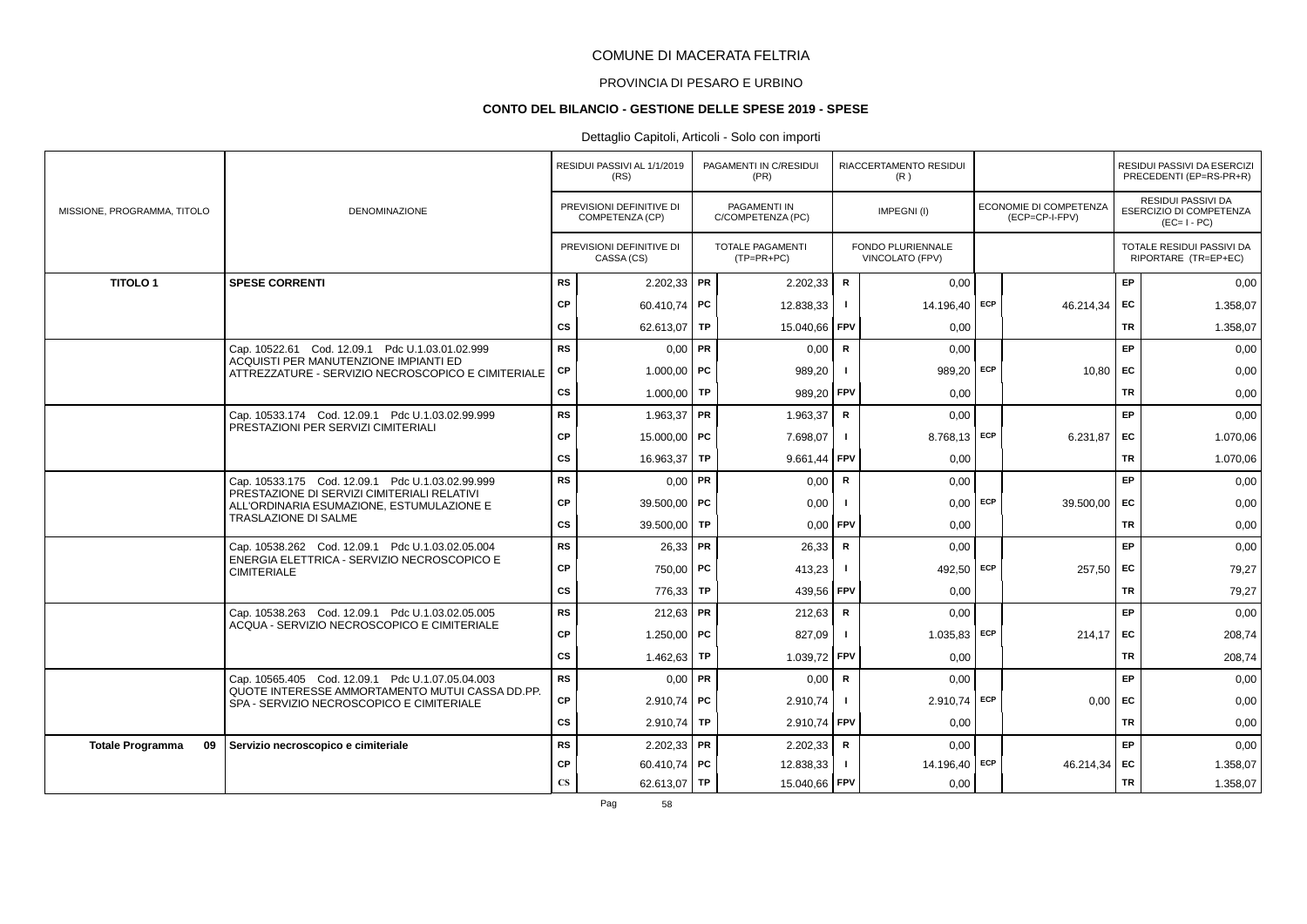# PROVINCIA DI PESARO E URBINO

#### **CONTO DEL BILANCIO - GESTIONE DELLE SPESE 2019 - SPESE**

|                               |                                                                                              |                        | RESIDUI PASSIVI AL 1/1/2019<br>(RS)         | PAGAMENTI IN C/RESIDUI<br>(PR)          |              | RIACCERTAMENTO RESIDUI<br>(R)               |     |                                                 |           | RESIDUI PASSIVI DA ESERCIZI<br>PRECEDENTI (EP=RS-PR+R)              |
|-------------------------------|----------------------------------------------------------------------------------------------|------------------------|---------------------------------------------|-----------------------------------------|--------------|---------------------------------------------|-----|-------------------------------------------------|-----------|---------------------------------------------------------------------|
| MISSIONE, PROGRAMMA, TITOLO   | DENOMINAZIONE                                                                                |                        | PREVISIONI DEFINITIVE DI<br>COMPETENZA (CP) | PAGAMENTI IN<br>C/COMPETENZA (PC)       |              | IMPEGNI(I)                                  |     | <b>ECONOMIE DI COMPETENZA</b><br>(ECP=CP-I-FPV) |           | <b>RESIDUI PASSIVI DA</b><br>ESERCIZIO DI COMPETENZA<br>$(EC=I-PC)$ |
|                               |                                                                                              |                        | PREVISIONI DEFINITIVE DI<br>CASSA (CS)      | <b>TOTALE PAGAMENTI</b><br>$(TP=PR+PC)$ |              | <b>FONDO PLURIENNALE</b><br>VINCOLATO (FPV) |     |                                                 |           | TOTALE RESIDUI PASSIVI DA<br>RIPORTARE (TR=EP+EC)                   |
| <b>TITOLO1</b>                | <b>SPESE CORRENTI</b>                                                                        | <b>RS</b>              | $2.202,33$ PR                               | 2.202,33                                | $\mathsf{R}$ | 0,00                                        |     |                                                 | EP        | 0,00                                                                |
|                               |                                                                                              | CP                     | 60.410,74   PC                              | 12.838,33                               | $\mathbf{I}$ | 14.196,40                                   | ECP | 46.214,34                                       | EC        | 1.358,07                                                            |
|                               |                                                                                              | CS                     | 62.613,07   TP                              | 15.040.66                               | <b>FPV</b>   | 0.00                                        |     |                                                 | TR        | 1.358,07                                                            |
|                               | Cap. 10522.61 Cod. 12.09.1 Pdc U.1.03.01.02.999                                              | <b>RS</b>              | $0.00$ PR                                   | 0,00                                    | $\mathsf{R}$ | 0,00                                        |     |                                                 | EP        | 0,00                                                                |
|                               | ACQUISTI PER MANUTENZIONE IMPIANTI ED<br>ATTREZZATURE - SERVIZIO NECROSCOPICO E CIMITERIALE  | СP                     | $1.000,00$ PC                               | 989,20                                  | -1           | 989,20                                      | ECP | 10,80                                           | EC        | 0,00                                                                |
|                               |                                                                                              | cs                     | 1.000,00 TP                                 | 989,20                                  | FPV          | 0,00                                        |     |                                                 | TR        | 0,00                                                                |
|                               | Cap. 10533.174 Cod. 12.09.1 Pdc U.1.03.02.99.999                                             | <b>RS</b>              | $1.963,37$ PR                               | 1.963,37                                | $\mathsf{R}$ | 0.00                                        |     |                                                 | <b>EP</b> | 0,00                                                                |
|                               | PRESTAZIONI PER SERVIZI CIMITERIALI                                                          | <b>CP</b>              | 15,000.00 PC                                | 7.698,07                                | $\mathbf{I}$ | 8.768,13 ECP                                |     | 6.231.87                                        | EC        | 1.070,06                                                            |
|                               |                                                                                              | $\mathsf{cs}$          | 16.963,37 TP                                | $9.661,44$ FPV                          |              | 0,00                                        |     |                                                 | <b>TR</b> | 1.070,06                                                            |
|                               | Cap. 10533.175 Cod. 12.09.1 Pdc U.1.03.02.99.999                                             | <b>RS</b>              | $0,00$ PR                                   | 0,00                                    | $\mathsf{R}$ | 0,00                                        |     |                                                 | <b>EP</b> | 0,00                                                                |
|                               | PRESTAZIONE DI SERVIZI CIMITERIALI RELATIVI<br>ALL'ORDINARIA ESUMAZIONE, ESTUMULAZIONE E     | CP                     | 39.500.00 PC                                | 0.00                                    |              | 0,00                                        | ECP | 39.500.00                                       | EC        | 0,00                                                                |
|                               | <b>TRASLAZIONE DI SALME</b>                                                                  | CS                     | 39.500,00 TP                                | 0,00                                    | <b>FPV</b>   | 0,00                                        |     |                                                 | <b>TR</b> | 0,00                                                                |
|                               | Cap. 10538.262 Cod. 12.09.1 Pdc U.1.03.02.05.004                                             | <b>RS</b>              | $26,33$ PR                                  | 26,33                                   | $\mathsf{R}$ | 0,00                                        |     |                                                 | EP        | 0,00                                                                |
|                               | ENERGIA ELETTRICA - SERVIZIO NECROSCOPICO E<br><b>CIMITERIALE</b>                            | CP                     | 750,00   PC                                 | 413,23                                  | -1           | 492,50                                      | ECP | 257,50                                          | EC        | 79,27                                                               |
|                               |                                                                                              | CS                     | 776,33 TP                                   | 439,56 FPV                              |              | 0.00                                        |     |                                                 | TR        | 79,27                                                               |
|                               | Cap. 10538.263 Cod. 12.09.1 Pdc U.1.03.02.05.005                                             | <b>RS</b>              | $212,63$ PR                                 | 212,63                                  | $\mathsf{R}$ | 0,00                                        |     |                                                 | <b>EP</b> | 0,00                                                                |
|                               | ACQUA - SERVIZIO NECROSCOPICO E CIMITERIALE                                                  | CP                     | 1.250,00   PC                               | 827,09                                  | -1           | 1.035,83                                    | ECP | 214,17                                          | EC        | 208,74                                                              |
|                               |                                                                                              | cs                     | 1.462,63   TP                               | 1.039,72 FPV                            |              | 0,00                                        |     |                                                 | TR        | 208,74                                                              |
|                               | Cap. 10565.405 Cod. 12.09.1 Pdc U.1.07.05.04.003                                             | <b>RS</b>              | $0.00$ PR                                   | 0,00                                    | R            | 0.00                                        |     |                                                 | EP        | 0,00                                                                |
|                               | QUOTE INTERESSE AMMORTAMENTO MUTUI CASSA DD.PP.<br>SPA - SERVIZIO NECROSCOPICO E CIMITERIALE | СP                     | $2.910.74$ PC                               | 2.910,74                                | $\mathbf{I}$ | 2.910.74                                    | ECP | 0,00                                            | EC        | 0,00                                                                |
|                               |                                                                                              | $\mathsf{cs}$          | $2.910,74$ TP                               | 2.910,74                                | <b>FPV</b>   | 0,00                                        |     |                                                 | <b>TR</b> | 0,00                                                                |
| 09<br><b>Totale Programma</b> | Servizio necroscopico e cimiteriale                                                          | <b>RS</b>              | $2.202,33$ PR                               | 2.202,33                                | R            | 0,00                                        |     |                                                 | EP        | 0,00                                                                |
|                               |                                                                                              | <b>CP</b>              | 60.410,74   PC                              | 12.838,33                               | $\mathbf{I}$ | 14.196,40                                   | ECP | 46.214,34                                       | EC        | 1.358,07                                                            |
|                               |                                                                                              | $\mathbf{C}\mathbf{S}$ | 62.613,07   TP                              | 15.040,66 FPV                           |              | 0,00                                        |     |                                                 | TR        | 1.358,07                                                            |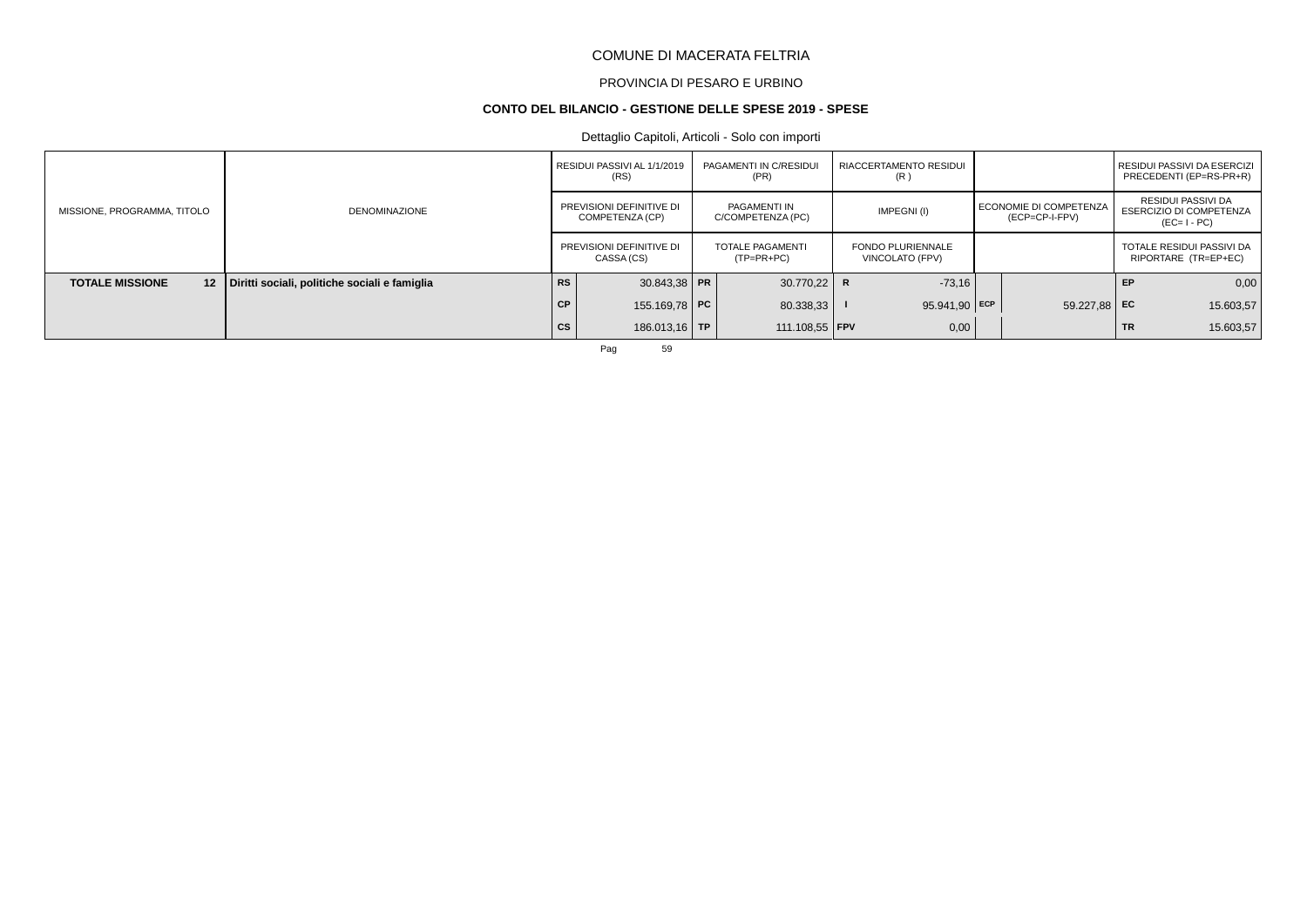# PROVINCIA DI PESARO E URBINO

#### **CONTO DEL BILANCIO - GESTIONE DELLE SPESE 2019 - SPESE**

# Dettaglio Capitoli, Articoli - Solo con importi

|                                            |                                               |           | RESIDUI PASSIVI AL 1/1/2019<br>(RS)         | PAGAMENTI IN C/RESIDUI<br>(PR)    |   | RIACCERTAMENTO RESIDUI<br>(R)               |                                            |           | I RESIDUI PASSIVI DA ESERCIZI<br>PRECEDENTI (EP=RS-PR+R)            |
|--------------------------------------------|-----------------------------------------------|-----------|---------------------------------------------|-----------------------------------|---|---------------------------------------------|--------------------------------------------|-----------|---------------------------------------------------------------------|
| MISSIONE, PROGRAMMA, TITOLO                | DENOMINAZIONE                                 |           | PREVISIONI DEFINITIVE DI<br>COMPETENZA (CP) | PAGAMENTI IN<br>C/COMPETENZA (PC) |   | IMPEGNI(I)                                  | I ECONOMIE DI COMPETENZA<br>(ECP=CP-I-FPV) |           | RESIDUI PASSIVI DA<br><b>ESERCIZIO DI COMPETENZA</b><br>$(EC=I-PC)$ |
|                                            |                                               |           | PREVISIONI DEFINITIVE DI<br>CASSA (CS)      | TOTALE PAGAMENTI<br>$(TP=PR+PC)$  |   | <b>FONDO PLURIENNALE</b><br>VINCOLATO (FPV) |                                            |           | TOTALE RESIDUI PASSIVI DA<br>RIPORTARE (TR=EP+EC)                   |
| <b>TOTALE MISSIONE</b><br>12 <sup>12</sup> | Diritti sociali, politiche sociali e famiglia | <b>RS</b> | $30.843.38$ PR                              | 30.770.22                         | R | $-73,16$                                    |                                            | EP        | 0,00                                                                |
|                                            |                                               | <b>CP</b> | 155.169,78 PC                               | 80.338,33                         |   | $95.941,90$ ECP                             | 59.227.88 EC                               |           | 15.603,57                                                           |
|                                            |                                               | <b>CS</b> | 186.013,16 TP                               | 111.108,55 <b>FPV</b>             |   | 0,00                                        |                                            | <b>TR</b> | 15.603,57                                                           |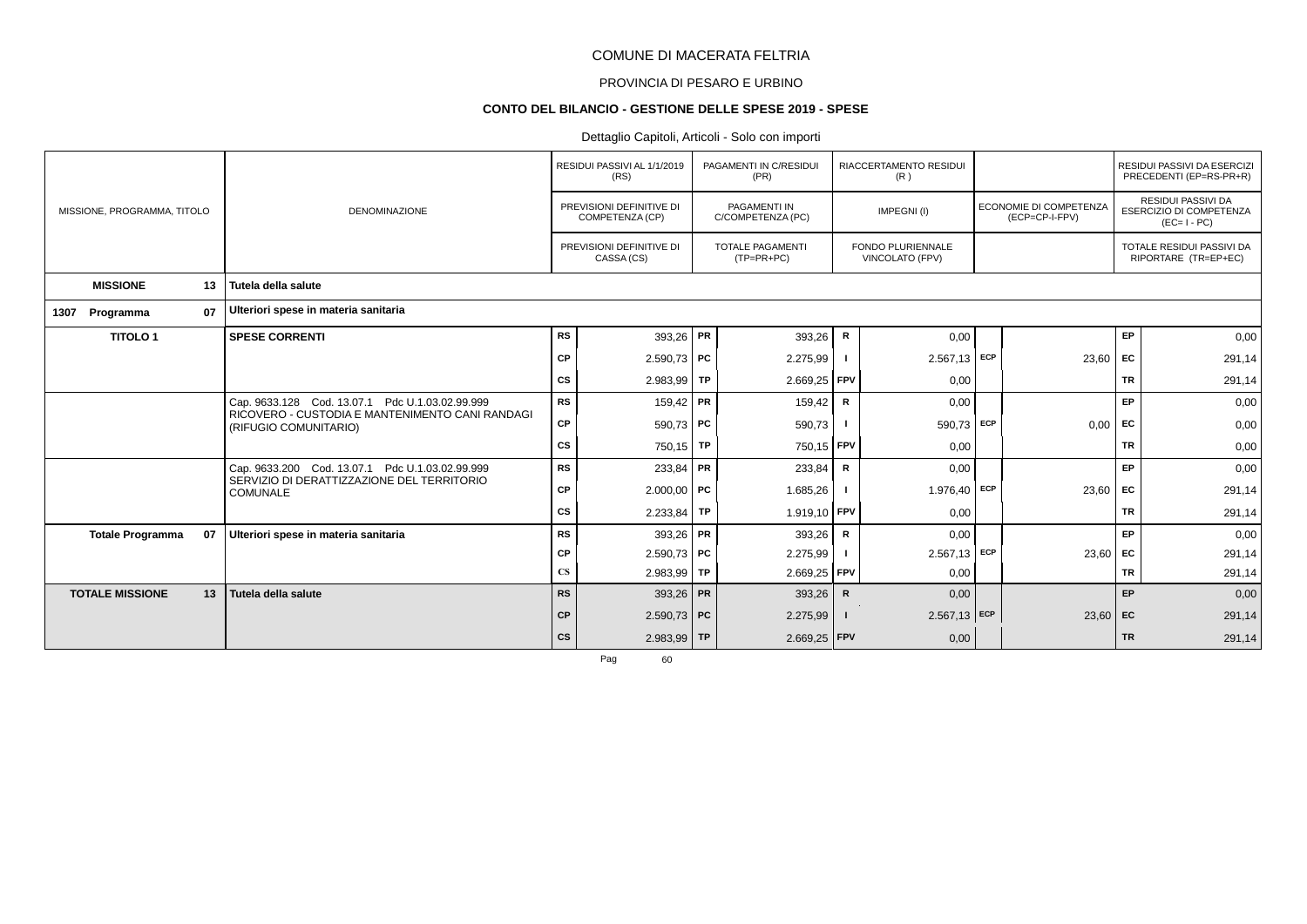# PROVINCIA DI PESARO E URBINO

#### **CONTO DEL BILANCIO - GESTIONE DELLE SPESE 2019 - SPESE**

# Dettaglio Capitoli, Articoli - Solo con importi

|                             |    |                                                                                                    |                        | RESIDUI PASSIVI AL 1/1/2019<br>(RS)         | PAGAMENTI IN C/RESIDUI<br>(PR)          |              | RIACCERTAMENTO RESIDUI<br>(R)               |     |                                          |           | RESIDUI PASSIVI DA ESERCIZI<br>PRECEDENTI (EP=RS-PR+R)                     |
|-----------------------------|----|----------------------------------------------------------------------------------------------------|------------------------|---------------------------------------------|-----------------------------------------|--------------|---------------------------------------------|-----|------------------------------------------|-----------|----------------------------------------------------------------------------|
| MISSIONE, PROGRAMMA, TITOLO |    | <b>DENOMINAZIONE</b>                                                                               |                        | PREVISIONI DEFINITIVE DI<br>COMPETENZA (CP) | PAGAMENTI IN<br>C/COMPETENZA (PC)       |              | IMPEGNI(I)                                  |     | ECONOMIE DI COMPETENZA<br>(ECP=CP-I-FPV) |           | <b>RESIDUI PASSIVI DA</b><br><b>ESERCIZIO DI COMPETENZA</b><br>$(EC=I-PC)$ |
|                             |    |                                                                                                    |                        | PREVISIONI DEFINITIVE DI<br>CASSA (CS)      | <b>TOTALE PAGAMENTI</b><br>$(TP=PR+PC)$ |              | <b>FONDO PLURIENNALE</b><br>VINCOLATO (FPV) |     |                                          |           | TOTALE RESIDUI PASSIVI DA<br>RIPORTARE (TR=EP+EC)                          |
| <b>MISSIONE</b>             | 13 | Tutela della salute                                                                                |                        |                                             |                                         |              |                                             |     |                                          |           |                                                                            |
| Programma<br>1307           | 07 | Ulteriori spese in materia sanitaria                                                               |                        |                                             |                                         |              |                                             |     |                                          |           |                                                                            |
| <b>TITOLO1</b>              |    | <b>SPESE CORRENTI</b>                                                                              | <b>RS</b>              | 393,26   PR                                 | 393,26                                  | R            | 0,00                                        |     |                                          | EP        | 0,00                                                                       |
|                             |    |                                                                                                    | CP                     | $2.590,73$ PC                               | 2.275,99                                |              | $2.567,13$ ECP                              |     | 23,60                                    | <b>FC</b> | 291,14                                                                     |
|                             |    |                                                                                                    | CS                     | $2.983.99$ TP                               | 2.669,25 FPV                            |              | 0,00                                        |     |                                          | <b>TR</b> | 291,14                                                                     |
|                             |    | Cap. 9633.128 Cod. 13.07.1 Pdc U.1.03.02.99.999<br>RICOVERO - CUSTODIA E MANTENIMENTO CANI RANDAGI | <b>RS</b>              | $159,42$ PR                                 | 159,42                                  | R            | 0,00                                        |     |                                          | EP        | 0,00                                                                       |
|                             |    | (RIFUGIO COMUNITARIO)                                                                              | CP                     | $590,73$ PC                                 | 590,73                                  |              | 590,73                                      | ECP | 0,00                                     | EC        | 0,00                                                                       |
|                             |    |                                                                                                    | CS                     | $750,15$ TP                                 | 750,15 FPV                              |              | 0,00                                        |     |                                          | <b>TR</b> | 0,00                                                                       |
|                             |    | Cap. 9633.200 Cod. 13.07.1 Pdc U.1.03.02.99.999<br>SERVIZIO DI DERATTIZZAZIONE DEL TERRITORIO      | <b>RS</b>              | $233,84$ PR                                 | 233,84                                  | $\mathbf R$  | 0,00                                        |     |                                          | EP        | 0,00                                                                       |
|                             |    | <b>COMUNALE</b>                                                                                    | <b>CP</b>              | $2.000,00$ PC                               | 1.685,26                                |              | 1.976,40                                    | ECP | 23,60                                    | <b>FC</b> | 291,14                                                                     |
|                             |    |                                                                                                    | СS                     | $2.233,84$ TP                               | 1.919,10 FPV                            |              | 0,00                                        |     |                                          | <b>TR</b> | 291,14                                                                     |
| <b>Totale Programma</b>     | 07 | Ulteriori spese in materia sanitaria                                                               | <b>RS</b>              | 393,26   PR                                 | 393,26                                  | R            | 0,00                                        |     |                                          | <b>EP</b> | 0,00                                                                       |
|                             |    |                                                                                                    | <b>CP</b>              | $2.590,73$ PC                               | 2.275,99                                |              | $2.567,13$ ECP                              |     | $23,60$ EC                               |           | 291,14                                                                     |
|                             |    |                                                                                                    | $\mathbf{C}\mathbf{S}$ | $2.983,99$ TP                               | 2.669,25                                | FPV          | 0,00                                        |     |                                          | <b>TR</b> | 291,14                                                                     |
| <b>TOTALE MISSIONE</b>      | 13 | Tutela della salute                                                                                | <b>RS</b>              | 393,26 PR                                   | 393,26                                  | $\mathsf{R}$ | 0,00                                        |     |                                          | EP        | 0,00                                                                       |
|                             |    |                                                                                                    | <b>CP</b>              | $2.590,73$ PC                               | 2.275,99                                | $\mathbf{I}$ | $2.567,13$ ECP                              |     | $23,60$ EC                               |           | 291,14                                                                     |
|                             |    |                                                                                                    | cs                     | $2.983,99$ TP                               | $2.669,25$ FPV                          |              | 0,00                                        |     |                                          | <b>TR</b> | 291,14                                                                     |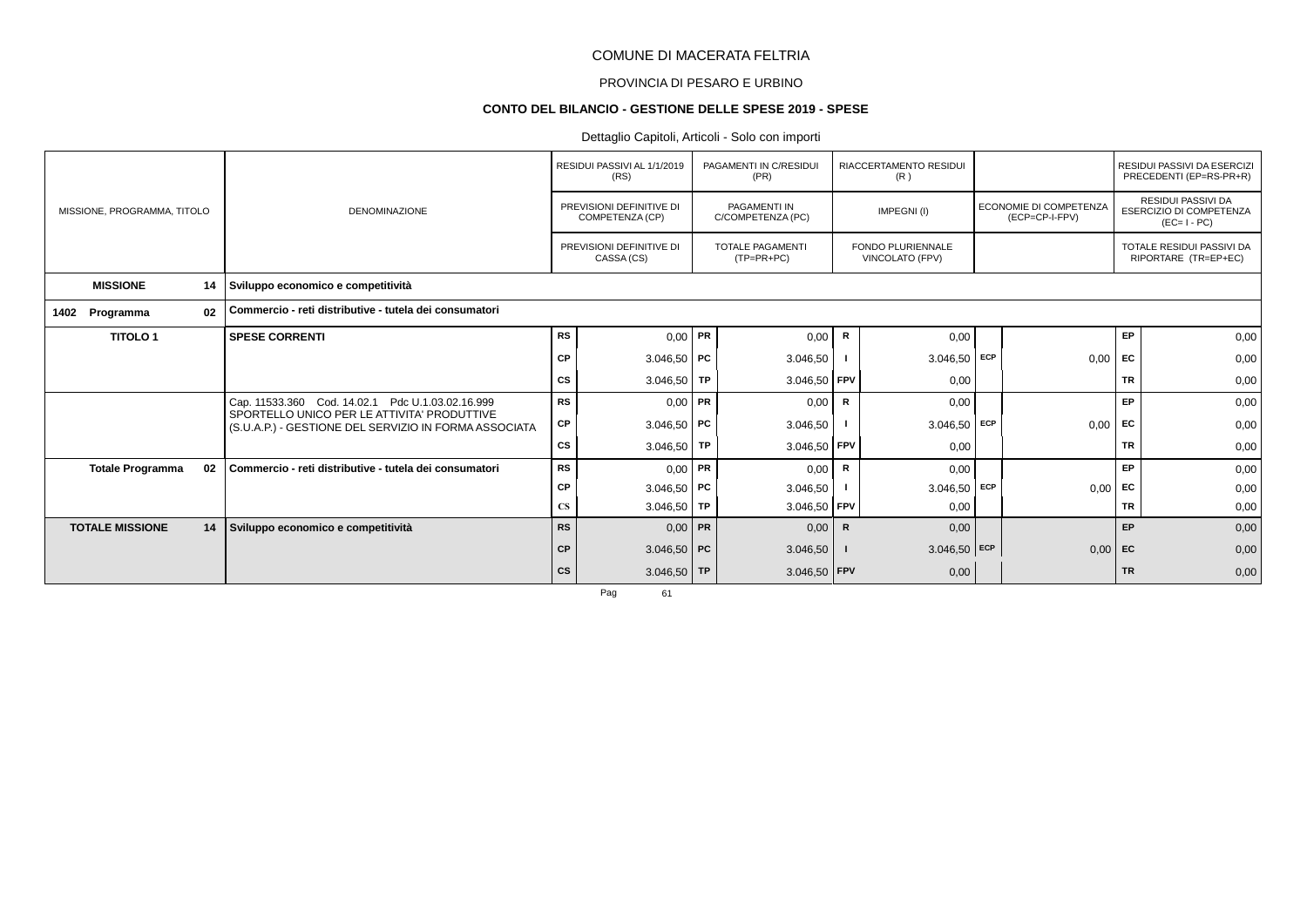# PROVINCIA DI PESARO E URBINO

# **CONTO DEL BILANCIO - GESTIONE DELLE SPESE 2019 - SPESE**

# Dettaglio Capitoli, Articoli - Solo con importi

|                             |    |                                                                                                      |           | RESIDUI PASSIVI AL 1/1/2019<br>(RS)         | PAGAMENTI IN C/RESIDUI<br>(PR)           |              | RIACCERTAMENTO RESIDUI<br>(R)               |            |                                          |           | RESIDUI PASSIVI DA ESERCIZI<br>PRECEDENTI (EP=RS-PR+R)                     |
|-----------------------------|----|------------------------------------------------------------------------------------------------------|-----------|---------------------------------------------|------------------------------------------|--------------|---------------------------------------------|------------|------------------------------------------|-----------|----------------------------------------------------------------------------|
| MISSIONE, PROGRAMMA, TITOLO |    | <b>DENOMINAZIONE</b>                                                                                 |           | PREVISIONI DEFINITIVE DI<br>COMPETENZA (CP) | <b>PAGAMENTI IN</b><br>C/COMPETENZA (PC) |              | IMPEGNI(I)                                  |            | ECONOMIE DI COMPETENZA<br>(ECP=CP-I-FPV) |           | <b>RESIDUI PASSIVI DA</b><br><b>ESERCIZIO DI COMPETENZA</b><br>$(EC=I-PC)$ |
|                             |    |                                                                                                      |           | PREVISIONI DEFINITIVE DI<br>CASSA (CS)      | <b>TOTALE PAGAMENTI</b><br>$(TP=PR+PC)$  |              | <b>FONDO PLURIENNALE</b><br>VINCOLATO (FPV) |            |                                          |           | TOTALE RESIDUI PASSIVI DA<br>RIPORTARE (TR=EP+EC)                          |
| <b>MISSIONE</b>             | 14 | Sviluppo economico e competitività                                                                   |           |                                             |                                          |              |                                             |            |                                          |           |                                                                            |
| Programma<br>1402           | 02 | Commercio - reti distributive - tutela dei consumatori                                               |           |                                             |                                          |              |                                             |            |                                          |           |                                                                            |
| <b>TITOLO1</b>              |    | <b>SPESE CORRENTI</b>                                                                                | <b>RS</b> | $0,00$ PR                                   | 0,00                                     | R            | 0,00                                        |            |                                          | EP        | 0,00                                                                       |
|                             |    |                                                                                                      | <b>CP</b> | $3.046,50$ PC                               | 3.046,50                                 |              | $3.046,50$ ECP                              |            | 0,00                                     | <b>FC</b> | 0,00                                                                       |
|                             |    |                                                                                                      | СS        | $3.046,50$ TP                               | 3.046,50 FPV                             |              | 0,00                                        |            |                                          | <b>TR</b> | 0,00                                                                       |
|                             |    | Cap. 11533.360 Cod. 14.02.1 Pdc U.1.03.02.16.999                                                     | <b>RS</b> | $0,00$ PR                                   | 0,00                                     | R            | 0,00                                        |            |                                          | EP        | 0,00                                                                       |
|                             |    | SPORTELLO UNICO PER LE ATTIVITA' PRODUTTIVE<br>(S.U.A.P.) - GESTIONE DEL SERVIZIO IN FORMA ASSOCIATA | СP        | $3.046,50$ PC                               | 3.046,50                                 |              | 3.046,50                                    | <b>ECP</b> | 0,00                                     | EC        | 0,00                                                                       |
|                             |    |                                                                                                      | CS        | $3.046,50$ TP                               | 3.046,50 FPV                             |              | 0,00                                        |            |                                          | <b>TR</b> | 0,00                                                                       |
| <b>Totale Programma</b>     | 02 | Commercio - reti distributive - tutela dei consumatori                                               | <b>RS</b> | $0,00$ PR                                   | 0,00                                     | R            | 0,00                                        |            |                                          | EP        | 0,00                                                                       |
|                             |    |                                                                                                      | CP        | $3.046,50$ PC                               | 3.046,50                                 |              | 3.046,50                                    | ECP        | 0,00                                     | EC        | 0,00                                                                       |
|                             |    |                                                                                                      | <b>CS</b> | $3.046,50$ TP                               | $3.046,50$ FPV                           |              | 0,00                                        |            |                                          | <b>TR</b> | 0,00                                                                       |
| <b>TOTALE MISSIONE</b>      | 14 | Sviluppo economico e competitività                                                                   | <b>RS</b> | $0,00$ PR                                   | 0,00                                     | $\mathsf{R}$ | 0,00                                        |            |                                          | <b>EP</b> | 0,00                                                                       |
|                             |    |                                                                                                      | <b>CP</b> | $3.046,50$ PC                               | 3.046,50                                 |              | $3.046,50$ ECP                              |            | $0,00$ EC                                |           | 0,00                                                                       |
|                             |    |                                                                                                      | <b>CS</b> | $3.046,50$ TP                               | $3.046,50$ FPV                           |              | 0,00                                        |            |                                          | <b>TR</b> | 0,00                                                                       |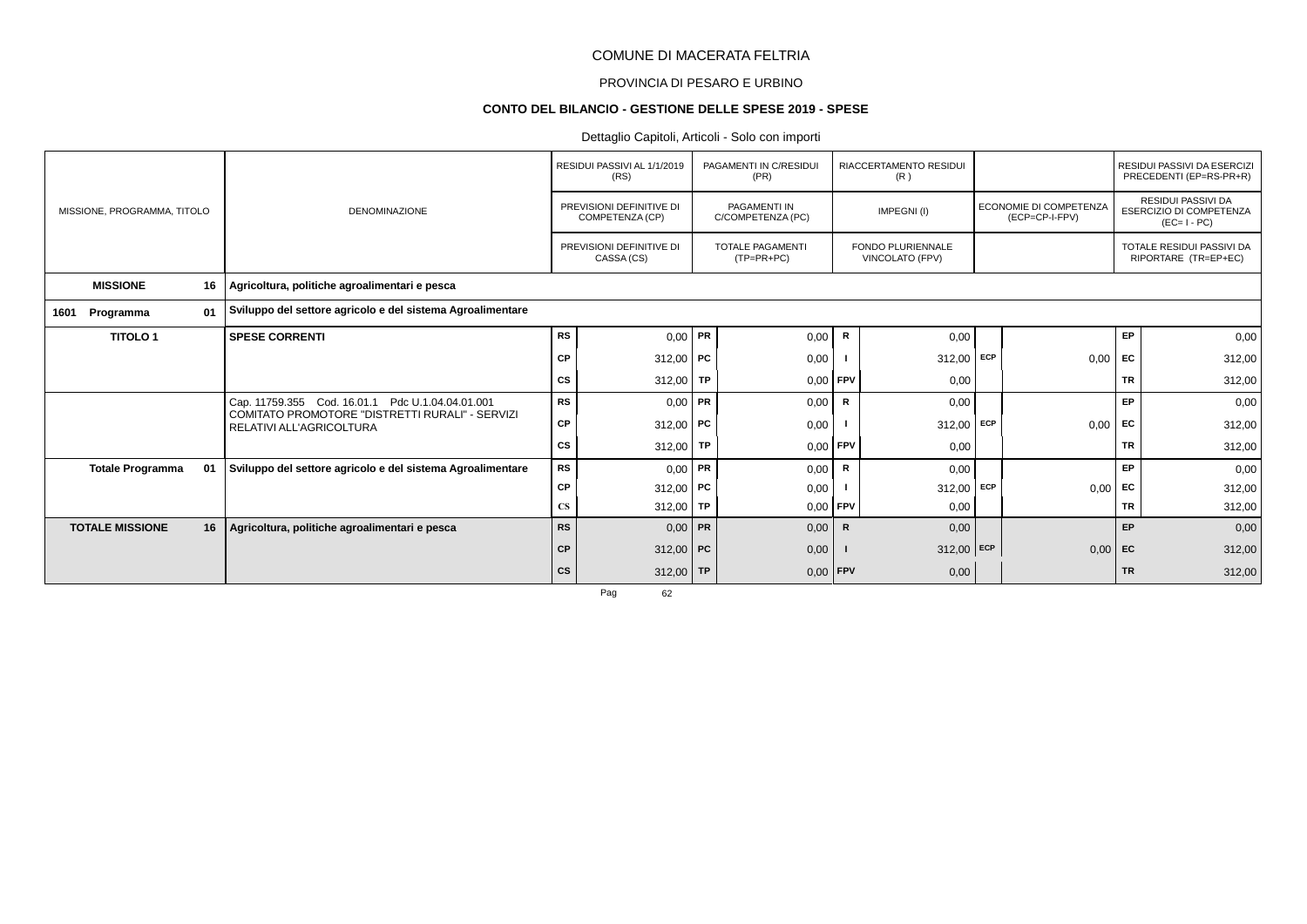# PROVINCIA DI PESARO E URBINO

# **CONTO DEL BILANCIO - GESTIONE DELLE SPESE 2019 - SPESE**

# Dettaglio Capitoli, Articoli - Solo con importi

|                             |    |                                                                             |           | RESIDUI PASSIVI AL 1/1/2019<br>(RS)         | PAGAMENTI IN C/RESIDUI<br>(PR)           |              | RIACCERTAMENTO RESIDUI<br>(R)               |            |                                          |           | RESIDUI PASSIVI DA ESERCIZI<br>PRECEDENTI (EP=RS-PR+R)              |
|-----------------------------|----|-----------------------------------------------------------------------------|-----------|---------------------------------------------|------------------------------------------|--------------|---------------------------------------------|------------|------------------------------------------|-----------|---------------------------------------------------------------------|
| MISSIONE, PROGRAMMA, TITOLO |    | <b>DENOMINAZIONE</b>                                                        |           | PREVISIONI DEFINITIVE DI<br>COMPETENZA (CP) | <b>PAGAMENTI IN</b><br>C/COMPETENZA (PC) |              | IMPEGNI(I)                                  |            | ECONOMIE DI COMPETENZA<br>(ECP=CP-I-FPV) |           | <b>RESIDUI PASSIVI DA</b><br>ESERCIZIO DI COMPETENZA<br>$(EC=I-PC)$ |
|                             |    |                                                                             |           | PREVISIONI DEFINITIVE DI<br>CASSA (CS)      | <b>TOTALE PAGAMENTI</b><br>$(TP=PR+PC)$  |              | <b>FONDO PLURIENNALE</b><br>VINCOLATO (FPV) |            |                                          |           | TOTALE RESIDUI PASSIVI DA<br>RIPORTARE (TR=EP+EC)                   |
| <b>MISSIONE</b>             | 16 | Agricoltura, politiche agroalimentari e pesca                               |           |                                             |                                          |              |                                             |            |                                          |           |                                                                     |
| Programma<br>1601           | 01 | Sviluppo del settore agricolo e del sistema Agroalimentare                  |           |                                             |                                          |              |                                             |            |                                          |           |                                                                     |
| <b>TITOLO1</b>              |    | <b>SPESE CORRENTI</b>                                                       | <b>RS</b> | $0,00$ PR                                   | 0,00                                     | R            | 0,00                                        |            |                                          | EP        | 0,00                                                                |
|                             |    |                                                                             | <b>CP</b> | $312,00$ PC                                 | 0,00                                     |              | $312,00$ ECP                                |            | 0,00                                     | <b>FC</b> | 312,00                                                              |
|                             |    |                                                                             | СS        | 312,00   TP                                 | $0,00$ FPV                               |              | 0,00                                        |            |                                          | <b>TR</b> | 312,00                                                              |
|                             |    | Cap. 11759.355 Cod. 16.01.1 Pdc U.1.04.04.01.001                            | <b>RS</b> | $0,00$ PR                                   | 0,00                                     | R            | 0,00                                        |            |                                          | EP        | 0,00                                                                |
|                             |    | COMITATO PROMOTORE "DISTRETTI RURALI" - SERVIZI<br>RELATIVI ALL'AGRICOLTURA | CP        | 312,00   PC                                 | 0,00                                     |              | 312,00                                      | <b>ECP</b> | 0,00                                     | EC        | 312,00                                                              |
|                             |    |                                                                             | CS        | $312,00$ TP                                 | $0.00$ FPV                               |              | 0,00                                        |            |                                          | <b>TR</b> | 312,00                                                              |
| <b>Totale Programma</b>     | 01 | Sviluppo del settore agricolo e del sistema Agroalimentare                  | <b>RS</b> | $0,00$ PR                                   | 0,00                                     | R            | 0,00                                        |            |                                          | EP        | 0,00                                                                |
|                             |    |                                                                             | CP        | 312,00   PC                                 | 0,00                                     |              | 312,00                                      | ECP        | 0,00                                     | EC        | 312,00                                                              |
|                             |    |                                                                             | <b>CS</b> | 312,00 TP                                   | $0,00$ FPV                               |              | 0,00                                        |            |                                          | <b>TR</b> | 312,00                                                              |
| <b>TOTALE MISSIONE</b>      | 16 | Agricoltura, politiche agroalimentari e pesca                               | <b>RS</b> | $0,00$ PR                                   | 0,00                                     | $\mathsf{R}$ | 0,00                                        |            |                                          | <b>EP</b> | 0,00                                                                |
|                             |    |                                                                             | <b>CP</b> | $312,00$ PC                                 | 0,00                                     |              | $312,00$ ECP                                |            | $0,00$ EC                                |           | 312,00                                                              |
|                             |    |                                                                             | <b>CS</b> | 312,00 TP                                   | $0,00$ FPV                               |              | 0,00                                        |            |                                          | <b>TR</b> | 312,00                                                              |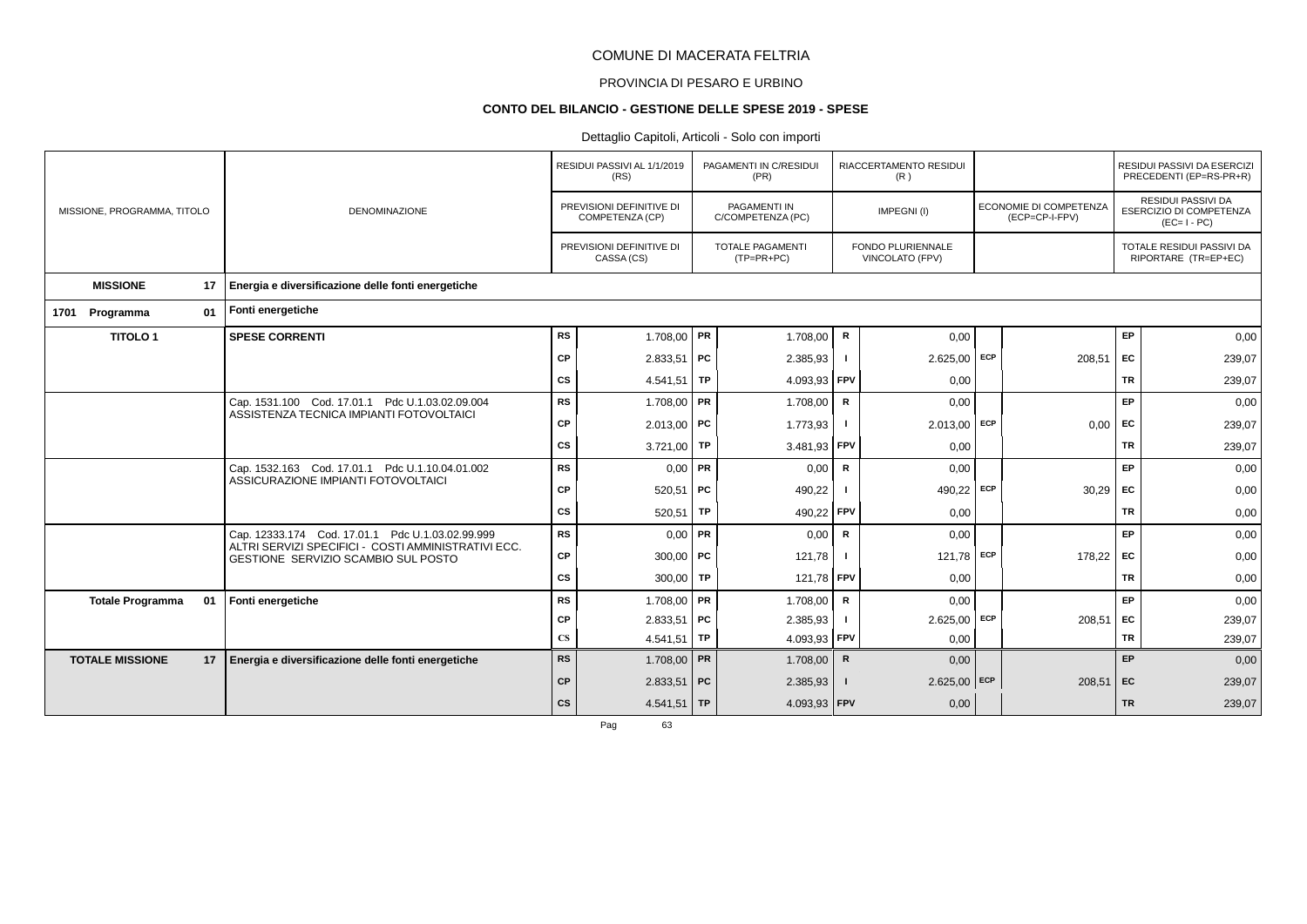# PROVINCIA DI PESARO E URBINO

### **CONTO DEL BILANCIO - GESTIONE DELLE SPESE 2019 - SPESE**

# Dettaglio Capitoli, Articoli - Solo con importi

|                             |    |                                                                                            |                        | RESIDUI PASSIVI AL 1/1/2019<br>(RS)         |    | PAGAMENTI IN C/RESIDUI<br>(PR)          |              | RIACCERTAMENTO RESIDUI<br>(R)               |     |                                          |           | RESIDUI PASSIVI DA ESERCIZI<br>PRECEDENTI (EP=RS-PR+R)              |
|-----------------------------|----|--------------------------------------------------------------------------------------------|------------------------|---------------------------------------------|----|-----------------------------------------|--------------|---------------------------------------------|-----|------------------------------------------|-----------|---------------------------------------------------------------------|
| MISSIONE, PROGRAMMA, TITOLO |    | <b>DENOMINAZIONE</b>                                                                       |                        | PREVISIONI DEFINITIVE DI<br>COMPETENZA (CP) |    | PAGAMENTI IN<br>C/COMPETENZA (PC)       |              | IMPEGNI(I)                                  |     | ECONOMIE DI COMPETENZA<br>(ECP=CP-I-FPV) |           | RESIDUI PASSIVI DA<br><b>ESERCIZIO DI COMPETENZA</b><br>$(EC=I-PC)$ |
|                             |    |                                                                                            |                        | PREVISIONI DEFINITIVE DI<br>CASSA (CS)      |    | <b>TOTALE PAGAMENTI</b><br>$(TP=PR+PC)$ |              | <b>FONDO PLURIENNALE</b><br>VINCOLATO (FPV) |     |                                          |           | TOTALE RESIDUI PASSIVI DA<br>RIPORTARE (TR=EP+EC)                   |
| <b>MISSIONE</b>             | 17 | Energia e diversificazione delle fonti energetiche                                         |                        |                                             |    |                                         |              |                                             |     |                                          |           |                                                                     |
| Programma<br>1701           | 01 | Fonti energetiche                                                                          |                        |                                             |    |                                         |              |                                             |     |                                          |           |                                                                     |
| <b>TITOLO1</b>              |    | <b>SPESE CORRENTI</b>                                                                      | <b>RS</b>              | 1.708,00 PR                                 |    | 1.708,00                                | $\mathbf R$  | 0,00                                        |     |                                          | EP        | 0,00                                                                |
|                             |    |                                                                                            | CP                     | $2.833,51$ PC                               |    | 2.385,93                                |              | 2.625,00                                    | ECP | 208,51                                   | EC        | 239,07                                                              |
|                             |    |                                                                                            | <b>CS</b>              | 4.541,51                                    | TP | 4.093,93                                | <b>FPV</b>   | 0,00                                        |     |                                          | TR        | 239,07                                                              |
|                             |    | Cap. 1531.100 Cod. 17.01.1 Pdc U.1.03.02.09.004                                            | <b>RS</b>              | $1.708,00$ PR                               |    | 1.708,00                                | $\mathsf{R}$ | 0,00                                        |     |                                          | <b>EP</b> | 0,00                                                                |
|                             |    | ASSISTENZA TECNICA IMPIANTI FOTOVOLTAICI                                                   | CP                     | $2.013,00$ PC                               |    | 1.773,93                                |              | 2.013,00                                    | ECP | 0,00                                     | EC        | 239,07                                                              |
|                             |    |                                                                                            | <b>CS</b>              | 3.721,00 TP                                 |    | 3.481,93 FPV                            |              | 0,00                                        |     |                                          | <b>TR</b> | 239,07                                                              |
|                             |    | Cap. 1532.163 Cod. 17.01.1 Pdc U.1.10.04.01.002                                            | <b>RS</b>              | $0.00$ PR                                   |    | 0,00                                    | R            | 0,00                                        |     |                                          | <b>EP</b> | 0,00                                                                |
|                             |    | ASSICURAZIONE IMPIANTI FOTOVOLTAICI                                                        | CP                     | $520,51$ PC                                 |    | 490,22                                  |              | 490,22                                      | ECP | 30,29                                    | EC        | 0,00                                                                |
|                             |    |                                                                                            | CS                     | 520,51                                      | TP | 490,22                                  | <b>FPV</b>   | 0,00                                        |     |                                          | <b>TR</b> | 0,00                                                                |
|                             |    | Cap. 12333.174 Cod. 17.01.1 Pdc U.1.03.02.99.999                                           | <b>RS</b>              | $0,00$ PR                                   |    | 0,00                                    | $\mathbf R$  | 0,00                                        |     |                                          | <b>EP</b> | 0,00                                                                |
|                             |    | ALTRI SERVIZI SPECIFICI - COSTI AMMINISTRATIVI ECC.<br>GESTIONE SERVIZIO SCAMBIO SUL POSTO | CP                     | 300,00   $PC$                               |    | 121,78                                  |              | 121,78                                      | ECP | 178,22                                   | EC        | 0,00                                                                |
|                             |    |                                                                                            | <b>CS</b>              | 300,00   TP                                 |    | 121,78 FPV                              |              | 0,00                                        |     |                                          | <b>TR</b> | 0,00                                                                |
| <b>Totale Programma</b>     | 01 | Fonti energetiche                                                                          | <b>RS</b>              | $1.708,00$ PR                               |    | 1.708,00                                | $\mathbf R$  | 0,00                                        |     |                                          | EP        | 0,00                                                                |
|                             |    |                                                                                            | CP                     | 2.833,51                                    | PC | 2.385,93                                |              | 2.625,00                                    | ECP | 208,51                                   | EC        | 239,07                                                              |
|                             |    |                                                                                            | $\mathbf{C}\mathbf{S}$ | 4.541,51   TP                               |    | 4.093,93                                | FPV          | 0,00                                        |     |                                          | <b>TR</b> | 239,07                                                              |
| <b>TOTALE MISSIONE</b>      | 17 | Energia e diversificazione delle fonti energetiche                                         | <b>RS</b>              | $1.708,00$ PR                               |    | 1.708,00                                | $\mathbf R$  | 0,00                                        |     |                                          | EP        | 0,00                                                                |
|                             |    |                                                                                            | <b>CP</b>              | $2.833,51$ PC                               |    | 2.385,93                                |              | $2.625,00$ ECP                              |     | $208,51$ EC                              |           | 239,07                                                              |
|                             |    |                                                                                            | <b>CS</b>              | $4.541,51$ TP                               |    | 4.093,93 FPV                            |              | 0,00                                        |     |                                          | <b>TR</b> | 239,07                                                              |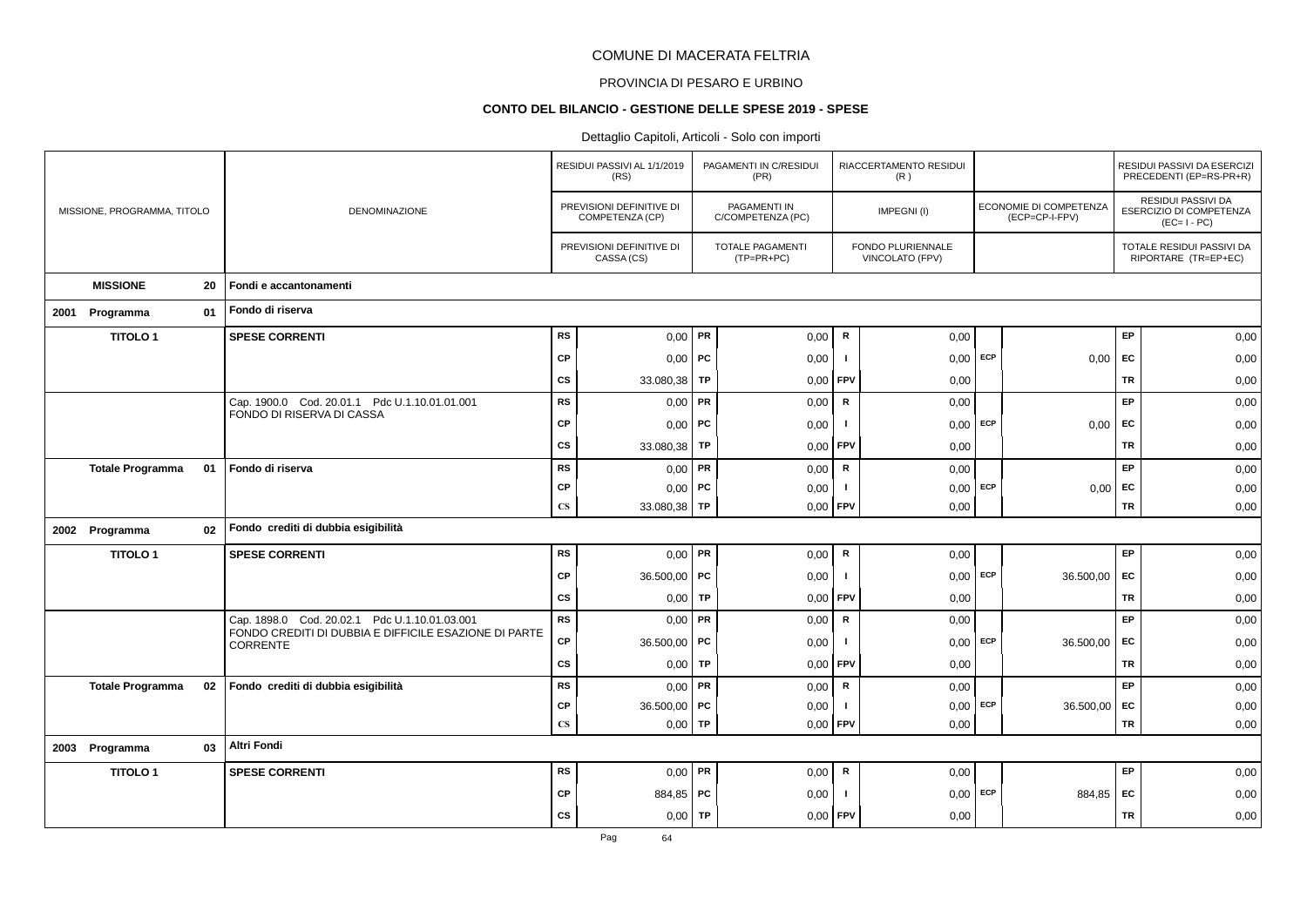#### PROVINCIA DI PESARO E URBINO

#### **CONTO DEL BILANCIO - GESTIONE DELLE SPESE 2019 - SPESE**

|                             |    |                                                                                                        |                        | RESIDUI PASSIVI AL 1/1/2019<br>(RS)         |           | PAGAMENTI IN C/RESIDUI<br>(PR)          |                | RIACCERTAMENTO RESIDUI<br>(R)        |     |                                          |                 | RESIDUI PASSIVI DA ESERCIZI<br>PRECEDENTI (EP=RS-PR+R)              |
|-----------------------------|----|--------------------------------------------------------------------------------------------------------|------------------------|---------------------------------------------|-----------|-----------------------------------------|----------------|--------------------------------------|-----|------------------------------------------|-----------------|---------------------------------------------------------------------|
| MISSIONE, PROGRAMMA, TITOLO |    | <b>DENOMINAZIONE</b>                                                                                   |                        | PREVISIONI DEFINITIVE DI<br>COMPETENZA (CP) |           | PAGAMENTI IN<br>C/COMPETENZA (PC)       |                | IMPEGNI(I)                           |     | ECONOMIE DI COMPETENZA<br>(ECP=CP-I-FPV) |                 | RESIDUI PASSIVI DA<br><b>ESERCIZIO DI COMPETENZA</b><br>$(EC=I-PC)$ |
|                             |    |                                                                                                        |                        | PREVISIONI DEFINITIVE DI<br>CASSA (CS)      |           | <b>TOTALE PAGAMENTI</b><br>$(TP=PR+PC)$ |                | FONDO PLURIENNALE<br>VINCOLATO (FPV) |     |                                          |                 | TOTALE RESIDUI PASSIVI DA<br>RIPORTARE (TR=EP+EC)                   |
| <b>MISSIONE</b>             | 20 | Fondi e accantonamenti                                                                                 |                        |                                             |           |                                         |                |                                      |     |                                          |                 |                                                                     |
| 2001 Programma              | 01 | Fondo di riserva                                                                                       |                        |                                             |           |                                         |                |                                      |     |                                          |                 |                                                                     |
| <b>TITOLO1</b>              |    | <b>SPESE CORRENTI</b>                                                                                  | RS                     | $0,00$ PR                                   |           | 0,00                                    | ${\mathbf R}$  | 0,00                                 |     |                                          | EP              | 0,00                                                                |
|                             |    |                                                                                                        | <b>CP</b>              | $0,00$   PC                                 |           | 0,00                                    | $\blacksquare$ | $0,00$ ECP                           |     | 0,00                                     | EC              | 0,00                                                                |
|                             |    |                                                                                                        | <b>CS</b>              | 33.080,38                                   | TP        | 0,00                                    | FPV            | 0,00                                 |     |                                          | <b>TR</b>       | 0,00                                                                |
|                             |    | Cap. 1900.0 Cod. 20.01.1 Pdc U.1.10.01.01.001<br>FONDO DI RISERVA DI CASSA                             | <b>RS</b>              | $0,00$ PR                                   |           | 0,00                                    | ${\mathbf R}$  | 0,00                                 |     |                                          | EP              | 0,00                                                                |
|                             |    |                                                                                                        | <b>CP</b>              | 0,00                                        | <b>PC</b> | 0,00                                    | -1             | $0,00$ ECP                           |     | 0,00                                     | EC              | 0,00                                                                |
|                             |    |                                                                                                        | <b>CS</b>              | 33.080,38                                   | TP        | 0,00                                    | FPV            | 0,00                                 |     |                                          | TR              | 0,00                                                                |
| <b>Totale Programma</b>     | 01 | Fondo di riserva                                                                                       | <b>RS</b>              | $0,00$ PR                                   |           | 0,00                                    | $\mathsf R$    | 0,00                                 |     |                                          | EP              | 0,00                                                                |
|                             |    |                                                                                                        | <b>CP</b>              | 0,00                                        | <b>PC</b> | 0,00                                    | $\blacksquare$ | $0,00$ ECP                           |     | 0,00                                     | EC              | 0,00                                                                |
|                             |    |                                                                                                        | $\mathbf{C}\mathbf{S}$ | 33.080,38   TP                              |           | 0,00                                    | FPV            | 0,00                                 |     |                                          | <b>TR</b>       | 0,00                                                                |
| 2002 Programma              | 02 | Fondo crediti di dubbia esigibilità                                                                    |                        |                                             |           |                                         |                |                                      |     |                                          |                 |                                                                     |
| <b>TITOLO1</b>              |    | <b>SPESE CORRENTI</b>                                                                                  | <b>RS</b>              | $0,00$ PR                                   |           | 0,00                                    | ${\mathbf R}$  | 0,00                                 |     |                                          | EP              | 0,00                                                                |
|                             |    |                                                                                                        | <b>CP</b>              | 36.500,00   PC                              |           | 0,00                                    | -1             | $0,00$ ECP                           |     | 36.500,00                                | EC              | 0,00                                                                |
|                             |    |                                                                                                        | <b>CS</b>              | 0,00                                        | TP        | 0,00                                    | FPV            | 0,00                                 |     |                                          | <b>TR</b>       | 0,00                                                                |
|                             |    | Cap. 1898.0 Cod. 20.02.1 Pdc U.1.10.01.03.001<br>FONDO CREDITI DI DUBBIA E DIFFICILE ESAZIONE DI PARTE | <b>RS</b>              | $0,00$ PR                                   |           | 0,00                                    | ${\sf R}$      | 0,00                                 |     |                                          | EP              | 0,00                                                                |
|                             |    | <b>CORRENTE</b>                                                                                        | CP                     | 36.500,00 PC                                |           | 0,00                                    | $\blacksquare$ | $0,00$ ECP                           |     | 36.500,00                                | EC              | 0,00                                                                |
|                             |    |                                                                                                        | <b>CS</b>              | 0,00                                        | TP        | 0,00                                    | FPV            | 0,00                                 |     |                                          | TR              | 0,00                                                                |
| <b>Totale Programma</b>     | 02 | Fondo crediti di dubbia esigibilità                                                                    | <b>RS</b>              | $0,00$ PR                                   |           | 0,00                                    | ${\mathbf R}$  | 0,00                                 |     |                                          | <b>EP</b>       | 0,00                                                                |
|                             |    |                                                                                                        | <b>CP</b>              | 36.500,00 PC                                |           | 0,00                                    | - 1<br>FPV     | 0,00                                 | ECP | 36.500,00                                | EC<br><b>TR</b> | 0,00                                                                |
|                             |    | <b>Altri Fondi</b>                                                                                     | $\mathbf{C}\mathbf{S}$ | $0,00$ TP                                   |           | 0,00                                    |                | 0,00                                 |     |                                          |                 | 0,00                                                                |
| 2003 Programma              | 03 |                                                                                                        |                        |                                             |           |                                         |                |                                      |     |                                          |                 |                                                                     |
| <b>TITOLO1</b>              |    | <b>SPESE CORRENTI</b>                                                                                  | <b>RS</b>              | $0,00$ PR                                   |           | 0,00                                    | $\mathsf R$    | 0,00                                 |     |                                          | EP              | 0,00                                                                |
|                             |    |                                                                                                        | <b>CP</b>              | 884,85   PC                                 |           | 0,00                                    | -1             | $0,00$ ECP                           |     | 884,85                                   | EC              | 0,00                                                                |
|                             |    |                                                                                                        | <b>CS</b>              | 0,00                                        | TP        | 0,00                                    | FPV            | 0,00                                 |     |                                          | TR              | 0,00                                                                |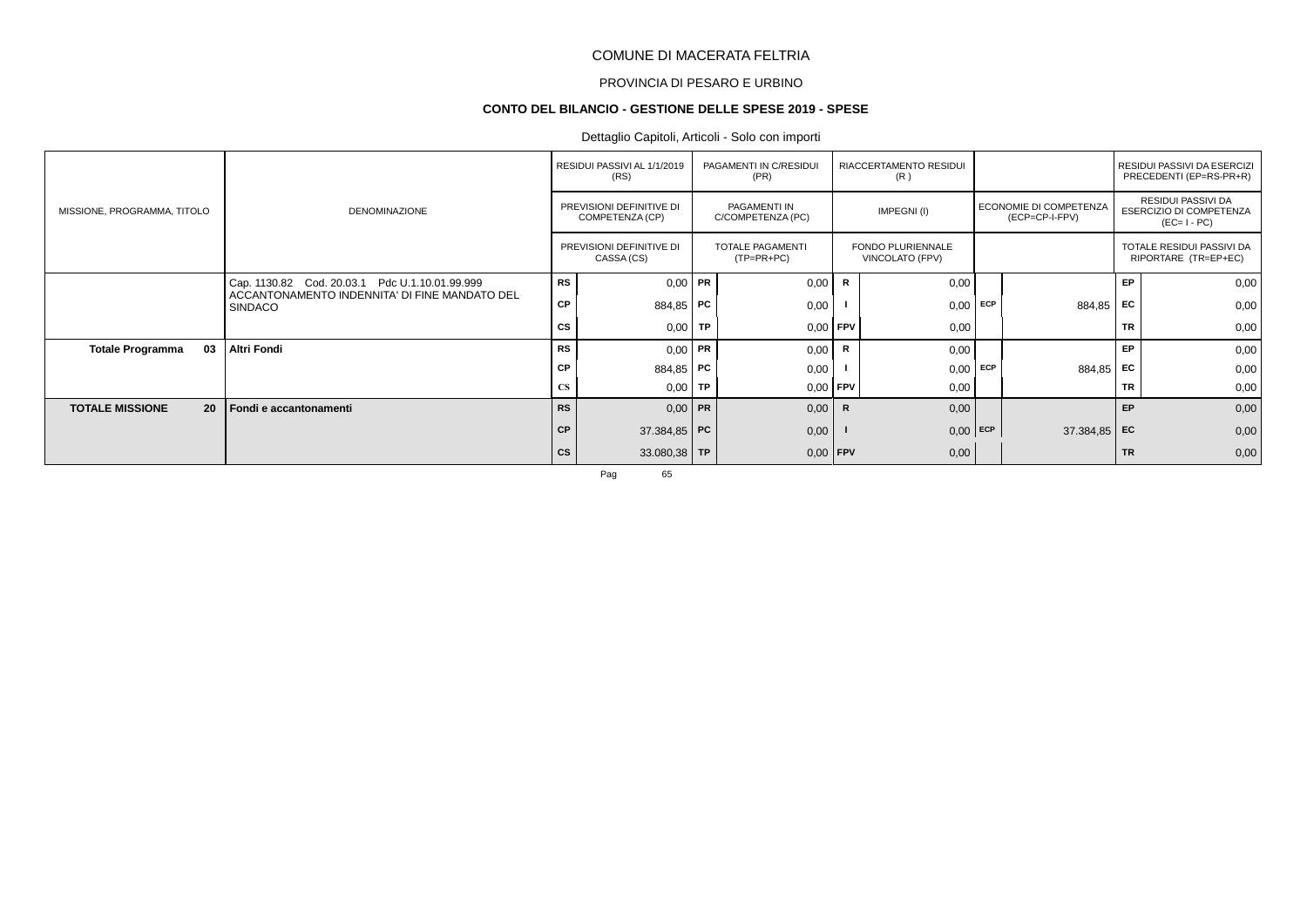# PROVINCIA DI PESARO E URBINO

#### **CONTO DEL BILANCIO - GESTIONE DELLE SPESE 2019 - SPESE**

# Dettaglio Capitoli, Articoli - Solo con importi

|                               |                                                                 |           | RESIDUI PASSIVI AL 1/1/2019<br>(RS)         |      | PAGAMENTI IN C/RESIDUI<br>(PR)    |              | RIACCERTAMENTO RESIDUI<br>(R)        |     |                                                 |           | RESIDUI PASSIVI DA ESERCIZI<br>PRECEDENTI (EP=RS-PR+R)       |
|-------------------------------|-----------------------------------------------------------------|-----------|---------------------------------------------|------|-----------------------------------|--------------|--------------------------------------|-----|-------------------------------------------------|-----------|--------------------------------------------------------------|
| MISSIONE, PROGRAMMA, TITOLO   | <b>DENOMINAZIONE</b>                                            |           | PREVISIONI DEFINITIVE DI<br>COMPETENZA (CP) |      | PAGAMENTI IN<br>C/COMPETENZA (PC) |              | IMPEGNI(I)                           |     | <b>ECONOMIE DI COMPETENZA</b><br>(ECP=CP-I-FPV) |           | RESIDUI PASSIVI DA<br>ESERCIZIO DI COMPETENZA<br>$(EC=I-PC)$ |
|                               |                                                                 |           | PREVISIONI DEFINITIVE DI<br>CASSA (CS)      |      | TOTALE PAGAMENTI<br>$(TP=PR+PC)$  |              | FONDO PLURIENNALE<br>VINCOLATO (FPV) |     |                                                 |           | TOTALE RESIDUI PASSIVI DA<br>RIPORTARE (TR=EP+EC)            |
|                               | Cap. 1130.82 Cod. 20.03.1 Pdc U.1.10.01.99.999                  | RS        | $0,00$ PR                                   |      | 0,00                              | $\mathsf{R}$ | 0,00                                 |     |                                                 | EP        | 0,00                                                         |
|                               | ACCANTONAMENTO INDENNITA' DI FINE MANDATO DEL<br><b>SINDACO</b> | <b>CP</b> | 884,85 PC                                   |      | 0,00                              |              | 0,00                                 | ECP | 884,85                                          | <b>FC</b> | 0,00                                                         |
|                               |                                                                 | CS        | 0,00                                        | TP   | 0,00                              | FPV          | 0,00                                 |     |                                                 | <b>TR</b> | 0,00                                                         |
| 03<br><b>Totale Programma</b> | <b>Altri Fondi</b>                                              | RS        | $0,00$ PR                                   |      | 0,00                              | R            | 0,00                                 |     |                                                 | EP        | 0,00                                                         |
|                               |                                                                 | <b>CP</b> | 884,85 PC                                   |      | 0,00                              |              | 0,00                                 | ECP | 884,85 EC                                       |           | 0,00                                                         |
|                               |                                                                 | <b>CS</b> | 0,00                                        | l TP | $0,00$ FPV                        |              | 0,00                                 |     |                                                 | <b>TR</b> | 0,00                                                         |
| <b>TOTALE MISSIONE</b><br>20  | Fondi e accantonamenti                                          | <b>RS</b> | $0.00$ PR                                   |      | 0,00                              | $\mathsf{R}$ | 0,00                                 |     |                                                 | EP        | 0,00                                                         |
|                               |                                                                 | <b>CP</b> | 37.384,85 PC                                |      | 0,00                              |              | $0,00$ ECP                           |     | 37.384,85 EC                                    |           | 0,00                                                         |
|                               |                                                                 | <b>CS</b> | $33.080,38$ TP                              |      | 0,00                              | FPV          | 0,00                                 |     |                                                 | <b>TR</b> | 0,00                                                         |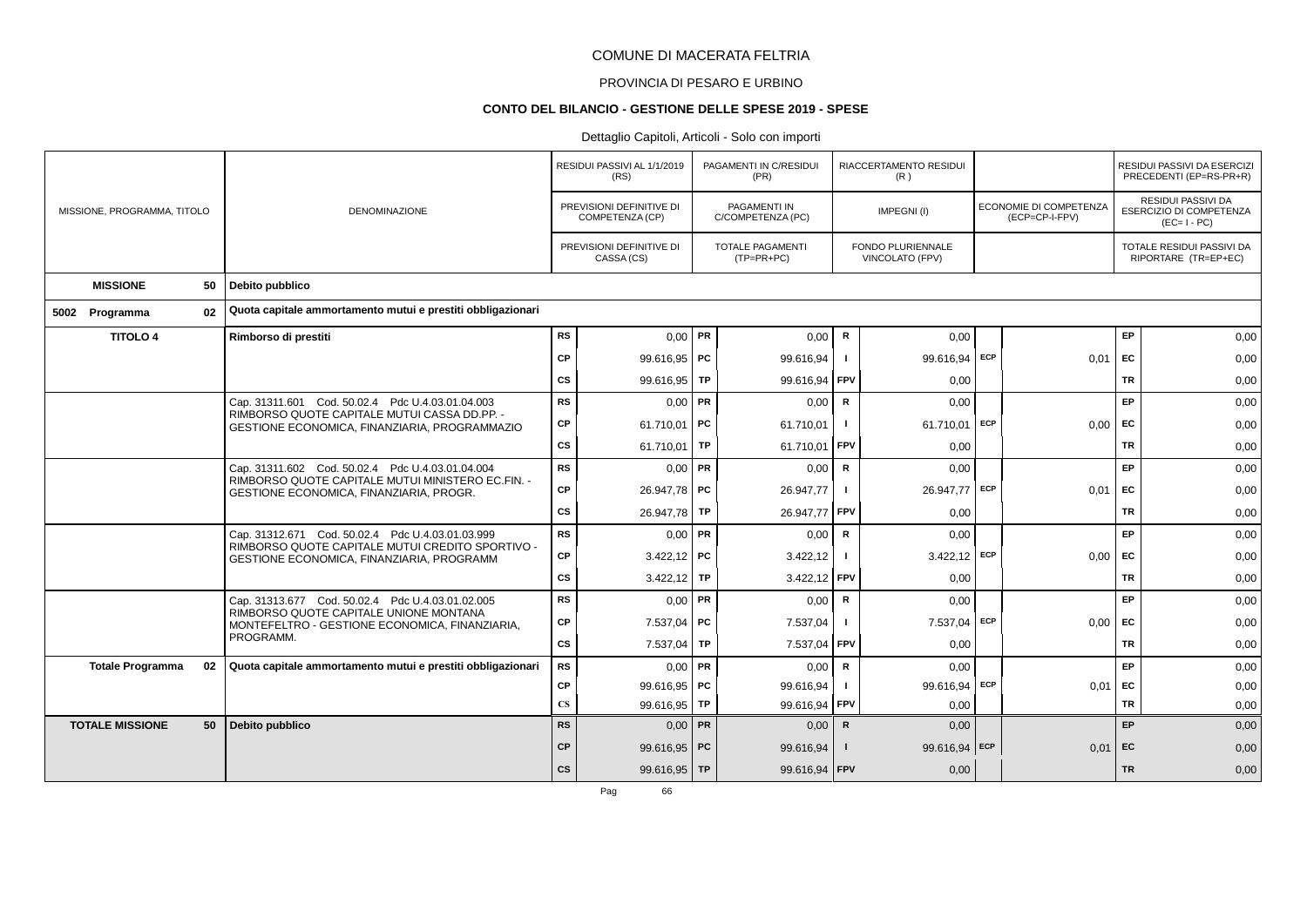# PROVINCIA DI PESARO E URBINO

#### **CONTO DEL BILANCIO - GESTIONE DELLE SPESE 2019 - SPESE**

# Dettaglio Capitoli, Articoli - Solo con importi

|                             |    |                                                                                               |                        | RESIDUI PASSIVI AL 1/1/2019<br>(RS)         |    | PAGAMENTI IN C/RESIDUI<br>(PR)        |              | RIACCERTAMENTO RESIDUI<br>(R)               |     |                                          |           | RESIDUI PASSIVI DA ESERCIZI<br>PRECEDENTI (EP=RS-PR+R)       |
|-----------------------------|----|-----------------------------------------------------------------------------------------------|------------------------|---------------------------------------------|----|---------------------------------------|--------------|---------------------------------------------|-----|------------------------------------------|-----------|--------------------------------------------------------------|
| MISSIONE, PROGRAMMA, TITOLO |    | <b>DENOMINAZIONE</b>                                                                          |                        | PREVISIONI DEFINITIVE DI<br>COMPETENZA (CP) |    | PAGAMENTI IN<br>C/COMPETENZA (PC)     |              | IMPEGNI(I)                                  |     | ECONOMIE DI COMPETENZA<br>(ECP=CP-I-FPV) |           | RESIDUI PASSIVI DA<br>ESERCIZIO DI COMPETENZA<br>$(EC=I-PC)$ |
|                             |    |                                                                                               |                        | PREVISIONI DEFINITIVE DI<br>CASSA (CS)      |    | <b>TOTALE PAGAMENTI</b><br>(TP=PR+PC) |              | <b>FONDO PLURIENNALE</b><br>VINCOLATO (FPV) |     |                                          |           | TOTALE RESIDUI PASSIVI DA<br>RIPORTARE (TR=EP+EC)            |
| <b>MISSIONE</b>             | 50 | Debito pubblico                                                                               |                        |                                             |    |                                       |              |                                             |     |                                          |           |                                                              |
| 5002 Programma              | 02 | Quota capitale ammortamento mutui e prestiti obbligazionari                                   |                        |                                             |    |                                       |              |                                             |     |                                          |           |                                                              |
| <b>TITOLO 4</b>             |    | Rimborso di prestiti                                                                          | <b>RS</b>              | $0.00$ PR                                   |    | 0,00                                  | ${\sf R}$    | 0,00                                        |     |                                          | EP        | 0,00                                                         |
|                             |    |                                                                                               | <b>CP</b>              | 99.616,95   PC                              |    | 99.616,94                             | $\mathbf{I}$ | 99.616,94 ECP                               |     | 0,01                                     | EC        | 0,00                                                         |
|                             |    |                                                                                               | CS                     | $99.616,95$ TP                              |    | 99.616,94                             | FPV          | 0,00                                        |     |                                          | <b>TR</b> | 0,00                                                         |
|                             |    | Cap. 31311.601 Cod. 50.02.4 Pdc U.4.03.01.04.003                                              | <b>RS</b>              | 0.00                                        | PR | 0,00                                  | R            | 0.00                                        |     |                                          | EP        | 0,00                                                         |
|                             |    | RIMBORSO QUOTE CAPITALE MUTUI CASSA DD.PP. -<br>GESTIONE ECONOMICA, FINANZIARIA, PROGRAMMAZIO | <b>CP</b>              | 61.710,01   PC                              |    | 61.710,01                             | $\mathbf{I}$ | 61.710,01 ECP                               |     | 0,00                                     | EC        | 0,00                                                         |
|                             |    |                                                                                               | cs                     | 61.710,01   TP                              |    | 61.710,01                             | FPV          | 0,00                                        |     |                                          | <b>TR</b> | 0,00                                                         |
|                             |    | Cap. 31311.602 Cod. 50.02.4 Pdc U.4.03.01.04.004                                              | <b>RS</b>              | $0,00$ PR                                   |    | 0,00                                  | $\mathsf{R}$ | 0,00                                        |     |                                          | EP        | 0,00                                                         |
|                             |    | RIMBORSO QUOTE CAPITALE MUTUI MINISTERO EC.FIN. -<br>GESTIONE ECONOMICA, FINANZIARIA, PROGR.  | CP                     | 26.947,78 PC                                |    | 26.947,77                             | -1           | 26.947,77 ECP                               |     | 0,01                                     | EC        | 0,00                                                         |
|                             |    |                                                                                               | CS                     | 26.947,78 TP                                |    | 26.947,77                             | <b>FPV</b>   | 0,00                                        |     |                                          | <b>TR</b> | 0,00                                                         |
|                             |    | Cap. 31312.671 Cod. 50.02.4 Pdc U.4.03.01.03.999                                              | <b>RS</b>              | $0,00$ PR                                   |    | 0,00                                  | $\mathbf R$  | 0,00                                        |     |                                          | EP        | 0,00                                                         |
|                             |    | RIMBORSO QUOTE CAPITALE MUTUI CREDITO SPORTIVO -<br>GESTIONE ECONOMICA, FINANZIARIA, PROGRAMM | CP                     | $3.422,12$ PC                               |    | 3.422,12                              |              | $3.422,12$ ECP                              |     | 0,00                                     | EC        | 0,00                                                         |
|                             |    |                                                                                               | CS                     | $3.422,12$ TP                               |    | 3.422,12 FPV                          |              | 0,00                                        |     |                                          | <b>TR</b> | 0,00                                                         |
|                             |    | Cap. 31313.677 Cod. 50.02.4 Pdc U.4.03.01.02.005                                              | <b>RS</b>              | $0,00$ PR                                   |    | 0,00                                  | $\mathsf R$  | 0,00                                        |     |                                          | EP        | 0,00                                                         |
|                             |    | RIMBORSO QUOTE CAPITALE UNIONE MONTANA<br>MONTEFELTRO - GESTIONE ECONOMICA, FINANZIARIA,      | CP                     | 7.537,04                                    | PC | 7.537,04                              |              | 7.537,04                                    | ECP | 0.00                                     | EC        | 0,00                                                         |
|                             |    | PROGRAMM.                                                                                     | <b>CS</b>              | 7.537,04 TP                                 |    | 7.537,04                              | FPV          | 0,00                                        |     |                                          | TR        | 0,00                                                         |
| <b>Totale Programma</b>     | 02 | Quota capitale ammortamento mutui e prestiti obbligazionari                                   | <b>RS</b>              | $0,00$ PR                                   |    | 0,00                                  | $\mathsf{R}$ | 0,00                                        |     |                                          | EP        | 0,00                                                         |
|                             |    |                                                                                               | CP                     | 99.616,95   PC                              |    | 99.616,94                             | $\mathbf{I}$ | 99.616,94 ECP                               |     | 0,01                                     | EC        | 0,00                                                         |
|                             |    |                                                                                               | $\mathbf{C}\mathbf{S}$ | $99.616,95$ TP                              |    | 99.616,94                             | FPV          | 0.00                                        |     |                                          | <b>TR</b> | 0,00                                                         |
| <b>TOTALE MISSIONE</b>      | 50 | Debito pubblico                                                                               | <b>RS</b>              | $0,00$ PR                                   |    | 0,00                                  | $\mathsf{R}$ | 0,00                                        |     |                                          | EP        | 0,00                                                         |
|                             |    |                                                                                               | <b>CP</b>              | 99.616,95 PC                                |    | 99.616,94                             |              | 99.616,94 ECP                               |     | 0.01                                     | EC        | 0,00                                                         |
|                             |    |                                                                                               | <b>CS</b>              | 99.616,95 TP                                |    | 99.616,94 FPV                         |              | 0,00                                        |     |                                          | <b>TR</b> | 0,00                                                         |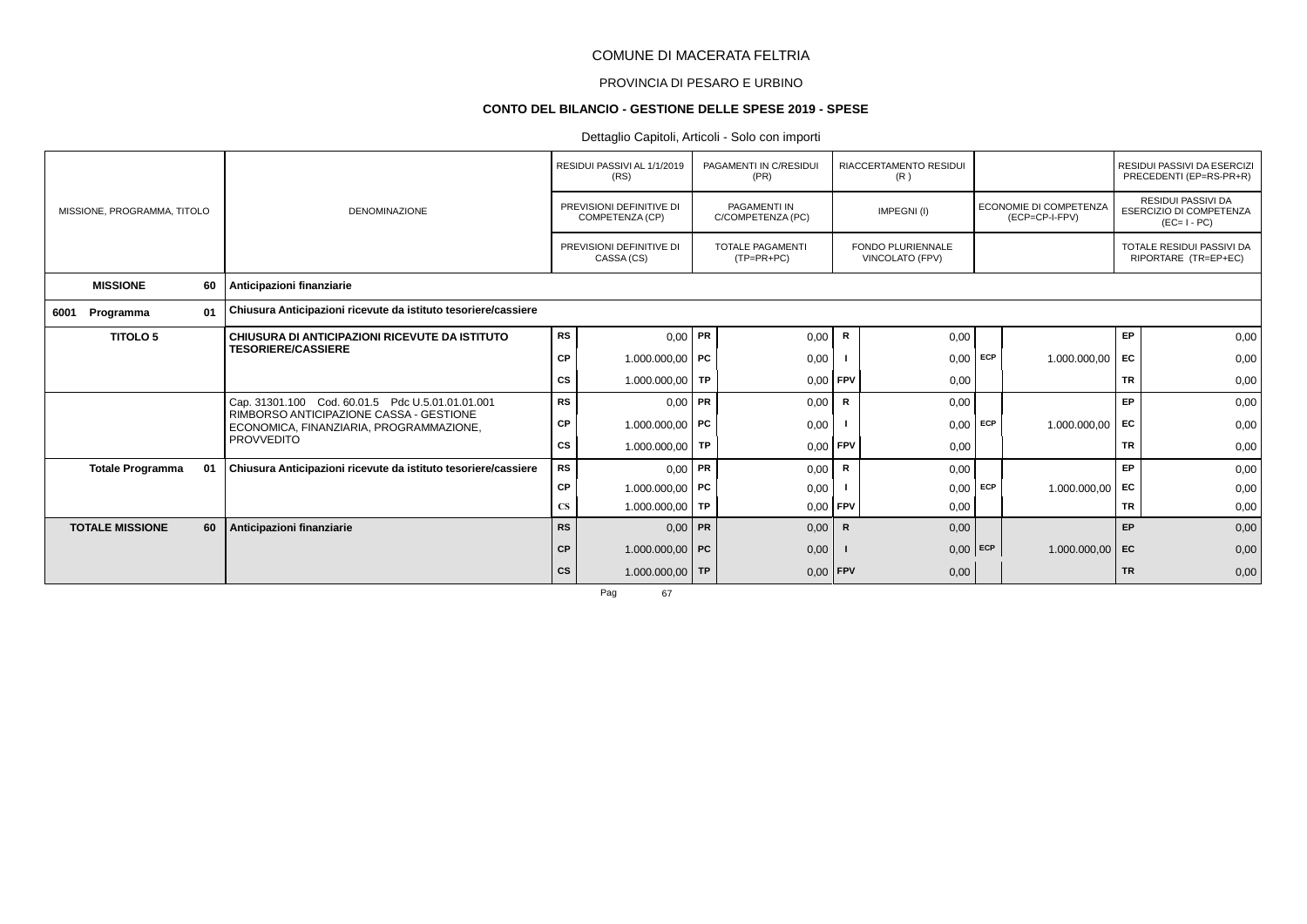# PROVINCIA DI PESARO E URBINO

#### **CONTO DEL BILANCIO - GESTIONE DELLE SPESE 2019 - SPESE**

# Dettaglio Capitoli, Articoli - Solo con importi

|                             |    |                                                                                    |               | RESIDUI PASSIVI AL 1/1/2019<br>(RS)         |  | PAGAMENTI IN C/RESIDUI<br>(PR)           |              | RIACCERTAMENTO RESIDUI<br>(R)               |     |                                          |           | RESIDUI PASSIVI DA ESERCIZI<br>PRECEDENTI (EP=RS-PR+R)                     |
|-----------------------------|----|------------------------------------------------------------------------------------|---------------|---------------------------------------------|--|------------------------------------------|--------------|---------------------------------------------|-----|------------------------------------------|-----------|----------------------------------------------------------------------------|
| MISSIONE, PROGRAMMA, TITOLO |    | <b>DENOMINAZIONE</b>                                                               |               | PREVISIONI DEFINITIVE DI<br>COMPETENZA (CP) |  | <b>PAGAMENTI IN</b><br>C/COMPETENZA (PC) |              | IMPEGNI(I)                                  |     | ECONOMIE DI COMPETENZA<br>(ECP=CP-I-FPV) |           | <b>RESIDUI PASSIVI DA</b><br><b>ESERCIZIO DI COMPETENZA</b><br>$(EC=I-PC)$ |
|                             |    |                                                                                    |               | PREVISIONI DEFINITIVE DI<br>CASSA (CS)      |  | <b>TOTALE PAGAMENTI</b><br>$(TP=PR+PC)$  |              | <b>FONDO PLURIENNALE</b><br>VINCOLATO (FPV) |     |                                          |           | TOTALE RESIDUI PASSIVI DA<br>RIPORTARE (TR=EP+EC)                          |
| <b>MISSIONE</b>             | 60 | Anticipazioni finanziarie                                                          |               |                                             |  |                                          |              |                                             |     |                                          |           |                                                                            |
| Programma<br>6001           | 01 | Chiusura Anticipazioni ricevute da istituto tesoriere/cassiere<br>$0,00$ PR        |               |                                             |  |                                          |              |                                             |     |                                          |           |                                                                            |
| <b>TITOLO 5</b>             |    | CHIUSURA DI ANTICIPAZIONI RICEVUTE DA ISTITUTO                                     | <b>RS</b>     |                                             |  | 0,00                                     | $\mathsf{R}$ | 0,00                                        |     |                                          | EP        | 0,00                                                                       |
|                             |    | <b>TESORIERE/CASSIERE</b>                                                          | CP            | 1.000.000,00 PC                             |  | 0,00                                     |              | 0,00                                        | ECP | 1.000.000,00                             | EC        | 0,00                                                                       |
|                             |    |                                                                                    | CS            | 1.000.000,00   TP                           |  | $0,00$ FPV                               |              | 0,00                                        |     |                                          | <b>TR</b> | 0,00                                                                       |
|                             |    | Cap. 31301.100 Cod. 60.01.5 Pdc U.5.01.01.01.001                                   | <b>RS</b>     | $0,00$ PR                                   |  | 0,00                                     | $\mathsf{R}$ | 0,00                                        |     |                                          | EP        | 0,00                                                                       |
|                             |    | RIMBORSO ANTICIPAZIONE CASSA - GESTIONE<br>ECONOMICA, FINANZIARIA, PROGRAMMAZIONE, | СP            | 1.000.000,00   PC                           |  | 0,00                                     |              | 0,00                                        | ECP | 1.000.000,00                             | EC        | 0,00                                                                       |
|                             |    | <b>PROVVEDITO</b>                                                                  | CS            | $1.000.000,00$ TP                           |  | $0.00$ FPV                               |              | 0,00                                        |     |                                          | <b>TR</b> | 0,00                                                                       |
| <b>Totale Programma</b>     | 01 | Chiusura Anticipazioni ricevute da istituto tesoriere/cassiere                     | <b>RS</b>     | $0,00$ PR                                   |  | 0,00                                     | R            | 0,00                                        |     |                                          | EP        | 0,00                                                                       |
|                             |    |                                                                                    | СP            | 1.000.000,00 PC                             |  | 0,00                                     |              | 0,00                                        | ECP | 1.000.000,00 EC                          |           | 0,00                                                                       |
|                             |    |                                                                                    | $\mathbf{CS}$ | 1.000.000,00 TP                             |  | $0,00$ FPV                               |              | 0,00                                        |     |                                          | <b>TR</b> | 0,00                                                                       |
| <b>TOTALE MISSIONE</b>      | 60 | Anticipazioni finanziarie                                                          | <b>RS</b>     | $0,00$ PR                                   |  | 0,00                                     | R            | 0,00                                        |     |                                          | EP        | 0,00                                                                       |
|                             |    |                                                                                    | <b>CP</b>     | 1.000.000,00 PC                             |  | 0,00                                     |              | $0,00$ ECP                                  |     | $1.000.000,00$ EC                        |           | 0,00                                                                       |
|                             |    |                                                                                    | <b>CS</b>     | 1.000.000,00 TP                             |  | $0,00$ FPV                               |              | 0,00                                        |     |                                          | <b>TR</b> | 0,00                                                                       |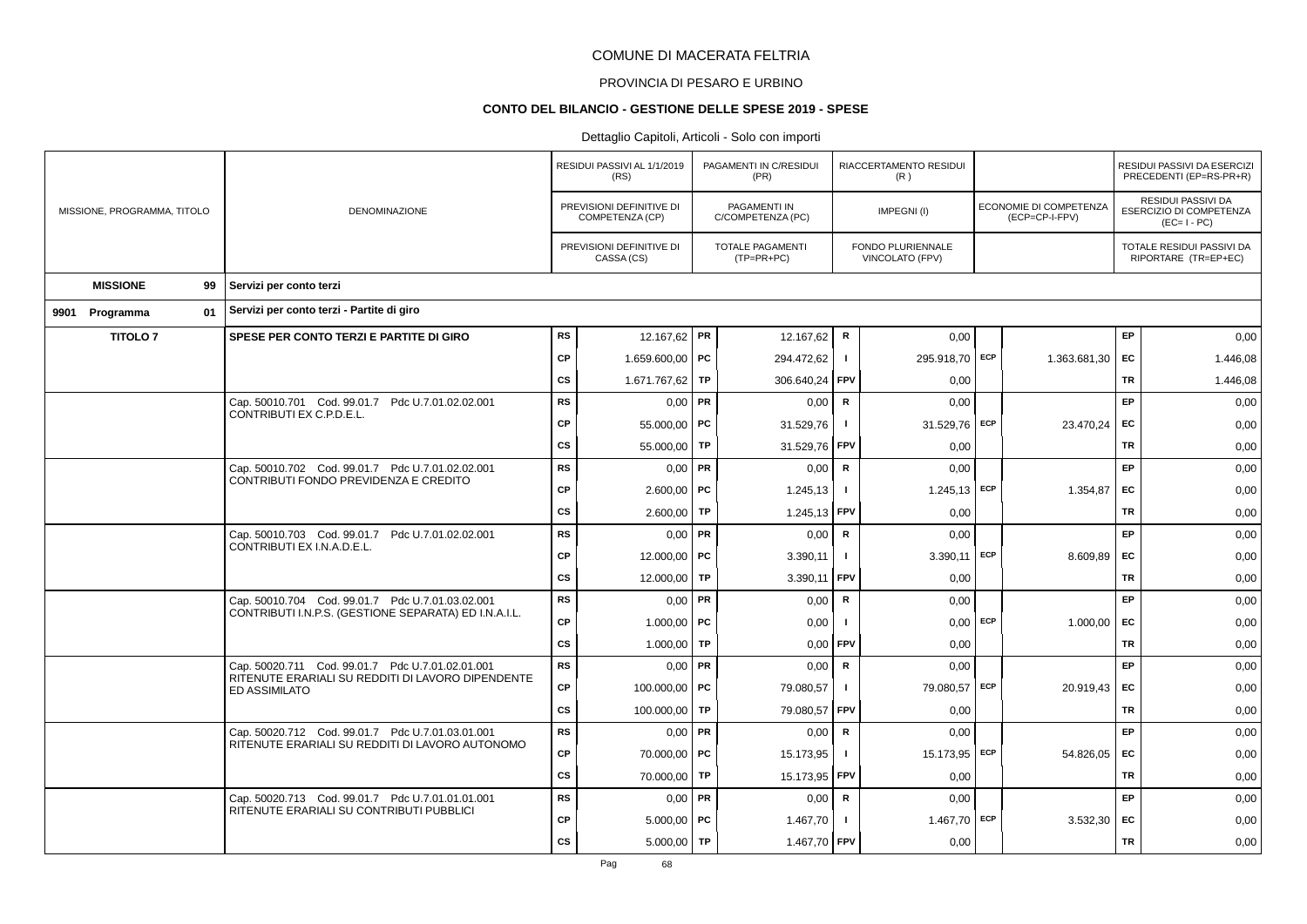# PROVINCIA DI PESARO E URBINO

### **CONTO DEL BILANCIO - GESTIONE DELLE SPESE 2019 - SPESE**

|  |                             |                                       |                                                                                                           |               | RESIDUI PASSIVI AL 1/1/2019<br>(RS)         |           | PAGAMENTI IN C/RESIDUI<br>(PR)          |                | RIACCERTAMENTO RESIDUI<br>(R)        |          |                                          |           | RESIDUI PASSIVI DA ESERCIZI<br>PRECEDENTI (EP=RS-PR+R)       |
|--|-----------------------------|---------------------------------------|-----------------------------------------------------------------------------------------------------------|---------------|---------------------------------------------|-----------|-----------------------------------------|----------------|--------------------------------------|----------|------------------------------------------|-----------|--------------------------------------------------------------|
|  | MISSIONE, PROGRAMMA, TITOLO |                                       | DENOMINAZIONE                                                                                             |               | PREVISIONI DEFINITIVE DI<br>COMPETENZA (CP) |           | PAGAMENTI IN<br>C/COMPETENZA (PC)       |                | IMPEGNI(I)                           |          | ECONOMIE DI COMPETENZA<br>(ECP=CP-I-FPV) |           | RESIDUI PASSIVI DA<br>ESERCIZIO DI COMPETENZA<br>$(EC=I-PC)$ |
|  |                             |                                       |                                                                                                           |               | PREVISIONI DEFINITIVE DI<br>CASSA (CS)      |           | <b>TOTALE PAGAMENTI</b><br>$(TP=PR+PC)$ |                | FONDO PLURIENNALE<br>VINCOLATO (FPV) |          |                                          |           | TOTALE RESIDUI PASSIVI DA<br>RIPORTARE (TR=EP+EC)            |
|  | <b>MISSIONE</b>             | 99                                    | Servizi per conto terzi                                                                                   |               |                                             |           |                                         |                |                                      |          |                                          |           |                                                              |
|  | 9901 Programma              | 01                                    | Servizi per conto terzi - Partite di giro                                                                 |               |                                             |           |                                         |                |                                      |          |                                          |           |                                                              |
|  | <b>TITOLO 7</b>             |                                       | SPESE PER CONTO TERZI E PARTITE DI GIRO                                                                   | <b>RS</b>     | 12.167,62 PR                                |           | 12.167,62                               | $\mathsf{R}$   | 0.00                                 |          |                                          | EP        | 0,00                                                         |
|  |                             |                                       |                                                                                                           | <b>CP</b>     | 1.659.600,00 PC                             |           | 294.472,62                              | $\mathbf{I}$   | 295.918,70 ECP                       |          | 1.363.681,30                             | EC        | 1.446,08                                                     |
|  |                             |                                       |                                                                                                           | <b>CS</b>     | 1.671.767,62                                | TP        | 306.640,24                              | FPV            | 0,00                                 |          |                                          | TR        | 1.446,08                                                     |
|  |                             |                                       | Cap. 50010.701 Cod. 99.01.7 Pdc U.7.01.02.02.001                                                          | <b>RS</b>     | $0,00$ PR                                   |           | 0,00                                    | $\mathbf R$    | 0,00                                 |          |                                          | EP        | 0,00                                                         |
|  |                             |                                       | CONTRIBUTI EX C.P.D.E.L.                                                                                  | <b>CP</b>     | 55.000,00   PC                              |           | 31.529,76                               | $\mathbf{I}$   | 31.529,76 ECP                        |          | 23.470,24                                | EC        | 0,00                                                         |
|  |                             |                                       |                                                                                                           | CS            | 55.000,00                                   | TP        | 31.529,76                               | <b>FPV</b>     | 0,00                                 |          |                                          | TR        | 0,00                                                         |
|  |                             |                                       | Cap. 50010.702 Cod. 99.01.7 Pdc U.7.01.02.02.001                                                          | <b>RS</b>     | $0,00$ PR                                   |           | 0,00                                    | $\mathsf{R}$   | 0,00                                 |          |                                          | EP        | 0,00                                                         |
|  |                             | CONTRIBUTI FONDO PREVIDENZA E CREDITO | <b>CP</b>                                                                                                 | $2.600,00$ PC |                                             | 1.245,13  | $\blacksquare$                          | $1.245,13$ ECP |                                      | 1.354,87 | EC                                       | 0,00      |                                                              |
|  |                             |                                       |                                                                                                           | <b>CS</b>     | 2.600,00                                    | TP        | 1.245,13                                | FPV            | 0,00                                 |          |                                          | <b>TR</b> | 0,00                                                         |
|  |                             |                                       | Cap. 50010.703 Cod. 99.01.7 Pdc U.7.01.02.02.001<br>CONTRIBUTI EX I.N.A.D.E.L.                            | <b>RS</b>     | $0,00$ PR                                   |           | 0,00                                    | $\mathsf{R}$   | 0,00                                 |          |                                          | EP        | 0,00                                                         |
|  |                             |                                       |                                                                                                           | <b>CP</b>     | 12.000,00   PC                              |           | 3.390,11                                | $\mathbf{I}$   | 3.390,11                             | ECP      | 8.609,89                                 | EC        | 0,00                                                         |
|  |                             |                                       |                                                                                                           | <b>CS</b>     | 12.000,00                                   | <b>TP</b> | 3.390,11                                | FPV            | 0,00                                 |          |                                          | <b>TR</b> | 0,00                                                         |
|  |                             |                                       | Cap. 50010.704 Cod. 99.01.7 Pdc U.7.01.03.02.001<br>CONTRIBUTI I.N.P.S. (GESTIONE SEPARATA) ED I.N.A.I.L. | RS            | $0,00$ PR                                   |           | 0,00                                    | $\mathbf R$    | 0,00                                 |          |                                          | EP        | 0,00                                                         |
|  |                             |                                       |                                                                                                           | <b>CP</b>     | 1.000,00   PC                               |           | 0,00                                    |                | $0,00$ ECP                           |          | 1.000,00                                 | EC        | 0,00                                                         |
|  |                             |                                       |                                                                                                           | <b>CS</b>     | 1.000,00                                    | TP        | 0,00                                    | FPV            | 0,00                                 |          |                                          | <b>TR</b> | 0,00                                                         |
|  |                             |                                       | Cap. 50020.711 Cod. 99.01.7 Pdc U.7.01.02.01.001<br>RITENUTE ERARIALI SU REDDITI DI LAVORO DIPENDENTE     | <b>RS</b>     | $0,00$ PR                                   |           | 0,00                                    | $\mathbf R$    | 0,00                                 |          |                                          | EP        | 0,00                                                         |
|  |                             |                                       | <b>ED ASSIMILATO</b>                                                                                      | <b>CP</b>     | 100.000,00 PC                               |           | 79.080,57                               | $\mathbf{I}$   | 79.080,57 ECP                        |          | 20.919,43                                | EC        | 0,00                                                         |
|  |                             |                                       |                                                                                                           | <b>CS</b>     | 100.000,00                                  | TP        | 79.080,57                               | FPV            | 0,00                                 |          |                                          | TR        | 0,00                                                         |
|  |                             |                                       | Cap. 50020.712 Cod. 99.01.7 Pdc U.7.01.03.01.001<br>RITENUTE ERARIALI SU REDDITI DI LAVORO AUTONOMO       | <b>RS</b>     | $0,00$ PR                                   |           | 0,00                                    | $\mathsf{R}$   | 0,00                                 |          |                                          | EP        | 0,00                                                         |
|  |                             |                                       |                                                                                                           | <b>CP</b>     | 70.000,00 PC                                |           | 15.173,95                               | $\mathbf{I}$   | 15.173,95                            | ECP      | 54.826,05                                | EC        | 0,00                                                         |
|  |                             |                                       |                                                                                                           | <b>CS</b>     | 70.000,00 TP                                |           | 15.173,95                               | FPV            | 0,00                                 |          |                                          | <b>TR</b> | 0,00                                                         |
|  |                             |                                       | Cap. 50020.713 Cod. 99.01.7 Pdc U.7.01.01.01.001<br>RITENUTE ERARIALI SU CONTRIBUTI PUBBLICI              | <b>RS</b>     | $0.00$ PR                                   |           | 0,00                                    | $\mathsf{R}$   | 0,00                                 |          |                                          | EP        | 0,00                                                         |
|  |                             |                                       |                                                                                                           | <b>CP</b>     | $5.000,00$ PC                               |           | 1.467,70                                |                | 1.467,70 ECP                         |          | 3.532,30                                 | EC        | 0,00                                                         |
|  |                             |                                       |                                                                                                           | <b>CS</b>     | $5.000,00$ TP                               |           | 1.467,70 FPV                            |                | 0,00                                 |          |                                          | <b>TR</b> | 0,00                                                         |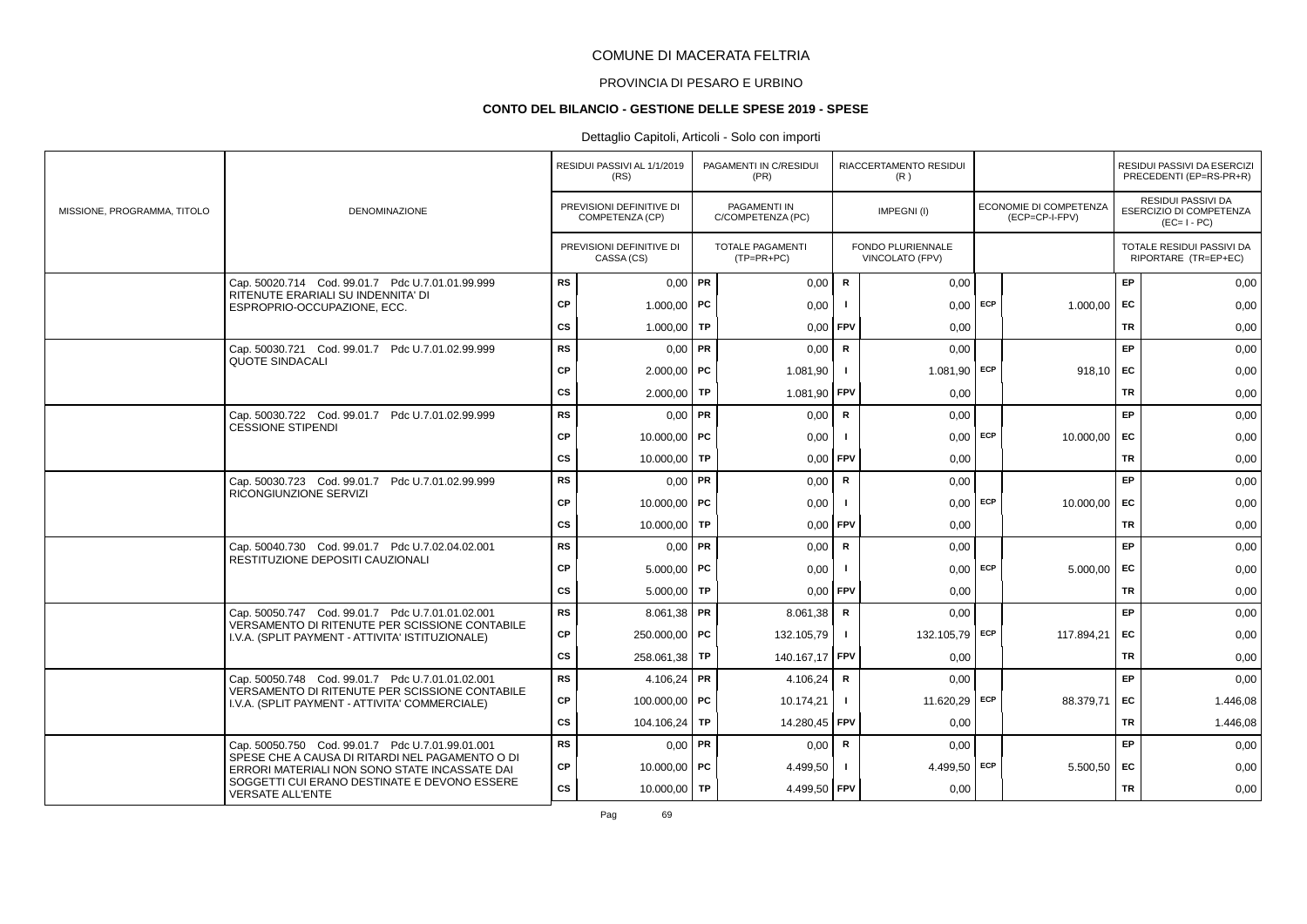# PROVINCIA DI PESARO E URBINO

#### **CONTO DEL BILANCIO - GESTIONE DELLE SPESE 2019 - SPESE**

# Dettaglio Capitoli, Articoli - Solo con importi

|                             |                                                                                                     |               | RESIDUI PASSIVI AL 1/1/2019<br>(RS)         |    | PAGAMENTI IN C/RESIDUI<br>(PR)           |              | RIACCERTAMENTO RESIDUI<br>(R)        |            |                                                 |           | RESIDUI PASSIVI DA ESERCIZI<br>PRECEDENTI (EP=RS-PR+R)       |
|-----------------------------|-----------------------------------------------------------------------------------------------------|---------------|---------------------------------------------|----|------------------------------------------|--------------|--------------------------------------|------------|-------------------------------------------------|-----------|--------------------------------------------------------------|
| MISSIONE, PROGRAMMA, TITOLO | <b>DENOMINAZIONE</b>                                                                                |               | PREVISIONI DEFINITIVE DI<br>COMPETENZA (CP) |    | <b>PAGAMENTI IN</b><br>C/COMPETENZA (PC) |              | IMPEGNI(I)                           |            | <b>ECONOMIE DI COMPETENZA</b><br>(ECP=CP-I-FPV) |           | RESIDUI PASSIVI DA<br>ESERCIZIO DI COMPETENZA<br>$(EC=I-PC)$ |
|                             |                                                                                                     |               | PREVISIONI DEFINITIVE DI<br>CASSA (CS)      |    | TOTALE PAGAMENTI<br>$(TP=PR+PC)$         |              | FONDO PLURIENNALE<br>VINCOLATO (FPV) |            |                                                 |           | TOTALE RESIDUI PASSIVI DA<br>RIPORTARE (TR=EP+EC)            |
|                             | Cap. 50020.714 Cod. 99.01.7 Pdc U.7.01.01.99.999                                                    | <b>RS</b>     | $0.00$ PR                                   |    | 0,00                                     | $\mathsf{R}$ | 0,00                                 |            |                                                 | EP        | 0,00                                                         |
|                             | RITENUTE ERARIALI SU INDENNITA' DI<br>ESPROPRIO-OCCUPAZIONE, ECC.                                   | <b>CP</b>     | $1.000,00$ PC                               |    | 0,00                                     | $\mathbf{I}$ |                                      | $0,00$ ECP | 1.000.00                                        | <b>FC</b> | 0,00                                                         |
|                             |                                                                                                     | $\mathsf{cs}$ | 1.000,00                                    | TP | 0,00                                     | FPV          | 0,00                                 |            |                                                 | TR        | 0,00                                                         |
|                             | Cap. 50030.721 Cod. 99.01.7 Pdc U.7.01.02.99.999                                                    | <b>RS</b>     | $0,00$ PR                                   |    | 0,00                                     | ${\sf R}$    | 0,00                                 |            |                                                 | EP        | 0,00                                                         |
|                             | <b>QUOTE SINDACALI</b>                                                                              | CP            | $2.000,00$ PC                               |    | 1.081,90                                 | -1           | $1.081,90$ ECP                       |            | 918,10                                          | EC        | 0,00                                                         |
|                             |                                                                                                     | $\mathsf{cs}$ | $2.000,00$ TP                               |    | 1.081,90                                 | FPV          | 0,00                                 |            |                                                 | TR        | 0,00                                                         |
|                             | Cap. 50030.722 Cod. 99.01.7 Pdc U.7.01.02.99.999                                                    | <b>RS</b>     | $0,00$ PR                                   |    | 0,00                                     | $\mathsf{R}$ | 0.00                                 |            |                                                 | EP        | 0,00                                                         |
|                             | <b>CESSIONE STIPENDI</b>                                                                            | СP            | 10.000.00   PC                              |    | 0,00                                     | -1           |                                      | $0,00$ ECP | 10.000,00                                       | EC        | 0,00                                                         |
|                             |                                                                                                     | CS            | 10.000.00 TP                                |    | 0.00                                     | <b>FPV</b>   | 0,00                                 |            |                                                 | <b>TR</b> | 0,00                                                         |
|                             | Cap. 50030.723 Cod. 99.01.7 Pdc U.7.01.02.99.999                                                    | <b>RS</b>     | $0,00$ PR                                   |    | 0,00                                     | R            | 0,00                                 |            |                                                 | EP        | 0,00                                                         |
|                             | RICONGIUNZIONE SERVIZI                                                                              | <b>CP</b>     | 10.000,00   PC                              |    | 0,00                                     |              |                                      | $0,00$ ECP | 10.000,00                                       | EC        | 0,00                                                         |
|                             |                                                                                                     | CS            | 10.000,00   TP                              |    | 0,00                                     | <b>FPV</b>   | 0,00                                 |            |                                                 | TR        | 0,00                                                         |
|                             | Cap. 50040.730 Cod. 99.01.7 Pdc U.7.02.04.02.001                                                    | <b>RS</b>     | $0,00$ PR                                   |    | 0,00                                     | R            | 0,00                                 |            |                                                 | EP        | 0,00                                                         |
|                             | RESTITUZIONE DEPOSITI CAUZIONALI                                                                    | СP            | $5.000,00$ PC                               |    | 0,00                                     | - 1          | 0.00                                 | ECP        | 5.000,00                                        | EC        | 0,00                                                         |
|                             |                                                                                                     | $\mathsf{cs}$ | $5.000,00$ TP                               |    | 0,00                                     | <b>FPV</b>   | 0,00                                 |            |                                                 | <b>TR</b> | 0,00                                                         |
|                             | Cap. 50050.747 Cod. 99.01.7 Pdc U.7.01.01.02.001<br>VERSAMENTO DI RITENUTE PER SCISSIONE CONTABILE  | <b>RS</b>     | $8.061,38$ PR                               |    | 8.061,38                                 | R            | 0.00                                 |            |                                                 | EP        | 0,00                                                         |
|                             | I.V.A. (SPLIT PAYMENT - ATTIVITA' ISTITUZIONALE)                                                    | СP            | 250.000,00 <b>PC</b>                        |    | 132.105,79                               | $\mathbf{I}$ | 132.105,79 ECP                       |            | 117.894,21                                      | EC        | 0,00                                                         |
|                             |                                                                                                     | $\mathsf{cs}$ | 258.061.38 TP                               |    | 140.167,17 FPV                           |              | 0,00                                 |            |                                                 | <b>TR</b> | 0,00                                                         |
|                             | Cap. 50050.748 Cod. 99.01.7 Pdc U.7.01.01.02.001<br>VERSAMENTO DI RITENUTE PER SCISSIONE CONTABILE  | <b>RS</b>     | 4.106,24   PR                               |    | 4.106,24                                 | R            | 0,00                                 |            |                                                 | EP        | 0,00                                                         |
|                             | I.V.A. (SPLIT PAYMENT - ATTIVITA' COMMERCIALE)                                                      | СP            | 100.000,00 PC                               |    | 10.174,21                                | $\mathbf{I}$ | 11.620,29 ECP                        |            | 88.379,71                                       | EC        | 1.446,08                                                     |
|                             |                                                                                                     | <b>CS</b>     | 104.106,24   TP                             |    | 14.280,45                                | <b>FPV</b>   | 0,00                                 |            |                                                 | <b>TR</b> | 1.446,08                                                     |
|                             | Cap. 50050.750 Cod. 99.01.7 Pdc U.7.01.99.01.001<br>SPESE CHE A CAUSA DI RITARDI NEL PAGAMENTO O DI | <b>RS</b>     | $0,00$ PR                                   |    | 0,00                                     | $\mathsf R$  | 0,00                                 |            |                                                 | EP        | 0,00                                                         |
|                             | ERRORI MATERIALI NON SONO STATE INCASSATE DAI                                                       | CP            | 10.000,00   PC                              |    | 4.499,50                                 | $\mathbf{I}$ | 4.499,50 ECP                         |            | 5.500,50                                        | EC        | 0,00                                                         |
|                             | SOGGETTI CUI ERANO DESTINATE E DEVONO ESSERE<br><b>VERSATE ALL'ENTE</b>                             | $\mathsf{cs}$ | 10.000,00 TP                                |    | 4.499,50 FPV                             |              | 0,00                                 |            |                                                 | TR        | 0,00                                                         |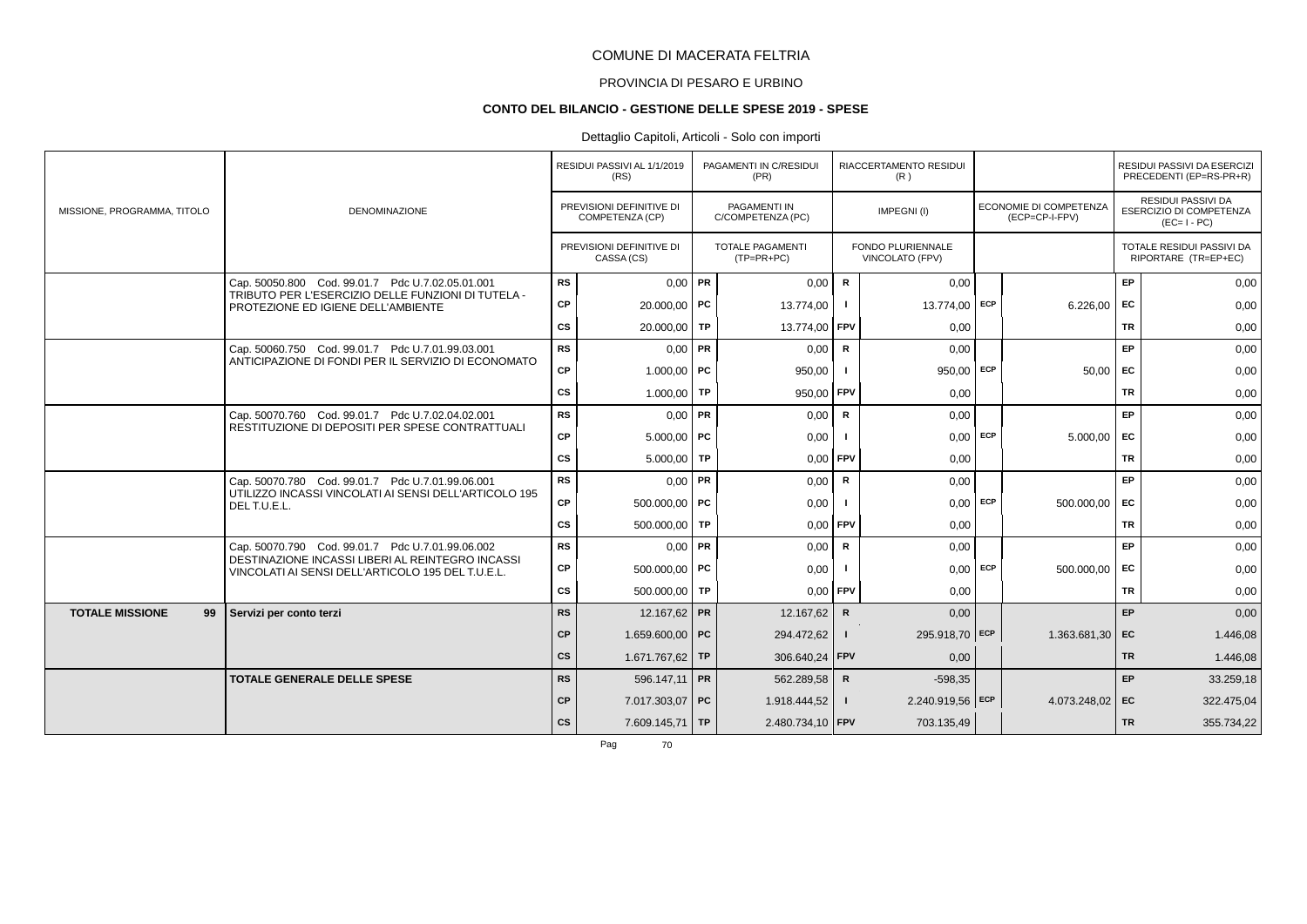# PROVINCIA DI PESARO E URBINO

#### **CONTO DEL BILANCIO - GESTIONE DELLE SPESE 2019 - SPESE**

# Dettaglio Capitoli, Articoli - Solo con importi

|                              |                                                                                                           |           | RESIDUI PASSIVI AL 1/1/2019<br>(RS)         | PAGAMENTI IN C/RESIDUI<br>(PR)          |              | RIACCERTAMENTO RESIDUI<br>(R)               |            |                                                 |           | RESIDUI PASSIVI DA ESERCIZI<br>PRECEDENTI (EP=RS-PR+R)              |
|------------------------------|-----------------------------------------------------------------------------------------------------------|-----------|---------------------------------------------|-----------------------------------------|--------------|---------------------------------------------|------------|-------------------------------------------------|-----------|---------------------------------------------------------------------|
| MISSIONE, PROGRAMMA, TITOLO  | <b>DENOMINAZIONE</b>                                                                                      |           | PREVISIONI DEFINITIVE DI<br>COMPETENZA (CP) | PAGAMENTI IN<br>C/COMPETENZA (PC)       |              | IMPEGNI(I)                                  |            | <b>ECONOMIE DI COMPETENZA</b><br>(ECP=CP-I-FPV) |           | <b>RESIDUI PASSIVI DA</b><br>ESERCIZIO DI COMPETENZA<br>$(EC=I-PC)$ |
|                              |                                                                                                           |           | PREVISIONI DEFINITIVE DI<br>CASSA (CS)      | <b>TOTALE PAGAMENTI</b><br>$(TP=PR+PC)$ |              | <b>FONDO PLURIENNALE</b><br>VINCOLATO (FPV) |            |                                                 |           | TOTALE RESIDUI PASSIVI DA<br>RIPORTARE (TR=EP+EC)                   |
|                              | Cap. 50050.800 Cod. 99.01.7 Pdc U.7.02.05.01.001                                                          | <b>RS</b> | $0,00$ PR                                   | 0,00                                    | $\mathbf R$  | 0,00                                        |            |                                                 | <b>EP</b> | 0,00                                                                |
|                              | TRIBUTO PER L'ESERCIZIO DELLE FUNZIONI DI TUTELA -<br>PROTEZIONE ED IGIENE DELL'AMBIENTE                  | CP        | $20.000,00$ PC                              | 13.774,00                               |              | 13.774,00                                   | ECP        | 6.226,00                                        | <b>FC</b> | 0,00                                                                |
|                              |                                                                                                           | <b>CS</b> | 20.000,00 TP                                | 13.774,00 FPV                           |              | 0,00                                        |            |                                                 | <b>TR</b> | 0,00                                                                |
|                              | Cap. 50060.750 Cod. 99.01.7 Pdc U.7.01.99.03.001                                                          | <b>RS</b> | $0,00$ PR                                   | 0,00                                    | $\mathbf R$  | 0,00                                        |            |                                                 | EP        | 0,00                                                                |
|                              | ANTICIPAZIONE DI FONDI PER IL SERVIZIO DI ECONOMATO                                                       | CP        | $1.000,00$ PC                               | 950,00                                  |              | 950.00                                      | <b>ECP</b> | 50,00                                           | EC        | 0,00                                                                |
|                              |                                                                                                           | CS        | 1.000,00 TP                                 | 950,00 FPV                              |              | 0,00                                        |            |                                                 | <b>TR</b> | 0,00                                                                |
|                              | Cap. 50070.760 Cod. 99.01.7 Pdc U.7.02.04.02.001<br>RESTITUZIONE DI DEPOSITI PER SPESE CONTRATTUALI       | <b>RS</b> | $0.00$ PR                                   | 0,00                                    | $\mathsf{R}$ | 0,00                                        |            |                                                 | <b>EP</b> | 0,00                                                                |
|                              |                                                                                                           | CP        | $5.000,00$ PC                               | 0,00                                    |              | 0,00                                        | <b>ECP</b> | 5.000,00                                        | EC        | 0,00                                                                |
|                              |                                                                                                           | <b>CS</b> | $5.000,00$ TP                               | 0,00                                    | <b>FPV</b>   | 0,00                                        |            |                                                 | <b>TR</b> | 0,00                                                                |
|                              | Cap. 50070.780 Cod. 99.01.7 Pdc U.7.01.99.06.001<br>UTILIZZO INCASSI VINCOLATI AI SENSI DELL'ARTICOLO 195 | <b>RS</b> | $0.00$ PR                                   | 0.00                                    | R            | 0.00                                        |            |                                                 | <b>EP</b> | 0,00                                                                |
|                              | DELT.U.E.L.                                                                                               | CP        | 500.000,00   PC                             | 0,00                                    |              | 0,00                                        | ECP        | 500.000,00                                      | <b>FC</b> | 0,00                                                                |
|                              |                                                                                                           | <b>CS</b> | 500.000.00 TP                               | $0,00$ FPV                              |              | 0,00                                        |            |                                                 | TR        | 0,00                                                                |
|                              | Cap. 50070.790 Cod. 99.01.7 Pdc U.7.01.99.06.002<br>DESTINAZIONE INCASSI LIBERI AL REINTEGRO INCASSI      | <b>RS</b> | $0.00$ PR                                   | 0,00                                    | $\mathsf{R}$ | 0,00                                        |            |                                                 | <b>EP</b> | 0,00                                                                |
|                              | VINCOLATI AI SENSI DELL'ARTICOLO 195 DEL T.U.E.L.                                                         | СP        | 500,000.00 PC                               | 0.00                                    |              | 0.00                                        | ECP        | 500.000,00                                      | EC        | 0,00                                                                |
|                              |                                                                                                           | CS        | 500.000,00 TP                               | $0,00$ FPV                              |              | 0,00                                        |            |                                                 | <b>TR</b> | 0,00                                                                |
| <b>TOTALE MISSIONE</b><br>99 | Servizi per conto terzi                                                                                   | <b>RS</b> | 12.167,62 PR                                | 12.167,62                               | $\mathbf R$  | 0,00                                        |            |                                                 | EP        | 0,00                                                                |
|                              |                                                                                                           | CP        | 1.659.600,00 PC                             | 294.472,62                              | $\mathbf{I}$ | 295.918,70 ECP                              |            | 1.363.681,30 EC                                 |           | 1.446,08                                                            |
|                              |                                                                                                           | cs        | 1.671.767,62 TP                             | 306.640,24 FPV                          |              | 0,00                                        |            |                                                 | <b>TR</b> | 1.446,08                                                            |
|                              | <b>TOTALE GENERALE DELLE SPESE</b>                                                                        | <b>RS</b> | 596.147,11 PR                               | 562.289,58                              | $\mathsf{R}$ | $-598,35$                                   |            |                                                 | EP        | 33.259,18                                                           |
|                              |                                                                                                           | <b>CP</b> | 7.017.303,07 PC                             | 1.918.444,52                            | $\mathbf{I}$ | 2.240.919,56 ECP                            |            | 4.073.248,02 EC                                 |           | 322.475,04                                                          |
|                              |                                                                                                           | <b>CS</b> | 7.609.145,71 TP                             | 2.480.734,10 FPV                        |              | 703.135,49                                  |            |                                                 | <b>TR</b> | 355.734,22                                                          |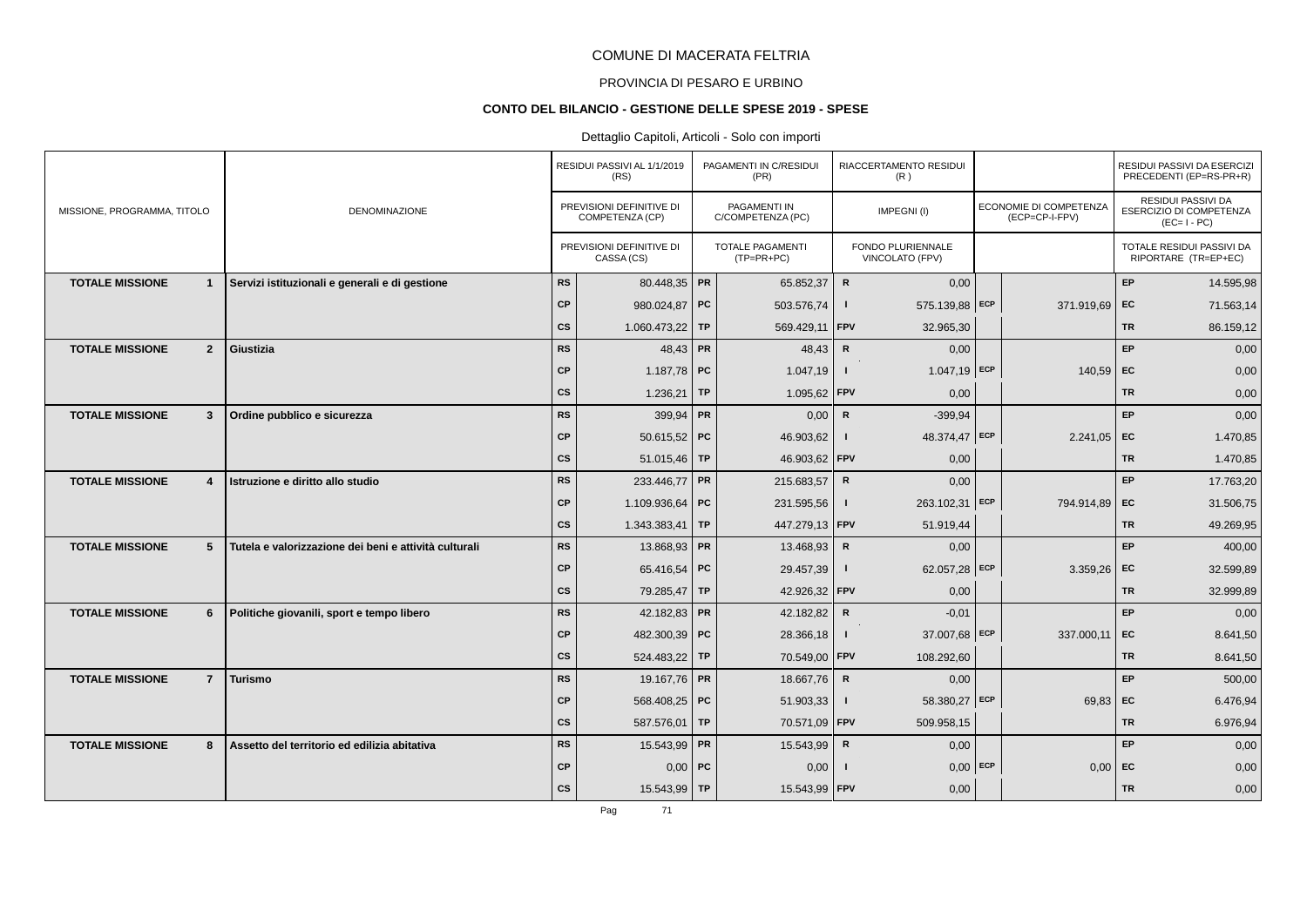# PROVINCIA DI PESARO E URBINO

#### **CONTO DEL BILANCIO - GESTIONE DELLE SPESE 2019 - SPESE**

# Dettaglio Capitoli, Articoli - Solo con importi

|                                          |                                                       |           | RESIDUI PASSIVI AL 1/1/2019<br>(RS)         | PAGAMENTI IN C/RESIDUI<br>(PR)    |              | RIACCERTAMENTO RESIDUI<br>(R)               |                                                 |           | RESIDUI PASSIVI DA ESERCIZI<br>PRECEDENTI (EP=RS-PR+R)       |
|------------------------------------------|-------------------------------------------------------|-----------|---------------------------------------------|-----------------------------------|--------------|---------------------------------------------|-------------------------------------------------|-----------|--------------------------------------------------------------|
| MISSIONE, PROGRAMMA, TITOLO              | <b>DENOMINAZIONE</b>                                  |           | PREVISIONI DEFINITIVE DI<br>COMPETENZA (CP) | PAGAMENTI IN<br>C/COMPETENZA (PC) |              | IMPEGNI(I)                                  | <b>ECONOMIE DI COMPETENZA</b><br>(ECP=CP-I-FPV) |           | RESIDUI PASSIVI DA<br>ESERCIZIO DI COMPETENZA<br>$(EC=I-PC)$ |
|                                          |                                                       |           | PREVISIONI DEFINITIVE DI<br>CASSA (CS)      | TOTALE PAGAMENTI<br>$(TP=PR+PC)$  |              | <b>FONDO PLURIENNALE</b><br>VINCOLATO (FPV) |                                                 |           | TOTALE RESIDUI PASSIVI DA<br>RIPORTARE (TR=EP+EC)            |
| <b>TOTALE MISSIONE</b><br>$\mathbf{1}$   | Servizi istituzionali e generali e di gestione        | RS        | 80.448,35 PR                                | 65.852,37                         | ${\sf R}$    | 0,00                                        |                                                 | EP        | 14.595,98                                                    |
|                                          |                                                       | <b>CP</b> | 980.024,87 PC                               | 503.576,74                        |              | 575.139,88 ECP                              | 371.919,69 EC                                   |           | 71.563,14                                                    |
|                                          |                                                       | <b>CS</b> | 1.060.473,22 TP                             | 569.429,11                        | FPV          | 32.965,30                                   |                                                 | <b>TR</b> | 86.159,12                                                    |
| $\overline{2}$<br><b>TOTALE MISSIONE</b> | Giustizia                                             | <b>RS</b> | 48,43 PR                                    | 48,43                             | $\mathbf R$  | 0,00                                        |                                                 | EP        | 0,00                                                         |
|                                          |                                                       | <b>CP</b> | 1.187,78 PC                                 | 1.047,19                          |              | $1.047,19$ ECP                              | $140,59$ EC                                     |           | 0,00                                                         |
|                                          |                                                       | cs        | $1.236,21$ TP                               | 1.095,62                          | FPV          | 0,00                                        |                                                 | <b>TR</b> | 0,00                                                         |
| <b>TOTALE MISSIONE</b><br>$\mathbf{3}$   | Ordine pubblico e sicurezza                           | <b>RS</b> | 399.94 PR                                   | 0,00                              | $\mathsf{R}$ | $-399.94$                                   |                                                 | EP        | 0,00                                                         |
|                                          |                                                       | <b>CP</b> | 50.615,52   PC                              | 46.903,62                         |              | 48.374,47 ECP                               | $2.241,05$ EC                                   |           | 1.470,85                                                     |
|                                          |                                                       | <b>CS</b> | 51.015,46 TP                                | 46.903,62 FPV                     |              | 0,00                                        |                                                 | <b>TR</b> | 1.470,85                                                     |
| <b>TOTALE MISSIONE</b><br>$\overline{4}$ | Istruzione e diritto allo studio                      | <b>RS</b> | 233.446,77 PR                               | 215.683,57                        | $\mathsf{R}$ | 0,00                                        |                                                 | EP        | 17.763,20                                                    |
|                                          |                                                       | <b>CP</b> | 1.109.936,64 PC                             | 231.595,56                        | $\mathbf{I}$ | 263.102,31 ECP                              | 794.914,89 EC                                   |           | 31.506,75                                                    |
|                                          |                                                       | cs        | 1.343.383,41 TP                             | 447.279,13 FPV                    |              | 51.919,44                                   |                                                 | <b>TR</b> | 49.269,95                                                    |
| <b>TOTALE MISSIONE</b><br>5 <sup>5</sup> | Tutela e valorizzazione dei beni e attività culturali | <b>RS</b> | 13.868,93 PR                                | 13.468,93                         | $\mathbf R$  | 0,00                                        |                                                 | EP        | 400,00                                                       |
|                                          |                                                       | <b>CP</b> | 65.416,54 PC                                | 29.457,39                         |              | 62.057,28 ECP                               | 3.359,26                                        | EC        | 32.599,89                                                    |
|                                          |                                                       | <b>CS</b> | 79.285,47 TP                                | 42.926,32 FPV                     |              | 0,00                                        |                                                 | <b>TR</b> | 32.999,89                                                    |
| <b>TOTALE MISSIONE</b><br>6              | Politiche giovanili, sport e tempo libero             | <b>RS</b> | 42.182,83 PR                                | 42.182,82                         | $\mathsf{R}$ | $-0,01$                                     |                                                 | EP        | 0,00                                                         |
|                                          |                                                       | <b>CP</b> | 482.300,39 PC                               | 28.366,18                         | $\mathbf{I}$ | 37.007,68 ECP                               | 337.000,11                                      | EC        | 8.641,50                                                     |
|                                          |                                                       | cs        | 524.483,22 TP                               | 70.549,00 FPV                     |              | 108.292,60                                  |                                                 | <b>TR</b> | 8.641,50                                                     |
| <b>TOTALE MISSIONE</b><br>$\overline{7}$ | <b>Turismo</b>                                        | <b>RS</b> | 19.167,76 PR                                | 18.667,76                         | $\mathsf{R}$ | 0,00                                        |                                                 | EP        | 500,00                                                       |
|                                          |                                                       | <b>CP</b> | 568.408,25 PC                               | 51.903,33                         | $\mathbf{I}$ | 58.380,27 ECP                               | $69,83$ EC                                      |           | 6.476,94                                                     |
|                                          |                                                       | <b>CS</b> | 587.576,01 TP                               | 70.571,09 FPV                     |              | 509.958,15                                  |                                                 | <b>TR</b> | 6.976,94                                                     |
| <b>TOTALE MISSIONE</b><br>8              | Assetto del territorio ed edilizia abitativa          | <b>RS</b> | 15.543,99 PR                                | 15.543,99                         | $\mathsf{R}$ | 0,00                                        |                                                 | <b>EP</b> | 0,00                                                         |
|                                          |                                                       | <b>CP</b> | $0,00$ PC                                   | 0,00                              |              | $0,00$ ECP                                  | 0,00                                            | EC        | 0,00                                                         |
|                                          |                                                       | cs        | 15.543,99 TP                                | 15.543,99 FPV                     |              | 0,00                                        |                                                 | <b>TR</b> | 0,00                                                         |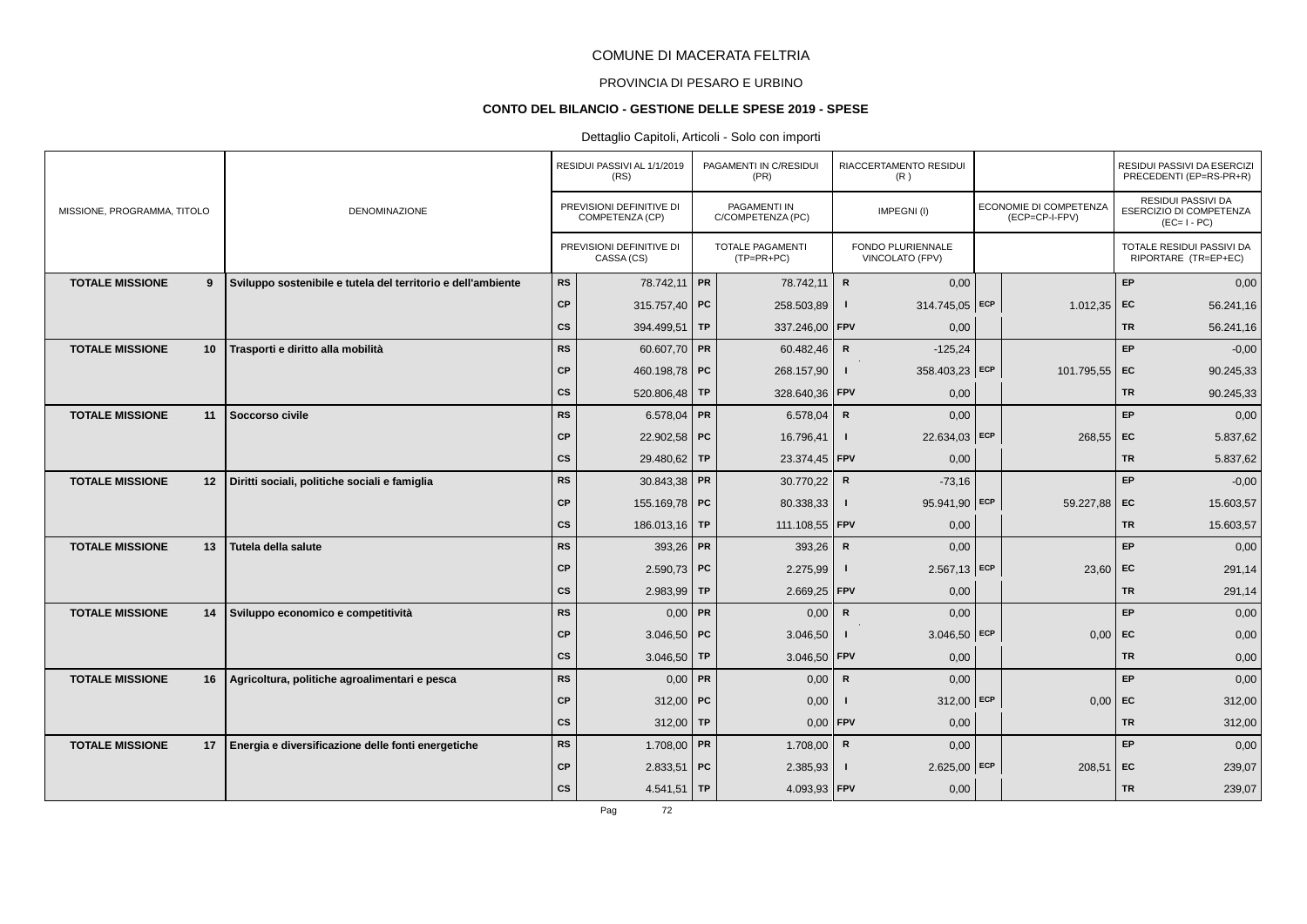# PROVINCIA DI PESARO E URBINO

#### **CONTO DEL BILANCIO - GESTIONE DELLE SPESE 2019 - SPESE**

# Dettaglio Capitoli, Articoli - Solo con importi

|                             |    |                                                              |           | RESIDUI PASSIVI AL 1/1/2019<br>(RS)         | PAGAMENTI IN C/RESIDUI<br>(PR)          |                | RIACCERTAMENTO RESIDUI<br>(R)               |                                          |           | RESIDUI PASSIVI DA ESERCIZI<br>PRECEDENTI (EP=RS-PR+R)       |
|-----------------------------|----|--------------------------------------------------------------|-----------|---------------------------------------------|-----------------------------------------|----------------|---------------------------------------------|------------------------------------------|-----------|--------------------------------------------------------------|
| MISSIONE, PROGRAMMA, TITOLO |    | <b>DENOMINAZIONE</b>                                         |           | PREVISIONI DEFINITIVE DI<br>COMPETENZA (CP) | PAGAMENTI IN<br>C/COMPETENZA (PC)       |                | IMPEGNI(I)                                  | ECONOMIE DI COMPETENZA<br>(ECP=CP-I-FPV) |           | RESIDUI PASSIVI DA<br>ESERCIZIO DI COMPETENZA<br>$(EC=I-PC)$ |
|                             |    |                                                              |           | PREVISIONI DEFINITIVE DI<br>CASSA (CS)      | <b>TOTALE PAGAMENTI</b><br>$(TP=PR+PC)$ |                | <b>FONDO PLURIENNALE</b><br>VINCOLATO (FPV) |                                          |           | TOTALE RESIDUI PASSIVI DA<br>RIPORTARE (TR=EP+EC)            |
| <b>TOTALE MISSIONE</b>      | 9  | Sviluppo sostenibile e tutela del territorio e dell'ambiente | RS        | 78.742,11 PR                                | 78.742,11                               | $\mathbf R$    | 0,00                                        |                                          | EP        | 0,00                                                         |
|                             |    |                                                              | <b>CP</b> | 315.757,40 PC                               | 258.503,89                              | -1             | 314.745,05 ECP                              | 1.012,35                                 | EC        | 56.241,16                                                    |
|                             |    |                                                              | <b>CS</b> | 394.499,51 TP                               | 337.246,00 FPV                          |                | 0,00                                        |                                          | <b>TR</b> | 56.241,16                                                    |
| <b>TOTALE MISSIONE</b>      | 10 | Trasporti e diritto alla mobilità                            | <b>RS</b> | 60.607,70 PR                                | 60.482,46                               | $\mathbb{R}$   | $-125,24$                                   |                                          | EP        | $-0,00$                                                      |
|                             |    |                                                              | <b>CP</b> | 460.198,78 PC                               | 268.157,90                              |                | 358.403,23 ECP                              | 101.795,55 EC                            |           | 90.245,33                                                    |
|                             |    |                                                              | <b>CS</b> | 520.806,48 TP                               | 328.640,36 FPV                          |                | 0,00                                        |                                          | <b>TR</b> | 90.245,33                                                    |
| <b>TOTALE MISSIONE</b>      | 11 | Soccorso civile                                              | RS        | 6.578,04 PR                                 | 6.578,04                                | $\mathsf{R}$   | 0,00                                        |                                          | EP        | 0,00                                                         |
|                             |    |                                                              | <b>CP</b> | 22.902,58 PC                                | 16.796,41                               | $\blacksquare$ | 22.634,03 ECP                               | 268,55                                   | EC        | 5.837,62                                                     |
|                             |    |                                                              | <b>CS</b> | 29.480,62 TP                                | 23.374,45   FPV                         |                | 0,00                                        |                                          | <b>TR</b> | 5.837,62                                                     |
| <b>TOTALE MISSIONE</b>      | 12 | Diritti sociali, politiche sociali e famiglia                | <b>RS</b> | 30.843,38 PR                                | 30.770,22                               | $\mathsf{R}$   | $-73,16$                                    |                                          | EP        | $-0,00$                                                      |
|                             |    |                                                              | <b>CP</b> | 155.169,78 PC                               | 80.338,33                               | $\mathbf{I}$   | 95.941,90 ECP                               | 59.227,88                                | EC        | 15.603,57                                                    |
|                             |    |                                                              | <b>CS</b> | 186.013,16 TP                               | 111.108,55   FPV                        |                | 0,00                                        |                                          | <b>TR</b> | 15.603,57                                                    |
| <b>TOTALE MISSIONE</b>      | 13 | Tutela della salute                                          | <b>RS</b> | 393,26 PR                                   | 393,26                                  | $\mathsf{R}$   | 0,00                                        |                                          | EP        | 0,00                                                         |
|                             |    |                                                              | <b>CP</b> | 2.590,73 PC                                 | 2.275,99                                |                | $2.567,13$ ECP                              | 23,60                                    | EC        | 291,14                                                       |
|                             |    |                                                              | <b>CS</b> | 2.983,99 TP                                 | 2.669,25                                | FPV            | 0,00                                        |                                          | <b>TR</b> | 291,14                                                       |
| <b>TOTALE MISSIONE</b>      | 14 | Sviluppo economico e competitività                           | RS        | $0,00$ PR                                   | 0,00                                    | $\mathsf{R}$   | 0,00                                        |                                          | <b>EP</b> | 0,00                                                         |
|                             |    |                                                              | <b>CP</b> | 3.046,50   PC                               | 3.046,50                                |                | $3.046,50$ ECP                              | 0,00                                     | EC        | 0,00                                                         |
|                             |    |                                                              | cs        | 3.046,50 TP                                 | 3.046,50                                | FPV            | 0,00                                        |                                          | <b>TR</b> | 0,00                                                         |
| <b>TOTALE MISSIONE</b>      | 16 | Agricoltura, politiche agroalimentari e pesca                | <b>RS</b> | $0,00$ PR                                   | 0,00                                    | $\mathsf{R}$   | 0,00                                        |                                          | EP        | 0,00                                                         |
|                             |    |                                                              | <b>CP</b> | 312,00   PC                                 | 0,00                                    |                | $312,00$ ECP                                | 0.00                                     | EC        | 312,00                                                       |
|                             |    |                                                              | cs        | $312,00$ TP                                 | 0,00                                    | $ $ FPV        | 0,00                                        |                                          | <b>TR</b> | 312,00                                                       |
| <b>TOTALE MISSIONE</b>      | 17 | Energia e diversificazione delle fonti energetiche           | <b>RS</b> | $1.708,00$ PR                               | 1.708,00                                | $\mathsf{R}$   | 0,00                                        |                                          | <b>EP</b> | 0,00                                                         |
|                             |    |                                                              | <b>CP</b> | $2.833,51$ PC                               | 2.385,93                                |                | $2.625,00$ ECP                              | 208,51                                   | EC        | 239,07                                                       |
|                             |    |                                                              | <b>CS</b> | $4.541,51$ TP                               | 4.093,93   FPV                          |                | 0,00                                        |                                          | <b>TR</b> | 239,07                                                       |